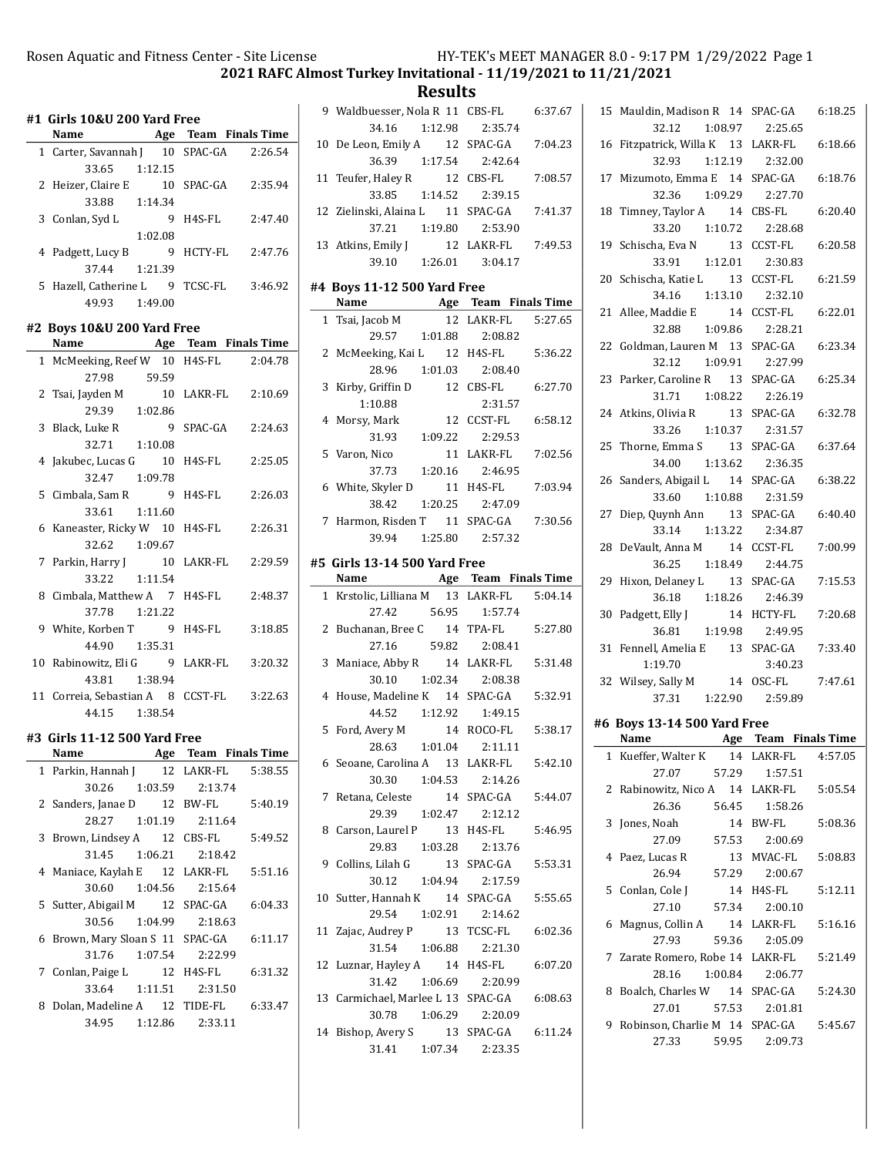2021 RAFC Almost Turkey Invitational - 11/19/2021 to 11/21/2021

Results

|   | #1 Girls 10&U 200 Yard Free<br>Name       | <b>Age</b> Team Finals Time |
|---|-------------------------------------------|-----------------------------|
|   | 1 Carter, Savannah J 10 SPAC-GA           | 2:26.54                     |
|   | 33.65 1:12.15                             |                             |
|   | 2 Heizer, Claire E 10 SPAC-GA 2:35.94     |                             |
|   | 33.88 1:14.34                             |                             |
|   |                                           |                             |
|   | 3 Conlan, Syd L                           | 9 H4S-FL<br>2:47.40         |
|   | 1:02.08                                   |                             |
|   | 4 Padgett, Lucy B                         | 9 HCTY-FL<br>2:47.76        |
|   | 37.44 1:21.39                             |                             |
|   | 5 Hazell, Catherine L 9 TCSC-FL 3:46.92   |                             |
|   | 49.93 1:49.00                             |                             |
|   | #2 Boys 10&U 200 Yard Free                |                             |
|   | Name Age Team Finals Time                 |                             |
|   | 1 McMeeking, Reef W 10 H4S-FL 2:04.78     |                             |
|   | 27.98<br>59.59                            |                             |
|   |                                           | 10 LAKR-FL 2:10.69          |
|   | 2 Tsai, Jayden M 10<br>29.39 1:02.86      |                             |
|   | 3 Black, Luke R                           | 9 SPAC-GA<br>2:24.63        |
|   | 32.71 1:10.08                             |                             |
|   | 4 Jakubec, Lucas G 10 H4S-FL              | 2:25.05                     |
|   | 32.47 1:09.78                             |                             |
|   |                                           |                             |
|   | 5 Cimbala, Sam R 9 H4S-FL                 | 2:26.03                     |
|   | 1:11.60<br>33.61                          |                             |
|   | 6 Kaneaster, Ricky W 10 H4S-FL 2:26.31    |                             |
|   | 32.62 1:09.67                             |                             |
|   | 7 Parkin, Harry J                         | 10 LAKR-FL 2:29.59          |
|   | 33.22<br>1:11.54                          |                             |
|   | 8 Cimbala, Matthew A 7 H4S-FL             | 2:48.37                     |
|   | 37.78 1:21.22                             |                             |
|   | 9 White, Korben T 9 H4S-FL                | 3:18.85                     |
|   | 44.90 1:35.31                             |                             |
|   | 10 Rabinowitz, Eli G 9 LAKR-FL            | 3:20.32                     |
|   | 43.81 1:38.94                             |                             |
|   | 11 Correia, Sebastian A 8 CCST-FL 3:22.63 |                             |
|   | 44.15 1:38.54                             |                             |
|   | #3 Girls 11-12 500 Yard Free              |                             |
|   | Name                                      | Age Team Finals Time        |
| 1 | Parkin, Hannah J                          | 5:38.55<br>12 LAKR-FL       |
|   | 30.26<br>1:03.59                          | 2:13.74                     |
|   | 2 Sanders, Janae D 12 BW-FL               | 5:40.19                     |
|   | 28.27<br>1:01.19                          | 2:11.64                     |
| 3 | Brown, Lindsey A 12 CBS-FL                | 5:49.52                     |
|   | 31.45<br>1:06.21                          | 2:18.42                     |
|   |                                           |                             |
| 4 | Maniace, Kaylah E 12 LAKR-FL              | 5:51.16                     |
|   | 30.60<br>1:04.56                          | 2:15.64                     |
| 5 | Sutter, Abigail M                         | 12 SPAC-GA<br>6:04.33       |
|   | 30.56<br>1:04.99                          | 2:18.63                     |
| 6 | Brown, Mary Sloan S 11 SPAC-GA            | 6:11.17                     |
|   | 31.76<br>1:07.54                          | 2:22.99                     |
| 7 | Conlan, Paige L                           | 12 H4S-FL<br>6:31.32        |
|   | 33.64                                     | 1:11.51  2:31.50            |
| 8 | Dolan, Madeline A 12                      | TIDE-FL<br>6:33.47          |
|   | 34.95<br>1:12.86                          | 2:33.11                     |
|   |                                           |                             |

| Name                                      |         | Age Team Finals Time |
|-------------------------------------------|---------|----------------------|
| #5 Girls 13-14 500 Yard Free              |         |                      |
| 39.94   1:25.80   2:57.32                 |         |                      |
| 7 Harmon, Risden T 11 SPAC-GA             |         | 7:30.56              |
| 38.42 1:20.25 2:47.09                     |         |                      |
| 6 White, Skyler D 11 H4S-FL 7:03.94       |         |                      |
| 37.73 1:20.16 2:46.95                     |         |                      |
| 5 Varon, Nico 11 LAKR-FL 7:02.56          |         |                      |
| 31.93   1:09.22   2:29.53                 |         |                      |
| 4 Morsy, Mark 12 CCST-FL 6:58.12          |         |                      |
| 1:10.88                                   | 2:31.57 |                      |
| 3 Kirby, Griffin D 12 CBS-FL 6:27.70      |         |                      |
| 28.96 1:01.03 2:08.40                     |         |                      |
| 2 McMeeking, Kai L 12 H4S-FL 5:36.22      |         |                      |
| 29.57   1:01.88   2:08.82                 |         |                      |
| 1 Tsai, Jacob M 12 LAKR-FL 5:27.65        |         |                      |
| Name Age Team Finals Time                 |         |                      |
| #4 Boys 11-12 500 Yard Free               |         |                      |
| 39.10 1:26.01 3:04.17                     |         |                      |
| 13 Atkins, Emily J 12 LAKR-FL 7:49.53     |         |                      |
| 37.21  1:19.80  2:53.90                   |         |                      |
| 12 Zielinski, Alaina L 11 SPAC-GA 7:41.37 |         |                      |
| 33.85 1:14.52 2:39.15                     |         |                      |
| 11 Teufer, Haley R 12 CBS-FL              |         | 7:08.57              |
| 36.39 1:17.54 2:42.64                     |         |                      |
| 10 De Leon, Emily A 12 SPAC-GA 7:04.23    |         |                      |
| 34.16  1:12.98  2:35.74                   |         |                      |
| 9 Waldbuesser, Nola R 11 CBS-FL 6:37.67   |         |                      |

|  | †5  Girls 13-14 500 Yard Free |  |  |
|--|-------------------------------|--|--|
|  |                               |  |  |

 $\overline{a}$ 

| <u>Name Age Team Finals Time</u>           |  |  |
|--------------------------------------------|--|--|
| 1 Krstolic, Lilliana M 13 LAKR-FL 5:04.14  |  |  |
| 27.42 56.95 1:57.74                        |  |  |
| 2 Buchanan, Bree C 14 TPA-FL 5:27.80       |  |  |
| 27.16 59.82 2:08.41                        |  |  |
| 3 Maniace, Abby R 14 LAKR-FL 5:31.48       |  |  |
| 30.10  1:02.34  2:08.38                    |  |  |
| 4 House, Madeline K 14 SPAC-GA 5:32.91     |  |  |
| 44.52  1:12.92  1:49.15                    |  |  |
| 5 Ford, Avery M 14 ROCO-FL 5:38.17         |  |  |
| 28.63 1:01.04 2:11.11                      |  |  |
| 6 Seoane, Carolina A 13 LAKR-FL 5:42.10    |  |  |
| 30.30   1:04.53   2:14.26                  |  |  |
| 7 Retana, Celeste 14 SPAC-GA 5:44.07       |  |  |
| 29.39   1:02.47   2:12.12                  |  |  |
| 8 Carson, Laurel P 13 H4S-FL 5:46.95       |  |  |
| 29.83 1:03.28 2:13.76                      |  |  |
| 9 Collins, Lilah G 13 SPAC-GA 5:53.31      |  |  |
| 30.12 1:04.94 2:17.59                      |  |  |
| 10 Sutter, Hannah K 14 SPAC-GA 5:55.65     |  |  |
| 29.54 1:02.91 2:14.62                      |  |  |
| 11 Zajac, Audrey P 13 TCSC-FL 6:02.36      |  |  |
| $31.54$ $1:06.88$ $2:21.30$                |  |  |
| 12 Luznar, Hayley A 14 H4S-FL 6:07.20      |  |  |
| 31.42 1:06.69 2:20.99                      |  |  |
| 13 Carmichael, Marlee L 13 SPAC-GA 6:08.63 |  |  |
| 30.78 1:06.29 2:20.09                      |  |  |
| 14 Bishop, Avery S 13 SPAC-GA 6:11.24      |  |  |
| 31.41  1:07.34  2:23.35                    |  |  |

|    | 15 Mauldin, Madison R 14 SPAC-GA                        |                       | 6:18.25 |
|----|---------------------------------------------------------|-----------------------|---------|
|    | 32.12<br>1:08.97 2:25.65                                |                       |         |
|    | 16 Fitzpatrick, Willa K 13 LAKR-FL<br>32.93             | 1:12.19  2:32.00      | 6:18.66 |
|    |                                                         |                       |         |
|    | 17 Mizumoto, Emma E 14 SPAC-GA<br>32.36 1:09.29 2:27.70 |                       | 6:18.76 |
| 18 | Timney, Taylor A 14 CBS-FL                              |                       | 6:20.40 |
|    | 33.20 1:10.72                                           | 2:28.68               |         |
|    |                                                         |                       |         |
| 19 | Schischa, Eva N<br>33.91  1:12.01                       | 13 CCST-FL<br>2:30.83 | 6:20.58 |
|    |                                                         |                       |         |
|    | 20 Schischa, Katie L 13<br>34.16 1:13.10 2:32.10        | CCST-FL               | 6:21.59 |
|    |                                                         |                       |         |
|    | 21 Allee, Maddie E 14 CCST-FL                           |                       | 6:22.01 |
|    | 32.88 1:09.86 2:28.21                                   |                       |         |
|    | 22 Goldman, Lauren M 13 SPAC-GA                         |                       | 6:23.34 |
|    | 32.12   1:09.91   2:27.99                               |                       |         |
|    | 23 Parker, Caroline R 13 SPAC-GA                        |                       | 6:25.34 |
|    | 31.71  1:08.22  2:26.19                                 |                       |         |
|    | 24 Atkins, Olivia R 13 SPAC-GA                          |                       | 6:32.78 |
|    | 33.26 1:10.37 2:31.57                                   |                       |         |
|    | 25 Thorne, Emma S 13 SPAC-GA                            |                       | 6:37.64 |
|    | 34.00  1:13.62  2:36.35                                 |                       |         |
|    | 26 Sanders, Abigail L 14 SPAC-GA                        |                       | 6:38.22 |
|    | 33.60 1:10.88                                           | 2:31.59               |         |
| 27 | Diep, Quynh Ann 13 SPAC-GA                              |                       | 6:40.40 |
|    | 33.14 1:13.22                                           | 2:34.87               |         |
|    | 28 DeVault, Anna M                                      | 14 CCST-FL            | 7:00.99 |
|    | 36.25<br>1:18.49                                        | 2:44.75               |         |
| 29 | Hixon, Delaney L 13 SPAC-GA                             |                       | 7:15.53 |
|    | 36.18 1:18.26                                           | 2:46.39               |         |
|    | 30 Padgett, Elly J                                      | 14 HCTY-FL            | 7:20.68 |
|    | 36.81 1:19.98                                           | 2:49.95               |         |
|    | 31 Fennell, Amelia E 13 SPAC-GA                         |                       | 7:33.40 |
|    | 1:19.70                                                 | 3:40.23               |         |
|    | 32 Wilsey, Sally M 14 OSC-FL 7:47.61                    |                       |         |
|    | 37.31  1:22.90  2:59.89                                 |                       |         |
|    | #6 Boys 13-14 500 Yard Free                             |                       |         |
|    | Name Age Team Finals Time                               |                       |         |
|    | 1 Kueffer, Walter K 14 LAKR-FL 4:57.05                  |                       |         |
|    | 27.07<br>57.29                                          | 1:57.51               |         |
| 2  | Rabinowitz, Nico A 14 LAKR-FL                           |                       | 5:05.54 |
|    | 26.36<br>56.45                                          | 1:58.26               |         |
| 3  | Jones, Noah                                             | 14 BW-FL              | 5:08.36 |
|    | 27.09 57.53                                             | 2:00.69               |         |
| 4  | Paez, Lucas R                                           | 13 MVAC-FL            | 5:08.83 |
|    | 57.29<br>26.94                                          | 2:00.67               |         |
| 5  | Conlan, Cole J                                          | 14 H4S-FL             | 5:12.11 |
|    | 27.10<br>57.34                                          | 2:00.10               |         |
| 6  | Magnus, Collin A 14 LAKR-FL                             |                       | 5:16.16 |
|    | 27.93<br>59.36                                          | 2:05.09               |         |
| 7  | Zarate Romero, Robe 14 LAKR-FL                          |                       | 5:21.49 |
|    |                                                         |                       |         |
|    | 28.16 1:00.84                                           | 2:06.77               |         |

27.01 57.53 2:01.81 9 Robinson, Charlie M 14 SPAC-GA 5:45.67 27.33 59.95 2:09.73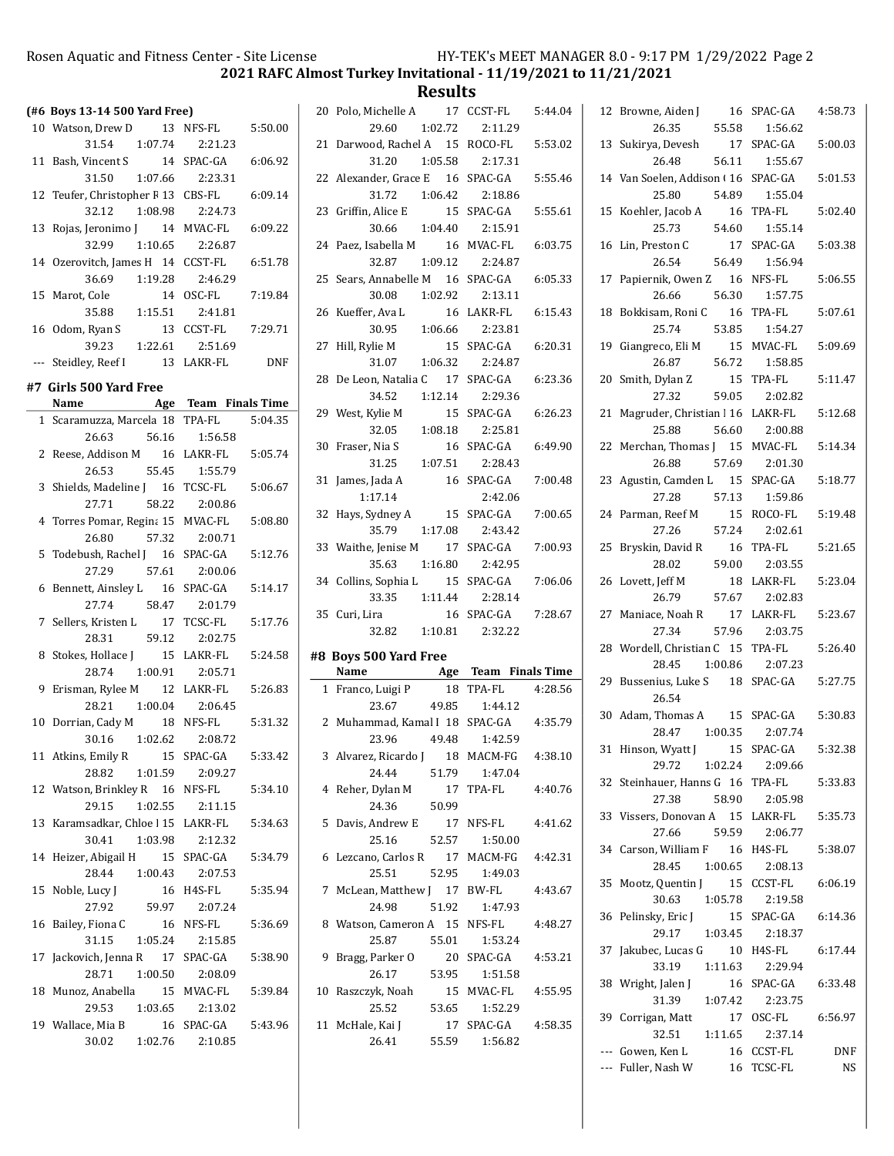2021 RAFC Almost Turkey Invitational - 11/19/2021 to 11/21/2021

**Results** 

|    | (#6 Boys 13-14 500 Yard Free)             |                                   |            |
|----|-------------------------------------------|-----------------------------------|------------|
|    | 10 Watson, Drew D 13 NFS-FL 5:50.00       |                                   |            |
|    | 31.54   1:07.74   2:21.23                 |                                   |            |
|    |                                           |                                   | 6:06.92    |
|    | 11 Bash, Vincent S 14 SPAC-GA             |                                   |            |
|    | $31.50 \qquad 1:07.66 \qquad 2:23.31$     |                                   |            |
|    | 12 Teufer, Christopher F 13 CBS-FL        |                                   | 6:09.14    |
|    | 32.12 1:08.98                             | 2:24.73                           |            |
|    | 13 Rojas, Jeronimo J 14 MVAC-FL 6:09.22   |                                   |            |
|    | 32.99 1:10.65 2:26.87                     |                                   |            |
|    | 14 Ozerovitch, James H 14 CCST-FL         |                                   | 6:51.78    |
|    | 36.69 1:19.28                             | 2:46.29                           |            |
|    | 15 Marot, Cole                            | 14 OSC-FL                         | 7:19.84    |
|    | 35.88 1:15.51                             | 2:41.81                           |            |
|    | 16 Odom, Ryan S                           | 13 CCST-FL                        | 7:29.71    |
|    | 39.23                                     | 1:22.61 2:51.69                   |            |
|    | --- Steidley, Reef I 13 LAKR-FL           |                                   | <b>DNF</b> |
|    | #7 Girls 500 Yard Free                    |                                   |            |
|    | Name Age Team Finals Time                 |                                   |            |
|    | 1 Scaramuzza, Marcela 18 TPA-FL           |                                   | 5:04.35    |
|    | 26.63                                     | 56.16 1:56.58                     |            |
|    | 2 Reese, Addison M 16 LAKR-FL             |                                   | 5:05.74    |
|    | 55.45<br>26.53                            | 1:55.79                           |            |
|    |                                           |                                   | 5:06.67    |
|    | 3 Shields, Madeline J 16 TCSC-FL<br>27.71 |                                   |            |
|    |                                           | 58.22 2:00.86                     |            |
|    | 4 Torres Pomar, Regina 15 MVAC-FL         |                                   | 5:08.80    |
|    | 26.80                                     | 57.32 2:00.71                     |            |
|    | 5 Todebush, Rachel J 16 SPAC-GA           |                                   | 5:12.76    |
|    | 27.29                                     | 57.61 2:00.06                     |            |
|    | 6 Bennett, Ainsley L 16                   | SPAC-GA                           | 5:14.17    |
|    | 58.47<br>27.74                            | 2:01.79                           |            |
|    | 7 Sellers, Kristen L 17                   | TCSC-FL                           | 5:17.76    |
|    | 28.31 59.12 2:02.75                       |                                   |            |
|    | 8 Stokes, Hollace J 15 LAKR-FL 5:24.58    |                                   |            |
|    | 28.74 1:00.91 2:05.71                     |                                   |            |
|    | 9 Erisman, Rylee M 12 LAKR-FL 5:26.83     |                                   |            |
|    | 28.21  1:00.04  2:06.45                   |                                   |            |
|    | 10 Dorrian, Cady M 18 NFS-FL              |                                   | 5:31.32    |
|    | 30.16 1:02.62                             | 2:08.72                           |            |
| 11 | Atkins, Emily R 15                        | SPAC-GA                           | 5:33.42    |
|    | 1:01.59<br>28.82                          | 2:09.27                           |            |
|    | 12 Watson, Brinkley R 16 NFS-FL           |                                   | 5:34.10    |
|    | 29.15 1:02.55                             | 2:11.15                           |            |
| 13 | Karamsadkar, Chloe   15 LAKR-FL           |                                   | 5:34.63    |
|    | 30.41<br>1:03.98                          | 2:12.32                           |            |
|    | 14 Heizer, Abigail H 15                   | SPAC-GA                           | 5:34.79    |
|    | 28.44 1:00.43                             | 2:07.53                           |            |
| 15 | Noble, Lucy J                             | 16 H4S-FL                         | 5:35.94    |
|    | 27.92<br>59.97                            | 2:07.24                           |            |
|    |                                           |                                   |            |
|    |                                           |                                   |            |
|    | 16 Bailey, Fiona C                        | 16 NFS-FL                         | 5:36.69    |
|    | 31.15                                     | 1:05.24  2:15.85                  |            |
|    | 17 Jackovich, Jenna R 17 SPAC-GA          |                                   | 5:38.90    |
|    | 1:00.50<br>28.71                          | 2:08.09                           |            |
|    | 18 Munoz, Anabella 15 MVAC-FL             |                                   | 5:39.84    |
|    | 29.53<br>1:03.65                          | 2:13.02                           |            |
|    | 19 Wallace, Mia B<br>30.02                | 16 SPAC-GA<br>$1:02.76$ $2:10.85$ | 5:43.96    |

|    | 20 Polo, Michelle A 17 CCST-FL                                         |                       | 5:44.04 |
|----|------------------------------------------------------------------------|-----------------------|---------|
|    | 29.60                                                                  | $1:02.72$ $2:11.29$   |         |
|    | 21 Darwood, Rachel A 15 ROCO-FL                                        |                       | 5:53.02 |
|    | 31.20  1:05.58  2:17.31                                                |                       |         |
|    | 22 Alexander, Grace E 16 SPAC-GA                                       |                       | 5:55.46 |
|    | 31.72   1:06.42   2:18.86                                              |                       |         |
|    | 23 Griffin, Alice E                                                    | 15 SPAC-GA            | 5:55.61 |
|    | 30.66 1:04.40 2:15.91                                                  |                       |         |
|    | 24 Paez, Isabella M 16 MVAC-FL                                         |                       | 6:03.75 |
|    | 32.87   1:09.12   2:24.87                                              |                       |         |
|    | 25 Sears, Annabelle M 16 SPAC-GA 6:05.33                               |                       |         |
|    | 30.08  1:02.92  2:13.11                                                |                       |         |
|    |                                                                        |                       |         |
|    | 26 Kueffer, Ava L<br>16 LAKR-FL 6:15.43<br>30.95    1:06.66    2:23.81 |                       |         |
|    | 27 Hill, Rylie M                                                       |                       |         |
|    | ylie M 15 SPAC-GA 6:20.31<br>31.07 1:06.32 2:24.87                     |                       |         |
|    | 28 De Leon, Natalia C 17 SPAC-GA                                       |                       | 6:23.36 |
|    | 34.52 1:12.14                                                          | 2:29.36               |         |
|    | 29 West, Kylie M                                                       | 15 SPAC-GA            | 6:26.23 |
|    | 32.05  1:08.18  2:25.81                                                |                       |         |
|    | 30 Fraser, Nia S                                                       | 16 SPAC-GA            | 6:49.90 |
|    | 31.25   1:07.51                                                        | 2:28.43               |         |
|    | 31 James, Jada A                                                       | 16 SPAC-GA            | 7:00.48 |
|    | 1:17.14                                                                | 2:42.06               |         |
|    |                                                                        | 15 SPAC-GA            | 7:00.65 |
|    | 32 Hays, Sydney A<br>35.79   1:17.08   2:43.42                         |                       |         |
|    | 33 Waithe, Jenise M 17 SPAC-GA                                         |                       |         |
|    | 35.63 1:16.80                                                          | 2:42.95               | 7:00.93 |
|    |                                                                        |                       |         |
|    |                                                                        |                       |         |
|    | 34 Collins, Sophia L 15 SPAC-GA                                        |                       | 7:06.06 |
|    | 33.35 1:11.44                                                          | 2:28.14               |         |
|    | 35 Curi, Lira                                                          | 16 SPAC-GA            | 7:28.67 |
|    | 32.82   1:10.81   2:32.22                                              |                       |         |
|    | #8 Boys 500 Yard Free                                                  |                       |         |
|    | Name                                                                   | Age Team Finals Time  |         |
|    | 1 Franco, Luigi P                                                      | 18 TPA-FL             | 4:28.56 |
|    | 23.67                                                                  | 49.85 1:44.12         |         |
|    | 2 Muhammad, Kamal I 18 SPAC-GA 4:35.79                                 |                       |         |
|    | 23.96 49.48 1:42.59                                                    |                       |         |
|    | 3 Alvarez, Ricardo J 18 MACM-FG 4:38.10                                |                       |         |
|    | 24.44<br>51.79                                                         | 1:47.04               |         |
|    | 4 Reher, Dylan M                                                       | 17 TPA-FL             | 4:40.76 |
|    | 24.36<br>50.99                                                         |                       |         |
|    | 5 Davis, Andrew E                                                      | 17 NFS-FL             | 4:41.62 |
|    | 25.16<br>52.57                                                         | 1:50.00               |         |
| 6  | Lezcano, Carlos R 17 MACM-FG                                           |                       | 4:42.31 |
|    | 25.51<br>52.95                                                         | 1:49.03               |         |
| 7  | McLean, Matthew J 17 BW-FL                                             |                       | 4:43.67 |
|    | 24.98<br>51.92                                                         | 1:47.93               |         |
| 8  | Watson, Cameron A 15 NFS-FL                                            |                       | 4:48.27 |
|    | 25.87<br>55.01                                                         | 1:53.24               |         |
| 9  | Bragg, Parker O                                                        | 20 SPAC-GA            | 4:53.21 |
|    | 26.17<br>53.95                                                         | 1:51.58               |         |
| 10 | Raszczyk, Noah                                                         | 15 MVAC-FL            | 4:55.95 |
|    | 53.65<br>25.52                                                         | 1:52.29               |         |
| 11 | McHale, Kai J<br>26.41<br>55.59                                        | 17 SPAC-GA<br>1:56.82 | 4:58.35 |

 $\overline{a}$ 

|  | 12 Browne, Aiden J 16 SPAC-GA       |                 | 4:58.73 |
|--|-------------------------------------|-----------------|---------|
|  | 26.35<br>55.58                      | 1:56.62         |         |
|  | 13 Sukirya, Devesh                  | 17 SPAC-GA      | 5:00.03 |
|  | 56.11<br>26.48                      | 1:55.67         |         |
|  | 14 Van Soelen, Addison (16 SPAC-GA  |                 | 5:01.53 |
|  | 54.89<br>25.80                      | 1:55.04         |         |
|  | 15 Koehler, Jacob A 16 TPA-FL       |                 | 5:02.40 |
|  | 25.73                               | 54.60 1:55.14   |         |
|  | 16 Lin, Preston C 17 SPAC-GA        |                 | 5:03.38 |
|  | 26.54                               | 56.49 1:56.94   |         |
|  | 17 Papiernik, Owen Z 16 NFS-FL      |                 | 5:06.55 |
|  | 26.66                               | 56.30 1:57.75   |         |
|  | 18 Bokkisam, Roni C<br>16           | TPA-FL          | 5:07.61 |
|  | 25.74<br>53.85                      | 1:54.27         |         |
|  | 19 Giangreco, Eli M                 | 15 MVAC-FL      | 5:09.69 |
|  | 26.87                               | $56.72$ 1:58.85 |         |
|  | 20 Smith, Dylan Z                   | 15 TPA-FL       | 5:11.47 |
|  | 27.32                               | 59.05 2:02.82   |         |
|  | 21 Magruder, Christian   16 LAKR-FL |                 | 5:12.68 |
|  | 25.88                               | 56.60 2:00.88   |         |
|  | 22 Merchan, Thomas J 15 MVAC-FL     |                 | 5:14.34 |
|  | 26.88<br>57.69                      | 2:01.30         |         |
|  | 23 Agustin, Camden L 15 SPAC-GA     |                 | 5:18.77 |
|  | 27.28<br>57.13                      | 1:59.86         |         |
|  | 24 Parman, Reef M                   | 15 ROCO-FL      | 5:19.48 |
|  | 57.24<br>27.26                      | 2:02.61         |         |
|  | 25 Bryskin, David R 16              | TPA-FL          | 5:21.65 |
|  | 59.00<br>28.02                      | 2:03.55         |         |
|  | 26 Lovett, Jeff M 18 LAKR-FL        |                 |         |
|  |                                     |                 | 5:23.04 |
|  | 57.67<br>26.79                      | 2:02.83         |         |
|  | 27 Maniace, Noah R 17 LAKR-FL       |                 | 5:23.67 |
|  | 27.34                               | 57.96 2:03.75   |         |
|  | 28 Wordell, Christian C 15 TPA-FL   |                 | 5:26.40 |
|  | 28.45   1:00.86   2:07.23           |                 |         |
|  | 29 Bussenius, Luke S 18 SPAC-GA     |                 | 5:27.75 |
|  | 26.54                               |                 |         |
|  | 30 Adam, Thomas A 15 SPAC-GA        |                 | 5:30.83 |
|  | 28.47 1:00.35 2:07.74               |                 |         |
|  | 31 Hinson, Wyatt J                  | 15 SPAC-GA      | 5:32.38 |
|  | 1:02.24<br>29.72                    | 2:09.66         |         |
|  | 32 Steinhauer, Hanns G 16 TPA-FL    |                 | 5:33.83 |
|  | 27.38<br>58.90                      | 2:05.98         |         |
|  | 33 Vissers, Donovan A 15 LAKR-FL    |                 | 5:35.73 |
|  | 27.66<br>59.59                      | 2:06.77         |         |
|  | 34 Carson, William F 16 H4S-FL      |                 | 5:38.07 |
|  | 28.45<br>1:00.65                    | 2:08.13         |         |
|  | 35 Mootz, Quentin J 15 CCST-FL      |                 | 6:06.19 |
|  | 30.63 1:05.78                       | 2:19.58         |         |
|  | 36 Pelinsky, Eric J                 | 15 SPAC-GA      | 6:14.36 |
|  | 1:03.45<br>29.17                    | 2:18.37         |         |
|  | 37 Jakubec, Lucas G 10 H4S-FL       |                 | 6:17.44 |
|  | 33.19<br>1:11.63                    | 2:29.94         |         |
|  | 38 Wright, Jalen J                  | 16 SPAC-GA      | 6:33.48 |
|  | 1:07.42<br>31.39                    | 2:23.75         |         |
|  | 39 Corrigan, Matt                   | 17 OSC-FL       | 6:56.97 |
|  | 32.51<br>1:11.65                    | 2:37.14         |         |
|  | --- Gowen, Ken L                    | 16 CCST-FL      | DNF     |
|  | --- Fuller, Nash W                  | 16 TCSC-FL      | NS      |
|  |                                     |                 |         |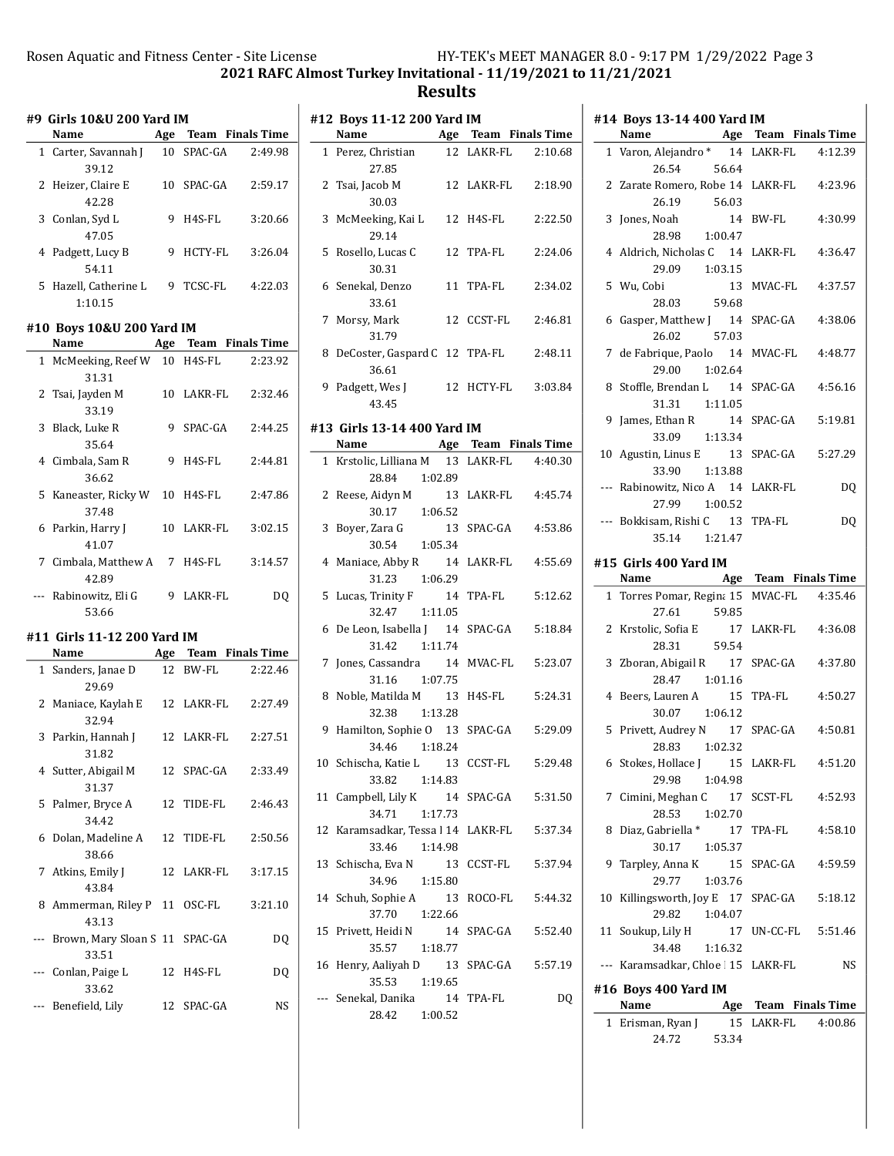2021 RAFC Almost Turkey Invitational - 11/19/2021 to 11/21/2021

## Results

 $\frac{1}{2}$ 

|              | #9 Girls 10&U 200 Yard IM<br>Name       |   | Age Team Finals Time |         |
|--------------|-----------------------------------------|---|----------------------|---------|
|              | 1 Carter, Savannah J 10 SPAC-GA         |   |                      | 2:49.98 |
|              | 39.12<br>2 Heizer, Claire E<br>42.28    |   | 10 SPAC-GA           | 2:59.17 |
|              | 3 Conlan, Syd L<br>47.05                |   | 9 H4S-FL             | 3:20.66 |
|              | 4 Padgett, Lucy B<br>54.11              |   | 9 HCTY-FL            | 3:26.04 |
|              | 5 Hazell, Catherine L<br>1:10.15        |   | 9 TCSC-FL            | 4:22.03 |
|              | #10 Boys 10&U 200 Yard IM<br>Name       |   | Age Team Finals Time |         |
|              | 1 McMeeking, Reef W 10 H4S-FL           |   |                      | 2:23.92 |
|              | 31.31                                   |   |                      |         |
|              | 2 Tsai, Jayden M<br>33.19               |   | 10 LAKR-FL           | 2:32.46 |
|              | 3 Black, Luke R<br>35.64                | 9 | SPAC-GA              | 2:44.25 |
|              | 4 Cimbala, Sam R<br>36.62               |   | 9 H4S-FL             | 2:44.81 |
|              | 5 Kaneaster, Ricky W 10 H4S-FL<br>37.48 |   |                      | 2:47.86 |
| 6            | Parkin, Harry J<br>41.07                |   | 10 LAKR-FL           | 3:02.15 |
|              | 7 Cimbala, Matthew A 7 H4S-FL<br>42.89  |   |                      | 3:14.57 |
|              |                                         |   |                      | DQ      |
| ---          | Rabinowitz, Eli G<br>53.66              |   | 9 LAKR-FL            |         |
|              |                                         |   |                      |         |
|              | #11 Girls 11-12 200 Yard IM             |   |                      |         |
|              | Name                                    |   | Age Team Finals Time |         |
| $\mathbf{1}$ | Sanders, Janae D<br>29.69               |   | 12 BW-FL             | 2:22.46 |
| 2            | Maniace, Kaylah E 12 LAKR-FL<br>32.94   |   |                      | 2:27.49 |
|              | 3 Parkin, Hannah J<br>31.82             |   | 12 LAKR-FL           | 2:27.51 |
|              | 4 Sutter, Abigail M<br>31.37            |   | 12 SPAC-GA           | 2:33.49 |
| 5            | Palmer, Bryce A                         |   | 12 TIDE-FL           | 2:46.43 |
| 6            | 34.42<br>Dolan, Madeline A<br>38.66     |   | 12 TIDE-FL           | 2:50.56 |
| 7            | Atkins, Emily J                         |   | 12 LAKR-FL           | 3:17.15 |
| 8            | 43.84<br>Ammerman, Riley P 11 OSC-FL    |   |                      | 3:21.10 |
| ---          | 43.13<br>Brown, Mary Sloan S 11 SPAC-GA |   |                      | DQ      |
|              | 33.51<br>--- Conlan, Paige L<br>33.62   |   | 12 H4S-FL            | DQ      |

|    | #12 Boys 11-12 200 Yard IM                       |               |                    |         |
|----|--------------------------------------------------|---------------|--------------------|---------|
|    | Name Age Team Finals Time                        |               |                    |         |
|    | 1 Perez, Christian<br>27.85                      |               | 12 LAKR-FL 2:10.68 |         |
|    | 2 Tsai, Jacob M<br>30.03                         |               | 12 LAKR-FL         | 2:18.90 |
|    | 3 McMeeking, Kai L<br>29.14                      |               | 12 H4S-FL          | 2:22.50 |
|    | 5 Rosello, Lucas C<br>30.31                      |               | 12 TPA-FL          | 2:24.06 |
|    | 6 Senekal, Denzo<br>33.61                        |               | 11 TPA-FL          | 2:34.02 |
|    | 7 Morsy, Mark<br>31.79                           |               | 12 CCST-FL         | 2:46.81 |
|    | 8 DeCoster, Gaspard C 12 TPA-FL<br>36.61         |               |                    | 2:48.11 |
|    | 9 Padgett, Wes J 12 HCTY-FL<br>43.45             |               |                    | 3:03.84 |
|    | #13 Girls 13-14 400 Yard IM                      |               |                    |         |
|    | Name Age Team Finals Time                        |               |                    |         |
|    | 1 Krstolic, Lilliana M 13 LAKR-FL 4:40.30        |               |                    |         |
|    | 28.84 1:02.89                                    |               |                    |         |
|    | 2 Reese, Aidyn M<br>$30.17$ 1:06.52              |               | 13 LAKR-FL         | 4:45.74 |
|    |                                                  |               |                    |         |
|    | 3 Boyer, Zara G                                  | 13            | SPAC-GA            | 4:53.86 |
|    | 30.54 1:05.34                                    |               |                    |         |
|    | 4 Maniace, Abby R 14 LAKR-FL                     |               |                    | 4:55.69 |
|    | 31.23<br>1:06.29                                 |               |                    |         |
|    | 5 Lucas, Trinity F 14                            |               | TPA-FL             | 5:12.62 |
|    | 32.47<br>1:11.05                                 |               |                    |         |
|    | 6 De Leon, Isabella J 14<br>31.42                | 1:11.74       | SPAC-GA            | 5:18.84 |
| 7  | Jones, Cassandra 14 MVAC-FL                      |               |                    | 5:23.07 |
|    | 31.16 1:07.75                                    |               |                    |         |
|    | 8 Noble, Matilda M 13 H4S-FL                     |               |                    | 5:24.31 |
|    | 32.38 1:13.28                                    |               |                    |         |
|    | 9 Hamilton, Sophie O 13 SPAC-GA                  |               |                    | 5:29.09 |
|    | 34.46 1:18.24                                    |               |                    |         |
|    | 10 Schischa, Katie L 13 CCST-FL                  |               |                    | 5:29.48 |
|    | 33.82  1:14.83                                   |               |                    |         |
|    | 11 Campbell, Lily K<br>34.71                     | 14<br>1:17.73 | SPAC-GA            | 5:31.50 |
| 12 | Karamsadkar, Tessa l 14 LAKR-FL<br>33.46 1:14.98 |               |                    | 5:37.34 |
| 13 | Schischa, Eva N<br>34.96 1:15.80                 | 13            | CCST-FL            | 5:37.94 |
|    | 14 Schuh, Sophie A<br>1:22.66<br>37.70           | 13            | ROCO-FL            | 5:44.32 |
| 15 | Privett, Heidi N<br>1:18.77<br>35.57             | 14            | SPAC-GA            | 5:52.40 |
|    | 16 Henry, Aaliyah D 13 SPAC-GA                   |               |                    | 5:57.19 |
|    | 35.53<br>1:19.65                                 |               |                    |         |
|    | --- Senekal, Danika 14 TPA-FL                    |               |                    | DQ      |
|    | 28.42                                            | 1:00.52       |                    |         |

|              | #14 Boys 13-14 400 Yard IM               |                                        |
|--------------|------------------------------------------|----------------------------------------|
|              | Name                                     | <b>Example 24 Age Team Finals Time</b> |
|              | 1 Varon, Alejandro * 14 LAKR-FL 4:12.39  |                                        |
|              | 26.54<br>56.64                           |                                        |
|              | 2 Zarate Romero, Robe 14 LAKR-FL 4:23.96 |                                        |
|              | 26.19 56.03                              |                                        |
|              | 3 Jones, Noah                            | 14 BW-FL<br>4:30.99                    |
|              | 28.98 1:00.47                            |                                        |
|              | 4 Aldrich, Nicholas C 14 LAKR-FL         | 4:36.47                                |
|              | 29.09 1:03.15                            |                                        |
|              | 5 Wu, Cobi                               | 13 MVAC-FL<br>4:37.57                  |
|              | 28.03 59.68                              |                                        |
| 6            | Gasper, Matthew J 14 SPAC-GA             | 4:38.06                                |
|              | 57.03<br>26.02                           |                                        |
|              | 7 de Fabrique, Paolo 14 MVAC-FL 4:48.77  |                                        |
|              | 29.00<br>1:02.64                         |                                        |
| 8            | Stoffle, Brendan L 14 SPAC-GA 4:56.16    |                                        |
|              | 31.31  1:11.05                           |                                        |
| 9            | James, Ethan R 14 SPAC-GA 5:19.81        |                                        |
|              | 33.09<br>1:13.34                         |                                        |
|              | 10 Agustin, Linus E 13 SPAC-GA 5:27.29   |                                        |
|              | 33.90<br>1:13.88                         |                                        |
|              | --- Rabinowitz, Nico A 14 LAKR-FL        | DQ                                     |
|              | 27.99<br>1:00.52                         |                                        |
|              | --- Bokkisam, Rishi C 13 TPA-FL          | DQ                                     |
|              | 35.14 1:21.47                            |                                        |
|              |                                          |                                        |
|              | #15 Girls 400 Yard IM                    |                                        |
|              | Name                                     | Age Team Finals Time                   |
| $\mathbf{1}$ | Torres Pomar, Regina 15 MVAC-FL 4:35.46  |                                        |
|              | 27.61<br>59.85                           |                                        |
|              | 2 Krstolic, Sofia E                      | 17 LAKR-FL 4:36.08                     |
|              | 59.54<br>28.31                           |                                        |
| 3            | Zboran, Abigail R 17 SPAC-GA             | 4:37.80                                |
|              | 28.47 1:01.16                            |                                        |
|              | 4 Beers, Lauren A 15 TPA-FL              | 4:50.27                                |
|              | 30.07 1:06.12                            |                                        |
|              | 5 Privett, Audrey N 17 SPAC-GA           | 4:50.81                                |
|              | 28.83 1:02.32                            |                                        |
|              | 6 Stokes, Hollace J 15 LAKR-FL           | 4:51.20                                |
|              | 29.98<br>1:04.98                         |                                        |
|              | 7 Cimini, Meghan C                       |                                        |
|              | 28.53<br>1:02.70                         |                                        |
| 8            | Diaz, Gabriella *                        | 17 TPA-FL<br>4:58.10                   |
|              | 30.17<br>1:05.37                         |                                        |
| 9            | Tarpley, Anna K 15 SPAC-GA               | 4:59.59                                |
|              | 29.77<br>1:03.76                         |                                        |
| 10           | Killingsworth, Joy E 17 SPAC-GA          | 5:18.12                                |
|              | 29.82 1:04.07                            |                                        |
|              | 11 Soukup, Lily H                        | 17 UN-CC-FL<br>5:51.46                 |
|              | 34.48<br>1:16.32                         |                                        |
|              | --- Karamsadkar, Chloe   15 LAKR-FL      | NS                                     |
|              | #16 Boys 400 Yard IM                     |                                        |
|              | Name                                     | Age Team Finals Time                   |
| 1            | Erisman, Ryan J<br>15                    | LAKR-FL 4:00.86                        |
|              | 24.72<br>53.34                           |                                        |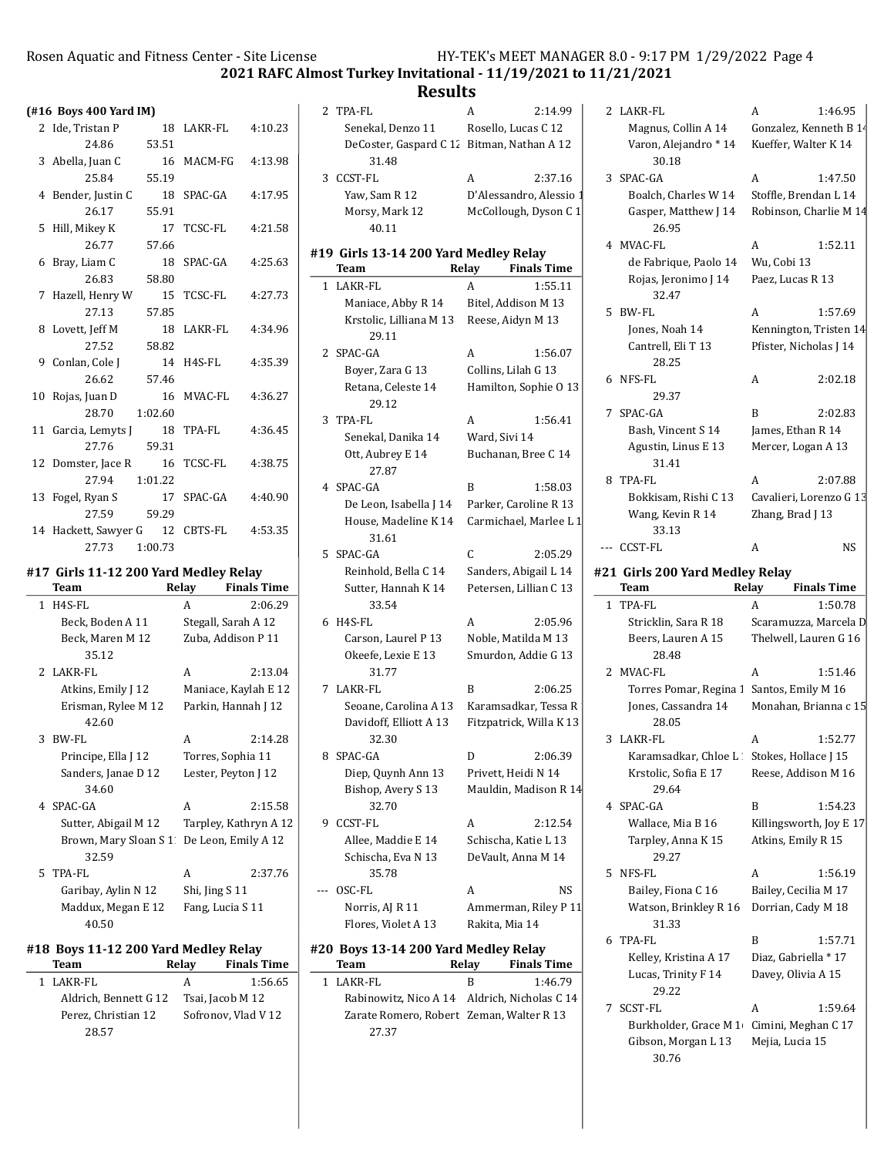30.18

26.95

2 LAKR-FL <br>A 1:46.95 Magnus, Collin A 14 Gonzalez, Kenneth B  $14$ Varon, Alejandro \* 14 Kueffer, Walter K 14

3 1:47.50 SPAC-GA A Boalch, Charles W 14 Stoffle, Brendan L 14 Gasper, Matthew J 14 Robinson, Charlie M 14

4 1:52.11 MVAC-FL A

2021 RAFC Almost Turkey Invitational - 11/19/2021 to 11/21/2021

|    | (#16 Boys 400 Yard IM)                |             |                                           |                    |
|----|---------------------------------------|-------------|-------------------------------------------|--------------------|
|    | 2 Ide, Tristan P                      | 18          | LAKR-FL                                   | 4:10.23            |
|    | 24.86                                 | 53.51       |                                           |                    |
|    | 3 Abella, Juan C<br>25.84             | 16          | MACM-FG                                   | 4:13.98            |
|    |                                       | 55.19       |                                           |                    |
| 4  | Bender, Justin C<br>26.17             | 18<br>55.91 | SPAC-GA                                   | 4:17.95            |
| 5  | Hill, Mikey K                         | 17          | <b>TCSC-FL</b>                            | 4:21.58            |
|    | 26.77                                 | 57.66       |                                           |                    |
| 6  | Bray, Liam C                          | 18          | SPAC-GA                                   | 4:25.63            |
|    | 26.83                                 | 58.80       |                                           |                    |
| 7  | Hazell, Henry W                       | 15          | <b>TCSC-FL</b>                            | 4:27.73            |
|    | 27.13                                 | 57.85       |                                           |                    |
| 8  | Lovett, Jeff M                        | 18          | LAKR-FL                                   | 4:34.96            |
|    | 27.52                                 | 58.82       |                                           |                    |
| 9  | Conlan, Cole J                        | 14          | H4S-FL                                    | 4:35.39            |
|    | 26.62                                 | 57.46       |                                           |                    |
| 10 | Rojas, Juan D                         | 16          | MVAC-FL                                   | 4:36.27            |
|    | 28.70                                 | 1:02.60     |                                           |                    |
| 11 | Garcia, Lemyts J                      | 18          | TPA-FL                                    | 4:36.45            |
|    | 27.76                                 | 59.31       |                                           |                    |
| 12 | Domster, Jace R                       | 16          | <b>TCSC-FL</b>                            | 4:38.75            |
|    | 27.94                                 | 1:01.22     |                                           |                    |
| 13 | Fogel, Ryan S                         | 17          | SPAC-GA                                   | 4:40.90            |
|    | 27.59                                 | 59.29       |                                           |                    |
|    | 14 Hackett, Sawyer G 12               |             | CBTS-FL                                   | 4:53.35            |
|    | 27.73                                 | 1:00.73     |                                           |                    |
|    | #17 Girls 11-12 200 Yard Medley Relay |             |                                           |                    |
|    | <b>Team</b>                           |             | Relay                                     | <b>Finals Time</b> |
| 1  | H4S-FL                                |             | A                                         | 2:06.29            |
|    | Beck, Boden A 11<br>Beck, Maren M 12  |             | Stegall, Sarah A 12<br>Zuba, Addison P 11 |                    |
|    | 35.12                                 |             |                                           |                    |
|    | 2 LAKR-FL                             |             | A                                         | 2:13.04            |
|    | Atkins, Emily J 12                    |             | Maniace, Kaylah E 12                      |                    |
|    | Erisman, Rylee M 12                   |             | Parkin, Hannah J 12                       |                    |
|    | 42.60                                 |             |                                           |                    |
| 3  | BW-FL                                 |             | A                                         | 2:14.28            |
|    | Principe, Ella J 12                   |             | Torres, Sophia 11                         |                    |
|    | Sanders, Janae D 12                   |             | Lester, Peyton J 12                       |                    |
|    | 34.60                                 |             |                                           |                    |
| 4  | SPAC-GA                               |             | A                                         | 2:15.58            |
|    | Sutter, Abigail M 12                  |             | Tarpley, Kathryn A 12                     |                    |
|    | Brown, Mary Sloan S 1                 |             | De Leon, Emily A 12                       |                    |
|    | 32.59                                 |             |                                           |                    |
| 5  | TPA-FL                                |             | A                                         | 2:37.76            |
|    | Garibay, Aylin N 12                   |             | Shi, Jing S 11                            |                    |
|    | Maddux, Megan E 12<br>40.50           |             | Fang, Lucia S 11                          |                    |

### #18 Boys 11-12 200 Yard Medley Relay

| Team                  | Relay | <b>Finals Time</b>  |
|-----------------------|-------|---------------------|
| 1 LAKR-FL             | А     | 1:56.65             |
| Aldrich, Bennett G 12 |       | Tsai, Jacob M 12    |
| Perez, Christian 12   |       | Sofronov, Vlad V 12 |
| 28.57                 |       |                     |

|   | <b>Results</b>                                |                             |  |
|---|-----------------------------------------------|-----------------------------|--|
|   | 2 TPA-FL                                      | 2:14.99<br>А                |  |
|   | Senekal, Denzo 11                             | Rosello, Lucas C 12         |  |
|   | DeCoster, Gaspard C 12 Bitman, Nathan A 12    |                             |  |
|   | 31.48                                         |                             |  |
| 3 | CCST-FL                                       | A<br>2:37.16                |  |
|   | Yaw, Sam R 12                                 | D'Alessandro, Alessio 1     |  |
|   | Morsy, Mark 12<br>40.11                       | McCollough, Dyson C 1       |  |
|   | #19 Girls 13-14 200 Yard Medley Relay<br>Team | <b>Finals Time</b><br>Relay |  |
|   | 1 LAKR-FL                                     | 1:55.11<br>A                |  |
|   | Maniace, Abby R 14                            | Bitel, Addison M 13         |  |
|   | Krstolic, Lilliana M 13<br>29.11              | Reese, Aidyn M 13           |  |
|   | 2 SPAC-GA                                     | A<br>1:56.07                |  |
|   | Boyer, Zara G 13                              | Collins, Lilah G 13         |  |
|   | Retana, Celeste 14<br>29.12                   | Hamilton, Sophie O 13       |  |
|   | 3 TPA-FL                                      | 1:56.41<br>A                |  |
|   | Senekal, Danika 14                            | Ward, Sivi 14               |  |
|   | Ott, Aubrey E 14<br>27.87                     | Buchanan, Bree C 14         |  |
|   | 4 SPAC-GA                                     | B<br>1:58.03                |  |
|   | De Leon, Isabella J 14                        | Parker, Caroline R 13       |  |
|   | House, Madeline K 14<br>31.61                 | Carmichael, Marlee L 1      |  |
|   | 5 SPAC-GA                                     | C<br>2:05.29                |  |
|   | Reinhold, Bella C 14                          | Sanders, Abigail L 14       |  |
|   | Sutter, Hannah K 14<br>33.54                  | Petersen, Lillian C 13      |  |
| 6 | H4S-FL                                        | A<br>2:05.96                |  |
|   | Carson, Laurel P 13                           | Noble, Matilda M 13         |  |
|   | Okeefe, Lexie E 13<br>31.77                   | Smurdon, Addie G 13         |  |
| 7 | LAKR-FL                                       | B<br>2:06.25                |  |
|   | Seoane, Carolina A 13                         | Karamsadkar, Tessa R        |  |
|   | Davidoff, Elliott A 13<br>32.30               | Fitzpatrick, Willa K 13     |  |
| 8 | SPAC-GA                                       | 2:06.39<br>D                |  |
|   | Diep, Quynh Ann 13                            | Privett, Heidi N 14         |  |
|   | Bishop, Avery S 13<br>32.70                   | Mauldin, Madison R 14       |  |
| 9 | CCST-FL                                       | A<br>2:12.54                |  |
|   | Allee, Maddie E 14                            | Schischa, Katie L 13        |  |
|   | Schischa, Eva N 13<br>35.78                   | DeVault, Anna M 14          |  |
|   | OSC-FL                                        | NS<br>A                     |  |
|   | Norris, AJ R 11                               | Ammerman, Riley P 11        |  |
|   | Flores, Violet A 13                           | Rakita, Mia 14              |  |
|   | #20 Boys 13-14 200 Yard Medley Relay          |                             |  |
|   | Team                                          | <b>Finals Time</b><br>Relay |  |
| 1 | LAKR-FL                                       | B<br>1:46.79                |  |
|   | Rabinowitz, Nico A 14 Aldrich, Nicholas C 14  |                             |  |

Zarate Romero, Robert Zeman, Walter R 13

27.37

de Fabrique, Paolo 14 Wu, Cobi 13 Rojas, Jeronimo J 14 Paez, Lucas R 13 32.47 5 BW-FL <br>A 1:57.69 Jones, Noah 14 Kennington, Tristen 14 Cantrell, Eli T 13 Pfister, Nicholas J 14 28.25 6 2:02.18 NFS-FL A 29.37 7 2:02.83 SPAC-GA B Bash, Vincent S 14 James, Ethan R 14 Agustin, Linus E 13 Mercer, Logan A 13 31.41 8 TPA-FL <br>A 2:07.88 Bokkisam, Rishi C 13 Cavalieri, Lorenzo G 13 Wang, Kevin R 14 Zhang, Brad J 13 33.13 --- CCST-FL A NS #21 Girls 200 Yard Medley Relay Team Relay Finals Time 1 1:50.78 TPA-FL A Stricklin, Sara R 18 Scaramuzza, Marcela D Beers, Lauren A 15 Thelwell, Lauren G 16 28.48 2 MVAC-FL A 1:51.46 Torres Pomar, Regina 1 Santos, Emily M 16 Jones, Cassandra 14 Monahan, Brianna c 15 28.05 3 1:52.77 LAKR-FL A Karamsadkar, Chloe L Stokes, Hollace J 15 Krstolic, Sofia E 17 Reese, Addison M 16 29.64 4 SPAC-GA B 1:54.23 Wallace, Mia B 16 Killingsworth, Joy E 17 Tarpley, Anna K 15 Atkins, Emily R 15 29.27 5 1:56.19 NFS-FL A Bailey, Fiona C 16 Bailey, Cecilia M 17 Watson, Brinkley R 16 Dorrian, Cady M 18 31.33 6 TPA-FL B 1:57.71 Kelley, Kristina A 17 Diaz, Gabriella \* 17 Lucas, Trinity F 14 Davey, Olivia A 15 29.22 7 SCST-FL <br>A 1:59.64 Burkholder, Grace M 1 Cimini, Meghan C 17 Gibson, Morgan L 13 Mejia, Lucia 15 30.76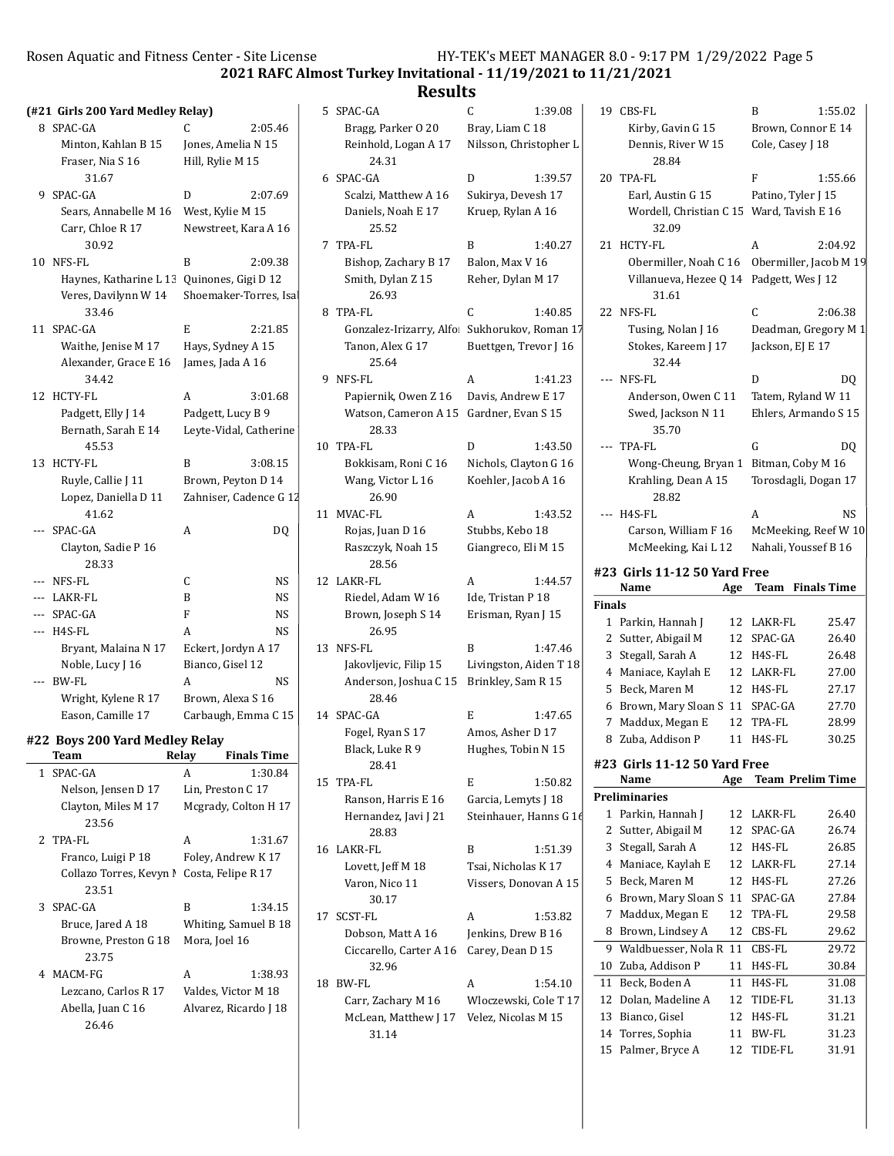2021 RAFC Almost Turkey Invitational - 11/19/2021 to 11/21/2021

|                 | (#21 Girls 200 Yard Medley Relay) |                        |                        | 5  | SP.    |
|-----------------|-----------------------------------|------------------------|------------------------|----|--------|
| 8               | SPAC-GA                           | C                      | 2:05.46                |    | F      |
|                 | Minton, Kahlan B 15               | Jones, Amelia N 15     |                        |    | F      |
|                 | Fraser, Nia S 16                  | Hill, Rylie M 15       |                        |    |        |
|                 | 31.67                             |                        |                        |    | 6 SP.  |
| 9               | SPAC-GA                           | D                      | 2:07.69                |    | Š      |
|                 | Sears, Annabelle M 16             | West, Kylie M 15       |                        |    | I      |
|                 | Carr, Chloe R 17<br>30.92         | Newstreet, Kara A 16   |                        | 7  | TP     |
| 10 <sup>1</sup> | NFS-FL                            | B                      | 2:09.38                |    | F      |
|                 | Haynes, Katharine L 13            | Quinones, Gigi D 12    |                        |    | S      |
|                 | Veres, Davilynn W 14<br>33.46     |                        | Shoemaker-Torres, Isa  | 8  | TP     |
| 11              | SPAC-GA                           | E                      | 2:21.85                |    | (      |
|                 | Waithe, Jenise M 17               | Hays, Sydney A 15      |                        |    | Ί      |
|                 | Alexander, Grace E 16             | James, Jada A 16       |                        |    |        |
|                 | 34.42                             |                        |                        | 9  | NF     |
| 12              | HCTY-FL                           | A                      | 3:01.68                |    | F      |
|                 | Padgett, Elly J 14                | Padgett, Lucy B 9      |                        |    | J      |
|                 | Bernath, Sarah E 14               | Leyte-Vidal, Catherine |                        |    |        |
|                 | 45.53                             |                        |                        | 10 | TP     |
| 13              | <b>HCTY-FL</b>                    | B                      | 3:08.15                |    | F      |
|                 | Ruyle, Callie J 11                | Brown, Peyton D 14     |                        |    | J      |
|                 | Lopez, Daniella D 11              |                        | Zahniser, Cadence G 12 |    |        |
|                 | 41.62                             |                        |                        | 11 | M١     |
|                 | SPAC-GA                           | A                      | DQ                     |    | F      |
|                 | Clayton, Sadie P 16<br>28.33      |                        |                        |    | F      |
|                 | NFS-FL                            | C                      | NS                     |    | 12 LA  |
|                 | LAKR-FL                           | B                      | NS                     |    | F      |
| $---$           | SPAC-GA                           | F                      | NS                     |    | F      |
| $---$           | H4S-FL                            | A                      | NS                     |    |        |
|                 | Bryant, Malaina N 17              | Eckert, Jordyn A 17    |                        | 13 | NF     |
|                 | Noble, Lucy J 16                  | Bianco, Gisel 12       |                        |    | J      |
|                 | <b>BW-FL</b>                      | A                      | NS                     |    | ŀ      |
|                 | Wright, Kylene R 17               | Brown, Alexa S 16      |                        |    |        |
|                 | Eason, Camille 17                 | Carbaugh, Emma C 15    |                        |    | 14 SP. |
|                 | #22 Boys 200 Yard Medley Relay    |                        |                        |    | F      |
|                 | Team                              | Relay                  | <b>Finals Time</b>     |    | F      |
| 1               | SPAC-GA                           | A                      | 1:30.84                |    |        |
|                 | Nelson, Jensen D 17               | Lin, Preston C 17      |                        | 15 | TP     |

| <b>I</b> SPAU-UA        | A                     | 1:30.84 |  |  |
|-------------------------|-----------------------|---------|--|--|
| Nelson, Jensen D 17     | Lin, Preston C 17     |         |  |  |
| Clayton, Miles M 17     | Mcgrady, Colton H 17  |         |  |  |
| 23.56                   |                       |         |  |  |
| 2 TPA-FL                | A                     | 1:31.67 |  |  |
| Franco, Luigi P 18      | Foley, Andrew K 17    |         |  |  |
| Collazo Torres, Kevyn I | Costa, Felipe R 17    |         |  |  |
| 23.51                   |                       |         |  |  |
| 3 SPAC-GA               | R                     | 1:34.15 |  |  |
| Bruce, Jared A 18       | Whiting, Samuel B 18  |         |  |  |
| Browne, Preston G 18    | Mora, Joel 16         |         |  |  |
| 23.75                   |                       |         |  |  |
| 4 MACM-FG               | A                     | 1:38.93 |  |  |
| Lezcano, Carlos R 17    | Valdes, Victor M 18   |         |  |  |
| Abella, Juan C 16       | Alvarez, Ricardo J 18 |         |  |  |
| 26.46                   |                       |         |  |  |

|    | ncəunə                                                  |                                               |   |
|----|---------------------------------------------------------|-----------------------------------------------|---|
| 5  | SPAC-GA                                                 | C<br>1:39.08                                  |   |
|    | Bragg, Parker 0 20                                      | Bray, Liam C 18                               |   |
|    | Reinhold, Logan A 17<br>24.31                           | Nilsson, Christopher L                        |   |
| 6  | SPAC-GA                                                 | D<br>1:39.57                                  |   |
|    | Scalzi, Matthew A 16                                    | Sukirya, Devesh 17                            |   |
|    | Daniels, Noah E 17<br>25.52                             | Kruep, Rylan A 16                             |   |
| 7  | <b>TPA-FL</b>                                           | B<br>1:40.27                                  |   |
|    | Bishop, Zachary B 17                                    | Balon, Max V 16                               |   |
|    | Smith, Dylan Z 15<br>26.93                              | Reher, Dylan M 17                             |   |
| 8  | <b>TPA-FL</b>                                           | C<br>1:40.85                                  |   |
|    | Gonzalez-Irizarry, Alfo                                 | Sukhorukov, Roman 17                          |   |
|    | Tanon, Alex G 17<br>25.64                               | Buettgen, Trevor J 16                         |   |
| 9  | NFS-FL                                                  | A<br>1:41.23                                  |   |
|    | Papiernik, Owen Z 16                                    | Davis, Andrew E 17                            |   |
|    | Watson, Cameron A 15<br>28.33                           | Gardner, Evan S 15                            |   |
| 10 | TPA-FL                                                  | D<br>1:43.50                                  |   |
|    | Bokkisam, Roni C 16                                     | Nichols, Clayton G 16                         |   |
|    | Wang, Victor L 16<br>26.90                              | Koehler, Jacob A 16                           |   |
| 11 | MVAC-FL                                                 | 1:43.52<br>A                                  |   |
|    | Rojas, Juan D 16                                        | Stubbs, Kebo 18                               |   |
|    | Raszczyk, Noah 15<br>28.56                              | Giangreco, Eli M 15                           | ŧ |
| 12 | LAKR-FL                                                 | A<br>1:44.57                                  |   |
|    | Riedel, Adam W 16                                       | Ide, Tristan P 18                             | I |
|    | Brown, Joseph S 14<br>26.95                             | Erisman, Ryan J 15                            |   |
| 13 | NFS-FL                                                  | B<br>1:47.46                                  |   |
|    | Jakovljevic, Filip 15<br>Anderson, Joshua C 15<br>28.46 | Livingston, Aiden T 18<br>Brinkley, Sam R 15  |   |
| 14 | SPAC-GA                                                 | E<br>1:47.65                                  |   |
|    | Fogel, Ryan S 17                                        | Amos, Asher D 17                              |   |
|    | Black, Luke R 9<br>28.41                                | Hughes, Tobin N 15                            | ŧ |
| 15 | TPA-FL                                                  | E<br>1:50.82                                  |   |
|    | Ranson, Harris E 16<br>Hernandez, Javi J 21<br>28.83    | Garcia, Lemyts J 18<br>Steinhauer, Hanns G 16 | I |
| 16 | LAKR-FL                                                 | B<br>1:51.39                                  |   |
|    | Lovett, Jeff M 18                                       | Tsai, Nicholas K 17                           |   |
|    | Varon, Nico 11                                          | Vissers, Donovan A 15                         |   |
| 17 | 30.17<br>SCST-FL                                        | A<br>1:53.82                                  |   |
|    | Dobson, Matt A 16                                       | Jenkins, Drew B 16                            |   |
|    | Ciccarello, Carter A 16 Carey, Dean D 15<br>32.96       |                                               |   |
| 18 | BW-FL                                                   | A<br>1:54.10                                  |   |
|    | Carr, Zachary M 16                                      | Włoczewski, Cole T 17                         |   |
|    | McLean, Matthew J 17 Velez, Nicolas M 15<br>31.14       |                                               |   |
|    |                                                         |                                               |   |

|          | 19 CBS-FL                                 |          | B                  | 1:55.02                 |
|----------|-------------------------------------------|----------|--------------------|-------------------------|
|          | Kirby, Gavin G 15                         |          |                    | Brown, Connor E 14      |
|          | Dennis, River W 15<br>28.84               |          | Cole, Casey J 18   |                         |
|          | 20 TPA-FL                                 |          | F                  | 1:55.66                 |
|          | Earl, Austin G 15                         |          | Patino, Tyler J 15 |                         |
|          | Wordell, Christian C 15 Ward, Tavish E 16 |          |                    |                         |
|          | 32.09                                     |          |                    |                         |
|          | 21 HCTY-FL                                |          | A                  | 2:04.92                 |
|          | Obermiller, Noah C 16                     |          |                    | Obermiller, Jacob M 19  |
|          | Villanueva, Hezee Q 14                    |          | Padgett, Wes J 12  |                         |
|          | 31.61                                     |          |                    |                         |
|          | 22 NFS-FL                                 |          | C                  | 2:06.38                 |
|          | Tusing, Nolan J 16                        |          |                    | Deadman, Gregory M 1    |
|          | Stokes, Kareem J 17                       |          | Jackson, EJ E 17   |                         |
|          | 32.44<br>NFS-FL                           |          | D                  | DQ                      |
|          | Anderson, Owen C 11                       |          | Tatem, Ryland W 11 |                         |
|          | Swed, Jackson N 11                        |          |                    | Ehlers, Armando S 15    |
|          | 35.70                                     |          |                    |                         |
| ---      | <b>TPA-FL</b>                             |          | G                  | DQ                      |
|          | Wong-Cheung, Bryan 1                      |          | Bitman, Coby M 16  |                         |
|          | Krahling, Dean A 15                       |          |                    | Torosdagli, Dogan 17    |
|          | 28.82                                     |          |                    |                         |
|          | --- H4S-FL                                |          | A                  | NS                      |
|          | Carson, William F 16                      |          |                    | McMeeking, Reef W 10    |
|          | McMeeking, Kai L 12                       |          |                    | Nahali, Youssef B 16    |
|          | #23 Girls 11-12 50 Yard Free              |          |                    |                         |
|          |                                           |          |                    |                         |
|          | Name                                      | Age      | Team               | <b>Finals Time</b>      |
| Finals   |                                           |          |                    |                         |
| 2        | 1 Parkin, Hannah J                        | 12<br>12 | LAKR-FL<br>SPAC-GA | 25.47<br>26.40          |
| 3        | Sutter, Abigail M<br>Stegall, Sarah A     |          | 12 H4S-FL          | 26.48                   |
|          | 4 Maniace, Kaylah E                       |          | 12 LAKR-FL         | 27.00                   |
| 5        | Beck, Maren M                             |          | 12 H4S-FL          | 27.17                   |
| 6        | Brown, Mary Sloan S 11 SPAC-GA            |          |                    | 27.70                   |
| 7        | Maddux, Megan E                           | 12       | TPA-FL             | 28.99                   |
|          | 8 Zuba, Addison P                         | 11       | H4S-FL             | 30.25                   |
|          | #23 Girls 11-12 50 Yard Free              |          |                    |                         |
|          | Name                                      | Age      |                    | <b>Team Prelim Time</b> |
|          | <b>Preliminaries</b>                      |          |                    |                         |
| 1        | Parkin, Hannah J                          | 12       | LAKR-FL            | 26.40                   |
| 2        | Sutter, Abigail M                         | 12       | SPAC-GA            | 26.74                   |
| 3        | Stegall, Sarah A                          | 12       | H4S-FL             | 26.85                   |
| 4        | Maniace, Kaylah E                         | 12       | LAKR-FL            | 27.14                   |
| 5        | Beck, Maren M                             | 12       | H4S-FL             | 27.26                   |
| 6<br>7   | Brown, Mary Sloan S                       | 11<br>12 | SPAC-GA            | 27.84                   |
| 8        | Maddux, Megan E                           | 12       | TPA-FL             | 29.58                   |
| 9        | Brown, Lindsey A<br>Waldbuesser, Nola R   | 11       | CBS-FL<br>CBS-FL   | 29.62<br>29.72          |
| 10       | Zuba, Addison P                           | 11       | H4S-FL             | 30.84                   |
| 11       | Beck, Boden A                             | 11       | H4S-FL             | 31.08                   |
| 12       | Dolan, Madeline A                         | 12       | TIDE-FL            | 31.13                   |
| 13       | Bianco, Gisel                             | 12       | H4S-FL             | 31.21                   |
| 14<br>15 | Torres, Sophia<br>Palmer, Bryce A         | 11<br>12 | BW-FL<br>TIDE-FL   | 31.23<br>31.91          |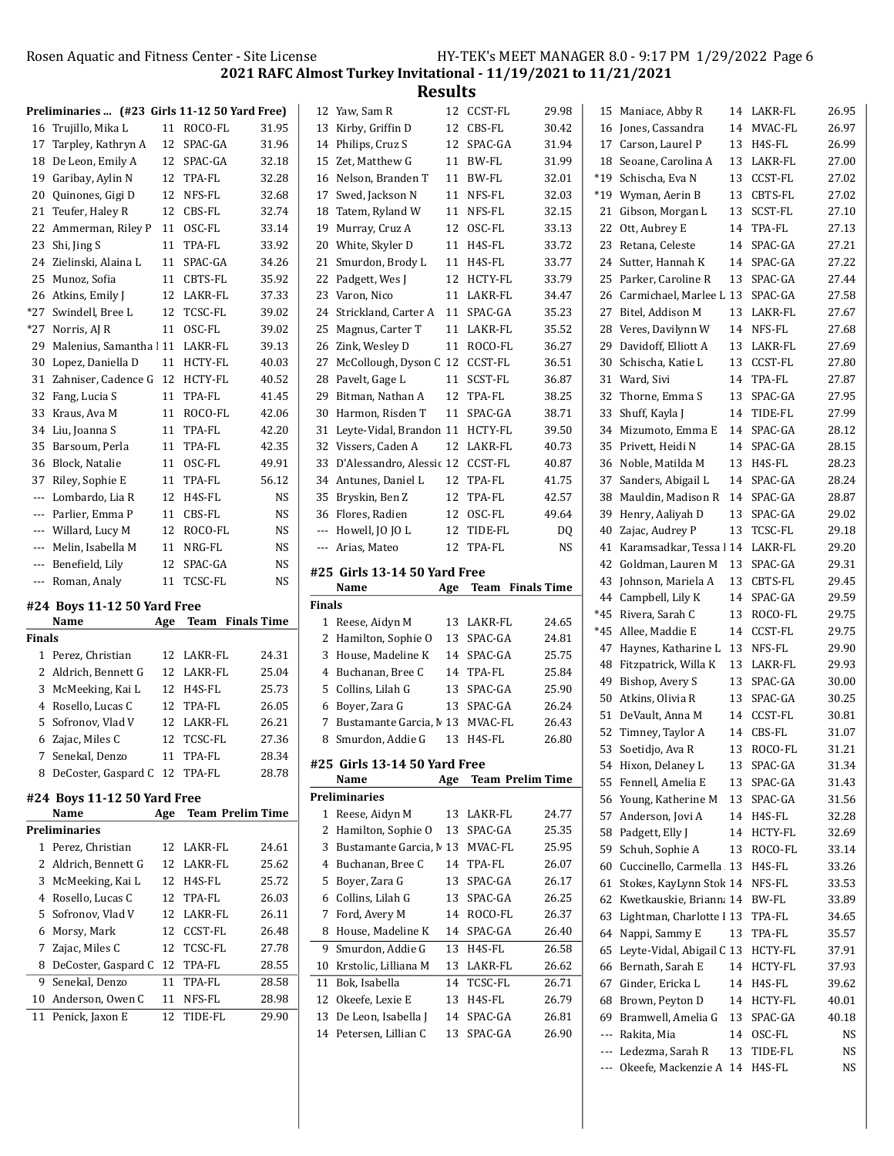--- Ledezma, Sarah R 13 TIDE-FL NS --- Okeefe, Mackenzie A 14 H4S-FL NS

2021 RAFC Almost Turkey Invitational - 11/19/2021 to 11/21/2021

Results

|                                          |                                               |     |                         |           |               | nesuits                                          |     |                          |                         |    |                                          |    |                         |                    |
|------------------------------------------|-----------------------------------------------|-----|-------------------------|-----------|---------------|--------------------------------------------------|-----|--------------------------|-------------------------|----|------------------------------------------|----|-------------------------|--------------------|
|                                          | Preliminaries  (#23 Girls 11-12 50 Yard Free) |     |                         |           |               | 12 Yaw, Sam R                                    |     | 12 CCST-FL               | 29.98                   |    | 15 Maniace, Abby R                       |    | 14 LAKR-FL              | 26.95              |
|                                          | 16 Trujillo, Mika L                           |     | 11 ROCO-FL              | 31.95     |               | 13 Kirby, Griffin D                              |     | 12 CBS-FL                | 30.42                   |    | 16 Jones, Cassandra                      |    | 14 MVAC-FL              | 26.97              |
| 17                                       | Tarpley, Kathryn A                            |     | 12 SPAC-GA              | 31.96     |               | 14 Philips, Cruz S                               |     | 12 SPAC-GA               | 31.94                   |    | 17 Carson, Laurel P                      |    | 13 H4S-FL               | 26.99              |
|                                          | 18 De Leon, Emily A                           | 12  | SPAC-GA                 | 32.18     |               | 15 Zet, Matthew G                                |     | 11 BW-FL                 | 31.99                   |    | 18 Seoane, Carolina A                    |    | 13 LAKR-FL              | 27.00              |
|                                          | 19 Garibay, Aylin N                           | 12  | TPA-FL                  | 32.28     |               | 16 Nelson, Branden T                             |     | 11 BW-FL                 | 32.01                   |    | *19 Schischa, Eva N                      |    | 13 CCST-FL              | 27.02              |
| 20                                       | Quinones, Gigi D                              | 12  | NFS-FL                  | 32.68     | 17            | Swed, Jackson N                                  |     | 11 NFS-FL                | 32.03                   |    | *19 Wyman, Aerin B                       |    | 13 CBTS-FL              | 27.02              |
| 21                                       | Teufer, Haley R                               |     | 12 CBS-FL               | 32.74     |               | 18 Tatem, Ryland W                               |     | 11 NFS-FL                | 32.15                   |    | 21 Gibson, Morgan L                      |    | 13 SCST-FL              | 27.10              |
|                                          | 22 Ammerman, Riley P                          |     | 11 OSC-FL               | 33.14     |               | 19 Murray, Cruz A                                |     | 12 OSC-FL                | 33.13                   |    | 22 Ott, Aubrey E                         |    | 14 TPA-FL               | 27.13              |
|                                          | 23 Shi, Jing S                                |     | 11 TPA-FL               | 33.92     |               | 20 White, Skyler D                               |     | 11 H4S-FL                | 33.72                   |    | 23 Retana, Celeste                       |    | 14 SPAC-GA              | 27.21              |
|                                          | 24 Zielinski, Alaina L                        |     | 11 SPAC-GA              | 34.26     |               | 21 Smurdon, Brody L                              |     | 11 H4S-FL                | 33.77                   |    | 24 Sutter, Hannah K                      |    | 14 SPAC-GA              | 27.22              |
| 25                                       | Munoz, Sofia                                  |     | 11 CBTS-FL              | 35.92     |               | 22 Padgett, Wes J                                |     | 12 HCTY-FL               | 33.79                   |    | 25 Parker, Caroline R                    |    | 13 SPAC-GA              | 27.44              |
|                                          |                                               |     |                         |           |               |                                                  |     |                          |                         |    |                                          |    |                         |                    |
| 26                                       | Atkins, Emily J                               |     | 12 LAKR-FL              | 37.33     |               | 23 Varon, Nico                                   |     | 11 LAKR-FL               | 34.47                   |    | 26 Carmichael, Marlee L 13 SPAC-GA       |    |                         | 27.58              |
| $*27$                                    | Swindell, Bree L                              | 12  | TCSC-FL                 | 39.02     |               | 24 Strickland, Carter A                          |     | 11 SPAC-GA               | 35.23                   |    | 27 Bitel, Addison M                      |    | 13 LAKR-FL              | 27.67              |
| $*27$                                    | Norris, AJ R                                  |     | 11 OSC-FL               | 39.02     |               | 25 Magnus, Carter T                              |     | 11 LAKR-FL               | 35.52                   |    | 28 Veres, Davilynn W                     |    | 14 NFS-FL               | 27.68              |
| 29                                       | Malenius, Samantha   11                       |     | LAKR-FL                 | 39.13     |               | 26 Zink, Wesley D                                |     | 11 ROCO-FL               | 36.27                   | 29 | Davidoff, Elliott A                      |    | 13 LAKR-FL              | 27.69              |
| 30                                       | Lopez, Daniella D                             |     | 11 HCTY-FL              | 40.03     | 27            | McCollough, Dyson C 12 CCST-FL                   |     |                          | 36.51                   | 30 | Schischa, Katie L                        |    | 13 CCST-FL              | 27.80              |
|                                          | 31 Zahniser, Cadence G                        | 12  | HCTY-FL                 | 40.52     |               | 28 Pavelt, Gage L                                |     | 11 SCST-FL               | 36.87                   |    | 31 Ward, Sivi                            |    | 14 TPA-FL               | 27.87              |
| 32                                       | Fang, Lucia S                                 | 11  | TPA-FL                  | 41.45     | 29            | Bitman, Nathan A                                 |     | 12 TPA-FL                | 38.25                   | 32 | Thorne, Emma S                           | 13 | SPAC-GA                 | 27.95              |
|                                          | 33 Kraus, Ava M                               |     | 11 ROCO-FL              | 42.06     |               | 30 Harmon, Risden T                              |     | 11 SPAC-GA               | 38.71                   |    | 33 Shuff, Kayla J                        |    | 14 TIDE-FL              | 27.99              |
|                                          | 34 Liu, Joanna S                              |     | 11 TPA-FL               | 42.20     |               | 31 Leyte-Vidal, Brandon 11 HCTY-FL               |     |                          | 39.50                   |    | 34 Mizumoto, Emma E                      |    | 14 SPAC-GA              | 28.12              |
|                                          | 35 Barsoum, Perla                             | 11  | TPA-FL                  | 42.35     |               | 32 Vissers, Caden A                              |     | 12 LAKR-FL               | 40.73                   |    | 35 Privett, Heidi N                      |    | 14 SPAC-GA              | 28.15              |
| 36                                       | Block, Natalie                                | 11  | OSC-FL                  | 49.91     |               | 33 D'Alessandro, Alessic 12 CCST-FL              |     |                          | 40.87                   |    | 36 Noble, Matilda M                      |    | 13 H4S-FL               | 28.23              |
| 37                                       | Riley, Sophie E                               |     | 11 TPA-FL               | 56.12     |               | 34 Antunes, Daniel L                             |     | 12 TPA-FL                | 41.75                   |    | 37 Sanders, Abigail L                    |    | 14 SPAC-GA              | 28.24              |
|                                          | Lombardo, Lia R                               | 12  | H4S-FL                  | <b>NS</b> |               | 35 Bryskin, Ben Z                                |     | 12 TPA-FL                | 42.57                   | 38 | Mauldin, Madison R                       |    | 14 SPAC-GA              | 28.87              |
|                                          | Parlier, Emma P                               | 11  | CBS-FL                  | <b>NS</b> |               | 36 Flores, Radien                                |     | 12 OSC-FL                | 49.64                   |    | 39 Henry, Aaliyah D                      |    | 13 SPAC-GA              | 29.02              |
| $\qquad \qquad -$                        | Willard, Lucy M                               |     | 12 ROCO-FL              | <b>NS</b> |               | --- Howell, JO JO L                              |     | 12 TIDE-FL               | DQ                      |    | 40 Zajac, Audrey P                       |    | 13 TCSC-FL              | 29.18              |
| $\qquad \qquad -$                        | Melin, Isabella M                             | 11  |                         | <b>NS</b> |               | --- Arias, Mateo                                 |     | 12 TPA-FL                | <b>NS</b>               | 41 | Karamsadkar, Tessa 1 14 LAKR-FL          |    |                         | 29.20              |
|                                          |                                               |     | NRG-FL                  |           |               |                                                  |     |                          |                         |    |                                          |    |                         |                    |
| $\hspace{0.05cm} \ldots \hspace{0.05cm}$ | Benefield, Lily                               | 12  | SPAC-GA                 | NS        |               |                                                  |     |                          |                         | 42 | Goldman, Lauren M                        |    | 13 SPAC-GA              | 29.31              |
| ---                                      | Roman, Analy                                  |     | 11 TCSC-FL              | <b>NS</b> |               | #25 Girls 13-14 50 Yard Free                     |     |                          |                         | 43 | Johnson, Mariela A                       |    | 13 CBTS-FL              | 29.45              |
|                                          |                                               |     |                         |           |               | Name                                             | Age |                          | <b>Team</b> Finals Time |    | 44 Campbell, Lily K                      |    | 14 SPAC-GA              | 29.59              |
|                                          | #24 Boys 11-12 50 Yard Free                   |     |                         |           | <b>Finals</b> |                                                  |     |                          |                         |    | *45 Rivera, Sarah C                      |    | 13 ROCO-FL              | 29.75              |
|                                          | Name                                          | Age | <b>Team</b> Finals Time |           |               | 1 Reese, Aidyn M                                 |     | 13 LAKR-FL               | 24.65                   |    | *45 Allee, Maddie E                      |    | 14 CCST-FL              | 29.75              |
| Finals                                   |                                               |     |                         |           |               | 2 Hamilton, Sophie O                             |     | 13 SPAC-GA               | 24.81                   |    | 47 Haynes, Katharine L 13 NFS-FL         |    |                         |                    |
|                                          | 1 Perez, Christian                            | 12  | LAKR-FL                 | 24.31     |               | 3 House, Madeline K                              |     | 14 SPAC-GA               | 25.75                   |    |                                          |    | 13 LAKR-FL              | 29.90<br>29.93     |
|                                          | 2 Aldrich, Bennett G                          | 12  | LAKR-FL                 | 25.04     | 4             | Buchanan, Bree C                                 |     | 14 TPA-FL                | 25.84                   |    | 48 Fitzpatrick, Willa K                  |    |                         |                    |
|                                          | 3 McMeeking, Kai L                            |     | 12 H4S-FL               | 25.73     | 5             | Collins, Lilah G                                 |     | 13 SPAC-GA               | 25.90                   | 49 | Bishop, Avery S                          |    | 13 SPAC-GA              | 30.00              |
|                                          | 4 Rosello, Lucas C                            | 12  | TPA-FL                  | 26.05     |               | 6 Boyer, Zara G                                  |     | 13 SPAC-GA               | 26.24                   |    | 50 Atkins, Olivia R                      |    | 13 SPAC-GA              | 30.25              |
|                                          | 5 Sofronov, Vlad V                            | 12  | LAKR-FL                 | 26.21     | 7             | Bustamante Garcia, M 13 MVAC-FL                  |     |                          | 26.43                   |    | 51 DeVault, Anna M                       |    | 14 CCST-FL              | 30.81              |
|                                          | 6 Zajac, Miles C                              |     | 12 TCSC-FL              | 27.36     | 8             | Smurdon, Addie G                                 |     | 13 H4S-FL                | 26.80                   |    | 52 Timney, Taylor A                      |    | 14 CBS-FL               | 31.07              |
|                                          | 7 Senekal, Denzo                              |     | 11 TPA-FL               | 28.34     |               |                                                  |     |                          |                         |    | 53 Soetidjo, Ava R                       |    | 13 ROCO-FL              | 31.21              |
|                                          | 8 DeCoster, Gaspard C 12 TPA-FL               |     |                         | 28.78     |               | #25 Girls 13-14 50 Yard Free<br>Name             |     |                          |                         |    | 54 Hixon, Delaney L                      |    | 13 SPAC-GA              | 31.34              |
|                                          |                                               |     |                         |           |               |                                                  |     |                          | Age Team Prelim Time    |    | 55 Fennell, Amelia E                     |    | 13 SPAC-GA              | 31.43              |
|                                          | #24 Boys 11-12 50 Yard Free                   |     |                         |           |               | <b>Preliminaries</b>                             |     |                          |                         |    | 56 Young, Katherine M                    |    | 13 SPAC-GA              | 31.56              |
|                                          | Name                                          | Age | <b>Team Prelim Time</b> |           |               | 1 Reese, Aidyn M                                 |     | 13 LAKR-FL               | 24.77                   |    | 57 Anderson, Jovi A                      |    | 14 H4S-FL               | 32.28              |
|                                          | <b>Preliminaries</b>                          |     |                         |           |               | 2 Hamilton, Sophie O                             |     | 13 SPAC-GA               | 25.35                   |    | 58 Padgett, Elly J                       |    | 14 HCTY-FL              | 32.69              |
|                                          | 1 Perez, Christian                            |     | 12 LAKR-FL              | 24.61     | 3             | Bustamante Garcia, M 13 MVAC-FL                  |     |                          | 25.95                   |    | 59 Schuh, Sophie A                       |    | 13 ROCO-FL              | 33.14              |
|                                          | 2 Aldrich, Bennett G                          |     | 12 LAKR-FL              | 25.62     | 4             | Buchanan, Bree C                                 |     | 14 TPA-FL                | 26.07                   |    | 60 Cuccinello, Carmella 13 H4S-FL        |    |                         | 33.26              |
|                                          | 3 McMeeking, Kai L                            |     | 12 H4S-FL               | 25.72     | 5             | Boyer, Zara G                                    |     | 13 SPAC-GA               | 26.17                   |    | 61 Stokes, KayLynn Stok 14 NFS-FL        |    |                         | 33.53              |
|                                          | 4 Rosello, Lucas C                            |     | 12 TPA-FL               | 26.03     | 6             | Collins, Lilah G                                 |     | 13 SPAC-GA               | 26.25                   |    | 62 Kwetkauskie, Briann: 14 BW-FL         |    |                         | 33.89              |
|                                          | 5 Sofronov, Vlad V                            | 12  | LAKR-FL                 | 26.11     | 7             | Ford, Avery M                                    |     | 14 ROCO-FL               | 26.37                   |    | 63 Lightman, Charlotte I 13 TPA-FL       |    |                         | 34.65              |
|                                          | 6 Morsy, Mark                                 | 12  | CCST-FL                 | 26.48     | 8             | House, Madeline K                                |     | 14 SPAC-GA               | 26.40                   |    | 64 Nappi, Sammy E                        |    | 13 TPA-FL               | 35.57              |
|                                          | 7 Zajac, Miles C                              |     | 12 TCSC-FL              | 27.78     | 9             | Smurdon, Addie G                                 |     | 13 H4S-FL                | 26.58                   |    | 65 Leyte-Vidal, Abigail C 13 HCTY-FL     |    |                         | 37.91              |
|                                          | 8 DeCoster, Gaspard C 12 TPA-FL               |     |                         | 28.55     |               | 10 Krstolic, Lilliana M                          |     | 13 LAKR-FL               | 26.62                   | 66 | Bernath, Sarah E                         |    | 14 HCTY-FL              | 37.93              |
|                                          | 9 Senekal, Denzo                              |     | 11 TPA-FL               | 28.58     |               | 11 Bok, Isabella                                 |     | 14 TCSC-FL               | 26.71                   | 67 | Ginder, Ericka L                         |    | 14 H4S-FL               | 39.62              |
|                                          | 10 Anderson, Owen C                           |     | 11 NFS-FL               | 28.98     |               | 12 Okeefe, Lexie E                               |     | 13 H4S-FL                | 26.79                   | 68 | Brown, Peyton D                          |    | 14 HCTY-FL              | 40.01              |
|                                          | 11 Penick, Jaxon E                            |     | 12 TIDE-FL              | 29.90     |               | 13 De Leon, Isabella J<br>14 Petersen, Lillian C |     | 14 SPAC-GA<br>13 SPAC-GA | 26.81<br>26.90          |    | 69 Bramwell, Amelia G<br>--- Rakita, Mia |    | 13 SPAC-GA<br>14 OSC-FL | 40.18<br><b>NS</b> |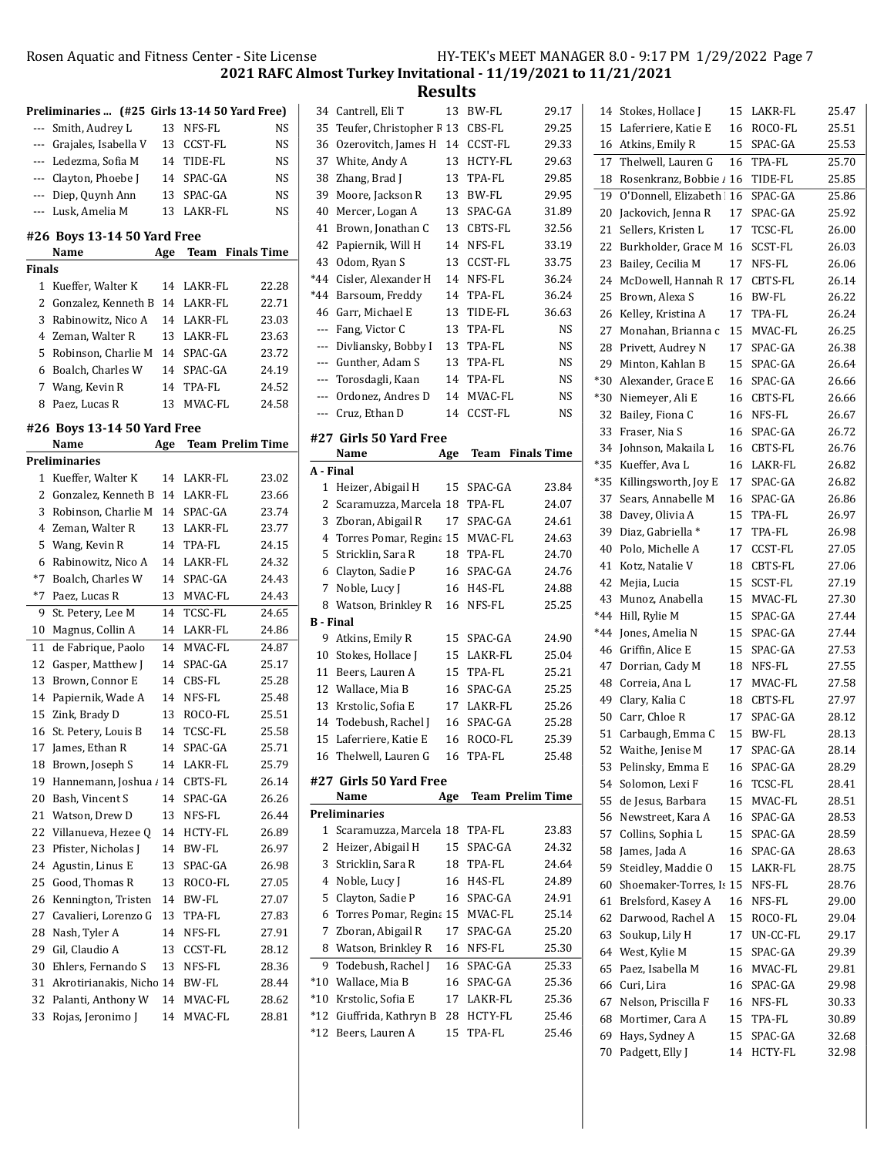70 Padgett, Elly J 14 HCTY-FL 32.98

2021 RAFC Almost Turkey Invitational - 11/19/2021 to 11/21/2021

|        |                                               |     |            |                         |                  | ncəui                           |     |               |                         |       |                                    |             |       |
|--------|-----------------------------------------------|-----|------------|-------------------------|------------------|---------------------------------|-----|---------------|-------------------------|-------|------------------------------------|-------------|-------|
|        | Preliminaries  (#25 Girls 13-14 50 Yard Free) |     |            |                         |                  | 34 Cantrell, Eli T              |     | 13 BW-FL      | 29.17                   |       | 14 Stokes, Hollace J               | 15 LAKR-FL  | 25.47 |
| ---    | Smith, Audrey L                               |     | 13 NFS-FL  | NS                      |                  | 35 Teufer, Christopher F 13     |     | CBS-FL        | 29.25                   |       | 15 Laferriere, Katie E             | 16 ROCO-FL  | 25.51 |
| ---    | Grajales, Isabella V                          |     | 13 CCST-FL | NS                      |                  | 36 Ozerovitch, James H 14       |     | CCST-FL       | 29.33                   |       | 16 Atkins, Emily R                 | 15 SPAC-GA  | 25.53 |
| ---    | Ledezma, Sofia M                              |     | 14 TIDE-FL | <b>NS</b>               |                  | 37 White, Andy A                |     | 13 HCTY-FL    | 29.63                   |       | 17 Thelwell, Lauren G              | 16 TPA-FL   | 25.70 |
| ---    | Clayton, Phoebe J                             |     | 14 SPAC-GA | NS                      |                  | 38 Zhang, Brad J                |     | 13 TPA-FL     | 29.85                   |       | 18 Rosenkranz, Bobbie / 16 TIDE-FL |             | 25.85 |
| ---    | Diep, Quynh Ann                               |     | 13 SPAC-GA | <b>NS</b>               |                  | 39 Moore, Jackson R             |     | 13 BW-FL      | 29.95                   |       | 19 O'Donnell, Elizabeth 16 SPAC-GA |             | 25.86 |
| ---    | Lusk, Amelia M                                |     | 13 LAKR-FL | NS                      |                  | 40 Mercer, Logan A              |     | 13 SPAC-GA    | 31.89                   |       | 20 Jackovich, Jenna R              | 17 SPAC-GA  | 25.92 |
|        |                                               |     |            |                         |                  | 41 Brown, Jonathan C            |     | 13 CBTS-FL    | 32.56                   |       | 21 Sellers, Kristen L              | 17 TCSC-FL  | 26.00 |
|        | #26 Boys 13-14 50 Yard Free<br>Name           | Age |            | Team Finals Time        |                  | 42 Papiernik, Will H            |     | 14 NFS-FL     | 33.19                   |       | 22 Burkholder, Grace M 16 SCST-FL  |             | 26.03 |
| Finals |                                               |     |            |                         |                  | 43 Odom, Ryan S                 |     | 13 CCST-FL    | 33.75                   |       | 23 Bailey, Cecilia M               | 17 NFS-FL   | 26.06 |
|        | 1 Kueffer, Walter K                           |     | 14 LAKR-FL | 22.28                   |                  | *44 Cisler, Alexander H         |     | 14 NFS-FL     | 36.24                   |       | 24 McDowell, Hannah R 17 CBTS-FL   |             | 26.14 |
|        | 2 Gonzalez, Kenneth B 14 LAKR-FL              |     |            | 22.71                   |                  | *44 Barsoum, Freddy             |     | 14 TPA-FL     | 36.24                   | 25    | Brown, Alexa S                     | 16 BW-FL    | 26.22 |
| 3      |                                               |     |            |                         |                  | 46 Garr, Michael E              | 13  | TIDE-FL       | 36.63                   |       | 26 Kelley, Kristina A              | 17 TPA-FL   | 26.24 |
|        | Rabinowitz, Nico A                            |     | 14 LAKR-FL | 23.03                   |                  | --- Fang, Victor C              | 13  | TPA-FL        | <b>NS</b>               |       | 27 Monahan, Brianna c 15 MVAC-FL   |             | 26.25 |
|        | 4 Zeman, Walter R                             |     | 13 LAKR-FL | 23.63                   |                  | --- Divliansky, Bobby I         | 13  | TPA-FL        | <b>NS</b>               |       | 28 Privett, Audrey N               | 17 SPAC-GA  | 26.38 |
|        | 5 Robinson, Charlie M 14 SPAC-GA              |     |            | 23.72                   |                  | --- Gunther, Adam S             | 13  | TPA-FL        | <b>NS</b>               |       | 29 Minton, Kahlan B                | 15 SPAC-GA  | 26.64 |
|        | 6 Boalch, Charles W                           |     | 14 SPAC-GA | 24.19                   |                  | --- Torosdagli, Kaan            |     | 14 TPA-FL     | <b>NS</b>               | *30   | Alexander, Grace E                 | 16 SPAC-GA  | 26.66 |
|        | 7 Wang, Kevin R                               |     | 14 TPA-FL  | 24.52                   |                  | --- Ordonez, Andres D           |     | 14 MVAC-FL    | NS                      | $*30$ | Niemeyer, Ali E                    | 16 CBTS-FL  | 26.66 |
|        | 8 Paez, Lucas R                               |     | 13 MVAC-FL | 24.58                   |                  | --- Cruz, Ethan D               |     | 14 CCST-FL    | NS                      |       | 32 Bailey, Fiona C                 | 16 NFS-FL   | 26.67 |
|        | #26 Boys 13-14 50 Yard Free                   |     |            |                         |                  |                                 |     |               |                         |       | 33 Fraser, Nia S                   | 16 SPAC-GA  | 26.72 |
|        | Name                                          | Age |            | <b>Team Prelim Time</b> |                  | #27 Girls 50 Yard Free          |     |               |                         |       | 34 Johnson, Makaila L              | 16 CBTS-FL  | 26.76 |
|        | <b>Preliminaries</b>                          |     |            |                         |                  | Name                            | Age |               | <b>Team</b> Finals Time |       | *35 Kueffer, Ava L                 | 16 LAKR-FL  | 26.82 |
|        | 1 Kueffer, Walter K                           |     | 14 LAKR-FL | 23.02                   | A - Final        |                                 |     |               |                         | *35   | Killingsworth, Joy E               | 17 SPAC-GA  | 26.82 |
|        | 2 Gonzalez, Kenneth B 14 LAKR-FL              |     |            | 23.66                   |                  | 1 Heizer, Abigail H             |     | 15 SPAC-GA    | 23.84                   |       | 37 Sears, Annabelle M              | 16 SPAC-GA  | 26.86 |
|        | 3 Robinson, Charlie M 14 SPAC-GA              |     |            | 23.74                   |                  | 2 Scaramuzza, Marcela 18        |     | <b>TPA-FL</b> | 24.07                   |       | 38 Davey, Olivia A                 | 15 TPA-FL   | 26.97 |
|        | 4 Zeman, Walter R                             |     | 13 LAKR-FL | 23.77                   |                  | 3 Zboran, Abigail R             | 17  | SPAC-GA       | 24.61                   |       | 39 Diaz, Gabriella *               | 17 TPA-FL   | 26.98 |
|        | 5 Wang, Kevin R                               |     | 14 TPA-FL  | 24.15                   |                  | 4 Torres Pomar, Regina 15       |     | MVAC-FL       | 24.63                   | 40    | Polo, Michelle A                   | 17 CCST-FL  | 27.05 |
|        | 6 Rabinowitz, Nico A                          |     | 14 LAKR-FL | 24.32                   |                  | 5 Stricklin, Sara R             | 18  | TPA-FL        | 24.70                   |       |                                    |             | 27.06 |
|        | *7 Boalch, Charles W                          |     | 14 SPAC-GA | 24.43                   |                  | 6 Clayton, Sadie P              | 16  | SPAC-GA       | 24.76                   |       | 41 Kotz, Natalie V                 | 18 CBTS-FL  |       |
|        | *7 Paez, Lucas R                              |     | 13 MVAC-FL | 24.43                   |                  | 7 Noble, Lucy J                 |     | 16 H4S-FL     | 24.88                   |       | 42 Mejia, Lucia                    | 15 SCST-FL  | 27.19 |
|        | 9 St. Petery, Lee M                           |     | 14 TCSC-FL | 24.65                   |                  | 8 Watson, Brinkley R            |     | 16 NFS-FL     | 25.25                   |       | 43 Munoz, Anabella                 | 15 MVAC-FL  | 27.30 |
|        | 10 Magnus, Collin A                           |     | 14 LAKR-FL | 24.86                   | <b>B</b> - Final |                                 |     |               |                         |       | *44 Hill, Rylie M                  | 15 SPAC-GA  | 27.44 |
|        | de Fabrique, Paolo                            |     |            |                         |                  | 9 Atkins, Emily R               | 15  | SPAC-GA       | 24.90                   |       | *44 Jones, Amelia N                | 15 SPAC-GA  | 27.44 |
| 11     |                                               |     | 14 MVAC-FL | 24.87                   |                  | 10 Stokes, Hollace J            | 15  | LAKR-FL       | 25.04                   |       | 46 Griffin, Alice E                | 15 SPAC-GA  | 27.53 |
| 12     | Gasper, Matthew J                             |     | 14 SPAC-GA | 25.17                   |                  | 11 Beers, Lauren A              | 15  | TPA-FL        | 25.21                   |       | 47 Dorrian, Cady M                 | 18 NFS-FL   | 27.55 |
| 13     | Brown, Connor E                               |     | 14 CBS-FL  | 25.28                   |                  | 12 Wallace, Mia B               | 16  | SPAC-GA       | 25.25                   |       | 48 Correia, Ana L                  | 17 MVAC-FL  | 27.58 |
| 14     | Papiernik, Wade A                             |     | 14 NFS-FL  | 25.48                   |                  | 13 Krstolic, Sofia E            |     | 17 LAKR-FL    | 25.26                   |       | 49 Clary, Kalia C                  | 18 CBTS-FL  | 27.97 |
| 15     | Zink, Brady D                                 |     | 13 ROCO-FL | 25.51                   |                  | 14 Todebush, Rachel J           | 16  | SPAC-GA       | 25.28                   |       | 50 Carr, Chloe R                   | 17 SPAC-GA  | 28.12 |
|        | 16 St. Petery, Louis B                        |     | 14 TCSC-FL | 25.58                   |                  | 15 Laferriere, Katie E          |     | 16 ROCO-FL    | 25.39                   |       | 51 Carbaugh, Emma C                | 15 BW-FL    | 28.13 |
|        | 17 James, Ethan R                             |     | 14 SPAC-GA | 25.71                   |                  | 16 Thelwell, Lauren G           |     | 16 TPA-FL     | 25.48                   |       | 52 Waithe, Jenise M                | 17 SPAC-GA  | 28.14 |
|        | 18 Brown, Joseph S                            |     | 14 LAKR-FL | 25.79                   |                  |                                 |     |               |                         |       | 53 Pelinsky, Emma E                | 16 SPAC-GA  | 28.29 |
|        | 19 Hannemann, Joshua / 14 CBTS-FL             |     |            | 26.14                   |                  | #27 Girls 50 Yard Free          |     |               |                         |       | 54 Solomon, Lexi F                 | 16 TCSC-FL  | 28.41 |
| 20     | Bash, Vincent S                               |     | 14 SPAC-GA | 26.26                   |                  | Name                            | Age |               | <b>Team Prelim Time</b> | 55    | de Jesus, Barbara                  | 15 MVAC-FL  | 28.51 |
| 21     | Watson, Drew D                                |     | 13 NFS-FL  | 26.44                   |                  | <b>Preliminaries</b>            |     |               |                         |       | 56 Newstreet, Kara A               | 16 SPAC-GA  | 28.53 |
| 22     | Villanueva, Hezee Q                           |     | 14 HCTY-FL | 26.89                   |                  | 1 Scaramuzza, Marcela 18 TPA-FL |     |               | 23.83                   |       | 57 Collins, Sophia L               | 15 SPAC-GA  | 28.59 |
| 23     | Pfister, Nicholas J                           |     | 14 BW-FL   | 26.97                   |                  | 2 Heizer, Abigail H             | 15  | SPAC-GA       | 24.32                   |       | 58 James, Jada A                   | 16 SPAC-GA  | 28.63 |
| 24     | Agustin, Linus E                              |     | 13 SPAC-GA | 26.98                   |                  | 3 Stricklin, Sara R             | 18  | TPA-FL        | 24.64                   |       | 59 Steidley, Maddie O              | 15 LAKR-FL  | 28.75 |
| 25     | Good, Thomas R                                |     | 13 ROCO-FL | 27.05                   |                  | 4 Noble, Lucy J                 | 16  | H4S-FL        | 24.89                   | 60    | Shoemaker-Torres, Is 15 NFS-FL     |             | 28.76 |
| 26     | Kennington, Tristen 14 BW-FL                  |     |            | 27.07                   |                  | 5 Clayton, Sadie P              | 16  | SPAC-GA       | 24.91                   | 61    | Brelsford, Kasey A                 | 16 NFS-FL   | 29.00 |
| 27     | Cavalieri, Lorenzo G 13 TPA-FL                |     |            | 27.83                   |                  | 6 Torres Pomar, Regina 15       |     | MVAC-FL       | 25.14                   |       | 62 Darwood, Rachel A               | 15 ROCO-FL  | 29.04 |
| 28     | Nash, Tyler A                                 |     | 14 NFS-FL  | 27.91                   |                  | 7 Zboran, Abigail R             |     | 17 SPAC-GA    | 25.20                   |       | 63 Soukup, Lily H                  | 17 UN-CC-FL | 29.17 |
| 29     | Gil, Claudio A                                |     | 13 CCST-FL | 28.12                   |                  | 8 Watson, Brinkley R            |     | 16 NFS-FL     | 25.30                   |       | 64 West, Kylie M                   | 15 SPAC-GA  | 29.39 |
| 30     | Ehlers, Fernando S                            |     | 13 NFS-FL  | 28.36                   |                  | 9 Todebush, Rachel J            | 16  | SPAC-GA       | 25.33                   |       | 65 Paez, Isabella M                | 16 MVAC-FL  | 29.81 |
| 31     | Akrotirianakis, Nichc 14 BW-FL                |     |            | 28.44                   |                  | *10 Wallace, Mia B              |     | 16 SPAC-GA    | 25.36                   |       | 66 Curi, Lira                      | 16 SPAC-GA  | 29.98 |
| 32     | Palanti, Anthony W                            |     | 14 MVAC-FL | 28.62                   |                  | *10 Krstolic, Sofia E           |     | 17 LAKR-FL    | 25.36                   |       | 67 Nelson, Priscilla F             | 16 NFS-FL   | 30.33 |
|        | 33 Rojas, Jeronimo J                          |     | 14 MVAC-FL | 28.81                   | *12              | Giuffrida, Kathryn B            | 28  | HCTY-FL       | 25.46                   |       | 68 Mortimer, Cara A                | 15 TPA-FL   | 30.89 |
|        |                                               |     |            |                         |                  | *12 Beers, Lauren A             |     | 15 TPA-FL     | 25.46                   |       |                                    |             |       |
|        |                                               |     |            |                         |                  |                                 |     |               |                         |       | 69 Hays, Sydney A                  | 15 SPAC-GA  | 32.68 |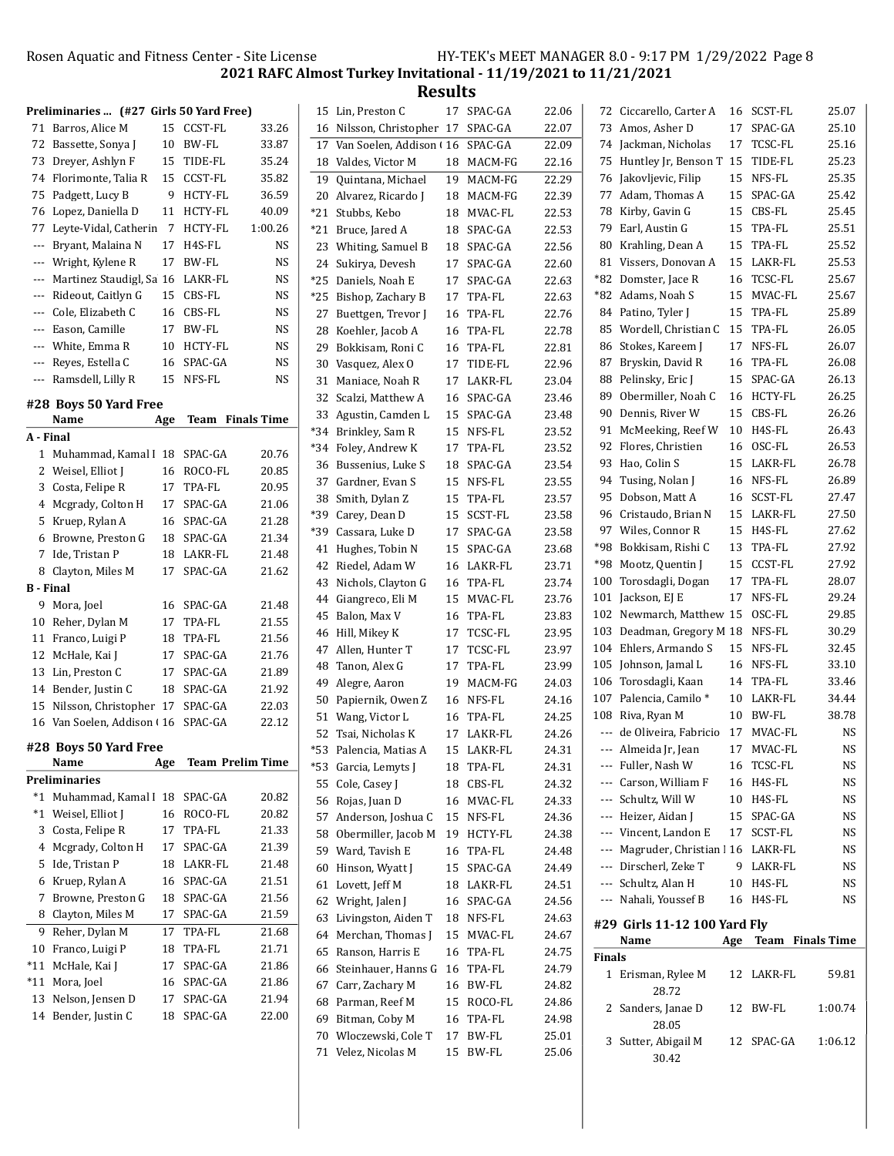2021 RAFC Almost Turkey Invitational - 11/19/2021 to 11/21/2021

|     | Preliminaries  (#27 Girls 50 Yard Free) |     |                         |           |    | 15 Lin, Preston C                            |    | 17 SPAC-GA              | 22.06          |               | 72 Ciccarello, Carter A            |    | 16 SCST-FL           | 25.07       |
|-----|-----------------------------------------|-----|-------------------------|-----------|----|----------------------------------------------|----|-------------------------|----------------|---------------|------------------------------------|----|----------------------|-------------|
|     | 71 Barros, Alice M                      |     | 15 CCST-FL              | 33.26     |    | 16 Nilsson, Christopher 17 SPAC-GA           |    |                         | 22.07          |               | 73 Amos, Asher D                   |    | 17 SPAC-GA           | 25.10       |
|     | 72 Bassette, Sonya J                    |     | 10 BW-FL                | 33.87     |    | 17 Van Soelen, Addison (16                   |    | SPAC-GA                 | 22.09          |               | 74 Jackman, Nicholas               |    | 17 TCSC-FL           | 25.16       |
|     | 73 Dreyer, Ashlyn F                     |     | 15 TIDE-FL              | 35.24     |    |                                              |    |                         |                |               | 75 Huntley Jr, Benson T 15 TIDE-FL |    |                      | 25.23       |
|     | 74 Florimonte, Talia R                  |     |                         | 35.82     |    | 18 Valdes, Victor M                          |    | 18 MACM-FG              | 22.16          |               |                                    |    | 15 NFS-FL            | 25.35       |
|     |                                         |     | 15 CCST-FL              |           |    | 19 Quintana, Michael                         |    | 19 MACM-FG              | 22.29          |               | 76 Jakovljevic, Filip              |    |                      |             |
|     | 75 Padgett, Lucy B                      |     | 9 HCTY-FL               | 36.59     |    | 20 Alvarez, Ricardo J                        |    | 18 MACM-FG              | 22.39          |               | 77 Adam, Thomas A                  |    | 15 SPAC-GA           | 25.42       |
|     | 76 Lopez, Daniella D                    |     | 11 HCTY-FL              | 40.09     |    | *21 Stubbs, Kebo                             |    | 18 MVAC-FL              | 22.53          |               | 78 Kirby, Gavin G                  | 15 | CBS-FL               | 25.45       |
|     | 77 Leyte-Vidal, Catherin 7              |     | HCTY-FL                 | 1:00.26   |    | *21 Bruce, Jared A                           |    | 18 SPAC-GA              | 22.53          | 79            | Earl, Austin G                     | 15 | TPA-FL               | 25.51       |
|     | --- Bryant, Malaina N                   |     | 17 H4S-FL               | NS        |    | 23 Whiting, Samuel B                         |    | 18 SPAC-GA              | 22.56          |               | 80 Krahling, Dean A                | 15 | TPA-FL               | 25.52       |
| --- | Wright, Kylene R                        |     | 17 BW-FL                | NS        |    | 24 Sukirya, Devesh                           |    | 17 SPAC-GA              | 22.60          | 81            | Vissers, Donovan A                 | 15 | LAKR-FL              | 25.53       |
|     | Martinez Staudigl, Sa 16 LAKR-FL        |     |                         | NS        |    | *25 Daniels, Noah E                          | 17 | SPAC-GA                 | 22.63          | *82           | Domster, Jace R                    |    | 16 TCSC-FL           | 25.67       |
|     | --- Rideout, Caitlyn G                  |     | 15 CBS-FL               | <b>NS</b> |    | *25 Bishop, Zachary B                        | 17 | TPA-FL                  | 22.63          |               | *82 Adams, Noah S                  | 15 | MVAC-FL              | 25.67       |
| --- | Cole, Elizabeth C                       |     | 16 CBS-FL               | NS        | 27 | Buettgen, Trevor J                           |    | 16 TPA-FL               | 22.76          |               | 84 Patino, Tyler J                 |    | 15 TPA-FL            | 25.89       |
| --- | Eason, Camille                          |     | 17 BW-FL                | <b>NS</b> | 28 | Koehler, Jacob A                             | 16 | TPA-FL                  | 22.78          |               | 85 Wordell, Christian C            | 15 | TPA-FL               | 26.05       |
|     | --- White, Emma R                       |     | 10 HCTY-FL              | <b>NS</b> | 29 | Bokkisam, Roni C                             |    | 16 TPA-FL               | 22.81          |               | 86 Stokes, Kareem J                |    | 17 NFS-FL            | 26.07       |
| --- | Reyes, Estella C                        |     | 16 SPAC-GA              | <b>NS</b> |    | 30 Vasquez, Alex O                           |    | 17 TIDE-FL              | 22.96          | 87            | Bryskin, David R                   |    | 16 TPA-FL            | 26.08       |
|     | --- Ramsdell, Lilly R                   |     | 15 NFS-FL               | NS        |    | 31 Maniace, Noah R                           |    | 17 LAKR-FL              | 23.04          |               | 88 Pelinsky, Eric J                |    | 15 SPAC-GA           | 26.13       |
|     | #28 Boys 50 Yard Free                   |     |                         |           |    | 32 Scalzi, Matthew A                         |    | 16 SPAC-GA              | 23.46          | 89            | Obermiller, Noah C                 |    | 16 HCTY-FL           | 26.25       |
|     | Name                                    | Age | <b>Team</b> Finals Time |           |    | 33 Agustin, Camden L                         |    | 15 SPAC-GA              | 23.48          |               | 90 Dennis, River W                 |    | 15 CBS-FL            | 26.26       |
|     | A - Final                               |     |                         |           |    | *34 Brinkley, Sam R                          |    | 15 NFS-FL               | 23.52          |               | 91 McMeeking, Reef W               |    | 10 H4S-FL            | 26.43       |
|     | 1 Muhammad, Kamal I 18 SPAC-GA          |     |                         |           |    | *34 Foley, Andrew K                          |    | 17 TPA-FL               | 23.52          |               | 92 Flores, Christien               | 16 | OSC-FL               | 26.53       |
|     |                                         |     |                         | 20.76     |    | 36 Bussenius, Luke S                         |    | 18 SPAC-GA              | 23.54          |               | 93 Hao, Colin S                    | 15 | LAKR-FL              | 26.78       |
|     | 2 Weisel, Elliot J                      |     | 16 ROCO-FL              | 20.85     |    | 37 Gardner, Evan S                           |    | 15 NFS-FL               | 23.55          |               | 94 Tusing, Nolan J                 |    | 16 NFS-FL            | 26.89       |
|     | 3 Costa, Felipe R                       |     | 17 TPA-FL               | 20.95     |    | 38 Smith, Dylan Z                            | 15 | TPA-FL                  | 23.57          |               | 95 Dobson, Matt A                  |    | 16 SCST-FL           | 27.47       |
|     | 4 Mcgrady, Colton H                     |     | 17 SPAC-GA              | 21.06     |    | *39 Carey, Dean D                            | 15 | SCST-FL                 | 23.58          |               | 96 Cristaudo, Brian N              |    | 15 LAKR-FL           | 27.50       |
|     | 5 Kruep, Rylan A                        |     | 16 SPAC-GA              | 21.28     |    | *39   Cassara, Luke D                        | 17 | SPAC-GA                 | 23.58          |               | 97 Wiles, Connor R                 |    | 15 H4S-FL            | 27.62       |
|     | 6 Browne, Preston G                     |     | 18 SPAC-GA              | 21.34     |    | 41 Hughes, Tobin N                           | 15 | SPAC-GA                 | 23.68          |               | *98 Bokkisam, Rishi C              |    | 13 TPA-FL            | 27.92       |
|     | 7 Ide, Tristan P                        |     | 18 LAKR-FL              | 21.48     |    | 42 Riedel, Adam W                            |    | 16 LAKR-FL              | 23.71          |               | *98 Mootz, Quentin J               |    | 15 CCST-FL           | 27.92       |
|     | 8 Clayton, Miles M                      |     | 17 SPAC-GA              | 21.62     |    |                                              |    |                         | 23.74          |               | 100 Torosdagli, Dogan              |    | 17 TPA-FL            | 28.07       |
|     | B - Final                               |     |                         |           |    | 43 Nichols, Clayton G                        |    | 16 TPA-FL<br>15 MVAC-FL | 23.76          |               | 101 Jackson, EJ E                  |    | 17 NFS-FL            | 29.24       |
|     | 9 Mora, Joel                            |     | 16 SPAC-GA              | 21.48     |    | 44 Giangreco, Eli M                          |    |                         |                |               | 102 Newmarch, Matthew 15           |    | OSC-FL               | 29.85       |
|     | 10 Reher, Dylan M                       |     | 17 TPA-FL               | 21.55     |    | 45 Balon, Max V                              |    | 16 TPA-FL               | 23.83          |               | 103 Deadman, Gregory M 18 NFS-FL   |    |                      | 30.29       |
|     | 11 Franco, Luigi P                      | 18  | TPA-FL                  | 21.56     |    | 46 Hill, Mikey K                             |    | 17 TCSC-FL              | 23.95          |               |                                    |    |                      |             |
|     | 12 McHale, Kai J                        |     | 17 SPAC-GA              | 21.76     |    | 47 Allen, Hunter T                           |    | 17 TCSC-FL              | 23.97          |               | 104 Ehlers, Armando S              |    | 15 NFS-FL            | 32.45       |
|     | 13 Lin, Preston C                       |     | 17 SPAC-GA              | 21.89     |    | 48 Tanon, Alex G                             |    | 17 TPA-FL               | 23.99          | 105           | Johnson, Jamal L                   | 16 | NFS-FL               | 33.10       |
|     | 14 Bender, Justin C                     |     | 18 SPAC-GA              | 21.92     |    | 49 Alegre, Aaron                             |    | 19 MACM-FG              | 24.03          |               | 106 Torosdagli, Kaan               | 14 | TPA-FL               | 33.46       |
|     | 15 Nilsson, Christopher 17 SPAC-GA      |     |                         | 22.03     |    | 50 Papiernik, Owen Z                         |    | 16 NFS-FL               | 24.16          |               | 107 Palencia, Camilo*              | 10 | LAKR-FL              | 34.44       |
|     | 16 Van Soelen, Addison (16 SPAC-GA      |     |                         | 22.12     |    | 51 Wang, Victor L                            |    | 16 TPA-FL               | 24.25          |               | 108 Riva, Ryan M                   |    | 10 BW-FL             | 38.78       |
|     |                                         |     |                         |           |    | 52 Tsai, Nicholas K                          |    | 17 LAKR-FL              | 24.26          |               | --- de Oliveira, Fabricio          |    | 17 MVAC-FL           | <b>NS</b>   |
|     | #28 Boys 50 Yard Free                   |     |                         |           |    | *53 Palencia, Matias A                       |    | 15 LAKR-FL              | 24.31          |               | ---   Almeida Jr, Jean             |    | 17 MVAC-FL           | NS          |
|     | Name                                    | Age | <b>Team Prelim Time</b> |           |    | *53 Garcia, Lemyts J                         |    | 18 TPA-FL               | 24.31          | ---           | Fuller, Nash W                     |    | 16 TCSC-FL           | NS          |
|     | Preliminaries                           |     |                         |           |    | 55 Cole, Casey J                             |    | 18 CBS-FL               | 24.32          | ---           | Carson, William F                  |    | 16 H4S-FL            | NS          |
|     | *1 Muhammad, Kamal I 18 SPAC-GA         |     |                         | 20.82     |    | 56 Rojas, Juan D                             |    | 16 MVAC-FL              | 24.33          | ---           | Schultz, Will W                    |    | 10 H4S-FL            | NS          |
|     | *1 Weisel, Elliot J                     |     | 16 ROCO-FL              | 20.82     |    | 57 Anderson, Joshua C                        |    | 15 NFS-FL               | 24.36          | ---           | Heizer, Aidan J                    |    | 15 SPAC-GA           | $_{\rm NS}$ |
|     | 3 Costa, Felipe R                       |     | 17 TPA-FL               | 21.33     |    | 58 Obermiller, Jacob M 19 HCTY-FL            |    |                         | 24.38          | ---           | Vincent, Landon E                  |    | 17 SCST-FL           | NS          |
|     | 4 Mcgrady, Colton H                     |     | 17 SPAC-GA              | 21.39     |    | 59 Ward, Tavish E                            |    | 16 TPA-FL               | 24.48          | ---           | Magruder, Christian   16 LAKR-FL   |    |                      | $_{\rm NS}$ |
|     | 5 Ide, Tristan P                        |     | 18 LAKR-FL              | 21.48     |    | 60 Hinson, Wyatt J                           |    | 15 SPAC-GA              | 24.49          | ---           | Dirscherl, Zeke T                  |    | 9 LAKR-FL            | NS          |
|     | 6 Kruep, Rylan A                        |     | 16 SPAC-GA              | 21.51     |    | 61 Lovett, Jeff M                            |    | 18 LAKR-FL              | 24.51          | ---           | Schultz, Alan H                    |    | 10 H4S-FL            | NS          |
|     | 7 Browne, Preston G                     |     | 18 SPAC-GA              | 21.56     |    | 62 Wright, Jalen J                           |    | 16 SPAC-GA              | 24.56          | ---           | Nahali, Youssef B                  |    | 16 H4S-FL            | NS          |
|     | 8 Clayton, Miles M                      |     | 17 SPAC-GA              | 21.59     |    | 63 Livingston, Aiden T                       |    | 18 NFS-FL               | 24.63          |               |                                    |    |                      |             |
|     | 9 Reher, Dylan M                        |     | 17 TPA-FL               | 21.68     |    | 64 Merchan, Thomas J                         |    | 15 MVAC-FL              | 24.67          |               | #29 Girls 11-12 100 Yard Fly       |    | Age Team Finals Time |             |
|     |                                         |     | 18 TPA-FL               | 21.71     |    | 65 Ranson, Harris E                          |    | 16 TPA-FL               | 24.75          |               | Name                               |    |                      |             |
|     | 10 Franco, Luigi P                      |     |                         |           |    |                                              |    |                         | 24.79          | <b>Finals</b> |                                    |    |                      |             |
|     | *11 McHale, Kai J                       |     | 17 SPAC-GA              | 21.86     |    |                                              |    |                         |                |               |                                    |    |                      |             |
|     | *11 Mora, Joel                          |     | 16 SPAC-GA              | 21.86     |    | 66 Steinhauer, Hanns G 16 TPA-FL             |    |                         |                |               | 1 Erisman, Rylee M                 |    | 12 LAKR-FL           | 59.81       |
|     | 13 Nelson, Jensen D                     |     | 17 SPAC-GA              | 21.94     |    | 67 Carr, Zachary M                           |    | 16 BW-FL                | 24.82          |               | 28.72                              |    |                      |             |
|     | 14 Bender, Justin C                     |     | 18 SPAC-GA              |           |    | 68 Parman, Reef M                            |    | 15 ROCO-FL              | 24.86          |               | 2 Sanders, Janae D                 |    | 12 BW-FL             | 1:00.74     |
|     |                                         |     |                         | 22.00     |    | 69 Bitman, Coby M                            |    | 16 TPA-FL               | 24.98          |               | 28.05                              |    |                      |             |
|     |                                         |     |                         |           |    | 70 Wloczewski, Cole T<br>71 Velez, Nicolas M |    | 17 BW-FL<br>15 BW-FL    | 25.01<br>25.06 |               | 3 Sutter, Abigail M<br>30.42       |    | 12 SPAC-GA           | 1:06.12     |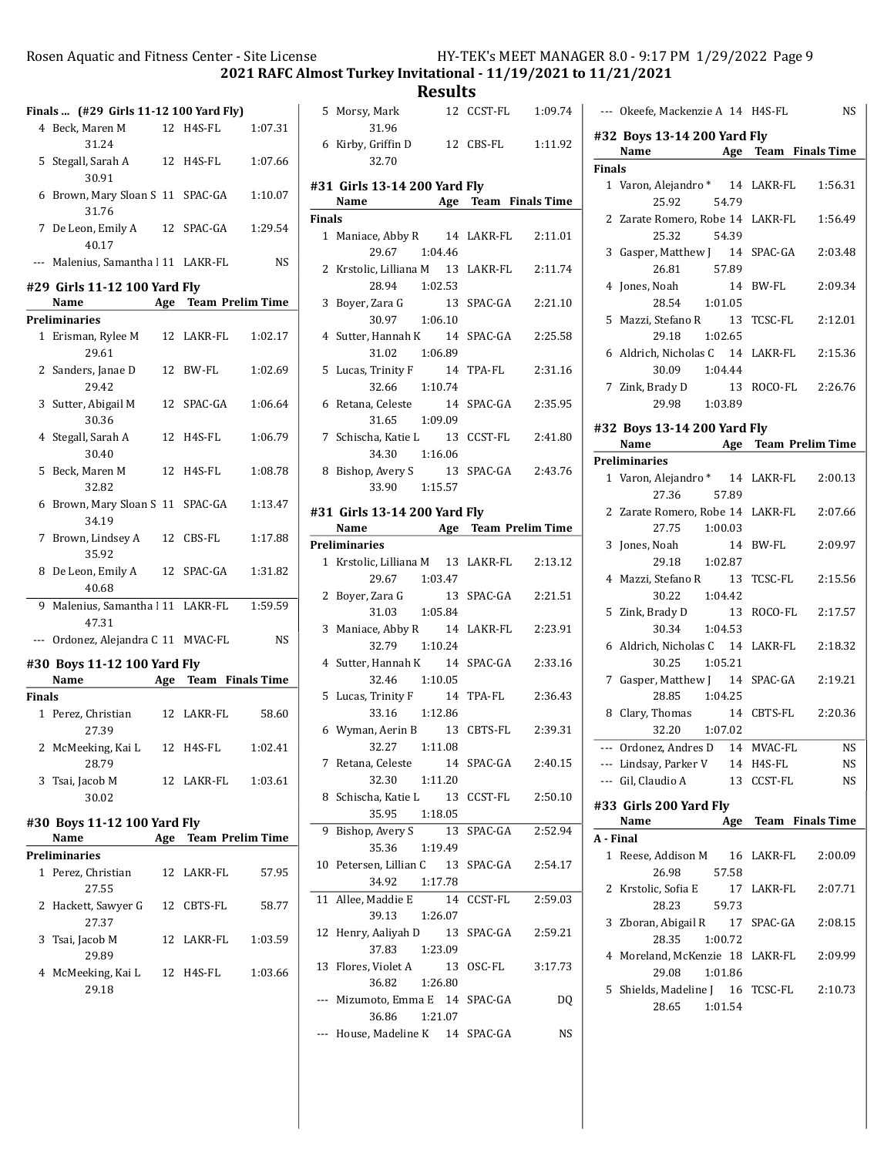2021 RAFC Almost Turkey Invitational - 11/19/2021 to 11/21/2021

**Results**<br>12 CCST-FL

|               | Finals  (#29 Girls 11-12 100 Yard Fly)            |                      |           |
|---------------|---------------------------------------------------|----------------------|-----------|
|               | 4 Beck, Maren M<br>31.24                          | 12 H4S-FL            | 1:07.31   |
|               | 5 Stegall, Sarah A<br>30.91                       | 12 H4S-FL            | 1:07.66   |
| 6             | Brown, Mary Sloan S 11 SPAC-GA<br>31.76           |                      | 1:10.07   |
|               | 7 De Leon, Emily A 12 SPAC-GA<br>40.17            |                      | 1:29.54   |
|               | --- Malenius, Samantha   11 LAKR-FL               |                      | NS        |
|               | #29 Girls 11-12 100 Yard Fly                      |                      |           |
|               | Name Age Team Prelim Time<br><b>Preliminaries</b> |                      |           |
|               | 1 Erisman, Rylee M<br>29.61                       | 12 LAKR-FL           | 1:02.17   |
|               | 2 Sanders, Janae D<br>29.42                       | 12 BW-FL             | 1:02.69   |
|               | 3 Sutter, Abigail M<br>30.36                      | 12 SPAC-GA           | 1:06.64   |
|               | 4 Stegall, Sarah A<br>30.40                       | 12 H4S-FL            | 1:06.79   |
|               | 5 Beck. Maren M<br>32.82                          | 12 H4S-FL            | 1:08.78   |
|               | 6 Brown, Mary Sloan S 11 SPAC-GA<br>34.19         |                      | 1:13.47   |
| 7             | Brown, Lindsey A<br>35.92                         | 12 CBS-FL            | 1:17.88   |
|               | 8 De Leon, Emily A 12 SPAC-GA<br>40.68            |                      | 1:31.82   |
|               | 9 Malenius, Samantha   11 LAKR-FL<br>47.31        |                      | 1:59.59   |
|               | --- Ordonez, Alejandra C 11 MVAC-FL               |                      | <b>NS</b> |
|               | #30 Boys 11-12 100 Yard Fly<br>Name               | Age Team Finals Time |           |
| <b>Finals</b> |                                                   |                      |           |
|               | 1 Perez, Christian<br>27.39                       | 12 LAKR-FL           | 58.60     |
|               | 2 McMeeking, Kai L<br>28.79                       | 12 H4S-FL            | 1:02.41   |
|               | 3 Tsai, Jacob M<br>30.02                          | 12 LAKR-FL           | 1:03.61   |
|               | #30 Boys 11-12 100 Yard Fly                       |                      |           |
|               | Name                                              | Age Team Prelim Time |           |
|               | <b>Preliminaries</b>                              |                      |           |
| 1             | Perez, Christian<br>27.55                         | 12 LAKR-FL           | 57.95     |
| $\mathbf{2}$  | Hackett, Sawyer G 12 CBTS-FL<br>27.37             |                      | 58.77     |
| 3             | Tsai, Jacob M<br>29.89                            | 12 LAKR-FL           | 1:03.59   |
|               | 4 McMeeking, Kai L<br>29.18                       | 12 H4S-FL            | 1:03.66   |

|        | 5 Morsy, Mark<br>31.96                                                  | 12 CCST-FL 1:09.74 |         |
|--------|-------------------------------------------------------------------------|--------------------|---------|
|        | 6 Kirby, Griffin D 12 CBS-FL 1:11.92<br>32.70                           |                    |         |
|        |                                                                         |                    |         |
|        | #31 Girls 13-14 200 Yard Fly                                            |                    |         |
| Finals | Name Age Team Finals Time                                               |                    |         |
|        | 1 Maniace, Abby R 14 LAKR-FL 2:11.01                                    |                    |         |
|        | 29.67<br>1:04.46                                                        |                    |         |
|        | 2 Krstolic, Lilliana M 13 LAKR-FL 2:11.74<br>28.94  1:02.53             |                    |         |
|        | 3 Boyer, Zara G                                                         |                    |         |
|        | 30.97 1:06.10<br>4 Sutter, Hannah K 14 SPAC-GA 2:25.58<br>31.02 1:06.89 |                    |         |
|        | 5 Lucas, Trinity F 14 TPA-FL<br>32.66 1:10.74                           |                    | 2:31.16 |
|        | 6 Retana, Celeste 14 SPAC-GA 2:35.95<br>31.65 1:09.09                   |                    |         |
|        | 7 Schischa, Katie L 13 CCST-FL 2:41.80<br>34.30  1:16.06                |                    |         |
|        | 8 Bishop, Avery S 13 SPAC-GA 2:43.76                                    |                    |         |
|        | 33.90 1:15.57                                                           |                    |         |
|        | #31 Girls 13-14 200 Yard Fly                                            |                    |         |
|        | Name Age Team Prelim Time                                               |                    |         |
|        | <b>Preliminaries</b><br>1 Krstolic, Lilliana M 13 LAKR-FL 2:13.12       |                    |         |
|        | 29.67 1:03.47                                                           |                    |         |
|        | 2 Boyer, Zara G<br>31.03 1:05.84                                        |                    |         |
|        | 3 Maniace, Abby R 14 LAKR-FL 2:23.91<br>32.79 1:10.24                   |                    |         |
|        | 4 Sutter, Hannah K 14 SPAC-GA 2:33.16<br>32.46 1:10.05                  |                    |         |
|        | 5 Lucas, Trinity F 14 TPA-FL<br>33.16 1:12.86                           |                    | 2:36.43 |
|        | 6 Wyman, Aerin B 13 CBTS-FL 2:39.31<br>32.27 1:11.08                    |                    |         |
| 7      | Retana, Celeste<br>14<br>32.30<br>1:11.20                               | SPAC-GA            | 2:40.15 |
| 8      | Schischa, Katie L 13<br>35.95<br>1:18.05                                | CCST-FL            | 2:50.10 |
| 9      | Bishop, Avery S                                                         | 13 SPAC-GA         | 2:52.94 |
|        | 35.36<br>1:19.49                                                        |                    |         |
| 10     | Petersen, Lillian C<br>34.92<br>1:17.78                                 | 13 SPAC-GA         | 2:54.17 |
| 11     | Allee, Maddie E<br>14<br>39.13<br>1:26.07                               | CCST-FL            | 2:59.03 |
| 12     | Henry, Aaliyah D 13                                                     | SPAC-GA            | 2:59.21 |
| 13     | 37.83<br>1:23.09<br>Flores, Violet A<br>13                              | OSC-FL             | 3:17.73 |
| ---    | 1:26.80<br>36.82<br>Mizumoto, Emma E 14 SPAC-GA                         |                    | DQ      |
| ---    | 36.86<br>1:21.07<br>House, Madeline K 14 SPAC-GA                        |                    | NS      |
|        |                                                                         |                    |         |

| --- Okeefe, Mackenzie A 14 H4S-FL                    | NS                                                                                                                                                                                                                                                                                                                                                                                                                                                                                                                                                   |
|------------------------------------------------------|------------------------------------------------------------------------------------------------------------------------------------------------------------------------------------------------------------------------------------------------------------------------------------------------------------------------------------------------------------------------------------------------------------------------------------------------------------------------------------------------------------------------------------------------------|
| #32 Boys 13-14 200 Yard Fly                          |                                                                                                                                                                                                                                                                                                                                                                                                                                                                                                                                                      |
|                                                      |                                                                                                                                                                                                                                                                                                                                                                                                                                                                                                                                                      |
| 1 Varon, Alejandro * 14 LAKR-FL                      | 1:56.31                                                                                                                                                                                                                                                                                                                                                                                                                                                                                                                                              |
| 2 Zarate Romero, Robe 14 LAKR-FL                     | 1:56.49                                                                                                                                                                                                                                                                                                                                                                                                                                                                                                                                              |
| 3 Gasper, Matthew J 14                               | SPAC-GA<br>2:03.48                                                                                                                                                                                                                                                                                                                                                                                                                                                                                                                                   |
| 4 Jones, Noah                                        | 14 BW-FL<br>2:09.34                                                                                                                                                                                                                                                                                                                                                                                                                                                                                                                                  |
| 5 Mazzi, Stefano R 13                                | TCSC-FL<br>2:12.01                                                                                                                                                                                                                                                                                                                                                                                                                                                                                                                                   |
| 6 Aldrich, Nicholas C 14 LAKR-FL                     | 2:15.36                                                                                                                                                                                                                                                                                                                                                                                                                                                                                                                                              |
| 7 Zink, Brady D 13 ROCO-FL 2:26.76<br>29.98 1:03.89  |                                                                                                                                                                                                                                                                                                                                                                                                                                                                                                                                                      |
|                                                      |                                                                                                                                                                                                                                                                                                                                                                                                                                                                                                                                                      |
|                                                      |                                                                                                                                                                                                                                                                                                                                                                                                                                                                                                                                                      |
|                                                      |                                                                                                                                                                                                                                                                                                                                                                                                                                                                                                                                                      |
| <b>Preliminaries</b>                                 |                                                                                                                                                                                                                                                                                                                                                                                                                                                                                                                                                      |
|                                                      |                                                                                                                                                                                                                                                                                                                                                                                                                                                                                                                                                      |
| 2 Zarate Romero, Robe 14 LAKR-FL                     | 2:07.66                                                                                                                                                                                                                                                                                                                                                                                                                                                                                                                                              |
| 3 Jones, Noah                                        | 14 BW-FL<br>2:09.97                                                                                                                                                                                                                                                                                                                                                                                                                                                                                                                                  |
| 4 Mazzi, Stefano R 13                                | TCSC-FL<br>2:15.56                                                                                                                                                                                                                                                                                                                                                                                                                                                                                                                                   |
| 5 Zink, Brady D 13                                   | ROCO-FL<br>2:17.57                                                                                                                                                                                                                                                                                                                                                                                                                                                                                                                                   |
| 6 Aldrich, Nicholas C 14 LAKR-FL                     | 2:18.32                                                                                                                                                                                                                                                                                                                                                                                                                                                                                                                                              |
| Gasper, Matthew J 14 SPAC-GA<br>7                    | 2:19.21                                                                                                                                                                                                                                                                                                                                                                                                                                                                                                                                              |
| 8 Clary, Thomas                                      | 14 CBTS-FL<br>2:20.36                                                                                                                                                                                                                                                                                                                                                                                                                                                                                                                                |
|                                                      | <b>NS</b>                                                                                                                                                                                                                                                                                                                                                                                                                                                                                                                                            |
|                                                      | 14 H4S-FL<br>NS                                                                                                                                                                                                                                                                                                                                                                                                                                                                                                                                      |
| --- Gil, Claudio A<br>13                             | CCST-FL<br>NS                                                                                                                                                                                                                                                                                                                                                                                                                                                                                                                                        |
| #33 Girls 200 Yard Fly                               | Age Team Finals Time                                                                                                                                                                                                                                                                                                                                                                                                                                                                                                                                 |
|                                                      |                                                                                                                                                                                                                                                                                                                                                                                                                                                                                                                                                      |
| 1 Reese, Addison M 16                                | LAKR-FL<br>2:00.09                                                                                                                                                                                                                                                                                                                                                                                                                                                                                                                                   |
| Krstolic, Sofia E<br>17                              | LAKR-FL<br>2:07.71                                                                                                                                                                                                                                                                                                                                                                                                                                                                                                                                   |
| Zboran, Abigail R 17                                 | SPAC-GA<br>2:08.15                                                                                                                                                                                                                                                                                                                                                                                                                                                                                                                                   |
| 4 Moreland, McKenzie 18 LAKR-FL<br>1:01.86<br>29.08  | 2:09.99                                                                                                                                                                                                                                                                                                                                                                                                                                                                                                                                              |
| 5 Shields, Madeline J 16 TCSC-FL<br>1:01.54<br>28.65 | 2:10.73                                                                                                                                                                                                                                                                                                                                                                                                                                                                                                                                              |
|                                                      | Name Mage Team Finals Time<br><b>Finals</b><br>25.92<br>54.79<br>25.32<br>54.39<br>26.81<br>57.89<br>28.54<br>1:01.05<br>29.18 1:02.65<br>30.09 1:04.44<br>#32 Boys 13-14 200 Yard Fly<br>Name Age Team Prelim Time<br>1 Varon, Alejandro * 14 LAKR-FL 2:00.13<br>27.36<br>57.89<br>27.75  1:00.03<br>29.18 1:02.87<br>30.22   1:04.42<br>30.34 1:04.53<br>30.25 1:05.21<br>28.85 1:04.25<br>32.20 1:07.02<br>--- Ordonez, Andres D 14 MVAC-FL<br>--- Lindsay, Parker V<br>Name<br>A - Final<br>26.98<br>57.58<br>28.23<br>59.73<br>28.35<br>1:00.72 |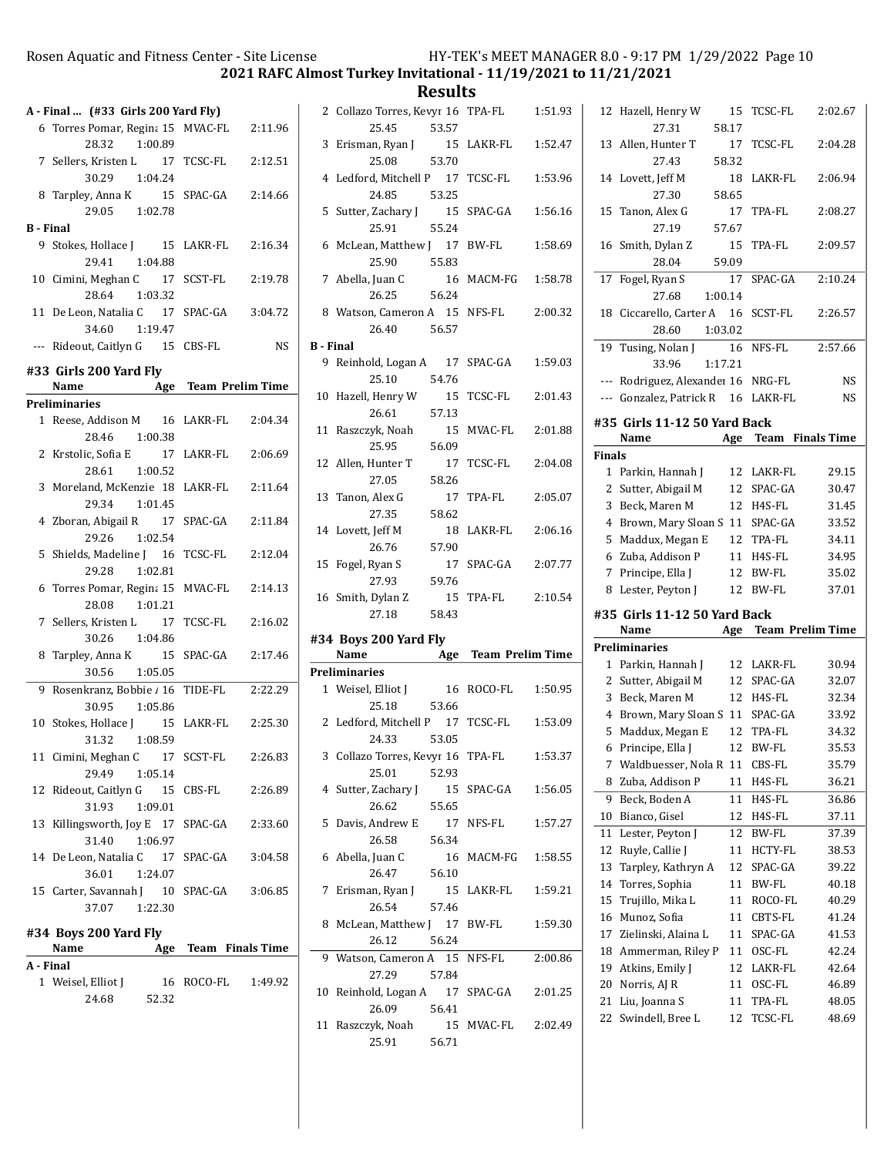2021 RAFC Almost Turkey Invitational - 11/19/2021 to 11/21/2021

Results

2 Collazo Torres, Kevyr 16 TPA-FL  $1:51.93$ 

| A - Final  (#33 Girls 200 Yard Fly) |                                                    |                      |           |  |
|-------------------------------------|----------------------------------------------------|----------------------|-----------|--|
|                                     |                                                    |                      |           |  |
|                                     | 6 Torres Pomar, Regina 15 MVAC-FL<br>28.32 1:00.89 |                      | 2:11.96   |  |
|                                     | 7 Sellers, Kristen L 17 TCSC-FL                    |                      | 2:12.51   |  |
|                                     | 30.29 1:04.24                                      |                      |           |  |
|                                     | 8 Tarpley, Anna K 15<br>29.05 1:02.78              | SPAC-GA              | 2:14.66   |  |
| <b>B</b> - Final                    |                                                    |                      |           |  |
|                                     | 9 Stokes, Hollace J 15 LAKR-FL                     |                      | 2:16.34   |  |
|                                     | 29.41 1:04.88                                      |                      |           |  |
|                                     | 10 Cimini, Meghan C 17                             | SCST-FL              | 2:19.78   |  |
|                                     | 28.64 1:03.32                                      |                      |           |  |
|                                     | 11 De Leon, Natalia C 17                           | SPAC-GA              | 3:04.72   |  |
|                                     | 34.60 1:19.47                                      |                      |           |  |
|                                     | --- Rideout, Caitlyn G 15 CBS-FL                   |                      | <b>NS</b> |  |
|                                     |                                                    |                      |           |  |
|                                     | #33 Girls 200 Yard Fly                             |                      |           |  |
|                                     | Name                                               | Age Team Prelim Time |           |  |
|                                     | <b>Preliminaries</b>                               |                      |           |  |
|                                     | 1 Reese, Addison M 16                              | LAKR-FL              | 2:04.34   |  |
|                                     | 28.46 1:00.38                                      |                      |           |  |
|                                     | 2 Krstolic, Sofia E 17                             | LAKR-FL              | 2:06.69   |  |
|                                     | 28.61 1:00.52                                      |                      |           |  |
|                                     | 3 Moreland, McKenzie 18                            | LAKR-FL              | 2:11.64   |  |
|                                     | 29.34 1:01.45                                      |                      |           |  |
|                                     | 4 Zboran, Abigail R 17                             | SPAC-GA              | 2:11.84   |  |
|                                     | 29.26<br>1:02.54                                   |                      |           |  |
|                                     | 5 Shields, Madeline J 16                           | TCSC-FL              | 2:12.04   |  |
|                                     | 29.28<br>1:02.81                                   |                      |           |  |
| 6                                   | Torres Pomar, Regina 15                            | MVAC-FL              | 2:14.13   |  |
|                                     | 28.08 1:01.21                                      |                      |           |  |
|                                     | 7 Sellers, Kristen L 17                            | TCSC-FL              | 2:16.02   |  |
|                                     | 30.26 1:04.86                                      |                      |           |  |
|                                     | 8 Tarpley, Anna K 15                               | SPAC-GA              | 2:17.46   |  |
|                                     | 30.56 1:05.05                                      |                      |           |  |
| 9                                   | Rosenkranz, Bobbie / 16                            | TIDE-FL              | 2:22.29   |  |
|                                     | 30.95 1:05.86                                      |                      |           |  |
|                                     | 10 Stokes, Hollace J 15 LAKR-FL                    |                      | 2:25.30   |  |
|                                     | 31.32 1:08.59                                      |                      |           |  |
|                                     | 11 Cimini, Meghan C 17 SCST-FL                     |                      | 2:26.83   |  |
|                                     | 29.49<br>1:05.14                                   |                      |           |  |
|                                     | 12 Rideout, Caitlyn G 15 CBS-FL                    |                      | 2:26.89   |  |
|                                     | 31.93 1:09.01                                      |                      |           |  |
|                                     | 13 Killingsworth, Joy E 17 SPAC-GA                 |                      | 2:33.60   |  |
|                                     | 31.40 1:06.97                                      |                      |           |  |
|                                     | 14 De Leon, Natalia C 17 SPAC-GA                   |                      | 3:04.58   |  |
|                                     | 36.01<br>1:24.07                                   |                      |           |  |
|                                     | 15 Carter, Savannah J 10                           | SPAC-GA              | 3:06.85   |  |
|                                     | 37.07<br>1:22.30                                   |                      |           |  |
|                                     | #34 Boys 200 Yard Fly                              |                      |           |  |
|                                     | Name                                               | Age Team Finals Time |           |  |
| A - Final                           |                                                    |                      |           |  |
|                                     | 1 Weisel, Elliot J                                 | 16 ROCO-FL           | 1:49.92   |  |
|                                     | 24.68 52.32                                        |                      |           |  |

|                  | 25.45                             | 53.57 |                      |         |
|------------------|-----------------------------------|-------|----------------------|---------|
|                  | 3 Erisman, Ryan J                 |       | 15 LAKR-FL           | 1:52.47 |
|                  | 25.08                             | 53.70 |                      |         |
| 4                | Ledford, Mitchell P 17 TCSC-FL    |       |                      | 1:53.96 |
|                  | 24.85 53.25                       |       |                      |         |
|                  | 5 Sutter, Zachary J 15            |       | SPAC-GA              | 1:56.16 |
|                  | 25.91                             | 55.24 |                      |         |
|                  | 6 McLean, Matthew J 17 BW-FL      |       |                      | 1:58.69 |
|                  | 25.90 55.83                       |       |                      |         |
|                  | 7 Abella, Juan C 16               |       | MACM-FG              | 1:58.78 |
|                  | 26.25                             | 56.24 |                      |         |
|                  | 8 Watson, Cameron A 15 NFS-FL     |       |                      | 2:00.32 |
|                  | 26.40 56.57                       |       |                      |         |
| <b>B</b> - Final |                                   |       |                      |         |
|                  | 9 Reinhold, Logan A 17 SPAC-GA    |       |                      | 1:59.03 |
|                  | 25.10                             | 54.76 |                      |         |
|                  | 10 Hazell, Henry W                | 15    | TCSC-FL              | 2:01.43 |
|                  | 26.61                             | 57.13 |                      |         |
|                  | 11 Raszczyk, Noah                 | 15    | MVAC-FL              | 2:01.88 |
|                  | 25.95                             | 56.09 |                      |         |
|                  | 12 Allen, Hunter T                | 17    | TCSC-FL              | 2:04.08 |
|                  | 27.05                             | 58.26 |                      |         |
|                  | 13 Tanon, Alex G                  | 17    | TPA-FL               | 2:05.07 |
|                  | 27.35                             | 58.62 |                      |         |
|                  | 14 Lovett, Jeff M                 |       | 18 LAKR-FL           | 2:06.16 |
|                  | 26.76                             | 57.90 |                      |         |
|                  | 15 Fogel, Ryan S                  | 17    | SPAC-GA              | 2:07.77 |
|                  |                                   |       |                      |         |
|                  | 27.93                             | 59.76 |                      |         |
|                  | 16 Smith, Dylan Z                 | 15    | TPA-FL               | 2:10.54 |
|                  | 27.18                             | 58.43 |                      |         |
|                  |                                   |       |                      |         |
|                  | #34 Boys 200 Yard Fly<br>Name     |       |                      |         |
|                  | <b>Preliminaries</b>              |       | Age Team Prelim Time |         |
|                  | 1 Weisel, Elliot J                |       | 16 ROCO-FL           | 1:50.95 |
|                  | 25.18                             | 53.66 |                      |         |
|                  | 2 Ledford, Mitchell P 17 TCSC-FL  |       |                      | 1:53.09 |
|                  | 24.33                             | 53.05 |                      |         |
|                  | 3 Collazo Torres, Kevyr 16 TPA-FL |       |                      | 1:53.37 |
|                  | 25.01                             | 52.93 |                      |         |
|                  | 4 Sutter, Zachary J               | 15    | SPAC-GA              | 1:56.05 |
|                  | 26.62                             | 55.65 |                      |         |
| 5                | Davis, Andrew E                   | 17    | NFS-FL               | 1:57.27 |
|                  | 26.58                             | 56.34 |                      |         |
| 6                | Abella, Juan C                    | 16    | MACM-FG              | 1:58.55 |
|                  | 26.47                             | 56.10 |                      |         |
| 7                | Erisman, Ryan J                   | 15    | LAKR-FL              | 1:59.21 |
|                  | 26.54                             | 57.46 |                      |         |
| 8                | McLean, Matthew J 17              |       | BW-FL                | 1:59.30 |
|                  | 26.12                             | 56.24 |                      |         |
| 9                | Watson, Cameron A 15              |       | NFS-FL               | 2:00.86 |
|                  | 27.29                             | 57.84 |                      |         |
| 10               | Reinhold, Logan A 17              |       | SPAC-GA              | 2:01.25 |
|                  | 26.09                             | 56.41 |                      |         |
|                  | 11 Raszczyk, Noah                 | 15    | MVAC-FL              | 2:02.49 |
|                  | 25.91                             | 56.71 |                      |         |

| 12              | Hazell, Henry W<br>27.31             | 15<br>58.17 | TCSC-FL              | 2:02.67            |
|-----------------|--------------------------------------|-------------|----------------------|--------------------|
| 13              | Allen, Hunter T<br>27.43             | 17<br>58.32 | <b>TCSC-FL</b>       | 2:04.28            |
| 14              | Lovett, Jeff M                       | 18          | LAKR-FL              | 2:06.94            |
|                 | 27.30                                | 58.65       |                      |                    |
| 15              | Tanon, Alex G                        | 17          | TPA-FL               | 2:08.27            |
|                 | 27.19                                | 57.67       |                      |                    |
| 16              | Smith, Dylan Z                       | 15          | TPA-FL               | 2:09.57            |
|                 | 28.04                                | 59.09       |                      |                    |
| $\overline{17}$ | Fogel, Ryan S                        | 17          | SPAC-GA              | 2:10.24            |
|                 | 27.68<br>1:00.14                     |             |                      |                    |
| 18              | Ciccarello, Carter A 16              |             | SCST-FL              | 2:26.57            |
|                 | 28.60<br>1:03.02                     |             |                      |                    |
| 19              | Tusing, Nolan J                      | 16          | NFS-FL               | 2:57.66            |
|                 | 33.96<br>1:17.21                     |             |                      |                    |
| ---             | Rodriguez, Alexander 16 NRG-FL       |             |                      | NS                 |
| $---$           | Gonzalez, Patrick R                  | 16          | LAKR-FL              | NS                 |
|                 | #35 Girls 11-12 50 Yard Back         |             |                      |                    |
|                 | Name                                 |             | Age Team             | <b>Finals Time</b> |
| <b>Finals</b>   |                                      |             |                      |                    |
| 1               | Parkin, Hannah J                     | 12          | LAKR-FL              | 29.15              |
| 2               | Sutter, Abigail M                    | 12          | SPAC-GA              | 30.47              |
| 3               | Beck, Maren M                        | 12          | H4S-FL               | 31.45              |
| 4               | Brown, Mary Sloan S                  | 11          | SPAC-GA              | 33.52              |
| 5               | Maddux, Megan E                      | 12          | TPA-FL               | 34.11              |
| 6               | Zuba, Addison P                      | 11          | H4S-FL               | 34.95              |
|                 |                                      |             |                      |                    |
| 7               | Principe, Ella J                     | 12          | BW-FL                | 35.02              |
| 8               | Lester, Peyton J                     | 12          | <b>BW-FL</b>         | 37.01              |
|                 | #35 Girls 11-12 50 Yard Back         |             |                      |                    |
|                 | Name                                 |             | Age Team Prelim Time |                    |
|                 | <b>Preliminaries</b>                 |             |                      |                    |
| $\mathbf{1}$    | Parkin, Hannah J                     | 12          | LAKR-FL              | 30.94              |
| 2               | Sutter, Abigail M                    | 12          | SPAC-GA              | 32.07              |
| 3               | Beck, Maren M                        | 12          | H4S-FL               | 32.34              |
| 4               | Brown, Mary Sloan S                  | 11          | SPAC-GA              | 33.92              |
| 5               | Maddux, Megan E                      | 12          | TPA-FL               | 34.32              |
| 6               | Principe, Ella J                     | 12          | BW-FL                | 35.53              |
| 7               | Waldbuesser, Nola R                  | 11          | CBS-FL               | 35.79              |
| 8               | Zuba, Addison P                      | 11          | H4S-FL               | 36.21              |
| 9               | Beck, Boden A                        | 11          | H4S-FL               | 36.86              |
| 10              | Bianco, Gisel                        | 12          | H4S-FL               | 37.11              |
| 11              | Lester, Peyton J                     | 12          | BW-FL                | 37.39              |
| 12              | Ruyle, Callie J                      | 11          | HCTY-FL              | 38.53              |
| 13<br>14        | Tarpley, Kathryn A<br>Torres, Sophia | 12<br>11    | SPAC-GA<br>BW-FL     | 39.22<br>40.18     |
| 15              | Trujillo, Mika L                     | 11          | ROCO-FL              | 40.29              |
| 16              | Munoz, Sofia                         | 11          | CBTS-FL              | 41.24              |
| 17              | Zielinski, Alaina L                  | 11          | SPAC-GA              | 41.53              |
| 18              | Ammerman, Riley P                    | 11          | OSC-FL               | 42.24              |
| 19              | Atkins, Emily J                      | 12          | LAKR-FL              | 42.64              |
| 20              | Norris, AJ R                         | 11          | OSC-FL               | 46.89              |
| 21              | Liu, Joanna S<br>Swindell, Bree L    | 11          | TPA-FL<br>TCSC-FL    | 48.05              |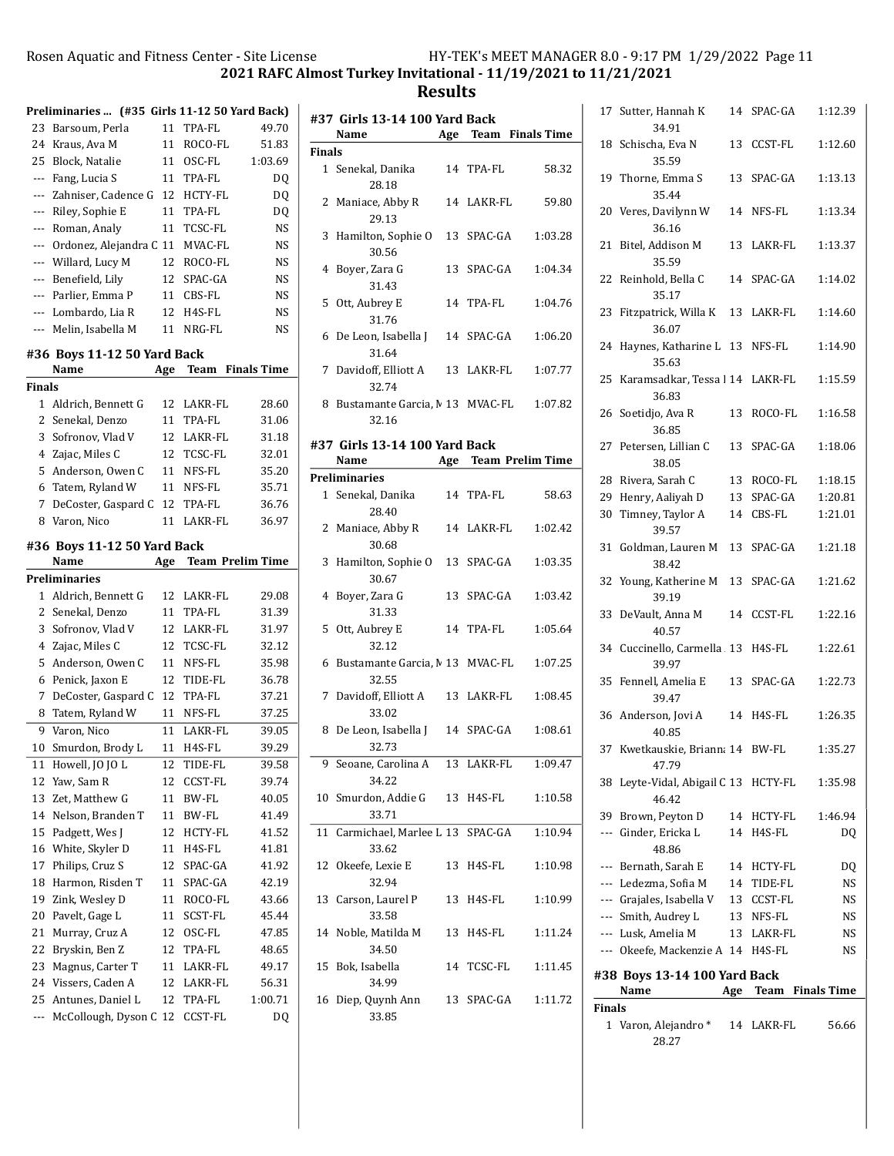2021 RAFC Almost Turkey Invitational - 11/19/2021 to 11/21/2021

|        | Preliminaries  (#35 Girls 11-12 50 Yard Back) |     |                         |                    |
|--------|-----------------------------------------------|-----|-------------------------|--------------------|
| 23     | Barsoum, Perla                                | 11  | TPA-FL                  | 49.70              |
| 24     | Kraus, Ava M                                  | 11  | ROCO-FL                 | 51.83              |
| 25     | Block, Natalie                                | 11  | OSC-FL                  | 1:03.69            |
| ---    | Fang, Lucia S                                 | 11  | TPA-FL                  | DQ                 |
| ---    | Zahniser, Cadence G                           | 12  | <b>HCTY-FL</b>          | DQ                 |
| ---    | Riley, Sophie E                               | 11  | TPA-FL                  | DQ                 |
| ---    | Roman, Analy                                  | 11  | TCSC-FL                 | NS                 |
| ---    | Ordonez, Alejandra C 11                       |     | MVAC-FL                 | NS                 |
| ---    | Willard, Lucy M                               | 12  | ROCO-FL                 | NS                 |
| ---    | Benefield, Lily                               | 12  | SPAC-GA                 | NS                 |
| ---    | Parlier, Emma P                               | 11  | CBS-FL                  | NS                 |
| $---$  | Lombardo, Lia R                               | 12  | H4S-FL                  | NS                 |
| ---    | Melin, Isabella M                             | 11  | NRG-FL                  | NS                 |
|        |                                               |     |                         |                    |
|        | #36 Boys 11-12 50 Yard Back                   |     |                         |                    |
|        | Name                                          | Age | Team                    | <b>Finals Time</b> |
| Finals |                                               |     |                         |                    |
| 1      | Aldrich, Bennett G                            | 12  | LAKR-FL                 | 28.60              |
| 2      | Senekal, Denzo                                | 11  | TPA-FL                  | 31.06              |
| 3      | Sofronov, Vlad V                              | 12  | LAKR-FL                 | 31.18              |
| 4      | Zajac, Miles C                                | 12  | TCSC-FL                 | 32.01              |
| 5      | Anderson, Owen C                              | 11  | NFS-FL                  | 35.20              |
| 6      | Tatem, Ryland W                               | 11  | NFS-FL                  | 35.71              |
| 7      | DeCoster, Gaspard C                           | 12  | TPA-FL                  | 36.76              |
| 8      | Varon, Nico                                   | 11  | LAKR-FL                 | 36.97              |
|        | #36  Boys 11-12 50 Yard Back                  |     |                         |                    |
|        | Name                                          | Age | <b>Team Prelim Time</b> |                    |
|        | Preliminaries                                 |     |                         |                    |
| 1      | Aldrich, Bennett G                            | 12  | LAKR-FL                 | 29.08              |
| 2      | Senekal, Denzo                                | 11  | TPA-FL                  | 31.39              |
| 3      | Sofronov, Vlad V                              | 12  | LAKR-FL                 | 31.97              |
| 4      | Zajac, Miles C                                | 12  | TCSC-FL                 | 32.12              |
| 5      | Anderson, Owen C                              | 11  | NFS-FL                  | 35.98              |
| 6      | Penick, Jaxon E                               | 12  | TIDE-FL                 | 36.78              |
| 7      | DeCoster, Gaspard C                           | 12  | TPA-FL                  | 37.21              |
| 8      | Tatem, Ryland W                               | 11  | NFS-FL                  | 37.25              |
| 9      | Varon, Nico                                   | 11  | LAKR-FL                 | 39.05              |
| 10     | Smurdon, Brody L                              | 11  | H4S-FL                  | 39.29              |
| 11     | Howell, JO JO L                               | 12  | TIDE-FL                 | 39.58              |
| 12     | Yaw, Sam R                                    | 12  | CCST-FL                 | 39.74              |
| 13     | Zet, Matthew G                                | 11  | BW-FL                   | 40.05              |
| 14     | Nelson, Branden T                             | 11  | BW-FL                   | 41.49              |
| 15     | Padgett, Wes J                                | 12  | HCTY-FL                 | 41.52              |
| 16     | White, Skyler D                               | 11  | H4S-FL                  | 41.81              |
| 17     | Philips, Cruz S                               | 12  | SPAC-GA                 | 41.92              |
| 18     | Harmon, Risden T                              | 11  | SPAC-GA                 | 42.19              |
| 19     | Zink, Wesley D                                | 11  | ROCO-FL                 | 43.66              |
| 20     | Pavelt, Gage L                                | 11  | SCST-FL                 | 45.44              |
| 21     | Murray, Cruz A                                | 12  | OSC-FL                  |                    |
| 22     | Bryskin, Ben Z                                |     |                         | 47.85              |
|        |                                               | 12  | TPA-FL                  | 48.65              |
| 23     | Magnus, Carter T                              | 11  | LAKR-FL                 | 49.17              |
| 24     | Vissers, Caden A                              | 12  | LAKR-FL                 | 56.31              |
| 25     | Antunes, Daniel L                             | 12  | TPA-FL                  | 1:00.71            |
| ---    | McCollough, Dyson C 12                        |     | CCST-FL                 | DQ                 |

|               | #37 Girls 13-14 100 Yard Back               |    |            |                      |
|---------------|---------------------------------------------|----|------------|----------------------|
|               | Name                                        |    |            | Age Team Finals Time |
| <b>Finals</b> |                                             |    |            |                      |
|               | 1 Senekal, Danika<br>28.18                  |    | 14 TPA-FL  | 58.32                |
| 2             | Maniace, Abby R<br>29.13                    |    | 14 LAKR-FL | 59.80                |
| 3             | Hamilton, Sophie O<br>30.56                 |    | 13 SPAC-GA | 1:03.28              |
| 4             | Boyer, Zara G<br>31.43                      |    | 13 SPAC-GA | 1:04.34              |
| 5             | Ott, Aubrey E<br>31.76                      |    | 14 TPA-FL  | 1:04.76              |
| 6             | De Leon, Isabella J<br>31.64                |    | 14 SPAC-GA | 1:06.20              |
| 7             | Davidoff, Elliott A<br>32.74                |    | 13 LAKR-FL | 1:07.77              |
| 8             | Bustamante Garcia, M 13 MVAC-FL<br>32.16    |    |            | 1:07.82              |
|               | #37 Girls 13-14 100 Yard Back               |    |            |                      |
|               | Name                                        |    |            | Age Team Prelim Time |
|               | <b>Preliminaries</b>                        |    |            |                      |
|               | 1 Senekal, Danika<br>28.40                  |    | 14 TPA-FL  | 58.63                |
| 2             | Maniace, Abby R<br>30.68                    |    | 14 LAKR-FL | 1:02.42              |
| 3             | Hamilton, Sophie O<br>30.67                 |    | 13 SPAC-GA | 1:03.35              |
| 4             | Boyer, Zara G<br>31.33                      | 13 | SPAC-GA    | 1:03.42              |
| 5             | Ott, Aubrey E<br>32.12                      |    | 14 TPA-FL  | 1:05.64              |
| 6             | Bustamante Garcia, M 13 MVAC-FL<br>32.55    |    |            | 1:07.25              |
| 7             | Davidoff, Elliott A<br>33.02                |    | 13 LAKR-FL | 1:08.45              |
| 8             | De Leon, Isabella J<br>32.73                |    | 14 SPAC-GA | 1:08.61              |
| 9             | Seoane, Carolina A<br>34.22                 | 13 | LAKR-FL    | 1:09.47              |
|               | 10 Smurdon, Addie G 13 H4S-FL<br>33.71      |    |            | 1:10.58              |
|               | 11 Carmichael, Marlee L 13 SPAC-GA<br>33.62 |    |            | 1:10.94              |
|               | 12 Okeefe, Lexie E<br>32.94                 |    | 13 H4S-FL  | 1:10.98              |
|               | 13 Carson, Laurel P<br>33.58                |    | 13 H4S-FL  | 1:10.99              |
|               | 14 Noble, Matilda M<br>34.50                |    | 13 H4S-FL  | 1:11.24              |
|               | 15 Bok, Isabella<br>34.99                   |    | 14 TCSC-FL | 1:11.45              |
|               | 16 Diep, Quynh Ann<br>33.85                 |    | 13 SPAC-GA | 1:11.72              |

|               | 1 Varon, Alejandro * 14 LAKR-FL<br>28.27  |            | 56.66                |
|---------------|-------------------------------------------|------------|----------------------|
| <b>Finals</b> |                                           |            |                      |
|               | Name                                      |            | Age Team Finals Time |
|               | #38 Boys 13-14 100 Yard Back              |            |                      |
|               | --- Okeefe, Mackenzie A 14 H4S-FL         |            | NS                   |
|               | --- Lusk, Amelia M                        | 13 LAKR-FL | NS                   |
|               | --- Smith, Audrey L                       | 13 NFS-FL  | NS                   |
|               | --- Grajales, Isabella V 13 CCST-FL       |            | <b>NS</b>            |
|               | --- Ledezma, Sofia M                      | 14 TIDE-FL | NS                   |
|               | --- Bernath, Sarah E                      | 14 HCTY-FL | DQ                   |
|               | 48.86                                     |            |                      |
|               | --- Ginder, Ericka L                      | 14 H4S-FL  | DQ                   |
|               | 46.42<br>39 Brown, Peyton D               | 14 HCTY-FL | 1:46.94              |
| 38            | Leyte-Vidal, Abigail C 13 HCTY-FL         |            | 1:35.98              |
|               | 47.79                                     |            |                      |
|               | 40.85<br>37 Kwetkauskie, Brianna 14 BW-FL |            | 1:35.27              |
|               | 36 Anderson, Jovi A                       | 14 H4S-FL  | 1:26.35              |
|               | 39.47                                     | 13 SPAC-GA |                      |
|               | 39.97<br>35 Fennell, Amelia E             |            | 1:22.73              |
|               | 34 Cuccinello, Carmella 13 H4S-FL         |            | 1:22.61              |
| 33            | DeVault, Anna M<br>40.57                  | 14 CCST-FL | 1:22.16              |
|               | 39.19                                     |            |                      |
|               | 38.42<br>32 Young, Katherine M            | 13 SPAC-GA | 1:21.62              |
| 31            | 39.57<br>Goldman, Lauren M                | 13 SPAC-GA | 1:21.18              |
| 30            | Timney, Taylor A                          | 14 CBS-FL  | 1:21.01              |
|               | 29 Henry, Aaliyah D                       | 13 SPAC-GA | 1:20.81              |
|               | 28 Rivera, Sarah C                        | 13 ROCO-FL | 1:18.15              |
|               | 27 Petersen, Lillian C<br>38.05           | 13 SPAC-GA | 1:18.06              |
|               | 26 Soetidjo, Ava R<br>36.85               | 13 ROCO-FL | 1:16.58              |
| 25            | Karamsadkar, Tessa   14 LAKR-FL<br>36.83  |            | 1:15.59              |
| 24            | Haynes, Katharine L 13 NFS-FL<br>35.63    |            | 1:14.90              |
| 23            | Fitzpatrick, Willa K<br>36.07             | 13 LAKR-FL | 1:14.60              |
|               | 22 Reinhold, Bella C<br>35.17             | 14 SPAC-GA | 1:14.02              |
|               | 35.59                                     |            |                      |
|               | 36.16<br>21 Bitel, Addison M              | 13 LAKR-FL | 1:13.37              |
|               | 35.44<br>20 Veres, Davilynn W             | 14 NFS-FL  | 1:13.34              |
|               | 35.59<br>19 Thorne, Emma S                | 13 SPAC-GA | 1:13.13              |
|               | 34.91<br>18 Schischa, Eva N               | 13 CCST-FL | 1:12.60              |
|               | 17 Sutter, Hannah K                       | 14 SPAC-GA | 1:12.39              |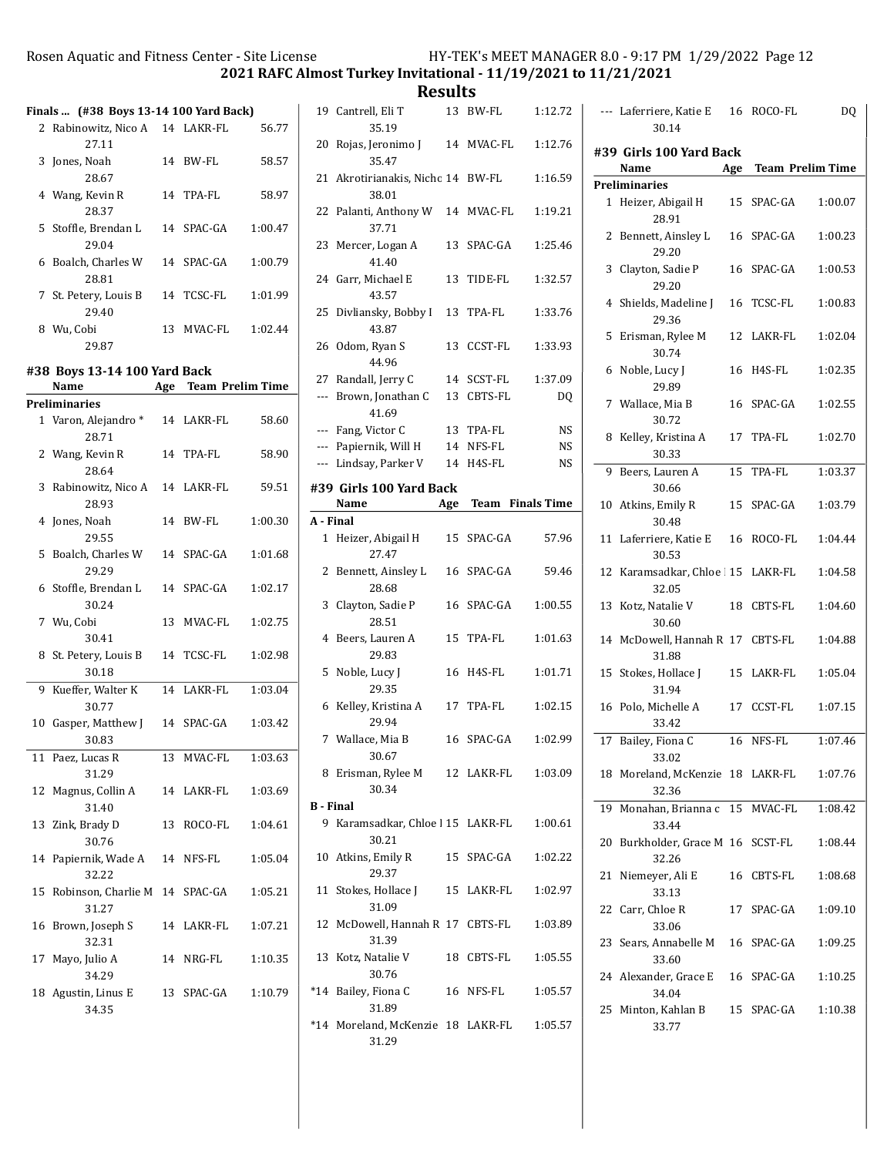2021 RAFC Almost Turkey Invitational - 11/19/2021 to 11/21/2021

|    |                                                              |    |            | ZUZI KAFL A |
|----|--------------------------------------------------------------|----|------------|-------------|
|    | Finals  (#38 Boys 13-14 100 Yard Back)                       |    |            |             |
|    | 2 Rabinowitz, Nico A 14 LAKR-FL                              |    |            | 56.77       |
|    | 27.11                                                        |    |            |             |
|    | 3 Jones, Noah<br>28.67                                       |    | 14 BW-FL   | 58.57       |
|    | 4 Wang, Kevin R<br>28.37                                     |    | 14 TPA-FL  | 58.97       |
|    | 5 Stoffle, Brendan L<br>29.04                                |    | 14 SPAC-GA | 1:00.47     |
|    | 6 Boalch, Charles W<br>28.81                                 |    | 14 SPAC-GA | 1:00.79     |
|    | 7 St. Petery, Louis B<br>29.40                               |    | 14 TCSC-FL | 1:01.99     |
|    | 8 Wu, Cobi<br>29.87                                          |    | 13 MVAC-FL | 1:02.44     |
|    |                                                              |    |            |             |
|    | #38 Boys 13-14 100 Yard Back<br>Age Team Prelim Time<br>Name |    |            |             |
|    | Preliminaries                                                |    |            |             |
|    | 1 Varon, Alejandro * 14 LAKR-FL<br>28.71                     |    |            | 58.60       |
|    | 2 Wang, Kevin R<br>28.64                                     |    | 14 TPA-FL  | 58.90       |
|    | 3 Rabinowitz, Nico A 14 LAKR-FL<br>28.93                     |    |            | 59.51       |
|    | 4 Jones, Noah<br>29.55                                       |    | 14 BW-FL   | 1:00.30     |
|    | 5 Boalch, Charles W 14 SPAC-GA<br>29.29                      |    |            | 1:01.68     |
|    | 6 Stoffle, Brendan L<br>30.24                                |    | 14 SPAC-GA | 1:02.17     |
|    | 7 Wu, Cobi<br>30.41                                          |    | 13 MVAC-FL | 1:02.75     |
|    | 8 St. Petery, Louis B<br>30.18                               |    | 14 TCSC-FL | 1:02.98     |
| 9  | Kueffer, Walter K<br>30.77                                   |    | 14 LAKR-FL | 1:03.04     |
|    | 10 Gasper, Matthew J 14 SPAC-GA<br>30.83                     |    |            | 1:03.42     |
| 11 | Paez, Lucas R                                                |    | 13 MVAC-FL | 1:03.63     |
| 12 | 31.29<br>Magnus, Collin A                                    |    | 14 LAKR-FL | 1:03.69     |
| 13 | 31.40<br>Zink, Brady D                                       | 13 | ROCO-FL    | 1:04.61     |
| 14 | 30.76<br>Papiernik, Wade A                                   |    | 14 NFS-FL  | 1:05.04     |
| 15 | 32.22<br>Robinson, Charlie M 14 SPAC-GA                      |    |            | 1:05.21     |
| 16 | 31.27<br>Brown, Joseph S                                     |    | 14 LAKR-FL | 1:07.21     |
| 17 | 32.31<br>Mayo, Julio A                                       |    | 14 NRG-FL  | 1:10.35     |
| 18 | 34.29<br>Agustin, Linus E<br>34.35                           |    | 13 SPAC-GA | 1:10.79     |
|    |                                                              |    |            |             |

|                  | 19 Cantrell, Eli T<br>35.19                                       | 13  | BW-FL                   | 1:12.72            |
|------------------|-------------------------------------------------------------------|-----|-------------------------|--------------------|
| 20               | Rojas, Jeronimo J<br>35.47                                        |     | 14 MVAC-FL              | 1:12.76            |
|                  | 21 Akrotirianakis, Nicho 14 BW-FL<br>38.01                        |     |                         | 1:16.59            |
|                  | 22 Palanti, Anthony W<br>37.71                                    |     | 14 MVAC-FL              | 1:19.21            |
| 23               | Mercer, Logan A<br>41.40                                          | 13  | SPAC-GA                 | 1:25.46            |
|                  | 24 Garr, Michael E<br>43.57                                       | 13  | TIDE-FL                 | 1:32.57            |
| 25               | Divliansky, Bobby I<br>43.87                                      | 13  | TPA-FL                  | 1:33.76            |
| 26               | Odom, Ryan S<br>44.96                                             | 13  | CCST-FL                 | 1:33.93            |
| 27               | Randall, Jerry C                                                  | 14  | SCST-FL                 | 1:37.09            |
| $---$            | Brown, Jonathan C<br>41.69                                        | 13  | CBTS-FL                 | D <sub>0</sub>     |
| ---              | Fang, Victor C                                                    | 13  | TPA-FL                  | <b>NS</b>          |
|                  | --- Papiernik, Will H                                             |     | 14 NFS-FL               | <b>NS</b>          |
|                  | --- Lindsay, Parker V                                             |     | 14 H4S-FL               | <b>NS</b>          |
|                  | #39 Girls 100 Yard Back                                           |     |                         |                    |
|                  | Name                                                              | Age | <b>Team</b> Finals Time |                    |
| A - Final        |                                                                   |     |                         |                    |
| $\mathbf{1}$     | Heizer, Abigail H<br>27.47                                        | 15  | SPAC-GA                 | 57.96              |
| 2                | Bennett, Ainsley L<br>28.68                                       | 16  | SPAC-GA                 | 59.46              |
| 3                | Clayton, Sadie P<br>28.51                                         |     | 16 SPAC-GA              | 1:00.55            |
| 4                | Beers, Lauren A<br>29.83                                          |     | 15 TPA-FL               | 1:01.63            |
| 5                | Noble, Lucy J                                                     |     | 16 H4S-FL               | 1:01.71            |
|                  | 29.35                                                             |     |                         |                    |
| 6                | Kelley, Kristina A<br>29.94                                       | 17  | TPA-FL                  | 1:02.15            |
|                  | 7 Wallace, Mia B<br>30.67                                         |     | 16 SPAC-GA              | 1:02.99            |
|                  | 8 Erisman, Rylee M 12 LAKR-FL<br>30.34                            |     |                         | 1:03.09            |
| <b>B</b> - Final |                                                                   |     |                         |                    |
|                  | 9 Karamsadkar, Chloe   15 LAKR-FL<br>30.21                        |     |                         | 1:00.61            |
|                  | 10 Atkins, Emily R<br>29.37                                       |     | 15 SPAC-GA              | 1:02.22            |
| 11               | Stokes, Hollace J<br>31.09                                        |     | 15 LAKR-FL              | 1:02.97            |
| 12               | McDowell, Hannah R 17 CBTS-FL<br>31.39                            |     |                         | 1:03.89            |
| 13               | Kotz, Natalie V<br>30.76                                          |     | 18 CBTS-FL              | 1:05.55            |
|                  | *14 Bailey, Fiona C<br>31.89<br>*14 Moreland, McKenzie 18 LAKR-FL |     | 16 NFS-FL               | 1:05.57<br>1:05.57 |

|    | --- Laferriere, Katie E<br>30.14           |     | 16 ROCO-FL              | DQ      |
|----|--------------------------------------------|-----|-------------------------|---------|
|    | #39 Girls 100 Yard Back<br>Name            | Age | <b>Team Prelim Time</b> |         |
|    | <b>Preliminaries</b>                       |     |                         |         |
|    | 1 Heizer, Abigail H<br>28.91               |     | 15 SPAC-GA              | 1:00.07 |
| 2  | Bennett, Ainsley L<br>29.20                |     | 16 SPAC-GA              | 1:00.23 |
| 3  | Clayton, Sadie P<br>29.20                  |     | 16 SPAC-GA              | 1:00.53 |
| 4  | Shields, Madeline J<br>29.36               | 16  | <b>TCSC-FL</b>          | 1:00.83 |
| 5  | Erisman, Rylee M<br>30.74                  |     | 12 LAKR-FL              | 1:02.04 |
| 6  | Noble, Lucy J<br>29.89                     | 16  | H4S-FL                  | 1:02.35 |
| 7  | Wallace, Mia B<br>30.72                    |     | 16 SPAC-GA              | 1:02.55 |
| 8  | Kelley, Kristina A<br>30.33                | 17  | TPA-FL                  | 1:02.70 |
| 9  | Beers, Lauren A<br>30.66                   | 15  | TPA-FL                  | 1:03.37 |
|    | 10 Atkins, Emily R<br>30.48                |     | 15 SPAC-GA              | 1:03.79 |
|    | 11 Laferriere, Katie E<br>30.53            | 16  | ROCO-FL                 | 1:04.44 |
| 12 | Karamsadkar, Chloe   15 LAKR-FL<br>32.05   |     |                         | 1:04.58 |
| 13 | Kotz, Natalie V<br>30.60                   |     | 18 CBTS-FL              | 1:04.60 |
| 14 | McDowell, Hannah R 17 CBTS-FL<br>31.88     |     |                         | 1:04.88 |
| 15 | Stokes, Hollace J<br>31.94                 |     | 15 LAKR-FL              | 1:05.04 |
| 16 | Polo, Michelle A<br>33.42                  |     | 17 CCST-FL              | 1:07.15 |
|    | 17 Bailey, Fiona C<br>33.02                |     | 16 NFS-FL               | 1:07.46 |
|    | 18 Moreland, McKenzie 18 LAKR-FL<br>32.36  |     |                         | 1:07.76 |
| 19 | Monahan, Brianna c 15 MVAC-FL<br>33.44     |     |                         | 1:08.42 |
|    | 20 Burkholder, Grace M 16 SCST-FL<br>32.26 |     |                         | 1:08.44 |
| 21 | Niemeyer, Ali E<br>33.13                   |     | 16 CBTS-FL              | 1:08.68 |
|    | 22 Carr, Chloe R<br>33.06                  |     | 17 SPAC-GA              | 1:09.10 |
|    | 23 Sears, Annabelle M 16 SPAC-GA<br>33.60  |     |                         | 1:09.25 |
|    | 24 Alexander, Grace E 16 SPAC-GA<br>34.04  |     |                         | 1:10.25 |
| 25 | Minton, Kahlan B<br>33.77                  |     | 15 SPAC-GA              | 1:10.38 |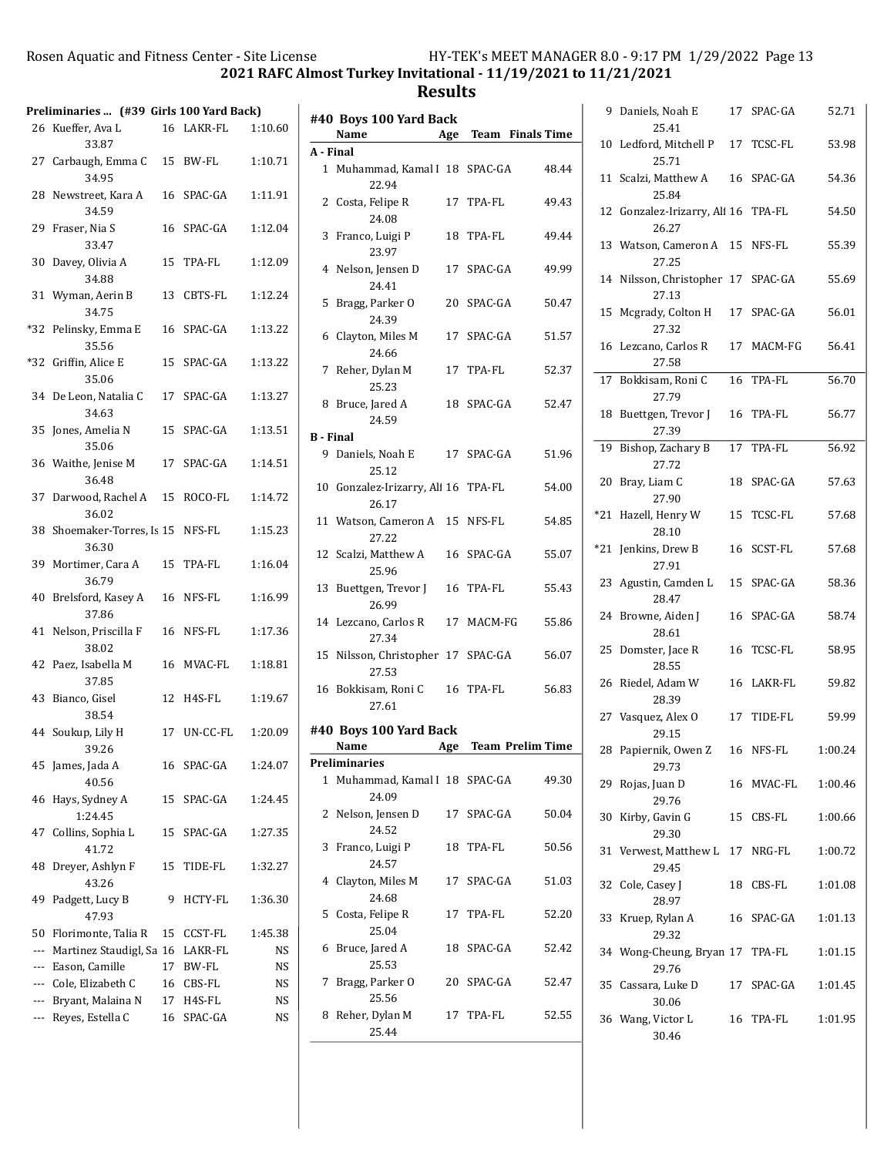$\sim 1$ 

## 2021 RAFC Almost Turkey Invitational - 11/19/2021 to 11/21/2021

|       | Preliminaries  (#39 Girls 100 Yard Back) |    |                |         |
|-------|------------------------------------------|----|----------------|---------|
|       | 26 Kueffer, Ava L<br>33.87               |    | 16 LAKR-FL     | 1:10.60 |
| 27    | Carbaugh, Emma C<br>34.95                |    | 15 BW-FL       | 1:10.71 |
| 28    | Newstreet, Kara A<br>34.59               |    | 16 SPAC-GA     | 1:11.91 |
| 29    | Fraser, Nia S<br>33.47                   | 16 | SPAC-GA        | 1:12.04 |
| 30    | Davey, Olivia A<br>34.88                 | 15 | TPA-FL         | 1:12.09 |
| 31    | Wyman, Aerin B<br>34.75                  | 13 | <b>CBTS-FL</b> | 1:12.24 |
| $*32$ | Pelinsky, Emma E<br>35.56                |    | 16 SPAC-GA     | 1:13.22 |
| $*32$ | Griffin, Alice E<br>35.06                |    | 15 SPAC-GA     | 1:13.22 |
|       | 34 De Leon, Natalia C<br>34.63           |    | 17 SPAC-GA     | 1:13.27 |
| 35    | Jones, Amelia N<br>35.06                 |    | 15 SPAC-GA     | 1:13.51 |
| 36    | Waithe, Jenise M<br>36.48                |    | 17 SPAC-GA     | 1:14.51 |
| 37    | Darwood, Rachel A<br>36.02               |    | 15 ROCO-FL     | 1:14.72 |
| 38    | Shoemaker-Torres, Is 15 NFS-FL<br>36.30  |    |                | 1:15.23 |
| 39    | Mortimer, Cara A<br>36.79                |    | 15 TPA-FL      | 1:16.04 |
| 40    | Brelsford, Kasey A<br>37.86              |    | 16 NFS-FL      | 1:16.99 |
| 41    | Nelson, Priscilla F<br>38.02             |    | 16 NFS-FL      | 1:17.36 |
| 42    | Paez, Isabella M<br>37.85                |    | 16 MVAC-FL     | 1:18.81 |
| 43    | Bianco, Gisel<br>38.54                   | 12 | H4S-FL         | 1:19.67 |
|       | 44 Soukup, Lily H<br>39.26               | 17 | UN-CC-FL       | 1:20.09 |
| 45    | James, Jada A<br>40.56                   | 16 | SPAC-GA        | 1:24.07 |
| 46    | Hays, Sydney A<br>1:24.45                | 15 | SPAC-GA        | 1:24.45 |
| 47    | Collins, Sophia L<br>41.72               | 15 | SPAC-GA        | 1:27.35 |
| 48    | Dreyer, Ashlyn F<br>43.26                | 15 | TIDE-FL        | 1:32.27 |
| 49    | Padgett, Lucy B<br>47.93                 | 9  | HCTY-FL        | 1:36.30 |
| 50    | Florimonte, Talia R                      | 15 | CCST-FL        | 1:45.38 |
| ---   | Martinez Staudigl, Sa 16                 |    | LAKR-FL        | NS      |
|       | --- Eason, Camille                       |    | 17 BW-FL       | NS      |
|       | --- Cole, Elizabeth C                    | 16 | CBS-FL         | NS      |
| ---   | Bryant, Malaina N                        |    | 17 H4S-FL      | NS      |
| ---   | Reyes, Estella C                         | 16 | SPAC-GA        | NS      |

|                  | #40 Boys 100 Yard Back<br>Name               |    | Age Team Finals Time |       |
|------------------|----------------------------------------------|----|----------------------|-------|
| A - Final        |                                              |    |                      |       |
|                  | 1 Muhammad, Kamal I 18 SPAC-GA<br>22.94      |    |                      | 48.44 |
| 2                | Costa, Felipe R<br>24.08                     |    | 17 TPA-FL            | 49.43 |
| 3                | Franco, Luigi P<br>23.97                     |    | 18 TPA-FL            | 49.44 |
| 4                | Nelson, Jensen D<br>24.41                    |    | 17 SPAC-GA           | 49.99 |
| 5                | Bragg, Parker O<br>24.39                     |    | 20 SPAC-GA           | 50.47 |
| 6                | Clayton, Miles M<br>24.66                    |    | 17 SPAC-GA           | 51.57 |
| 7                | Reher, Dylan M<br>25.23                      |    | 17 TPA-FL            | 52.37 |
| 8                | Bruce, Jared A<br>24.59                      |    | 18 SPAC-GA           | 52.47 |
| <b>B</b> - Final |                                              |    |                      |       |
|                  | 9 Daniels, Noah E<br>25.12                   |    | 17 SPAC-GA           | 51.96 |
|                  | 10 Gonzalez-Irizarry, Ali 16 TPA-FL<br>26.17 |    |                      | 54.00 |
|                  | 11 Watson, Cameron A 15 NFS-FL<br>27.22      |    |                      | 54.85 |
|                  | 12 Scalzi, Matthew A<br>25.96                |    | 16 SPAC-GA           | 55.07 |
| 13               | Buettgen, Trevor J<br>26.99                  |    | 16 TPA-FL            | 55.43 |
|                  | 14 Lezcano, Carlos R<br>27.34                |    | 17 MACM-FG           | 55.86 |
| 15               | Nilsson, Christopher 17 SPAC-GA<br>27.53     |    |                      | 56.07 |
|                  | 16 Bokkisam, Roni C<br>27.61                 |    | 16 TPA-FL            | 56.83 |
|                  | #40 Boys 100 Yard Back                       |    |                      |       |
|                  | Name                                         |    | Age Team Prelim Time |       |
|                  | Preliminaries                                |    |                      |       |
| 1                | Muhammad, Kamal I 18 SPAC-GA<br>24.09        |    |                      | 49.30 |
| 2                | Nelson, Jensen D<br>24.52                    | 17 | SPAC-GA              | 50.04 |
| 3                | Franco, Luigi P<br>24.57                     | 18 | TPA-FL               | 50.56 |
| 4                | Clayton, Miles M<br>24.68                    | 17 | SPAC-GA              | 51.03 |
| 5                | Costa, Felipe R<br>25.04                     | 17 | TPA-FL               | 52.20 |
| 6                | Bruce, Jared A<br>25.53                      | 18 | SPAC-GA              | 52.42 |
| 7                | Bragg, Parker O<br>25.56                     | 20 | SPAC-GA              | 52.47 |
| 8                | Reher, Dylan M<br>25.44                      |    | 17 TPA-FL            | 52.55 |

| 9   | Daniels, Noah E                              |    | 17 SPAC-GA     | 52.71   |
|-----|----------------------------------------------|----|----------------|---------|
| 10  | 25.41<br>Ledford, Mitchell P<br>25.71        | 17 | <b>TCSC-FL</b> | 53.98   |
|     | 11 Scalzi, Matthew A<br>25.84                | 16 | SPAC-GA        | 54.36   |
|     | 12 Gonzalez-Irizarry, Ali 16 TPA-FL<br>26.27 |    |                | 54.50   |
|     | 13 Watson, Cameron A<br>27.25                |    | 15 NFS-FL      | 55.39   |
|     | 14 Nilsson, Christopher 17 SPAC-GA<br>27.13  |    |                | 55.69   |
| 15  | Mcgrady, Colton H<br>27.32                   | 17 | SPAC-GA        | 56.01   |
| 16  | Lezcano, Carlos R<br>27.58                   |    | 17 MACM-FG     | 56.41   |
| 17  | Bokkisam, Roni C<br>27.79                    | 16 | TPA-FL         | 56.70   |
| 18  | Buettgen, Trevor J<br>27.39                  | 16 | TPA-FL         | 56.77   |
| 19  | Bishop, Zachary B<br>27.72                   |    | 17 TPA-FL      | 56.92   |
| 20  | Bray, Liam C<br>27.90                        | 18 | SPAC-GA        | 57.63   |
| *21 | Hazell, Henry W<br>28.10                     | 15 | TCSC-FL        | 57.68   |
| *21 | Jenkins, Drew B<br>27.91                     | 16 | SCST-FL        | 57.68   |
| 23  | Agustin, Camden L<br>28.47                   | 15 | SPAC-GA        | 58.36   |
|     | 24 Browne, Aiden J<br>28.61                  | 16 | SPAC-GA        | 58.74   |
| 25  | Domster, Jace R<br>28.55                     | 16 | TCSC-FL        | 58.95   |
| 26  | Riedel, Adam W<br>28.39                      | 16 | LAKR-FL        | 59.82   |
|     | 27 Vasquez, Alex O<br>29.15                  | 17 | TIDE-FL        | 59.99   |
| 28  | Papiernik, Owen Z<br>29.73                   |    | 16 NFS-FL      | 1:00.24 |
|     | 29 Rojas, Juan D<br>29.76                    |    | 16 MVAC-FL     | 1:00.46 |
| 30  | Kirby, Gavin G<br>29.30                      | 15 | CBS-FL         | 1:00.66 |
|     | 31 Verwest, Matthew L 17 NRG-FL<br>29.45     |    |                | 1:00.72 |
|     | 32 Cole, Casey J<br>28.97                    | 18 | CBS-FL         | 1:01.08 |
|     | 33 Kruep, Rylan A<br>29.32                   |    | 16 SPAC-GA     | 1:01.13 |
|     | 34 Wong-Cheung, Bryan 17 TPA-FL<br>29.76     |    |                | 1:01.15 |
|     | 35 Cassara, Luke D<br>30.06                  |    | 17 SPAC-GA     | 1:01.45 |
|     | 36 Wang, Victor L<br>30.46                   |    | 16 TPA-FL      | 1:01.95 |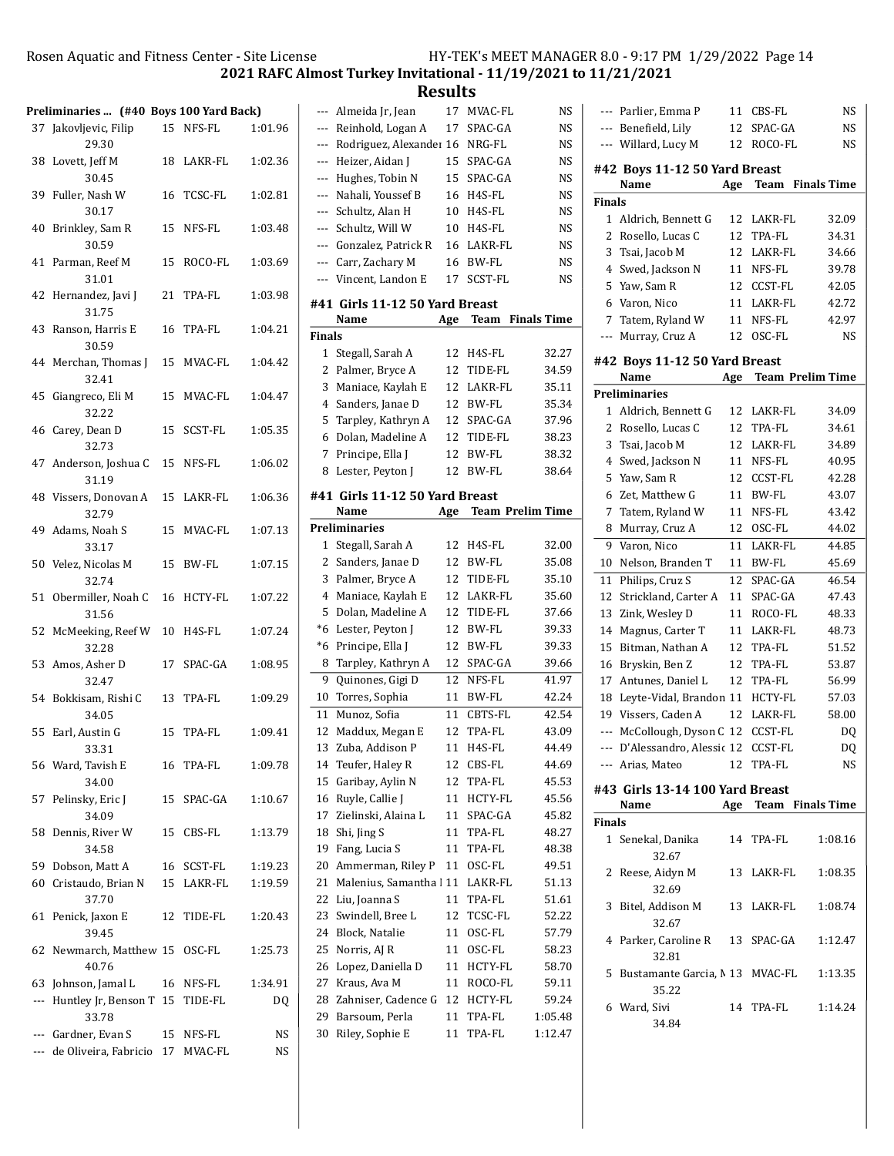2021 RAFC Almost Turkey Invitational - 11/19/2021 to 11/21/2021

**Results**<br>17 MVAC-FL

| Preliminaries  (#40 Boys 100 Yard Back) |                                              |    |            |         |
|-----------------------------------------|----------------------------------------------|----|------------|---------|
|                                         | 37 Jakovljevic, Filip<br>29.30               |    | 15 NFS-FL  | 1:01.96 |
| 38                                      | Lovett, Jeff M<br>30.45                      |    | 18 LAKR-FL | 1:02.36 |
| 39                                      | Fuller, Nash W<br>30.17                      |    | 16 TCSC-FL | 1:02.81 |
| 40                                      | Brinkley, Sam R<br>30.59                     |    | 15 NFS-FL  | 1:03.48 |
| 41                                      | Parman, Reef M<br>31.01                      | 15 | ROCO-FL    | 1:03.69 |
|                                         | 42 Hernandez, Javi J<br>31.75                |    | 21 TPA-FL  | 1:03.98 |
| 43                                      | Ranson, Harris E<br>30.59                    |    | 16 TPA-FL  | 1:04.21 |
|                                         | 44 Merchan, Thomas J 15 MVAC-FL<br>32.41     |    |            | 1:04.42 |
| 45                                      | Giangreco, Eli M<br>32.22                    |    | 15 MVAC-FL | 1:04.47 |
|                                         | 46 Carey, Dean D<br>32.73                    | 15 | SCST-FL    | 1:05.35 |
|                                         | 47 Anderson, Joshua C 15 NFS-FL<br>31.19     |    |            | 1:06.02 |
|                                         | 48 Vissers, Donovan A<br>32.79               |    | 15 LAKR-FL | 1:06.36 |
|                                         | 49 Adams, Noah S<br>33.17                    |    | 15 MVAC-FL | 1:07.13 |
|                                         | 50 Velez, Nicolas M<br>32.74                 |    | 15 BW-FL   | 1:07.15 |
| 51                                      | Obermiller, Noah C<br>31.56                  |    | 16 HCTY-FL | 1:07.22 |
|                                         | 52 McMeeking, Reef W 10<br>32.28             |    | H4S-FL     | 1:07.24 |
|                                         | 53 Amos, Asher D<br>32.47                    |    | 17 SPAC-GA | 1:08.95 |
|                                         | 54 Bokkisam, Rishi C<br>34.05                |    | 13 TPA-FL  | 1:09.29 |
|                                         | 55 Earl, Austin G<br>33.31                   |    | 15 TPA-FL  | 1:09.41 |
|                                         | 56 Ward, Tavish E<br>34.00                   | 16 | TPA-FL     | 1:09.78 |
| 57                                      | Pelinsky, Eric J<br>34.09                    | 15 | SPAC-GA    | 1:10.67 |
| 58                                      | Dennis, River W<br>34.58                     | 15 | CBS-FL     | 1:13.79 |
| 59                                      | Dobson, Matt A                               | 16 | SCST-FL    | 1:19.23 |
|                                         | 60 Cristaudo, Brian N<br>37.70               | 15 | LAKR-FL    | 1:19.59 |
| 61                                      | Penick, Jaxon E<br>39.45                     | 12 | TIDE-FL    | 1:20.43 |
| 62                                      | Newmarch, Matthew 15 OSC-FL<br>40.76         |    |            | 1:25.73 |
|                                         | 63 Johnson, Jamal L                          |    | 16 NFS-FL  | 1:34.91 |
|                                         | --- Huntley Jr, Benson T 15 TIDE-FL<br>33.78 |    |            | DQ      |
|                                         | --- Gardner, Evan S                          | 15 | NFS-FL     | NS      |
|                                         | --- de Oliveira, Fabricio 17                 |    | MVAC-FL    | NS      |
|                                         |                                              |    |            |         |

| ---           | Almeida Jr, Jean                  | 17  | MVAC-FL                 | NS                 |
|---------------|-----------------------------------|-----|-------------------------|--------------------|
| $---$         | Reinhold, Logan A                 | 17  | SPAC-GA                 | NS                 |
| ---           | Rodriguez, Alexander 16           |     | NRG-FL                  | NS                 |
| ---           | Heizer, Aidan J                   | 15  | SPAC-GA                 | NS                 |
| ---           | Hughes, Tobin N                   | 15  | SPAC-GA                 | <b>NS</b>          |
| ---           | Nahali, Youssef B                 | 16  | H4S-FL                  | NS                 |
| ---           | Schultz, Alan H                   | 10  | H4S-FL                  | NS                 |
| ---           | Schultz, Will W                   | 10  | H4S-FL                  | NS                 |
| ---           | Gonzalez, Patrick R               | 16  | LAKR-FL                 | NS                 |
| ---           | Carr, Zachary M                   | 16  | BW-FL                   | NS                 |
| ---           | Vincent, Landon E                 | 17  | <b>SCST-FL</b>          | NS                 |
|               |                                   |     |                         |                    |
|               | #41 Girls 11-12 50 Yard Breast    |     |                         |                    |
|               | Name                              | Age | <b>Team</b>             | <b>Finals Time</b> |
| <b>Finals</b> |                                   |     |                         |                    |
| 1             | Stegall, Sarah A                  | 12  | H4S-FL                  | 32.27              |
| 2             | Palmer, Bryce A                   | 12  | TIDE-FL                 | 34.59              |
| 3             | Maniace, Kaylah E                 | 12  | LAKR-FL                 | 35.11              |
| 4             | Sanders, Janae D                  | 12  | <b>BW-FL</b>            | 35.34              |
| 5             | Tarpley, Kathryn A                | 12  | SPAC-GA                 | 37.96              |
| 6             | Dolan, Madeline A                 | 12  | TIDE-FL                 | 38.23              |
| 7             | Principe, Ella J                  | 12  | BW-FL                   | 38.32              |
| 8             | Lester, Peyton J                  | 12  | BW-FL                   | 38.64              |
|               | #41  Girls 11-12 50 Yard Breast   |     |                         |                    |
|               | Name                              | Age | <b>Team Prelim Time</b> |                    |
|               | <b>Preliminaries</b>              |     |                         |                    |
| 1             | Stegall, Sarah A                  | 12  | H4S-FL                  | 32.00              |
| 2             | Sanders, Janae D                  | 12  | BW-FL                   | 35.08              |
| 3             | Palmer, Bryce A                   | 12  | TIDE-FL                 | 35.10              |
| 4             | Maniace, Kaylah E                 | 12  | LAKR-FL                 | 35.60              |
| 5             | Dolan, Madeline A                 | 12  | TIDE-FL                 | 37.66              |
| *6            | Lester, Peyton J                  | 12  | BW-FL                   | 39.33              |
| *6            | Principe, Ella J                  | 12  | BW-FL                   | 39.33              |
| 8             | Tarpley, Kathryn A                | 12  | SPAC-GA                 | 39.66              |
| 9             | Quinones, Gigi D                  | 12  | NFS-FL                  | 41.97              |
| 10            | Torres, Sophia                    | 11  | <b>BW-FL</b>            | 42.24              |
| 11            | Munoz, Sofia                      | 11  | <b>CBTS-FL</b>          | 42.54              |
| 12            | Maddux, Megan E                   | 12  | TPA-FL                  | 43.09              |
| 13            | Zuba, Addison P                   | 11  | H4S-FL                  | 44.49              |
| 14            | Teufer, Haley R                   | 12  | CBS-FL                  | 44.69              |
| 15            | Garibay, Aylin N                  | 12  | TPA-FL                  | 45.53              |
| 16            | Ruyle, Callie J                   | 11  | HCTY-FL                 | 45.56              |
| 17            | Zielinski, Alaina L               | 11  | SPAC-GA                 | 45.82              |
| 18            | Shi, Jing S                       | 11  | TPA-FL                  | 48.27              |
| 19            | Fang, Lucia S                     | 11  | TPA-FL                  | 48.38              |
| 20            | Ammerman, Riley P                 | 11  | OSC-FL                  | 49.51              |
|               |                                   |     |                         |                    |
| 21            | Malenius, Samantha 111            |     | LAKR-FL                 | 51.13              |
| 22            | Liu, Joanna S                     | 11  | TPA-FL                  | 51.61              |
| 23            | Swindell, Bree L                  | 12  | TCSC-FL                 | 52.22              |
| 24            | Block, Natalie                    | 11  | OSC-FL                  | 57.79              |
| 25            | Norris, AJ R                      | 11  | OSC-FL                  | 58.23              |
| 26            | Lopez, Daniella D                 | 11  | HCTY-FL                 | 58.70              |
| 27            | Kraus, Ava M                      | 11  | ROCO-FL                 | 59.11              |
| 28            | Zahniser, Cadence G               | 12  | HCTY-FL                 | 59.24              |
| 29            | Barsoum, Perla<br>Riley, Sophie E | 11  | TPA-FL                  | 1:05.48            |
| 30            |                                   | 11  | TPA-FL                  | 1:12.47            |

|                                                                  | Parlier, Emma P                         | 11  | CBS-FL         | NS                      |  |  |
|------------------------------------------------------------------|-----------------------------------------|-----|----------------|-------------------------|--|--|
|                                                                  | --- Benefield, Lily                     | 12  | SPAC-GA        | NS                      |  |  |
| ---                                                              | Willard, Lucy M                         | 12  | ROCO-FL        | NS                      |  |  |
|                                                                  | #42 Boys 11-12 50 Yard Breast           |     |                |                         |  |  |
|                                                                  | Name                                    | Age | Team           | <b>Finals Time</b>      |  |  |
| <b>Finals</b>                                                    |                                         |     |                |                         |  |  |
| 1                                                                | Aldrich, Bennett G                      | 12  | LAKR-FL        | 32.09                   |  |  |
| 2                                                                | Rosello, Lucas C                        | 12  | TPA-FL         | 34.31                   |  |  |
| 3                                                                | Tsai, Jacob M                           | 12  | LAKR-FL        | 34.66                   |  |  |
| 4                                                                | Swed, Jackson N                         | 11  | NFS-FL         | 39.78                   |  |  |
| 5                                                                | Yaw, Sam R                              | 12  | CCST-FL        | 42.05                   |  |  |
| 6                                                                | Varon, Nico                             | 11  | LAKR-FL        | 42.72                   |  |  |
| 7                                                                | Tatem, Ryland W                         | 11  | NFS-FL         | 42.97                   |  |  |
| ---                                                              | Murray, Cruz A                          | 12  | OSC-FL         | <b>NS</b>               |  |  |
|                                                                  |                                         |     |                |                         |  |  |
| #42 Boys 11-12 50 Yard Breast<br><b>Team Prelim Time</b><br>Name |                                         |     |                |                         |  |  |
|                                                                  | Age<br><b>Preliminaries</b>             |     |                |                         |  |  |
|                                                                  |                                         |     |                |                         |  |  |
| 1                                                                | Aldrich, Bennett G                      | 12  | LAKR-FL        | 34.09                   |  |  |
| 2                                                                | Rosello, Lucas C                        | 12  | TPA-FL         | 34.61                   |  |  |
| 3                                                                | Tsai, Jacob M                           | 12  | LAKR-FL        | 34.89                   |  |  |
| 4                                                                | Swed, Jackson N                         | 11  | NFS-FL         | 40.95                   |  |  |
| 5                                                                | Yaw, Sam R                              | 12  | CCST-FL        | 42.28                   |  |  |
| 6                                                                | Zet, Matthew G                          | 11  | BW-FL          | 43.07                   |  |  |
| 7                                                                | Tatem, Ryland W                         | 11  | NFS-FL         | 43.42                   |  |  |
| 8                                                                | Murray, Cruz A                          | 12  | OSC-FL         | 44.02                   |  |  |
| 9                                                                | Varon, Nico                             | 11  | LAKR-FL        | 44.85                   |  |  |
| 10                                                               | Nelson, Branden T                       | 11  | <b>BW-FL</b>   | 45.69                   |  |  |
| 11                                                               | Philips, Cruz S                         | 12  | SPAC-GA        | 46.54                   |  |  |
| 12                                                               | Strickland, Carter A                    | 11  | SPAC-GA        | 47.43                   |  |  |
| 13                                                               | Zink, Wesley D                          | 11  | ROCO-FL        | 48.33                   |  |  |
| 14                                                               | Magnus, Carter T                        | 11  | LAKR-FL        | 48.73                   |  |  |
| 15                                                               | Bitman, Nathan A                        | 12  | TPA-FL         | 51.52                   |  |  |
| 16                                                               | Bryskin, Ben Z                          | 12  | TPA-FL         | 53.87                   |  |  |
| 17                                                               | Antunes, Daniel L                       | 12  | TPA-FL         | 56.99                   |  |  |
| 18                                                               | Leyte-Vidal, Brandon 11                 |     | HCTY-FL        | 57.03                   |  |  |
| 19                                                               | Vissers, Caden A                        | 12  | LAKR-FL        | 58.00                   |  |  |
| $---$                                                            | McCollough, Dyson C 12                  |     | <b>CCST-FL</b> | DQ                      |  |  |
| ---                                                              | D'Alessandro, Alessic 12                |     | CCST-FL        | DQ                      |  |  |
|                                                                  | --- Arias, Mateo                        | 12  | TPA-FL         | NS                      |  |  |
|                                                                  | #43 Girls 13-14 100 Yard Breast         |     |                |                         |  |  |
|                                                                  | Name                                    | Age |                | <b>Team</b> Finals Time |  |  |
| <b>Finals</b>                                                    |                                         |     |                |                         |  |  |
|                                                                  | 1 Senekal, Danika<br>32.67              |     | 14 TPA-FL      | 1:08.16                 |  |  |
| 2                                                                | Reese, Aidyn M<br>32.69                 |     | 13 LAKR-FL     | 1:08.35                 |  |  |
| 3                                                                | Bitel, Addison M<br>32.67               |     | 13 LAKR-FL     | 1:08.74                 |  |  |
| 4                                                                | Parker, Caroline R 13<br>32.81          |     | SPAC-GA        | 1:12.47                 |  |  |
| 5                                                                | Bustamante Garcia, M13 MVAC-FL<br>35.22 |     |                | 1:13.35                 |  |  |
| 6                                                                | Ward, Sivi<br>34.84                     |     | 14 TPA-FL      | 1:14.24                 |  |  |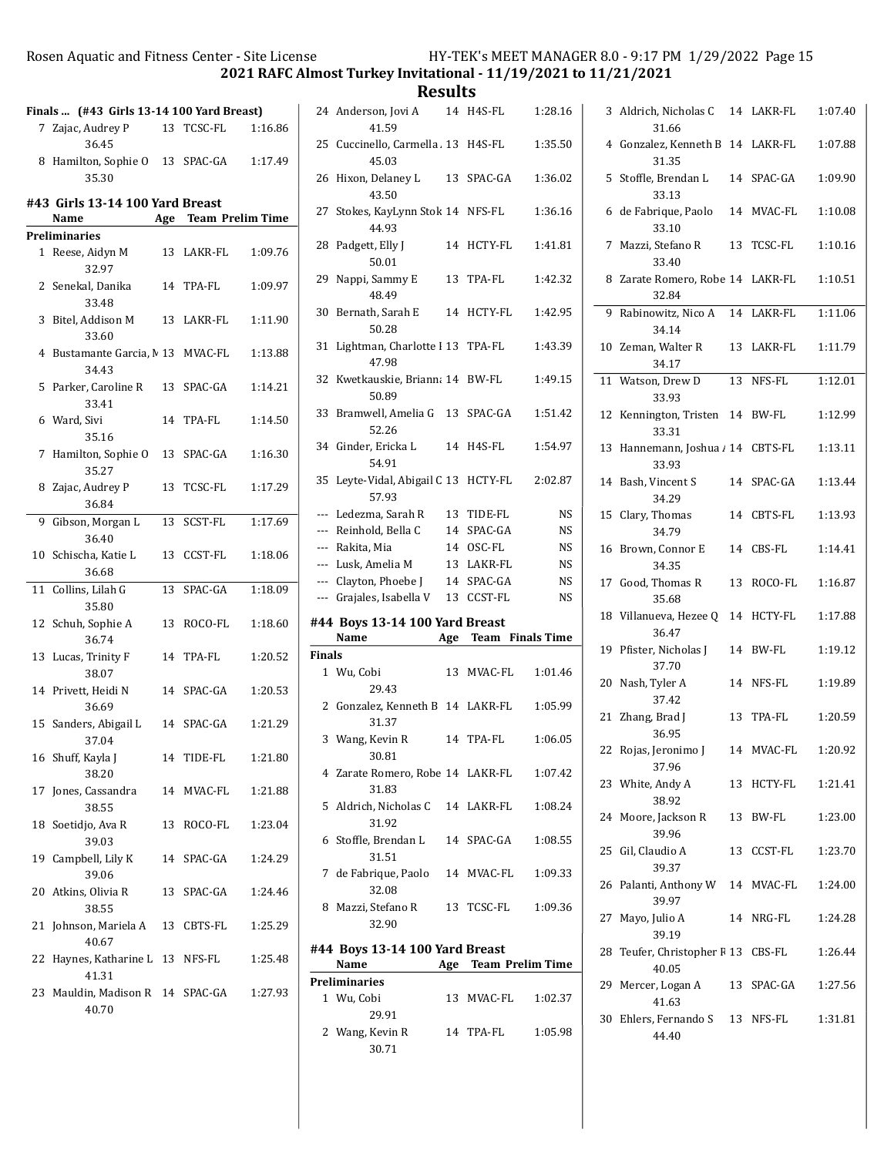2021 RAFC Almost Turkey Invitational - 11/19/2021 to 11/21/2021

| Finals  (#43 Girls 13-14 100 Yard Breast) |                                                   |    |                      |         |
|-------------------------------------------|---------------------------------------------------|----|----------------------|---------|
|                                           | 7 Zajac, Audrey P                                 |    | 13 TCSC-FL           | 1:16.86 |
|                                           | 36.45<br>8 Hamilton, Sophie O 13 SPAC-GA<br>35.30 |    |                      | 1:17.49 |
|                                           | #43  Girls 13-14 100 Yard Breast<br>Name          |    | Age Team Prelim Time |         |
|                                           | Preliminaries                                     |    |                      |         |
| $\mathbf{1}$                              | Reese, Aidyn M<br>32.97                           | 13 | LAKR-FL              | 1:09.76 |
| $\mathbf{2}$                              | Senekal, Danika<br>33.48                          |    | 14 TPA-FL            | 1:09.97 |
| 3                                         | Bitel, Addison M<br>33.60                         |    | 13 LAKR-FL           | 1:11.90 |
| 4                                         | Bustamante Garcia, M 13 MVAC-FL<br>34.43          |    |                      | 1:13.88 |
| 5                                         | Parker, Caroline R<br>33.41                       |    | 13 SPAC-GA           | 1:14.21 |
|                                           | 6 Ward, Sivi<br>35.16                             |    | 14 TPA-FL            | 1:14.50 |
| 7                                         | Hamilton, Sophie 0 13<br>35.27                    |    | SPAC-GA              | 1:16.30 |
| 8                                         | Zajac, Audrey P<br>36.84                          | 13 | TCSC-FL              | 1:17.29 |
| 9                                         | Gibson, Morgan L<br>36.40                         | 13 | SCST-FL              | 1:17.69 |
| 10                                        | Schischa, Katie L<br>36.68                        |    | 13 CCST-FL           | 1:18.06 |
| 11                                        | Collins, Lilah G<br>35.80                         | 13 | SPAC-GA              | 1:18.09 |
| 12                                        | Schuh, Sophie A<br>36.74                          | 13 | ROCO-FL              | 1:18.60 |
| 13                                        | Lucas, Trinity F<br>38.07                         |    | 14 TPA-FL            | 1:20.52 |
|                                           | 14 Privett, Heidi N<br>36.69                      |    | 14 SPAC-GA           | 1:20.53 |
| 15                                        | Sanders, Abigail L<br>37.04                       | 14 | SPAC-GA              | 1:21.29 |
| 16                                        | Shuff, Kayla J<br>38.20                           |    | 14 TIDE-FL           | 1:21.80 |
| 17                                        | Jones, Cassandra<br>38.55                         |    | 14 MVAC-FL           | 1:21.88 |
| 18                                        | Soetidjo, Ava R<br>39.03                          | 13 | ROCO-FL              | 1:23.04 |
| 19                                        | Campbell, Lily K<br>39.06                         |    | 14 SPAC-GA           | 1:24.29 |
|                                           | 20 Atkins, Olivia R<br>38.55                      | 13 | SPAC-GA              | 1:24.46 |
| 21                                        | Johnson, Mariela A 13 CBTS-FL<br>40.67            |    |                      | 1:25.29 |
| 22                                        | Haynes, Katharine L 13 NFS-FL<br>41.31            |    |                      | 1:25.48 |
|                                           | 23 Mauldin, Madison R 14 SPAC-GA<br>40.70         |    |                      | 1:27.93 |

|               | 24 Anderson, Jovi A                    |    | 14 H4S-FL            | 1:28.16   |
|---------------|----------------------------------------|----|----------------------|-----------|
|               | 41.59                                  |    |                      |           |
| 25            | Cuccinello, Carmella 13 H4S-FL         |    |                      | 1:35.50   |
|               | 45.03                                  |    |                      |           |
| 26            | Hixon, Delaney L                       |    | 13 SPAC-GA           | 1:36.02   |
|               | 43.50                                  |    |                      |           |
| 27            | Stokes, KayLynn Stok 14 NFS-FL         |    |                      | 1:36.16   |
|               | 44.93                                  |    |                      |           |
| 28            | Padgett, Elly J                        |    | 14 HCTY-FL           | 1:41.81   |
|               | 50.01                                  |    |                      |           |
| 29            | Nappi, Sammy E                         |    | 13 TPA-FL            | 1:42.32   |
|               | 48.49                                  |    |                      |           |
| 30            | Bernath, Sarah E                       |    | 14 HCTY-FL           | 1:42.95   |
|               | 50.28                                  |    |                      |           |
| 31            | Lightman, Charlotte I 13 TPA-FL        |    |                      | 1:43.39   |
|               | 47.98                                  |    |                      |           |
| 32            | Kwetkauskie, Briann; 14 BW-FL          |    |                      | 1:49.15   |
|               | 50.89                                  |    |                      |           |
| 33            | Bramwell, Amelia G                     | 13 | SPAC-GA              | 1:51.42   |
|               | 52.26                                  |    |                      |           |
| 34            | Ginder, Ericka L                       |    | 14 H4S-FL            | 1:54.97   |
|               | 54.91                                  |    |                      |           |
| 35            | Leyte-Vidal, Abigail C 13 HCTY-FL      |    |                      | 2:02.87   |
|               | 57.93                                  |    |                      |           |
|               | --- Ledezma, Sarah R                   | 13 | TIDE-FL              | NS        |
|               | --- Reinhold, Bella C                  | 14 | SPAC-GA              | NS        |
|               | --- Rakita, Mia                        | 14 | OSC-FL               | <b>NS</b> |
|               | --- Lusk, Amelia M                     |    | 13 LAKR-FL           | NS        |
|               | --- Clayton, Phoebe J                  | 14 | SPAC-GA              | <b>NS</b> |
|               |                                        |    |                      |           |
|               | --- Grajales, Isabella V               |    | 13 CCST-FL           | <b>NS</b> |
|               | #44 Boys 13-14 100 Yard Breast         |    |                      |           |
|               | Name                                   |    | Age Team Finals Time |           |
| <b>Finals</b> |                                        |    |                      |           |
|               | 1 Wu, Cobi                             |    | 13 MVAC-FL           | 1:01.46   |
|               | 29.43                                  |    |                      |           |
| $\mathbf{2}$  | Gonzalez, Kenneth B 14 LAKR-FL         |    |                      | 1:05.99   |
|               | 31.37                                  |    |                      |           |
|               | 3 Wang, Kevin R                        |    | 14 TPA-FL            | 1:06.05   |
|               | 30.81                                  |    |                      |           |
|               | 4 Zarate Romero, Robe 14 LAKR-FL       |    |                      | 1:07.42   |
|               | 31.83                                  |    |                      |           |
| 5             | Aldrich, Nicholas C                    |    | 14 LAKR-FL           | 1:08.24   |
|               | 31.92                                  |    |                      |           |
| 6             | Stoffle, Brendan L                     |    | 14 SPAC-GA           | 1:08.55   |
|               | 31.51                                  |    |                      |           |
| 7             | de Fabrique, Paolo 14 MVAC-FL          |    |                      | 1:09.33   |
|               | 32.08                                  |    |                      |           |
| 8             | Mazzi, Stefano R                       |    | 13 TCSC-FL           | 1:09.36   |
|               | 32.90                                  |    |                      |           |
|               |                                        |    |                      |           |
|               | #44 Boys 13-14 100 Yard Breast<br>Name |    | Age Team Prelim Time |           |
|               | <b>Preliminaries</b>                   |    |                      |           |
|               | 1 Wu, Cobi                             |    | 13 MVAC-FL           | 1:02.37   |
|               | 29.91                                  |    |                      |           |
|               | 2 Wang, Kevin R                        |    | 14 TPA-FL            | 1:05.98   |

| 3  | Aldrich, Nicholas C<br>31.66              |    | 14 LAKR-FL | 1:07.40 |
|----|-------------------------------------------|----|------------|---------|
|    | 4 Gonzalez, Kenneth B 14 LAKR-FL<br>31.35 |    |            | 1:07.88 |
| 5  | Stoffle, Brendan L<br>33.13               |    | 14 SPAC-GA | 1:09.90 |
| 6  | de Fabrique, Paolo<br>33.10               |    | 14 MVAC-FL | 1:10.08 |
| 7  | Mazzi, Stefano R<br>33.40                 | 13 | TCSC-FL    | 1:10.16 |
| 8  | Zarate Romero, Robe 14 LAKR-FL<br>32.84   |    |            | 1:10.51 |
| 9  | Rabinowitz, Nico A<br>34.14               |    | 14 LAKR-FL | 1:11.06 |
|    | 10 Zeman, Walter R<br>34.17               |    | 13 LAKR-FL | 1:11.79 |
| 11 | Watson, Drew D<br>33.93                   |    | 13 NFS-FL  | 1:12.01 |
| 12 | Kennington, Tristen 14 BW-FL<br>33.31     |    |            | 1:12.99 |
| 13 | Hannemann, Joshua / 14 CBTS-FL<br>33.93   |    |            | 1:13.11 |
| 14 | Bash, Vincent S<br>34.29                  |    | 14 SPAC-GA | 1:13.44 |
| 15 | Clary, Thomas<br>34.79                    |    | 14 CBTS-FL | 1:13.93 |
| 16 | Brown, Connor E<br>34.35                  |    | 14 CBS-FL  | 1:14.41 |
| 17 | Good, Thomas R<br>35.68                   | 13 | ROCO-FL    | 1:16.87 |
| 18 | Villanueva, Hezee Q 14 HCTY-FL<br>36.47   |    |            | 1:17.88 |
| 19 | Pfister, Nicholas J<br>37.70              |    | 14 BW-FL   | 1:19.12 |
| 20 | Nash, Tyler A<br>37.42                    |    | 14 NFS-FL  | 1:19.89 |
| 21 | Zhang, Brad J<br>36.95                    | 13 | TPA-FL     | 1:20.59 |
| 22 | Rojas, Jeronimo J<br>37.96                |    | 14 MVAC-FL | 1:20.92 |
|    | 23 White, Andy A<br>38.92                 |    | 13 HCTY-FL | 1:21.41 |
| 24 | Moore, Jackson R<br>39.96                 |    | 13 BW-FL   | 1:23.00 |
| 25 | Gil, Claudio A<br>39.37                   |    | 13 CCST-FL | 1:23.70 |
| 26 | Palanti, Anthony W 14 MVAC-FL<br>39.97    |    |            | 1:24.00 |
| 27 | Mayo, Julio A<br>39.19                    |    | 14 NRG-FL  | 1:24.28 |
| 28 | Teufer, Christopher F 13 CBS-FL<br>40.05  |    |            | 1:26.44 |
|    | 29 Mercer, Logan A<br>41.63               |    | 13 SPAC-GA | 1:27.56 |
|    | 30 Ehlers, Fernando S 13 NFS-FL<br>44.40  |    |            | 1:31.81 |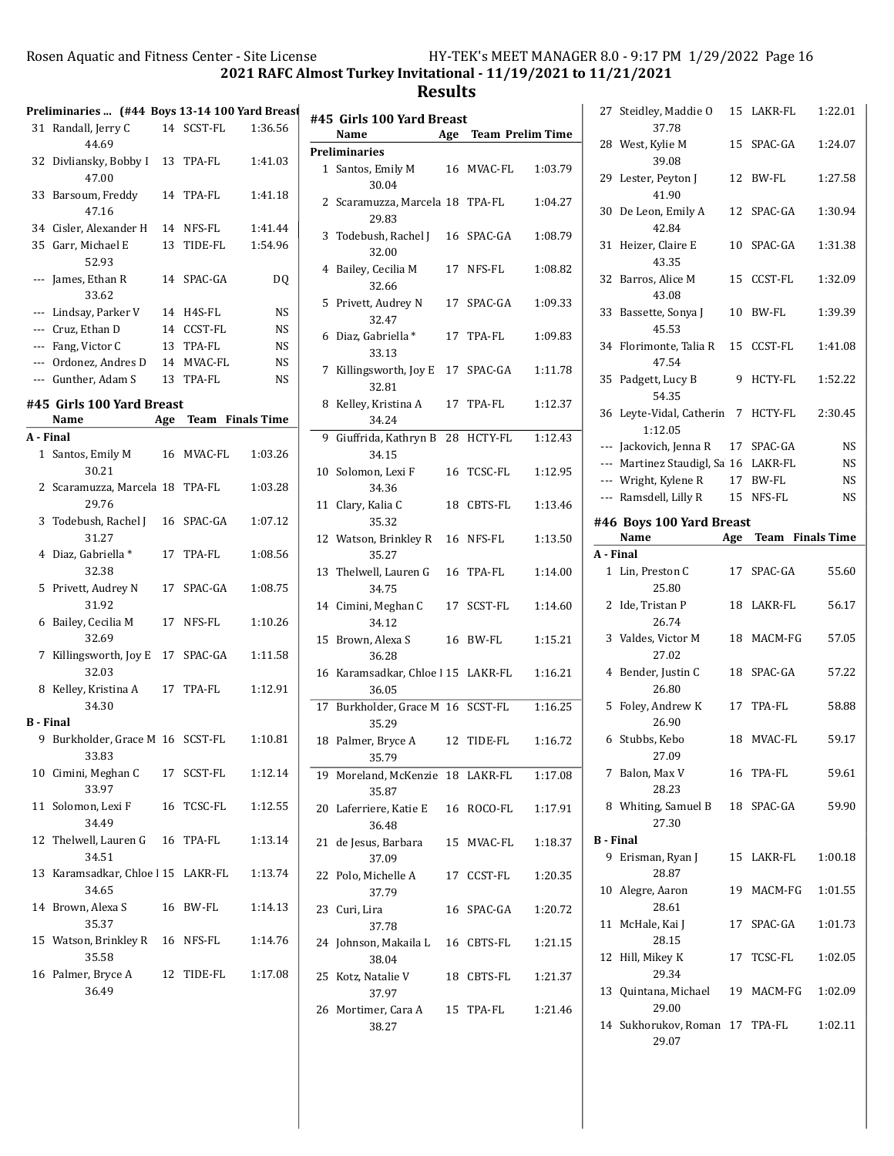2021 RAFC Almost Turkey Invitational - 11/19/2021 to 11/21/2021

|                              | Preliminaries  (#44 Boys 13-14 100 Yard Breas |    |            |           |  |
|------------------------------|-----------------------------------------------|----|------------|-----------|--|
|                              | 31 Randall, Jerry C<br>44.69                  |    | 14 SCST-FL | 1:36.56   |  |
| 32                           | Divliansky, Bobby I<br>47.00                  |    | 13 TPA-FL  | 1:41.03   |  |
| 33                           | Barsoum, Freddy<br>47.16                      |    | 14 TPA-FL  | 1:41.18   |  |
|                              | 34 Cisler, Alexander H                        |    | 14 NFS-FL  | 1:41.44   |  |
|                              | 35 Garr, Michael E<br>52.93                   |    | 13 TIDE-FL | 1:54.96   |  |
|                              | --- James, Ethan R<br>33.62                   |    | 14 SPAC-GA | DQ        |  |
|                              | --- Lindsay, Parker V                         |    | 14 H4S-FL  | <b>NS</b> |  |
|                              | --- Cruz, Ethan D                             |    | 14 CCST-FL | <b>NS</b> |  |
|                              | --- Fang, Victor C                            |    | 13 TPA-FL  | <b>NS</b> |  |
|                              | --- Ordonez, Andres D                         |    | 14 MVAC-FL | <b>NS</b> |  |
|                              | --- Gunther, Adam S                           |    | 13 TPA-FL  | NS        |  |
|                              | #45 Girls 100 Yard Breast                     |    |            |           |  |
| Age Team Finals Time<br>Name |                                               |    |            |           |  |
| A - Final                    |                                               |    |            |           |  |
|                              | 1 Santos, Emily M<br>30.21                    |    | 16 MVAC-FL | 1:03.26   |  |
|                              | 2 Scaramuzza, Marcela 18 TPA-FL<br>29.76      |    |            | 1:03.28   |  |
|                              | 3 Todebush, Rachel J 16 SPAC-GA<br>31.27      |    |            | 1:07.12   |  |
| 4                            | Diaz, Gabriella *<br>32.38                    | 17 | TPA-FL     | 1:08.56   |  |
| 5                            | Privett, Audrey N<br>31.92                    |    | 17 SPAC-GA | 1:08.75   |  |
| 6                            | Bailey, Cecilia M<br>32.69                    | 17 | NFS-FL     | 1:10.26   |  |
| 7                            | Killingsworth, Joy E 17 SPAC-GA<br>32.03      |    |            | 1:11.58   |  |
| 8                            | Kelley, Kristina A<br>34.30                   |    | 17 TPA-FL  | 1:12.91   |  |
| <b>B</b> - Final             |                                               |    |            |           |  |
| 9                            | Burkholder, Grace M 16 SCST-FL<br>33.83       |    |            | 1:10.81   |  |
|                              | 10 Cimini, Meghan C<br>33.97                  |    | 17 SCST-FL | 1:12.14   |  |
|                              | 11 Solomon, Lexi F<br>34.49                   |    | 16 TCSC-FL | 1:12.55   |  |
|                              | 12 Thelwell, Lauren G<br>34.51                |    | 16 TPA-FL  | 1:13.14   |  |
| 13                           | Karamsadkar, Chloe   15 LAKR-FL<br>34.65      |    |            | 1:13.74   |  |
| 14                           | Brown, Alexa S<br>35.37                       |    | 16 BW-FL   | 1:14.13   |  |
|                              | 15 Watson, Brinkley R 16 NFS-FL<br>35.58      |    |            | 1:14.76   |  |
| 16                           | Palmer, Bryce A<br>36.49                      |    | 12 TIDE-FL | 1:17.08   |  |
|                              |                                               |    |            |           |  |

|    | #45 Girls 100 Yard Breast                   |     |                         |         |
|----|---------------------------------------------|-----|-------------------------|---------|
|    | Name                                        | Age | <b>Team Prelim Time</b> |         |
|    | <b>Preliminaries</b>                        |     |                         |         |
|    | 1 Santos, Emily M<br>30.04                  |     | 16 MVAC-FL              | 1:03.79 |
|    | 2 Scaramuzza, Marcela 18 TPA-FL<br>29.83    |     |                         | 1:04.27 |
| 3  | Todebush, Rachel J<br>32.00                 |     | 16 SPAC-GA              | 1:08.79 |
| 4  | Bailey, Cecilia M<br>32.66                  | 17  | NFS-FL                  | 1:08.82 |
| 5  | Privett, Audrey N<br>32.47                  |     | 17 SPAC-GA              | 1:09.33 |
| 6  | Diaz, Gabriella *<br>33.13                  | 17  | TPA-FL                  | 1:09.83 |
| 7  | Killingsworth, Joy E<br>32.81               |     | 17 SPAC-GA              | 1:11.78 |
| 8  | Kelley, Kristina A<br>34.24                 | 17  | TPA-FL                  | 1:12.37 |
| 9. | Giuffrida, Kathryn B<br>34.15               | 28  | HCTY-FL                 | 1:12.43 |
| 10 | Solomon, Lexi F<br>34.36                    | 16  | TCSC-FL                 | 1:12.95 |
| 11 | Clary, Kalia C<br>35.32                     |     | 18 CBTS-FL              | 1:13.46 |
|    | 12 Watson, Brinkley R<br>35.27              |     | 16 NFS-FL               | 1:13.50 |
| 13 | Thelwell, Lauren G<br>34.75                 | 16  | TPA-FL                  | 1:14.00 |
|    | 14 Cimini, Meghan C<br>34.12                | 17  | SCST-FL                 | 1:14.60 |
| 15 | Brown, Alexa S<br>36.28                     |     | 16 BW-FL                | 1:15.21 |
|    | 16 Karamsadkar, Chloe   15 LAKR-FL<br>36.05 |     |                         | 1:16.21 |
| 17 | Burkholder, Grace M 16 SCST-FL<br>35.29     |     |                         | 1:16.25 |
| 18 | Palmer, Bryce A<br>35.79                    | 12  | TIDE-FL                 | 1:16.72 |
|    | 19 Moreland, McKenzie 18 LAKR-FL<br>35.87   |     |                         | 1:17.08 |
|    | 20 Laferriere, Katie E<br>36.48             |     | 16 ROCO-FL              | 1:17.91 |
|    | 21 de Jesus, Barbara<br>37.09               |     | 15 MVAC-FL              | 1:18.37 |
| 22 | Polo, Michelle A<br>37.79                   |     | 17 CCST-FL              | 1:20.35 |
|    | 23 Curi, Lira<br>37.78                      |     | 16 SPAC-GA              | 1:20.72 |
|    | 24 Johnson, Makaila L 16 CBTS-FL<br>38.04   |     |                         | 1:21.15 |
| 25 | Kotz, Natalie V<br>37.97                    |     | 18 CBTS-FL              | 1:21.37 |
|    | 26 Mortimer, Cara A<br>38.27                |     | 15 TPA-FL               | 1:21.46 |

| 27               | Steidley, Maddie O<br>37.78           |    | 15 LAKR-FL           | 1:22.01 |
|------------------|---------------------------------------|----|----------------------|---------|
| 28               | West, Kylie M<br>39.08                | 15 | SPAC-GA              | 1:24.07 |
| 29               | Lester, Peyton J<br>41.90             |    | 12 BW-FL             | 1:27.58 |
| 30               | De Leon, Emily A<br>42.84             | 12 | SPAC-GA              | 1:30.94 |
| 31               | Heizer, Claire E<br>43.35             | 10 | SPAC-GA              | 1:31.38 |
| 32               | Barros, Alice M<br>43.08              | 15 | CCST-FL              | 1:32.09 |
| 33               | Bassette, Sonya J<br>45.53            | 10 | BW-FL                | 1:39.39 |
|                  | 34 Florimonte, Talia R<br>47.54       | 15 | CCST-FL              | 1:41.08 |
| 35               | Padgett, Lucy B<br>54.35              | 9  | HCTY-FL              | 1:52.22 |
|                  | 36 Leyte-Vidal, Catherin 7<br>1:12.05 |    | HCTY-FL              | 2:30.45 |
|                  |                                       |    |                      |         |
|                  | --- Jackovich, Jenna R                |    | 17 SPAC-GA           | NS      |
|                  | --- Martinez Staudigl, Sa 16 LAKR-FL  |    |                      | NS      |
|                  | --- Wright, Kylene R                  |    | 17 BW-FL             | NS      |
|                  | --- Ramsdell, Lilly R                 |    | 15 NFS-FL            | NS      |
|                  |                                       |    |                      |         |
|                  | #46 Boys 100 Yard Breast              |    |                      |         |
|                  | Name                                  |    | Age Team Finals Time |         |
|                  |                                       |    |                      |         |
| A - Final        |                                       |    |                      |         |
|                  |                                       |    |                      |         |
| 1                | Lin, Preston C<br>25.80               | 17 | SPAC-GA              | 55.60   |
| 2                | Ide, Tristan P<br>26.74               | 18 | LAKR-FL              | 56.17   |
| 3                | Valdes, Victor M<br>27.02             | 18 | MACM-FG              | 57.05   |
| $\overline{4}$   | Bender, Justin C<br>26.80             |    | 18 SPAC-GA           | 57.22   |
| 5                | Foley, Andrew K<br>26.90              | 17 | TPA-FL               | 58.88   |
|                  | 6 Stubbs, Kebo<br>27.09               |    | 18 MVAC-FL           | 59.17   |
|                  | 7 Balon, Max V<br>28.23               |    | 16 TPA-FL            | 59.61   |
|                  | 8 Whiting, Samuel B<br>27.30          |    | 18 SPAC-GA           | 59.90   |
|                  |                                       |    |                      |         |
| <b>B</b> - Final |                                       |    |                      |         |
|                  | 9 Erisman, Ryan J<br>28.87            |    | 15 LAKR-FL           | 1:00.18 |
|                  | 10 Alegre, Aaron<br>28.61             |    | 19 MACM-FG           | 1:01.55 |
|                  | 11 McHale, Kai J<br>28.15             |    | 17 SPAC-GA           | 1:01.73 |
|                  | 12 Hill, Mikey K<br>29.34             | 17 | TCSC-FL              | 1:02.05 |
| 13               | Quintana, Michael 19 MACM-FG<br>29.00 |    |                      | 1:02.09 |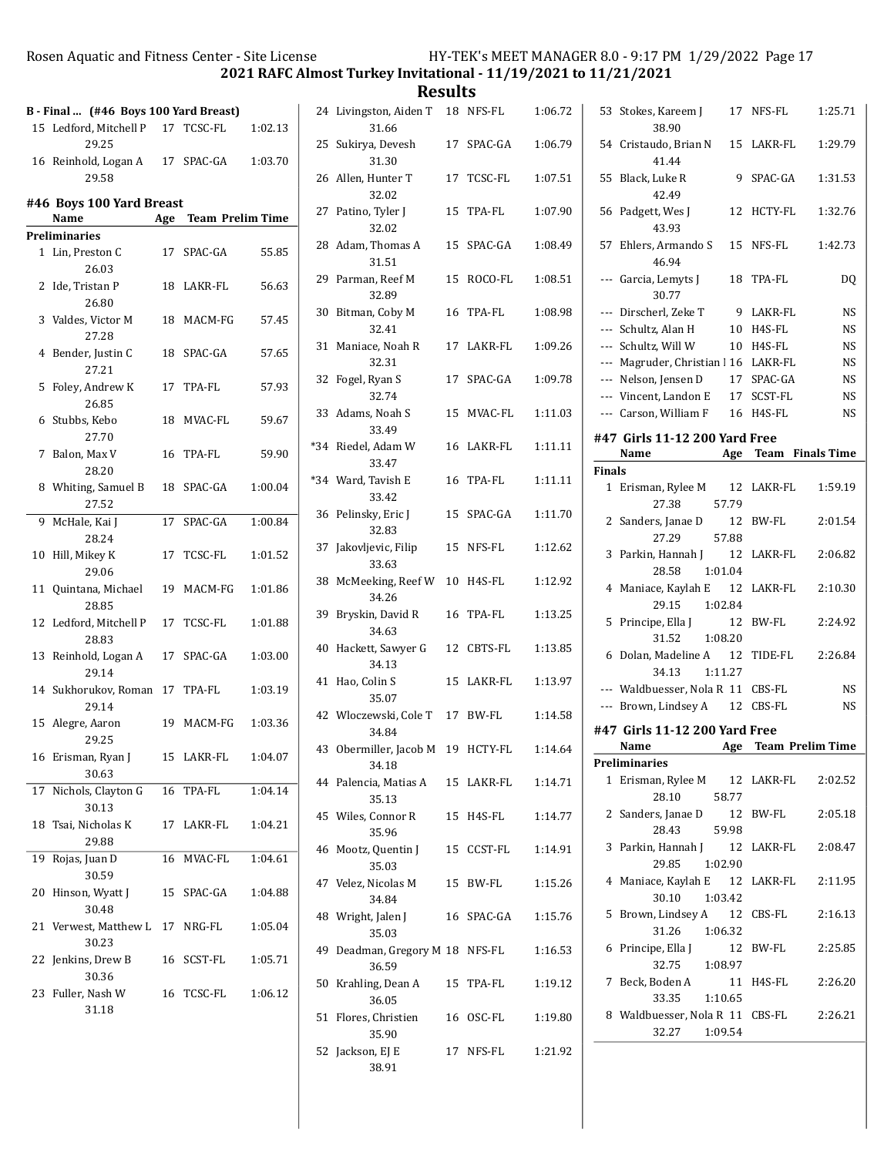2021 RAFC Almost Turkey Invitational - 11/19/2021 to 11/21/2021

|       | B - Final  (#46 Boys 100 Yard Breast)      |     |                         |         |
|-------|--------------------------------------------|-----|-------------------------|---------|
|       | 15 Ledford, Mitchell P 17 TCSC-FL<br>29.25 |     |                         | 1:02.13 |
|       | 16 Reinhold, Logan A 17 SPAC-GA<br>29.58   |     |                         | 1:03.70 |
|       | #46 Boys 100 Yard Breast<br>Name           | Age | <b>Team Prelim Time</b> |         |
|       | Preliminaries                              |     |                         |         |
| $1\,$ | Lin, Preston C<br>26.03                    | 17  | SPAC-GA                 | 55.85   |
|       | 2 Ide, Tristan P<br>26.80                  |     | 18 LAKR-FL              | 56.63   |
|       | 3 Valdes, Victor M<br>27.28                |     | 18 MACM-FG              | 57.45   |
| 4     | Bender, Justin C<br>27.21                  |     | 18 SPAC-GA              | 57.65   |
| 5     | Foley, Andrew K<br>26.85                   |     | 17 TPA-FL               | 57.93   |
| 6     | Stubbs, Kebo<br>27.70                      |     | 18 MVAC-FL              | 59.67   |
| 7     | Balon, Max V<br>28.20                      | 16  | TPA-FL                  | 59.90   |
| 8     | Whiting, Samuel B<br>27.52                 |     | 18 SPAC-GA              | 1:00.04 |
| 9     | McHale, Kai J<br>28.24                     | 17  | SPAC-GA                 | 1:00.84 |
| 10    | Hill, Mikey K<br>29.06                     | 17  | TCSC-FL                 | 1:01.52 |
| 11    | Quintana, Michael<br>28.85                 |     | 19 MACM-FG              | 1:01.86 |
|       | 12 Ledford, Mitchell P<br>28.83            |     | 17 TCSC-FL              | 1:01.88 |
| 13    | Reinhold, Logan A<br>29.14                 |     | 17 SPAC-GA              | 1:03.00 |
|       | 14 Sukhorukov, Roman 17 TPA-FL<br>29.14    |     |                         | 1:03.19 |
|       | 15 Alegre, Aaron<br>29.25                  |     | 19 MACM-FG              | 1:03.36 |
| 16    | Erisman, Ryan J<br>30.63                   | 15  | LAKR-FL                 | 1:04.07 |
| 17    | Nichols, Clayton G<br>30.13                | 16  | TPA-FL                  | 1:04.14 |
| 18    | Tsai, Nicholas K<br>29.88                  |     | 17 LAKR-FL              | 1:04.21 |
| 19    | Rojas, Juan D<br>30.59                     | 16  | MVAC-FL                 | 1:04.61 |
| 20    | Hinson, Wyatt J<br>30.48                   | 15  | SPAC-GA                 | 1:04.88 |
|       | 21 Verwest, Matthew L 17 NRG-FL<br>30.23   |     |                         | 1:05.04 |
| 22    | Jenkins, Drew B<br>30.36                   |     | 16 SCST-FL              | 1:05.71 |
| 23    | Fuller, Nash W<br>31.18                    | 16  | TCSC-FL                 | 1:06.12 |
|       |                                            |     |                         |         |

| 24  | Livingston, Aiden T<br>31.66             |    | 18 NFS-FL  | 1:06.72 |
|-----|------------------------------------------|----|------------|---------|
| 25  | Sukirya, Devesh<br>31.30                 |    | 17 SPAC-GA | 1:06.79 |
|     | 26 Allen, Hunter T<br>32.02              | 17 | TCSC-FL    | 1:07.51 |
| 27  | Patino, Tyler J<br>32.02                 | 15 | TPA-FL     | 1:07.90 |
|     | 28 Adam, Thomas A<br>31.51               | 15 | SPAC-GA    | 1:08.49 |
| 29  | Parman, Reef M<br>32.89                  | 15 | ROCO-FL    | 1:08.51 |
| 30  | Bitman, Coby M<br>32.41                  | 16 | TPA-FL     | 1:08.98 |
| 31  | Maniace, Noah R<br>32.31                 |    | 17 LAKR-FL | 1:09.26 |
| 32  | Fogel, Ryan S<br>32.74                   | 17 | SPAC-GA    | 1:09.78 |
| 33  | Adams, Noah S<br>33.49                   | 15 | MVAC-FL    | 1:11.03 |
| *34 | Riedel, Adam W<br>33.47                  | 16 | LAKR-FL    | 1:11.11 |
|     | *34 Ward, Tavish E<br>33.42              |    | 16 TPA-FL  | 1:11.11 |
| 36  | Pelinsky, Eric J<br>32.83                |    | 15 SPAC-GA | 1:11.70 |
| 37  | Jakovljevic, Filip<br>33.63              | 15 | NFS-FL     | 1:12.62 |
| 38  | McMeeking, Reef W<br>34.26               | 10 | H4S-FL     | 1:12.92 |
| 39  | Bryskin, David R<br>34.63                | 16 | TPA-FL     | 1:13.25 |
| 40  | Hackett, Sawyer G<br>34.13               | 12 | CBTS-FL    | 1:13.85 |
| 41  | Hao, Colin S<br>35.07                    | 15 | LAKR-FL    | 1:13.97 |
|     | 42 Włoczewski, Cole T<br>34.84           | 17 | BW-FL      | 1:14.58 |
| 43  | Obermiller, Jacob M<br>34.18             |    | 19 HCTY-FL | 1:14.64 |
|     | 44 Palencia, Matias A<br>35.13           |    | 15 LAKR-FL | 1:14.71 |
|     | 45 Wiles, Connor R<br>35.96              |    | 15 H4S-FL  | 1:14.77 |
| 46  | Mootz, Quentin J<br>35.03                |    | 15 CCST-FL | 1:14.91 |
|     | 47 Velez, Nicolas M<br>34.84             |    | 15 BW-FL   | 1:15.26 |
|     | 48 Wright, Jalen J<br>35.03              |    | 16 SPAC-GA | 1:15.76 |
|     | 49 Deadman, Gregory M 18 NFS-FL<br>36.59 |    |            | 1:16.53 |
|     | 50 Krahling, Dean A 15 TPA-FL<br>36.05   |    |            | 1:19.12 |
|     | 51 Flores, Christien<br>35.90            |    | 16 OSC-FL  | 1:19.80 |
|     | 52 Jackson, EJ E<br>38.91                |    | 17 NFS-FL  | 1:21.92 |

| 53            | Stokes, Kareem J<br>38.90                             | 17 NFS-FL               | 1:25.71   |
|---------------|-------------------------------------------------------|-------------------------|-----------|
| 54            | Cristaudo, Brian N<br>41.44                           | 15 LAKR-FL              | 1:29.79   |
| 55            | Black, Luke R<br>9<br>42.49                           | SPAC-GA                 | 1:31.53   |
| 56            | Padgett, Wes J<br>12<br>43.93                         | HCTY-FL                 | 1:32.76   |
| 57            | Ehlers, Armando S<br>46.94                            | 15 NFS-FL               | 1:42.73   |
| ---           | Garcia, Lemyts J<br>18<br>30.77                       | TPA-FL                  | DO.       |
| ---           | Dirscherl, Zeke T<br>- 9                              | LAKR-FL                 | NS        |
|               | --- Schultz, Alan H                                   | 10 H4S-FL               | NS        |
|               | --- Schultz, Will W                                   | 10 H4S-FL               | <b>NS</b> |
|               | --- Magruder, Christian   16 LAKR-FL                  |                         | NS        |
|               | --- Nelson, Jensen D                                  | 17 SPAC-GA              | NS        |
|               | --- Vincent. Landon E                                 | 17 SCST-FL              | NS        |
|               | --- Carson, William F                                 | 16 H4S-FL               | <b>NS</b> |
|               | #47 Girls 11-12 200 Yard Free                         |                         |           |
|               | Name Mage Team Finals Time                            |                         |           |
| <b>Finals</b> |                                                       |                         |           |
| $\mathbf{1}$  | Erisman, Rylee M 12 LAKR-FL<br>27.38 57.79            |                         | 1:59.19   |
|               | 2 Sanders, Janae D 12 BW-FL                           |                         | 2:01.54   |
|               | 27.29<br>57.88                                        |                         |           |
| 3             | Parkin, Hannah J 12<br>28.58<br>1:01.04               | LAKR-FL                 | 2:06.82   |
| 4             | Maniace, Kaylah E 12<br>29.15 1:02.84                 | LAKR-FL                 | 2:10.30   |
| 5             | Principe, Ella J<br>12<br>31.52 1:08.20               | BW-FL                   | 2:24.92   |
| 6             | Dolan, Madeline A 12<br>34.13 1:11.27                 | TIDE-FL                 | 2:26.84   |
|               | --- Waldbuesser, Nola R 11 CBS-FL                     |                         | NS        |
|               | --- Brown, Lindsey A 12 CBS-FL                        |                         | <b>NS</b> |
|               | #47 Girls 11-12 200 Yard Free                         |                         |           |
|               | Name<br>Age                                           | <b>Team Prelim Time</b> |           |
|               | <b>Preliminaries</b>                                  |                         |           |
| $\mathbf{1}$  | Erisman, Rylee M 12 LAKR-FL 2:02.52<br>28.10<br>58.77 |                         |           |
| 2             | Sanders, Janae D<br>28.43<br>59.98                    | 12 BW-FL                | 2:05.18   |
| 3             | Parkin, Hannah J 12 LAKR-FL<br>1:02.90<br>29.85       |                         | 2:08.47   |
|               | 4 Maniace, Kaylah E 12 LAKR-FL<br>30.10<br>1:03.42    |                         | 2:11.95   |
| 5             | Brown, Lindsey A 12 CBS-FL<br>31.26<br>1:06.32        |                         | 2:16.13   |
| 6             | Principe, Ella J<br>32.75<br>1:08.97                  | 12 BW-FL                | 2:25.85   |
| 7             | Beck, Boden A<br>33.35<br>1:10.65                     | 11 H4S-FL               | 2:26.20   |
|               | 8 Waldbuesser, Nola R 11 CBS-FL<br>32.27<br>1:09.54   |                         | 2:26.21   |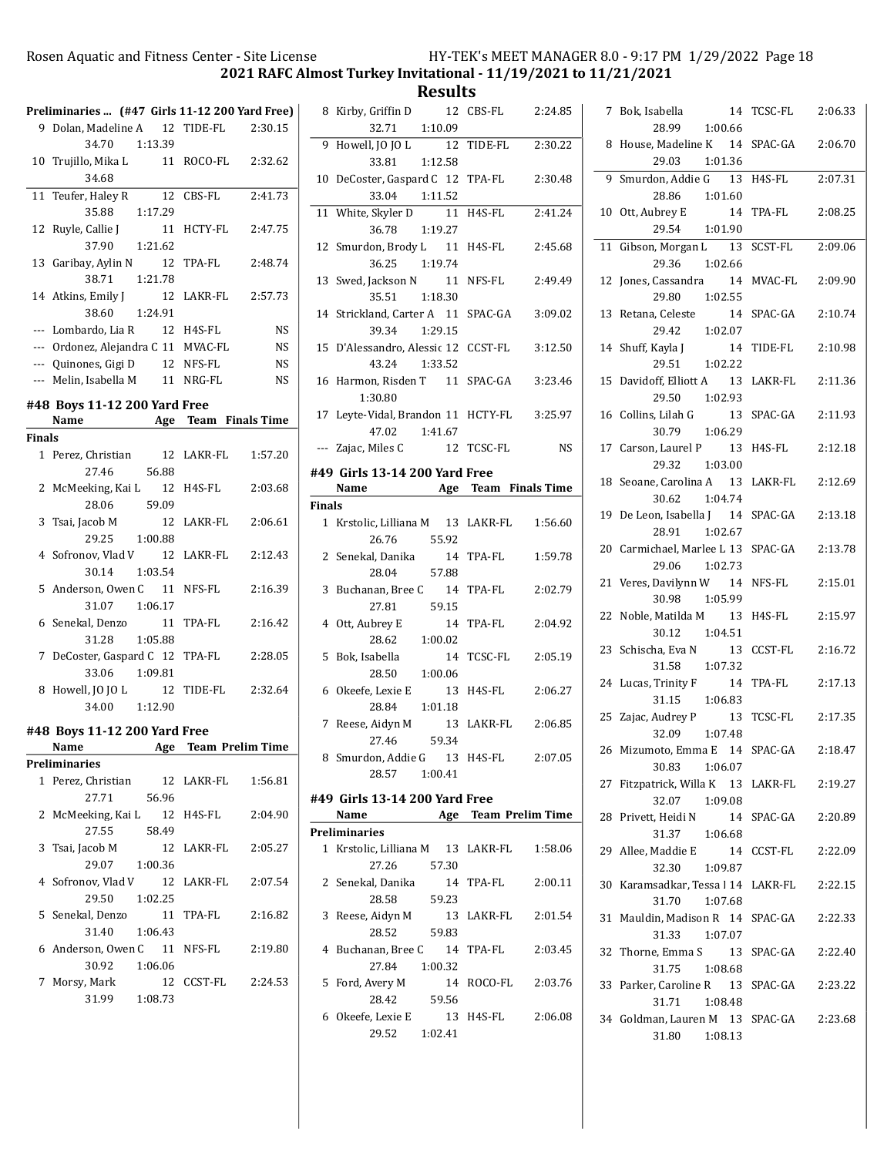Rosen Aquatic and Fitness Center - Site License HY-TEK's MEET MANAGER 8.0 - 9:17 PM 1/29/2022 Page 18 2021 RAFC Almost Turkey Invitational - 11/19/2021 to 11/21/2021

Results

|               | Preliminaries  (#47 Girls 11-12 200 Yard Free) |                    |           |
|---------------|------------------------------------------------|--------------------|-----------|
| 9.            | Dolan, Madeline A 12 TIDE-FL                   |                    | 2:30.15   |
|               | 34.70 1:13.39                                  |                    |           |
|               | 10 Trujillo, Mika L                            | 11 ROCO-FL         | 2:32.62   |
|               | 34.68                                          |                    |           |
|               |                                                |                    |           |
| 11            | Teufer, Haley R<br>12                          | CBS-FL             | 2:41.73   |
|               | 35.88 1:17.29                                  |                    |           |
| 12            | Ruyle, Callie J<br>11                          | HCTY-FL            | 2:47.75   |
|               | $37.90$ 1:21.62                                |                    |           |
| 13            | Garibay, Aylin N<br>12                         | TPA-FL             | 2:48.74   |
|               | 38.71  1:21.78                                 |                    |           |
|               | 14 Atkins, Emily J<br>12                       | LAKR-FL 2:57.73    |           |
|               | 1:24.91<br>38.60                               |                    |           |
|               | --- Lombardo, Lia R 12 H4S-FL                  |                    | <b>NS</b> |
|               | --- Ordonez, Alejandra C 11 MVAC-FL            |                    | <b>NS</b> |
|               | --- Quinones, Gigi D                           | 12 NFS-FL          | <b>NS</b> |
|               | --- Melin, Isabella M 11 NRG-FL                |                    | <b>NS</b> |
|               |                                                |                    |           |
|               | #48 Boys 11-12 200 Yard Free                   |                    |           |
|               | Name Age Team Finals Time                      |                    |           |
| <b>Finals</b> |                                                |                    |           |
| $\mathbf{1}$  | Perez, Christian 12                            | LAKR-FL            | 1:57.20   |
|               | 56.88<br>27.46                                 |                    |           |
| 2             | McMeeking, Kai L<br>12                         | H4S-FL             | 2:03.68   |
|               | 28.06<br>59.09                                 |                    |           |
| 3             | Tsai, Jacob M<br>12                            | LAKR-FL 2:06.61    |           |
|               | 29.25<br>1:00.88                               |                    |           |
| 4             | Sofronov, Vlad V<br>12                         | LAKR-FL 2:12.43    |           |
|               | 30.14<br>1:03.54                               |                    |           |
| 5             | Anderson, Owen C 11                            | NFS-FL             | 2:16.39   |
|               | 31.07<br>1:06.17                               |                    |           |
|               | 6 Senekal, Denzo<br>11                         | TPA-FL             | 2:16.42   |
|               | 31.28<br>1:05.88                               |                    |           |
| 7             | DeCoster, Gaspard C 12                         | TPA-FL             | 2:28.05   |
|               | 33.06<br>1:09.81                               |                    |           |
| 8             | Howell, JO JO L 12                             | TIDE-FL            | 2:32.64   |
|               | 34.00 1:12.90                                  |                    |           |
|               |                                                |                    |           |
|               | #48 Boys 11-12 200 Yard Free                   |                    |           |
|               | Name Age Team Prelim Time                      |                    |           |
|               | <b>Preliminaries</b>                           |                    |           |
| $\mathbf{1}$  | Perez, Christian 12 LAKR-FL 1:56.81            |                    |           |
|               | 56.96<br>27.71                                 |                    |           |
|               | 2 McMeeking, Kai L 12 H4S-FL                   |                    | 2:04.90   |
|               | 58.49<br>27.55                                 |                    |           |
| 3             | Tsai, Jacob M                                  | 12 LAKR-FL 2:05.27 |           |
|               | 29.07 1:00.36                                  |                    |           |
|               | 4 Sofronov, Vlad V 12 LAKR-FL 2:07.54          |                    |           |
|               | 29.50<br>1:02.25                               |                    |           |
|               | 5 Senekal, Denzo                               | 11 TPA-FL 2:16.82  |           |
|               | 31.40  1:06.43                                 |                    |           |
|               | 6 Anderson, Owen C 11 NFS-FL                   |                    | 2:19.80   |
|               | 30.92   1:06.06                                |                    |           |
|               | 7 Morsy, Mark                                  | 12 CCST-FL 2:24.53 |           |
|               | 31.99 1:08.73                                  |                    |           |
|               |                                                |                    |           |
|               |                                                |                    |           |

|               | RUJULIJ                                                       |            |           |
|---------------|---------------------------------------------------------------|------------|-----------|
|               | 8 Kirby, Griffin D 12 CBS-FL 2:24.85                          |            |           |
|               | 1:10.09<br>32.71                                              |            |           |
|               | 9 Howell, JO JO L<br>33.81 1:12.58                            | 12 TIDE-FL | 2:30.22   |
|               |                                                               |            |           |
|               | 10 DeCoster, Gaspard C 12 TPA-FL 2:30.48<br>$33.04$ $1:11.52$ |            |           |
|               |                                                               |            |           |
|               | 11 White, Skyler D 11 H4S-FL<br>36.78 1:19.27                 |            | 2:41.24   |
|               |                                                               |            |           |
|               | 12 Smurdon, Brody L 11 H4S-FL 2:45.68<br>36.25<br>1:19.74     |            |           |
|               | 13 Swed, Jackson N 11 NFS-FL 2:49.49                          |            |           |
|               |                                                               |            |           |
|               | 35.51<br>1:18.30                                              |            |           |
|               | 14 Strickland, Carter A 11 SPAC-GA                            |            | 3:09.02   |
|               |                                                               |            |           |
|               | 39.34 1:29.15                                                 |            |           |
|               | 15 D'Alessandro, Alessic 12 CCST-FL                           |            | 3:12.50   |
|               | 43.24 1:33.52                                                 |            |           |
|               |                                                               |            |           |
|               | 16 Harmon, Risden T 11 SPAC-GA                                |            | 3:23.46   |
|               | 1:30.80                                                       |            |           |
|               |                                                               |            |           |
|               | 17 Leyte-Vidal, Brandon 11 HCTY-FL 3:25.97                    |            |           |
|               | 47.02  1:41.67                                                |            |           |
|               | --- Zajac, Miles C 12 TCSC-FL                                 |            | <b>NS</b> |
|               |                                                               |            |           |
|               | #49 Girls 13-14 200 Yard Free                                 |            |           |
|               |                                                               |            |           |
|               | Name Age Team Finals Time                                     |            |           |
| <b>Finals</b> |                                                               |            |           |
|               |                                                               |            |           |
|               | 1 Krstolic, Lilliana M 13 LAKR-FL 1:56.60                     |            |           |
|               | 26.76 55.92                                                   |            |           |
|               |                                                               |            |           |
|               |                                                               |            |           |
|               | 2 Senekal, Danika                                             | 14 TPA-FL  | 1:59.78   |
|               | 28.04 57.88                                                   |            |           |
|               |                                                               |            |           |
|               | 3 Buchanan, Bree C 14 TPA-FL                                  |            | 2:02.79   |
|               | 27.81 59.15                                                   |            |           |
|               | 4 Ott, Aubrey E 14 TPA-FL                                     |            | 2:04.92   |
|               |                                                               |            |           |
|               | 28.62 1:00.02                                                 |            |           |
|               | 5 Bok, Isabella                                               | 14 TCSC-FL | 2:05.19   |
|               |                                                               |            |           |
|               | 28.50 1:00.06                                                 |            |           |
|               | 6 Okeefe, Lexie E 13 H4S-FL                                   |            | 2:06.27   |
|               |                                                               |            |           |
|               | 28.84 1:01.18                                                 |            |           |
|               |                                                               |            |           |
|               |                                                               |            |           |
|               | 7 Reese, Aidyn M 13 LAKR-FL 2:06.85<br>27.46 59.34            |            |           |
|               | 8 Smurdon, Addie G 13 H4S-FL                                  |            | 2:07.05   |
|               | 28.57 1:00.41                                                 |            |           |
|               |                                                               |            |           |
|               | #49 Girls 13-14 200 Yard Free                                 |            |           |
|               | Name                                                          |            |           |
|               | Age Team Prelim Time                                          |            |           |
|               | <b>Preliminaries</b>                                          |            |           |
|               | 1 Krstolic, Lilliana M 13 LAKR-FL                             |            | 1:58.06   |
|               |                                                               |            |           |
|               | 27.26<br>57.30                                                |            |           |
|               | 2 Senekal, Danika                                             | 14 TPA-FL  | 2:00.11   |
|               | 28.58                                                         |            |           |
|               | 59.23                                                         |            |           |
|               | 3 Reese, Aidyn M                                              | 13 LAKR-FL | 2:01.54   |
|               | 28.52                                                         |            |           |
|               | 59.83                                                         |            |           |
|               | 4 Buchanan, Bree C 14 TPA-FL                                  |            | 2:03.45   |
|               | 27.84 1:00.32                                                 |            |           |
|               |                                                               |            |           |
|               | 5 Ford, Avery M                                               | 14 ROCO-FL | 2:03.76   |
|               | 28.42 59.56                                                   |            |           |

29.52 1:02.41

|    | 7 Bok, Isabella<br>14<br>28.99<br>1:00.66                     | TCSC-FL 2:06.33 |         |
|----|---------------------------------------------------------------|-----------------|---------|
| 8  | House, Madeline K 14<br>29.03<br>1:01.36                      | SPAC-GA         | 2:06.70 |
| 9  | Smurdon, Addie G<br>13<br>28.86<br>1:01.60                    | H4S-FL          | 2:07.31 |
| 10 | Ott, Aubrey E<br>14<br>29.54<br>1:01.90                       | TPA-FL          | 2:08.25 |
| 11 | Gibson, Morgan L 13                                           | SCST-FL         | 2:09.06 |
|    | 29.36<br>1:02.66                                              |                 |         |
| 12 | Jones, Cassandra<br>14<br>29.80<br>1:02.55                    | MVAC-FL         | 2:09.90 |
| 13 | Retana, Celeste<br>14<br>1:02.07<br>29.42                     | SPAC-GA         | 2:10.74 |
| 14 | Shuff, Kayla J<br>14<br>29.51<br>1:02.22                      | TIDE-FL         | 2:10.98 |
| 15 | Davidoff, Elliott A 13<br>29.50 1:02.93                       | LAKR-FL         | 2:11.36 |
|    | 16 Collins, Lilah G 13<br>30.79 1:06.29                       | SPAC-GA         | 2:11.93 |
| 17 | Carson, Laurel P 13<br>29.32 1:03.00                          | H4S-FL          | 2:12.18 |
| 18 | Seoane, Carolina A 13                                         | LAKR-FL         | 2:12.69 |
|    | 30.62 1:04.74<br>19 De Leon, Isabella J 14                    | SPAC-GA         | 2:13.18 |
|    | 28.91<br>1:02.67<br>20 Carmichael, Marlee L 13                | SPAC-GA         | 2:13.78 |
|    | 29.06<br>1:02.73<br>21 Veres, Davilynn W 14                   | NFS-FL          | 2:15.01 |
| 22 | 30.98<br>1:05.99<br>Noble, Matilda M<br>13                    | H4S-FL          | 2:15.97 |
| 23 | 30.12<br>1:04.51<br>Schischa, Eva N<br>13<br>31.58<br>1:07.32 | CCST-FL         | 2:16.72 |
|    | 24 Lucas, Trinity F<br>14<br>31.15<br>1:06.83                 | TPA-FL          | 2:17.13 |
|    | 25 Zajac, Audrey P<br>13<br>1:07.48<br>32.09                  | TCSC-FL         | 2:17.35 |
|    | 26 Mizumoto, Emma E 14 SPAC-GA<br>30.83 1:06.07               |                 | 2:18.47 |
|    | 27 Fitzpatrick, Willa K 13 LAKR-FL 2:19.27<br>32.07 1:09.08   |                 |         |
|    | 28 Privett, Heidi N<br>14                                     | SPAC-GA 2:20.89 |         |
|    | 31.37 1:06.68<br>29 Allee, Maddie E<br>14<br>32.30<br>1:09.87 | CCST-FL 2:22.09 |         |
| 30 | Karamsadkar, Tessa   14 LAKR-FL 2:22.15<br>31.70 1:07.68      |                 |         |
|    | 31 Mauldin, Madison R 14 SPAC-GA<br>31.33<br>1:07.07          |                 | 2:22.33 |
| 32 | Thorne, Emma S 13 SPAC-GA<br>31.75<br>1:08.68                 |                 | 2:22.40 |
|    | 33 Parker, Caroline R 13 SPAC-GA<br>31.71<br>1:08.48          |                 | 2:23.22 |
|    | 34 Goldman, Lauren M 13 SPAC-GA<br>31.80<br>1:08.13           |                 | 2:23.68 |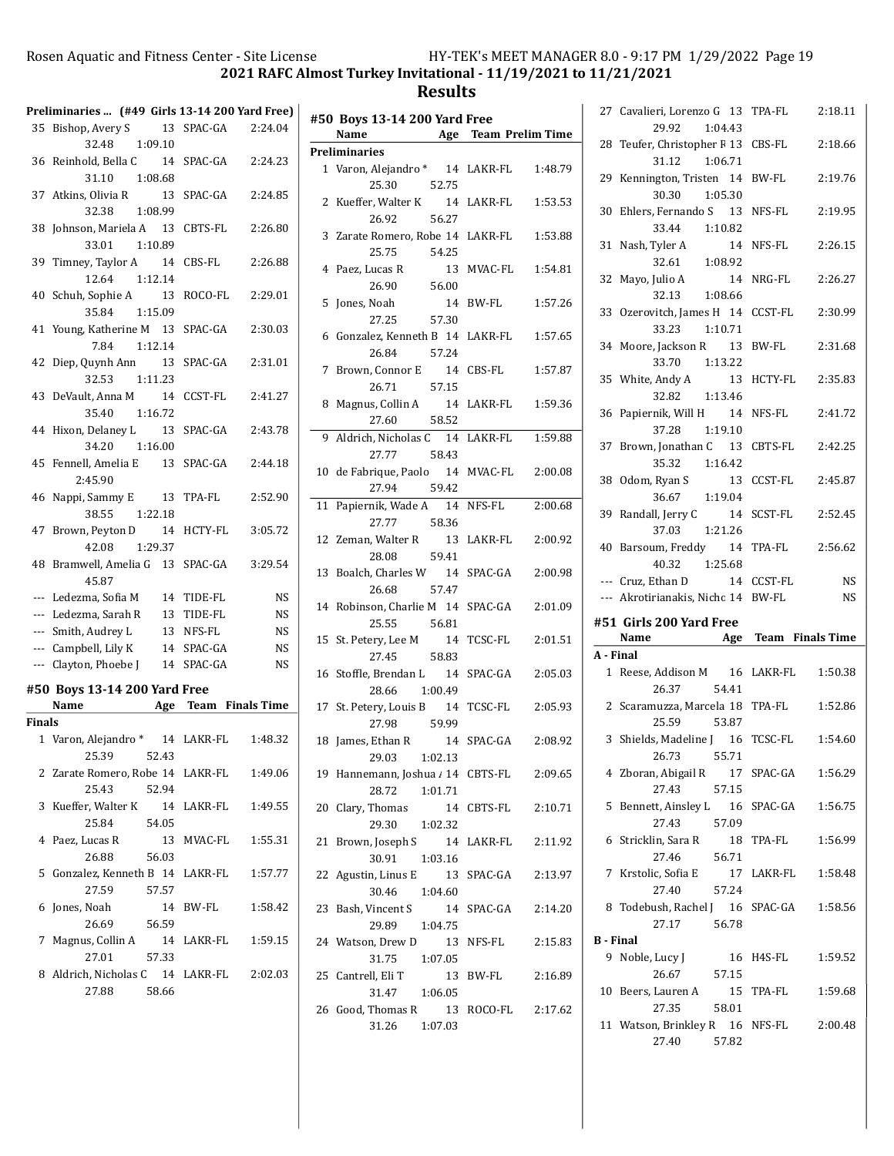2021 RAFC Almost Turkey Invitational - 11/19/2021 to 11/21/2021

|                          | Preliminaries  (#49 Girls 13-14 200 Yard Free) |            |           |
|--------------------------|------------------------------------------------|------------|-----------|
|                          | 35 Bishop, Avery S 13 SPAC-GA 2:24.04          |            |           |
|                          | 32.48 1:09.10                                  |            |           |
|                          | 36 Reinhold, Bella C 14 SPAC-GA 2:24.23        |            |           |
|                          | 31.10 1:08.68                                  |            |           |
|                          | 37 Atkins, Olivia R 13                         | SPAC-GA    | 2:24.85   |
|                          | 32.38<br>1:08.99                               |            |           |
| 38                       | Johnson, Mariela A 13 CBTS-FL                  |            | 2:26.80   |
|                          | 33.01 1:10.89                                  |            |           |
|                          | 39 Timney, Taylor A 14 CBS-FL                  |            | 2:26.88   |
|                          | 12.64 1:12.14                                  |            |           |
|                          | 40 Schuh, Sophie A 13 ROCO-FL                  |            | 2:29.01   |
|                          | 35.84 1:15.09                                  |            |           |
|                          | 41 Young, Katherine M 13 SPAC-GA               |            | 2:30.03   |
|                          | 7.84 1:12.14                                   |            |           |
| 42                       | Diep, Quynh Ann 13                             | SPAC-GA    | 2:31.01   |
|                          | 32.53 1:11.23                                  |            |           |
|                          |                                                |            | 2:41.27   |
|                          | 43 DeVault, Anna M 14 CCST-FL<br>35.40         |            |           |
|                          | 1:16.72                                        |            |           |
|                          | 44 Hixon, Delaney L<br>- 13                    | SPAC-GA    | 2:43.78   |
|                          | 34.20<br>1:16.00                               |            |           |
|                          | 45 Fennell, Amelia E 13 SPAC-GA                |            | 2:44.18   |
|                          | 2:45.90                                        |            |           |
| 46                       | Nappi, Sammy E 13 TPA-FL                       |            | 2:52.90   |
|                          | 38.55 1:22.18                                  |            |           |
| 47                       | Brown, Peyton D 14 HCTY-FL                     |            | 3:05.72   |
|                          | 42.08 1:29.37                                  |            |           |
|                          | 48 Bramwell, Amelia G 13 SPAC-GA               |            | 3:29.54   |
|                          | 45.87                                          |            |           |
|                          | --- Ledezma, Sofia M                           | 14 TIDE-FL | NS        |
|                          | --- Ledezma, Sarah R                           | 13 TIDE-FL | <b>NS</b> |
|                          | --- Smith, Audrey L                            | 13 NFS-FL  | <b>NS</b> |
|                          | --- Campbell, Lily K                           | 14 SPAC-GA | <b>NS</b> |
| $\overline{\phantom{a}}$ | Clayton, Phoebe J 14 SPAC-GA                   |            | <b>NS</b> |
|                          | #50 Boys 13-14 200 Yard Free                   |            |           |
|                          | Name Age Team Finals Time                      |            |           |
| Finals                   |                                                |            |           |
|                          | 1 Varon, Alejandro * 14 LAKR-FL 1:48.32        |            |           |
|                          | 25.39 52.43                                    |            |           |
|                          |                                                |            |           |
|                          | 2 Zarate Romero, Robe 14 LAKR-FL<br>25.43      |            | 1:49.06   |
|                          | 52.94                                          |            |           |
| 3                        | Kueffer, Walter K                              | 14 LAKR-FL | 1:49.55   |
|                          | 25.84<br>54.05                                 |            |           |
| 4                        | Paez, Lucas R<br>13                            | MVAC-FL    | 1:55.31   |
|                          | 26.88<br>56.03                                 |            |           |
| 5                        | Gonzalez, Kenneth B 14 LAKR-FL                 |            | 1:57.77   |
|                          | 27.59<br>57.57                                 |            |           |
| 6                        | Jones, Noah<br>14                              | BW-FL      | 1:58.42   |
|                          | 26.69<br>56.59                                 |            |           |
|                          | 7 Magnus, Collin A                             | 14 LAKR-FL | 1:59.15   |
|                          | 27.01<br>57.33                                 |            |           |
|                          |                                                |            |           |
|                          | 8 Aldrich, Nicholas C 14 LAKR-FL               |            | 2:02.03   |
|                          | 27.88<br>58.66                                 |            |           |

|    | #50 Boys 13-14 200 Yard Free<br>Name                         | <b>Age</b> Team Prelim Time |
|----|--------------------------------------------------------------|-----------------------------|
|    | <b>Preliminaries</b>                                         |                             |
|    | 1 Varon, Alejandro * 14 LAKR-FL<br>25.30<br>52.75            | 1:48.79                     |
|    | 2 Kueffer, Walter K 14 LAKR-FL<br>26.92<br>56.27             | 1:53.53                     |
|    | 3 Zarate Romero, Robe 14 LAKR-FL<br>54.25<br>25.75           | 1:53.88                     |
|    | 4 Paez, Lucas R<br>26.90 56.00                               | 13 MVAC-FL<br>1:54.81       |
|    | 5 Jones, Noah<br>57.30<br>27.25                              | 14 BW-FL<br>1:57.26         |
|    | 6 Gonzalez, Kenneth B 14 LAKR-FL<br>26.84<br>57.24           | 1:57.65                     |
|    | 7 Brown, Connor E 14 CBS-FL                                  | 1:57.87                     |
| 8  | 26.71 57.15<br>Magnus, Collin A 14 LAKR-FL<br>58.52<br>27.60 | 1:59.36                     |
|    | 9 Aldrich, Nicholas C 14 LAKR-FL<br>27.77 58.43              | 1:59.88                     |
|    | 10 de Fabrique, Paolo 14 MVAC-FL<br>59.42<br>27.94           | 2:00.08                     |
|    | 11 Papiernik, Wade A 14 NFS-FL<br>27.77 58.36                | 2:00.68                     |
|    | 12 Zeman, Walter R 13 LAKR-FL<br>28.08 59.41                 | 2:00.92                     |
|    | 13 Boalch, Charles W 14 SPAC-GA<br>26.68 57.47               | 2:00.98                     |
|    | 14 Robinson, Charlie M 14 SPAC-GA<br>25.55 56.81             | 2:01.09                     |
|    | 15 St. Petery, Lee M 14 TCSC-FL 27.45 58.83                  | 2:01.51                     |
|    | 16 Stoffle, Brendan L 14 SPAC-GA<br>28.66 1:00.49            | 2:05.03                     |
|    | 17 St. Petery, Louis B 14 TCSC-FL<br>27.98 59.99             | 2:05.93                     |
|    | 18 James, Ethan R 14 SPAC-GA 2:08.92<br>29.03<br>1:02.13     |                             |
|    | 19 Hannemann, Joshua / 14 CBTS-FL<br>28.72<br>1:01.71        | 2:09.65                     |
| 20 | Clary, Thomas<br>14<br>29.30<br>1:02.32                      | CBTS-FL<br>2:10.71          |
| 21 | Brown, Joseph S<br>30.91<br>1:03.16                          | 14 LAKR-FL<br>2:11.92       |
|    | 13<br>22 Agustin, Linus E<br>30.46<br>1:04.60                | SPAC-GA<br>2:13.97          |
| 23 | 14<br>Bash, Vincent S<br>1:04.75<br>29.89                    | SPAC-GA<br>2:14.20          |
|    | 13<br>24 Watson, Drew D<br>31.75<br>1:07.05                  | 2:15.83<br>NFS-FL           |
|    | 25 Cantrell, Eli T<br>31.47<br>1:06.05                       | 13 BW-FL<br>2:16.89         |
|    | 26 Good, Thomas R<br>13<br>31.26<br>1:07.03                  | ROCO-FL<br>2:17.62          |

|                  | 27 Cavalieri, Lorenzo G 13 TPA-FL<br>29.92<br>1:04.43                   | 2:18.11               |
|------------------|-------------------------------------------------------------------------|-----------------------|
| 28               | Teufer, Christopher F 13 CBS-FL<br>31.12<br>1:06.71                     | 2:18.66               |
|                  | 29 Kennington, Tristen 14<br>30.30<br>1:05.30                           | BW-FL<br>2:19.76      |
|                  | 30 Ehlers, Fernando S 13<br>33.44<br>1:10.82                            | NFS-FL<br>2:19.95     |
| 31               | Nash, Tyler A<br>32.61<br>1:08.92                                       | 14 NFS-FL<br>2:26.15  |
|                  | 14<br>32 Mayo, Julio A<br>32.13 1:08.66                                 | NRG-FL<br>2:26.27     |
| 33               | Ozerovitch, James H 14 CCST-FL 2:30.99<br>33.23 1:10.71                 |                       |
|                  | 34 Moore, Jackson R 13 BW-FL<br>33.70  1:13.22                          | 2:31.68               |
|                  | 35 White, Andy A 13<br>32.82 1:13.46                                    | HCTY-FL<br>2:35.83    |
|                  | 36 Papiernik, Will H 14 NFS-FL<br>37.28 1:19.10                         | 2:41.72               |
| 37               | Brown, Jonathan C 13 CBTS-FL<br>35.32 1:16.42                           | 2:42.25               |
| 38               | Odom, Ryan S<br>36.67 1:19.04                                           | 13 CCST-FL<br>2:45.87 |
|                  | 39 Randall, Jerry C 14<br>37.03 1:21.26                                 | SCST-FL 2:52.45       |
|                  | 40 Barsoum, Freddy 14 TPA-FL<br>40.32 1:25.68                           | 2:56.62               |
|                  |                                                                         |                       |
|                  | --- Cruz, Ethan D 14 CCST-FL                                            | <b>NS</b>             |
|                  | --- Akrotirianakis, Nicho 14 BW-FL                                      | <b>NS</b>             |
|                  | #51 Girls 200 Yard Free<br>Name Age Team Finals Time                    |                       |
| A - Final        |                                                                         |                       |
|                  | 1 Reese, Addison M 16 LAKR-FL<br>26.37 54.41                            | 1:50.38               |
|                  | 2 Scaramuzza, Marcela 18 TPA-FL<br>25.59<br>53.87                       | 1:52.86               |
|                  | 3 Shields, Madeline J 16 TCSC-FL 1:54.60<br>26.73<br>55.71              |                       |
|                  | 4 Zboran, Abigail R<br>27.43<br>57.15                                   | 17 SPAC-GA<br>1:56.29 |
| 5                | Bennett, Ainsley L 16<br>27.43<br>57.09                                 | SPAC-GA<br>1:56.75    |
| 6                | Stricklin, Sara R<br>56.71<br>27.46                                     | 18 TPA-FL<br>1:56.99  |
|                  | 7 Krstolic, Sofia E<br>57.24<br>27.40                                   | 17 LAKR-FL<br>1:58.48 |
|                  | 8 Todebush, Rachel J 16 SPAC-GA<br>27.17<br>56.78                       | 1:58.56               |
| <b>B</b> - Final |                                                                         |                       |
|                  | 9 Noble, Lucy J<br>16<br>26.67<br>57.15                                 | H4S-FL<br>1:59.52     |
|                  | 10 Beers, Lauren A<br>27.35<br>58.01<br>11 Watson, Brinkley R 16 NFS-FL | 15 TPA-FL<br>1:59.68  |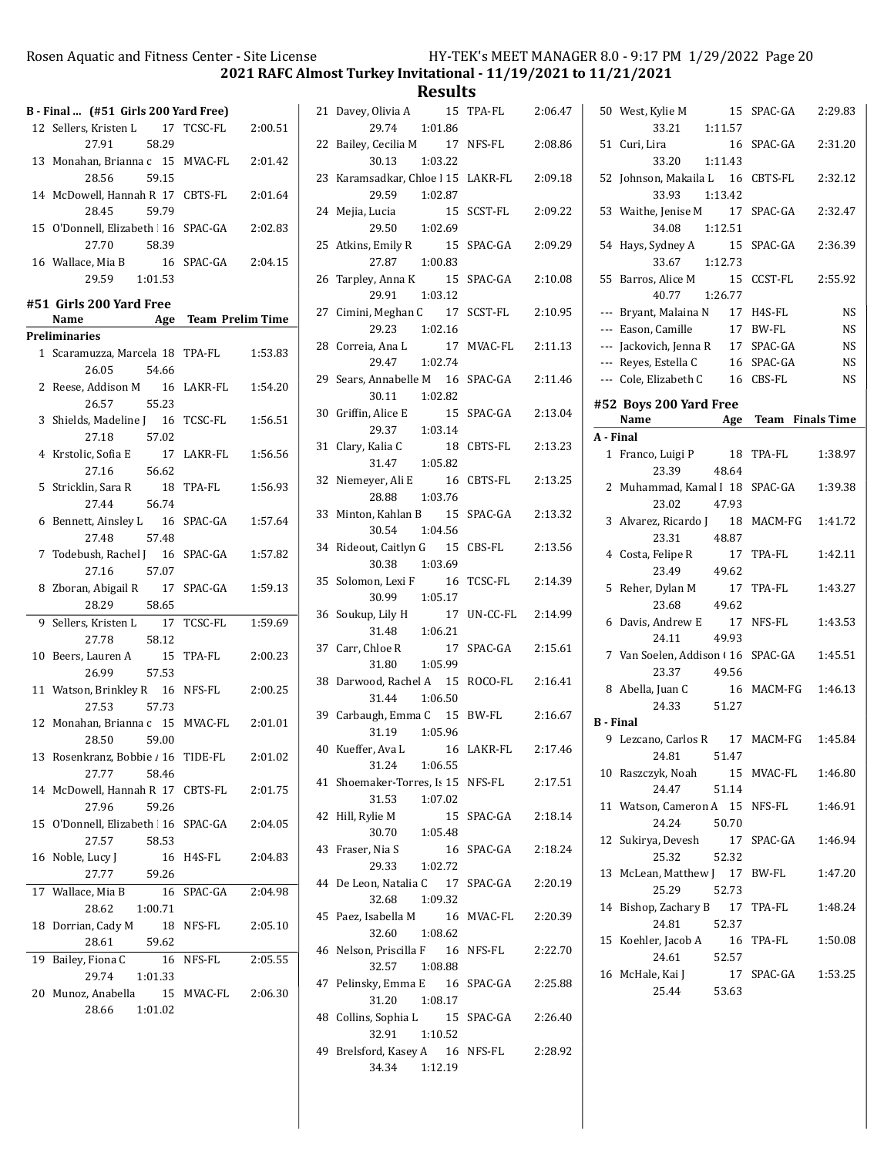2021 RAFC Almost Turkey Invitational - 11/19/2021 to 11/21/2021

|    | B - Final  (#51 Girls 200 Yard Free)                 |                       |  |
|----|------------------------------------------------------|-----------------------|--|
|    | 12 Sellers, Kristen L 17 TCSC-FL 2:00.51             |                       |  |
|    | 58.29<br>27.91                                       |                       |  |
|    | 13 Monahan, Brianna c 15 MVAC-FL                     | 2:01.42               |  |
|    | 28.56<br>59.15                                       |                       |  |
|    | 14 McDowell, Hannah R 17 CBTS-FL                     | 2:01.64               |  |
|    | 28.45<br>59.79                                       |                       |  |
|    | 15 O'Donnell, Elizabeth 16 SPAC-GA 2:02.83           |                       |  |
|    | 27.70<br>58.39                                       |                       |  |
|    | 16 Wallace, Mia B                                    | 16 SPAC-GA  2:04.15   |  |
|    | 29.59 1:01.53                                        |                       |  |
|    |                                                      |                       |  |
|    | #51 Girls 200 Yard Free<br>Name Age Team Prelim Time |                       |  |
|    | Preliminaries                                        |                       |  |
|    | 1 Scaramuzza, Marcela 18 TPA-FL                      | 1:53.83               |  |
|    | 26.05<br>54.66                                       |                       |  |
|    | 2 Reese, Addison M 16 LAKR-FL                        | 1:54.20               |  |
|    | 26.57<br>55.23                                       |                       |  |
|    | 3 Shields, Madeline J 16 TCSC-FL                     | 1:56.51               |  |
|    | 27.18<br>57.02                                       |                       |  |
|    | 4 Krstolic, Sofia E                                  | 17 LAKR-FL<br>1:56.56 |  |
|    | 27.16<br>56.62                                       |                       |  |
|    | 5 Stricklin, Sara R                                  | 18 TPA-FL<br>1:56.93  |  |
|    | 56.74<br>27.44                                       |                       |  |
|    | 6 Bennett, Ainsley L 16 SPAC-GA                      | 1:57.64               |  |
|    | 27.48 57.48                                          |                       |  |
|    | 7 Todebush, Rachel J 16 SPAC-GA                      | 1:57.82               |  |
|    | 27.16 57.07                                          |                       |  |
| 8  | Zboran, Abigail R 17 SPAC-GA                         | 1:59.13               |  |
|    | 28.29 58.65                                          |                       |  |
| 9  | Sellers, Kristen L 17 TCSC-FL                        | 1:59.69               |  |
|    | 27.78<br>58.12                                       |                       |  |
| 10 | Beers, Lauren A 15 TPA-FL                            | 2:00.23               |  |
|    | 57.53<br>26.99                                       |                       |  |
|    | 11 Watson, Brinkley R 16 NFS-FL                      | 2:00.25               |  |
|    | 57.73<br>27.53                                       |                       |  |
|    | 12 Monahan, Brianna c 15 MVAC-FL 2:01.01             |                       |  |
|    | 28.50 59.00                                          |                       |  |
| 13 | Rosenkranz, Bobbie / 16                              | 2:01.02<br>TIDE-FL    |  |
|    | 27.77<br>58.46                                       |                       |  |
|    | 14 McDowell, Hannah R 17 CBTS-FL                     | 2:01.75               |  |
|    | 27.96<br>59.26                                       |                       |  |
|    | 15 O'Donnell, Elizabeth 16 SPAC-GA                   | 2:04.05               |  |
|    | 27.57<br>58.53                                       |                       |  |
| 16 | Noble, Lucy J                                        | 16 H4S-FL<br>2:04.83  |  |
|    | 27.77<br>59.26                                       |                       |  |
|    | 17 Wallace, Mia B<br>16                              | SPAC-GA<br>2:04.98    |  |
|    | 28.62<br>1:00.71                                     |                       |  |
| 18 | Dorrian, Cady M                                      | 18 NFS-FL<br>2:05.10  |  |
|    | 28.61<br>59.62                                       |                       |  |
| 19 | Bailey, Fiona C<br>1:01.33<br>29.74                  | 16 NFS-FL<br>2:05.55  |  |
| 20 | Munoz, Anabella                                      | 15 MVAC-FL<br>2:06.30 |  |
|    | 28.66<br>1:01.02                                     |                       |  |
|    |                                                      |                       |  |
|    |                                                      |                       |  |

| 21 | Davey, Olivia A<br>15<br>29.74<br>1:01.86               | TPA-FL     | 2:06.47 |
|----|---------------------------------------------------------|------------|---------|
| 22 | Bailey, Cecilia M<br>17<br>30.13<br>1:03.22             | NFS-FL     | 2:08.86 |
| 23 | Karamsadkar, Chloe   15 LAKR-FL<br>1:02.87<br>29.59     |            | 2:09.18 |
| 24 | Mejia, Lucia<br>15<br>29.50 1:02.69                     | SCST-FL    | 2:09.22 |
|    | 25 Atkins, Emily R<br>15<br>27.87<br>1:00.83            | SPAC-GA    | 2:09.29 |
| 26 | Tarpley, Anna K 15<br>29.91<br>1:03.12                  | SPAC-GA    | 2:10.08 |
| 27 | Cimini, Meghan C 17<br>29.23 1:02.16                    | SCST-FL    | 2:10.95 |
| 28 | Correia, Ana L 17<br>29.47 1:02.74<br>17                | MVAC-FL    | 2:11.13 |
|    | 29 Sears, Annabelle M 16<br>30.11<br>1:02.82            | SPAC-GA    | 2:11.46 |
| 30 | Griffin, Alice E<br>29.37 1:03.14                       | 15 SPAC-GA | 2:13.04 |
| 31 | Clary, Kalia C<br>18<br>31.47 1:05.82                   | CBTS-FL    | 2:13.23 |
| 32 | Niemever, Ali E<br>16<br>28.88<br>1:03.76               | CBTS-FL    | 2:13.25 |
| 33 | Minton, Kahlan B<br>15<br>30.54<br>1:04.56              | SPAC-GA    | 2:13.32 |
| 34 | Rideout, Caitlyn G 15<br>30.38<br>1:03.69               | CBS-FL     | 2:13.56 |
| 35 | Solomon, Lexi F<br>16<br>1:05.17<br>30.99               | TCSC-FL    | 2:14.39 |
| 36 | Soukup, Lily H<br>17<br>31.48<br>1:06.21                | UN-CC-FL   | 2:14.99 |
| 37 | Carr, Chloe R<br>17<br>1:05.99<br>31.80                 | SPAC-GA    | 2:15.61 |
| 38 | Darwood, Rachel A 15<br>31.44 1:06.50                   | ROCO-FL    | 2:16.41 |
| 39 | Carbaugh, Emma C 15<br>31.19<br>1:05.96                 | BW-FL      | 2:16.67 |
| 40 | Kueffer, Ava L<br>- 16<br>31.24<br>1:06.55              | LAKR-FL    | 2:17.46 |
|    | 41 Shoemaker-Torres, Is 15 NFS-FL<br>1:07.02<br>31.53   |            | 2:17.51 |
| 42 | Hill, Rylie M<br>30.70 1:05.48                          | 15 SPAC-GA | 2:18.14 |
|    | 43 Fraser, Nia S<br>29.33 1:02.72                       | 16 SPAC-GA | 2:18.24 |
|    | 44 De Leon, Natalia C 17 SPAC-GA<br>32.68<br>1:09.32    |            | 2:20.19 |
|    | 45 Paez, Isabella M 16 MVAC-FL 2:20.39<br>32.60 1:08.62 |            |         |
|    | 46 Nelson, Priscilla F 16 NFS-FL<br>32.57<br>1:08.88    |            | 2:22.70 |
|    | 47 Pelinsky, Emma E 16 SPAC-GA<br>31.20 1:08.17         |            | 2:25.88 |
|    | 48 Collins, Sophia L 15 SPAC-GA<br>32.91 1:10.52        |            | 2:26.40 |
|    | 49 Brelsford, Kasey A 16 NFS-FL<br>34.34 1:12.19        |            | 2:28.92 |

|           | 50 West, Kylie M<br>15<br>33.21<br>1:11.57   | SPAC-GA         | 2:29.83   |
|-----------|----------------------------------------------|-----------------|-----------|
| 51        | Curi, Lira<br>16                             | SPAC-GA         | 2:31.20   |
|           | 33.20  1:11.43                               |                 |           |
|           | 52 Johnson, Makaila L 16<br>33.93<br>1:13.42 | CBTS-FL         | 2:32.12   |
|           | 53 Waithe, Jenise M<br>17                    | SPAC-GA         | 2:32.47   |
|           | 34.08<br>1:12.51                             |                 |           |
|           | 54 Hays, Sydney A<br>15<br>33.67 1:12.73     | SPAC-GA         | 2:36.39   |
| 55        | Barros, Alice M 15                           | CCST-FL         | 2:55.92   |
|           | 40.77<br>1:26.77                             |                 |           |
|           | --- Bryant, Malaina N 17 H4S-FL              |                 | <b>NS</b> |
|           | --- Eason, Camille                           | 17 BW-FL        | <b>NS</b> |
|           | --- Jackovich, Jenna R                       | 17 SPAC-GA      | <b>NS</b> |
|           | --- Reyes, Estella C                         | 16 SPAC-GA      | <b>NS</b> |
|           | --- Cole, Elizabeth C                        | 16 CBS-FL       | <b>NS</b> |
|           | #52 Boys 200 Yard Free                       |                 |           |
|           | Name Age Team Finals Time                    |                 |           |
| A - Final |                                              |                 |           |
|           | 1 Franco, Luigi P 18                         | TPA-FL          | 1:38.97   |
|           | 23.39 48.64                                  |                 |           |
|           | 2 Muhammad, Kamal I 18                       | SPAC-GA         | 1:39.38   |
|           | 47.93<br>23.02                               |                 |           |
|           | 3 Alvarez, Ricardo J 18                      | MACM-FG         | 1:41.72   |
|           | 23.31<br>48.87                               |                 |           |
|           | 4 Costa, Felipe R<br>17                      | TPA-FL          | 1:42.11   |
|           | 49.62<br>23.49                               |                 |           |
|           | 5 Reher, Dylan M                             |                 |           |
|           | 17<br>49.62                                  | TPA-FL          | 1:43.27   |
|           | 23.68                                        | NFS-FL          | 1:43.53   |
|           | 6 Davis, Andrew E<br>17<br>24.11<br>49.93    |                 |           |
|           | 7 Van Soelen, Addison (16                    | SPAC-GA         | 1:45.51   |
|           | 23.37<br>49.56                               |                 |           |
|           | 8 Abella, Juan C<br>16                       | MACM-FG 1:46.13 |           |
|           | 24.33 51.27                                  |                 |           |
| B - Final |                                              |                 |           |
|           | 9 Lezcano, Carlos R 17 MACM-FG 1:45.84       |                 |           |
|           | 24.81 51.47                                  |                 |           |
|           | 10 Raszczyk, Noah                            |                 |           |
|           | 24.47<br>51.14                               |                 |           |
| 11        | Watson, Cameron A 15                         | NFS-FL          | 1:46.91   |
|           | 24.24<br>50.70                               |                 |           |
| 12        | Sukirya, Devesh<br>17                        | SPAC-GA         | 1:46.94   |
|           | 25.32<br>52.32                               |                 |           |
| 13        | McLean, Matthew J 17                         | BW-FL           | 1:47.20   |
|           | 25.29<br>52.73                               |                 |           |
| 14        | Bishop, Zachary B<br>17                      | TPA-FL          | 1:48.24   |
|           | 24.81<br>52.37                               |                 |           |
| 15        | Koehler, Jacob A<br>16                       | TPA-FL          | 1:50.08   |
|           | 24.61<br>52.57                               |                 |           |
| 16        |                                              |                 |           |
|           |                                              |                 |           |
|           | McHale, Kai J<br>25.44<br>53.63              | 17 SPAC-GA      | 1:53.25   |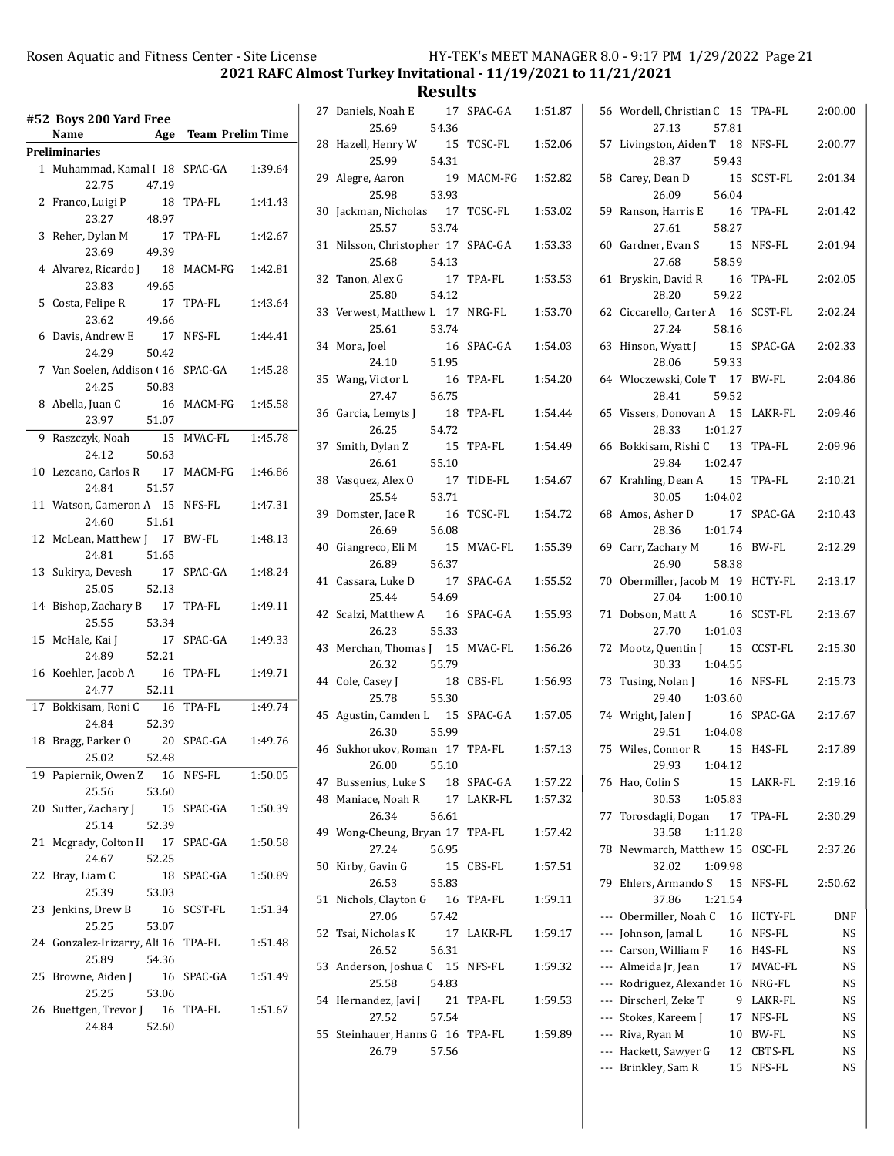2021 RAFC Almost Turkey Invitational - 11/19/2021 to 11/21/2021

|    | #52 Boys 200 Yard Free<br>Name               |             | Age Team Prelim Time |         |
|----|----------------------------------------------|-------------|----------------------|---------|
|    | Preliminaries                                |             |                      |         |
|    | 1 Muhammad, Kamal I 18 SPAC-GA<br>22.75      | 47.19       |                      | 1:39.64 |
|    | 2 Franco, Luigi P<br>23.27                   | 18<br>48.97 | TPA-FL               | 1:41.43 |
| 3  | Reher, Dylan M<br>23.69                      | 17<br>49.39 | TPA-FL               | 1:42.67 |
|    | 4 Alvarez, Ricardo J<br>23.83                | 18<br>49.65 | MACM-FG              | 1:42.81 |
| 5  | Costa, Felipe R<br>23.62                     | 17<br>49.66 | TPA-FL               | 1:43.64 |
| 6  | Davis, Andrew E 17<br>24.29                  | 50.42       | NFS-FL               | 1:44.41 |
|    | 7 Van Soelen, Addison (16 SPAC-GA<br>24.25   | 50.83       |                      | 1:45.28 |
| 8  | Abella, Juan C<br>23.97                      | 16<br>51.07 | MACM-FG              | 1:45.58 |
| 9  | Raszczyk, Noah 15                            |             | MVAC-FL              | 1:45.78 |
|    | 24.12                                        | 50.63       |                      |         |
| 10 | Lezcano, Carlos R 17 MACM-FG<br>24.84        | 51.57       |                      | 1:46.86 |
| 11 | Watson, Cameron A 15<br>24.60                | 51.61       | NFS-FL               | 1:47.31 |
|    | 12 McLean, Matthew J 17<br>24.81             | 51.65       | BW-FL                | 1:48.13 |
| 13 | Sukirya, Devesh<br>25.05                     | 17<br>52.13 | SPAC-GA              | 1:48.24 |
| 14 | Bishop, Zachary B 17<br>25.55                | 53.34       | TPA-FL               | 1:49.11 |
|    | 15 McHale, Kai J<br>24.89                    | 17<br>52.21 | SPAC-GA              | 1:49.33 |
| 16 | Koehler, Jacob A<br>24.77                    | 16<br>52.11 | TPA-FL               | 1:49.71 |
|    | 17 Bokkisam, Roni C<br>24.84                 | 16<br>52.39 | TPA-FL               | 1:49.74 |
|    | 18 Bragg, Parker O<br>25.02                  | 20<br>52.48 | SPAC-GA              | 1:49.76 |
| 19 | Papiernik, Owen Z 16 NFS-FL<br>25.56         | 53.60       |                      | 1:50.05 |
| 20 | Sutter, Zachary J<br>25.14                   | 52.39       | 15 SPAC-GA           | 1:50.39 |
| 21 | Mcgrady, Colton H 17 SPAC-GA<br>24.67        | 52.25       |                      | 1:50.58 |
| 22 | Bray, Liam C<br>25.39                        | 18<br>53.03 | SPAC-GA              | 1:50.89 |
| 23 | Jenkins, Drew B<br>25.25                     | 16<br>53.07 | SCST-FL              | 1:51.34 |
|    | 24 Gonzalez-Irizarry, Ali 16 TPA-FL<br>25.89 | 54.36       |                      | 1:51.48 |
| 25 | Browne, Aiden J<br>25.25                     | 53.06       | 16 SPAC-GA           | 1:51.49 |
| 26 | Buettgen, Trevor J 16 TPA-FL<br>24.84        | 52.60       |                      | 1:51.67 |

|    | 27 Daniels, Noah E                        | 17 SPAC-GA | 1:51.87 |
|----|-------------------------------------------|------------|---------|
|    | 25.69<br>54.36                            |            |         |
|    | 28 Hazell, Henry W<br>15                  | TCSC-FL    | 1:52.06 |
|    | 25.99<br>54.31                            |            |         |
|    | 29 Alegre, Aaron<br>19                    | MACM-FG    | 1:52.82 |
|    | 53.93<br>25.98<br>30 Jackman, Nicholas 17 | TCSC-FL    | 1:53.02 |
|    | 25.57<br>53.74                            |            |         |
|    | 31 Nilsson, Christopher 17 SPAC-GA        |            | 1:53.33 |
|    | 25.68<br>54.13                            |            |         |
|    | 32 Tanon, Alex G<br>17                    | TPA-FL     | 1:53.53 |
|    | 54.12<br>25.80                            |            |         |
|    | 33 Verwest, Matthew L 17 NRG-FL           |            | 1:53.70 |
|    | 25.61<br>53.74                            |            |         |
|    | 34 Mora, Joel<br>16                       | SPAC-GA    | 1:54.03 |
|    | $24.10$ 51.95                             |            |         |
|    | 35 Wang, Victor L<br>16                   | TPA-FL     | 1:54.20 |
|    | 27.47<br>56.75                            |            |         |
| 36 | Garcia, Lemyts J<br>18                    | TPA-FL     | 1:54.44 |
|    | 26.25<br>54.72                            |            |         |
| 37 | Smith, Dylan Z<br>15                      | TPA-FL     | 1:54.49 |
|    | 26.61<br>55.10                            |            | 1:54.67 |
| 38 | Vasquez, Alex O<br>17<br>25.54<br>53.71   | TIDE-FL    |         |
|    | 39 Domster, Jace R<br>16                  | TCSC-FL    | 1:54.72 |
|    | 56.08<br>26.69                            |            |         |
|    | 15<br>40 Giangreco, Eli M                 | MVAC-FL    | 1:55.39 |
|    | 56.37<br>26.89                            |            |         |
|    | 41 Cassara, Luke D<br>17                  | SPAC-GA    | 1:55.52 |
|    | 54.69<br>25.44                            |            |         |
|    | 42 Scalzi, Matthew A 16                   | SPAC-GA    | 1:55.93 |
|    | 26.23<br>55.33                            |            |         |
|    | 43 Merchan, Thomas J 15                   | MVAC-FL    | 1:56.26 |
|    | 26.32<br>55.79                            |            |         |
|    | 44 Cole, Casey J<br>18<br>55.30<br>25.78  | CBS-FL     | 1:56.93 |
|    | 45 Agustin, Camden L 15 SPAC-GA           |            | 1:57.05 |
|    | 55.99<br>26.30                            |            |         |
|    | 46 Sukhorukov, Roman 17 TPA-FL            |            | 1:57.13 |
|    | 55.10<br>26.00                            |            |         |
|    | 47 Bussenius, Luke S                      | 18 SPAC-GA | 1:57.22 |
|    | 48 Maniace, Noah R                        | 17 LAKR-FL | 1:57.32 |
|    | 26.34<br>56.61                            |            |         |
|    | 49 Wong-Cheung, Bryan 17 TPA-FL           |            | 1:57.42 |
|    | 27.24<br>56.95                            |            |         |
| 50 | Kirby, Gavin G<br>26.53<br>55.83          | 15 CBS-FL  | 1:57.51 |
| 51 | Nichols, Clayton G<br>16                  | TPA-FL     | 1:59.11 |
|    | 27.06<br>57.42                            |            |         |
| 52 | Tsai, Nicholas K                          | 17 LAKR-FL | 1:59.17 |
|    | 26.52<br>56.31                            |            |         |
|    | 53 Anderson, Joshua C 15 NFS-FL           |            | 1:59.32 |
|    | 25.58<br>54.83                            |            |         |
|    | 54 Hernandez, Javi J<br>21                | TPA-FL     | 1:59.53 |
|    | 27.52<br>57.54                            |            |         |
|    | 55 Steinhauer, Hanns G 16 TPA-FL          |            | 1:59.89 |
|    | 26.79<br>57.56                            |            |         |

|     | 56 Wordell, Christian C 15 TPA-FL        |               | 2:00.00 |
|-----|------------------------------------------|---------------|---------|
|     | 27.13<br>57.81                           |               |         |
|     | 57 Livingston, Aiden T 18 NFS-FL         |               | 2:00.77 |
|     | 59.43<br>28.37                           |               |         |
|     | 58 Carey, Dean D 15 SCST-FL              |               | 2:01.34 |
|     | 56.04<br>26.09                           |               |         |
|     | 59 Ranson, Harris E 16                   | TPA-FL        | 2:01.42 |
|     | 58.27<br>27.61                           |               |         |
|     | 60 Gardner, Evan S 15                    | NFS-FL        | 2:01.94 |
|     | 58.59<br>27.68                           |               |         |
| 61  | Bryskin, David R 16                      | TPA-FL        | 2:02.05 |
|     | 59.22<br>28.20                           |               |         |
|     | 62 Ciccarello, Carter A 16 SCST-FL       |               | 2:02.24 |
|     | 27.24<br>58.16                           |               |         |
|     | 63 Hinson, Wyatt J                       |               | 2:02.33 |
|     | J 15 SPAC-GA<br>59.33<br>28.06           |               |         |
|     | 64 Wloczewski, Cole T 17 BW-FL           |               | 2:04.86 |
|     | 59.52<br>28.41                           |               |         |
|     | 65 Vissers, Donovan A 15 LAKR-FL         |               | 2:09.46 |
|     | 28.33<br>1:01.27                         |               |         |
|     | 66 Bokkisam, Rishi C 13                  | TPA-FL        | 2:09.96 |
|     | 29.84<br>1:02.47                         |               |         |
|     |                                          | TPA-FL        | 2:10.21 |
|     | 67 Krahling, Dean A 15                   |               |         |
|     | 30.05  1:04.02<br>68 Amos, Asher D<br>17 |               |         |
|     |                                          | SPAC-GA       | 2:10.43 |
|     | 28.36 1:01.74                            |               |         |
|     | 69 Carr, Zachary M 16 BW-FL              |               | 2:12.29 |
|     | 58.38<br>26.90                           |               |         |
|     | 70 Obermiller, Jacob M 19 HCTY-FL        |               | 2:13.17 |
|     | 27.04 1:00.10                            |               |         |
|     | 71 Dobson, Matt A 16                     | SCST-FL       | 2:13.67 |
|     | 27.70 1:01.03                            |               |         |
|     | 72 Mootz, Quentin J 15                   | CCST-FL       | 2:15.30 |
|     | 30.33 1:04.55                            |               |         |
| 73  | Tusing, Nolan J 16 NFS-FL                |               | 2:15.73 |
|     | 29.40  1:03.60                           |               |         |
|     | 74 Wright, Jalen J                       | 16 SPAC-GA    | 2:17.67 |
|     | $29.51 \t 1:04.08$                       |               |         |
|     | 75 Wiles, Connor R 15 H4S-FL             |               | 2:17.89 |
|     | 1:04.12<br>29.93                         |               |         |
| 76  | Hao, Colin S<br>15                       | LAKR-FL       | 2:19.16 |
|     | 30.53<br>1:05.83                         |               |         |
| 77  | Torosdagli, Dogan<br>17                  | <b>TPA-FL</b> | 2:30.29 |
|     | 33.58<br>1:11.28                         |               |         |
| 78  | Newmarch, Matthew 15                     | OSC-FL        | 2:37.26 |
|     | 32.02<br>1:09.98                         |               |         |
| 79  | Ehlers, Armando S<br>15                  | NFS-FL        | 2:50.62 |
|     | 37.86<br>1:21.54                         |               |         |
| --- | Obermiller, Noah C<br>16                 | HCTY-FL       | DNF     |
| --- | Johnson, Jamal L<br>16                   | NFS-FL        | NS      |
| --- | Carson, William F                        | 16 H4S-FL     | NS      |
| --- | Almeida Jr, Jean<br>17                   | MVAC-FL       | NS      |
| --- | Rodriguez, Alexander 16                  | NRG-FL        | NS      |
| --- | Dirscherl, Zeke T<br>9                   | LAKR-FL       | NS      |
| --- | Stokes, Kareem J<br>17                   | NFS-FL        | NS      |
| --- | Riva, Ryan M<br>10                       | BW-FL         | NS      |
| --- | Hackett, Sawyer G<br>12                  | CBTS-FL       | NS      |
| --- | Brinkley, Sam R<br>15                    | NFS-FL        | NS      |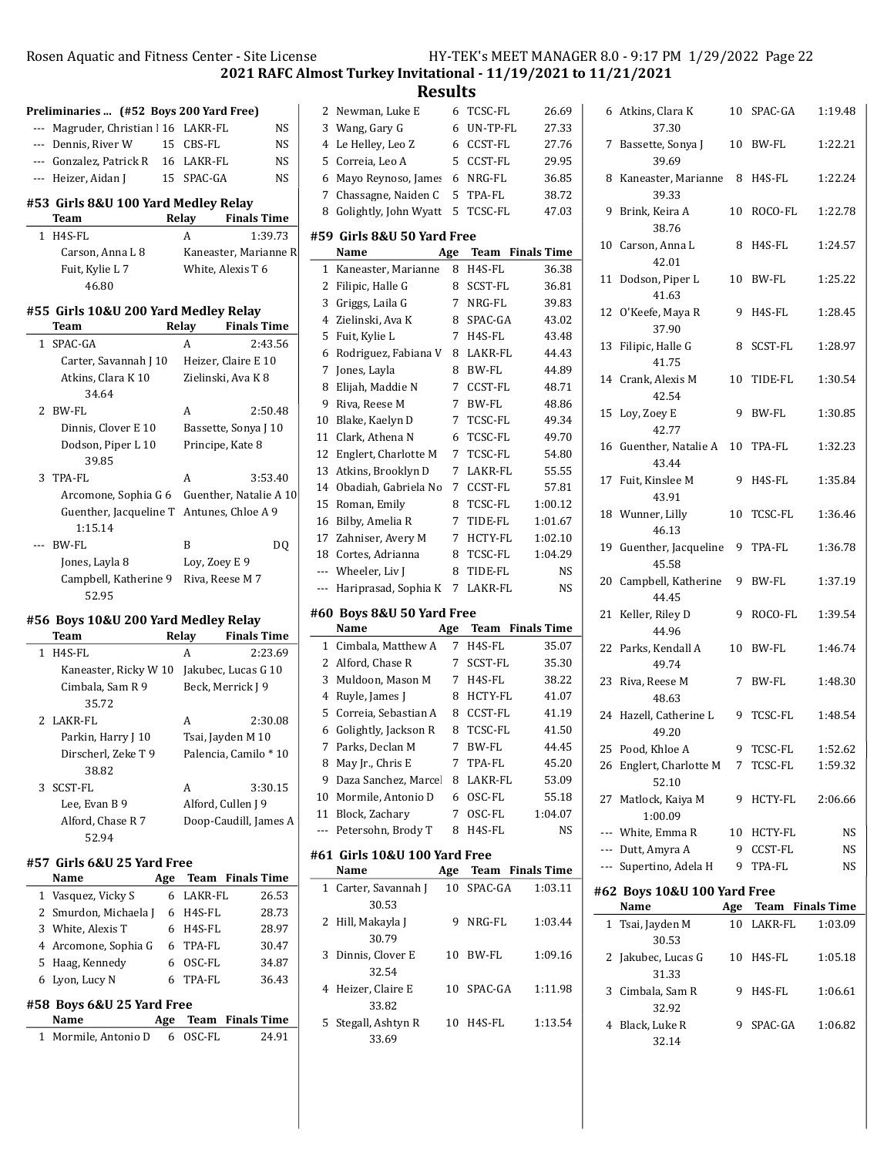2021 RAFC Almost Turkey Invitational - 11/19/2021 to 11/21/2021

| 2<br>3<br>$\mathbf{1}$<br>2 | Parkin, Harry J 10<br>Dirscherl, Zeke T 9<br>38.82<br>SCST-FL<br>Lee, Evan B 9<br>Alford, Chase R 7<br>52.94<br>#57 Girls 6&U 25 Yard Free<br>Name<br>Vasquez, Vicky S<br>Smurdon, Michaela J<br>3 White, Alexis T<br>4 Arcomone, Sophia G<br>5 Haag, Kennedy<br>6 Lyon, Lucy N<br>#58 Boys 6&U 25 Yard Free<br>Name | Age<br>6<br>6 | A<br>LAKR-FL<br>6 H4S-FL<br>6 H4S-FL<br>6 TPA-FL<br>6 OSC-FL<br>TPA-FL | Tsai, Jayden M 10<br>Palencia, Camilo * 10<br>3:30.15<br>Alford, Cullen J 9<br>Doop-Caudill, James A<br><b>Team</b> Finals Time<br>26.53<br>28.73<br>28.97<br>30.47<br>34.87<br>36.43<br>Age Team Finals Time |
|-----------------------------|----------------------------------------------------------------------------------------------------------------------------------------------------------------------------------------------------------------------------------------------------------------------------------------------------------------------|---------------|------------------------------------------------------------------------|---------------------------------------------------------------------------------------------------------------------------------------------------------------------------------------------------------------|
|                             |                                                                                                                                                                                                                                                                                                                      |               |                                                                        |                                                                                                                                                                                                               |
|                             |                                                                                                                                                                                                                                                                                                                      |               |                                                                        |                                                                                                                                                                                                               |
|                             |                                                                                                                                                                                                                                                                                                                      |               |                                                                        |                                                                                                                                                                                                               |
|                             |                                                                                                                                                                                                                                                                                                                      |               |                                                                        |                                                                                                                                                                                                               |
|                             |                                                                                                                                                                                                                                                                                                                      |               |                                                                        |                                                                                                                                                                                                               |
|                             |                                                                                                                                                                                                                                                                                                                      |               |                                                                        |                                                                                                                                                                                                               |
|                             |                                                                                                                                                                                                                                                                                                                      |               |                                                                        |                                                                                                                                                                                                               |
|                             |                                                                                                                                                                                                                                                                                                                      |               |                                                                        |                                                                                                                                                                                                               |
|                             |                                                                                                                                                                                                                                                                                                                      |               |                                                                        |                                                                                                                                                                                                               |
|                             |                                                                                                                                                                                                                                                                                                                      |               |                                                                        |                                                                                                                                                                                                               |
|                             |                                                                                                                                                                                                                                                                                                                      |               |                                                                        |                                                                                                                                                                                                               |
|                             |                                                                                                                                                                                                                                                                                                                      |               |                                                                        |                                                                                                                                                                                                               |
|                             |                                                                                                                                                                                                                                                                                                                      |               |                                                                        |                                                                                                                                                                                                               |
|                             |                                                                                                                                                                                                                                                                                                                      |               |                                                                        |                                                                                                                                                                                                               |
|                             |                                                                                                                                                                                                                                                                                                                      |               |                                                                        |                                                                                                                                                                                                               |
|                             |                                                                                                                                                                                                                                                                                                                      |               |                                                                        |                                                                                                                                                                                                               |
|                             | LAKR-FL                                                                                                                                                                                                                                                                                                              |               | A                                                                      | 2:30.08                                                                                                                                                                                                       |
|                             | Cimbala, Sam R 9<br>35.72                                                                                                                                                                                                                                                                                            |               |                                                                        | Beck, Merrick J 9                                                                                                                                                                                             |
|                             | Kaneaster, Ricky W 10 Jakubec, Lucas G 10                                                                                                                                                                                                                                                                            |               |                                                                        |                                                                                                                                                                                                               |
| 1                           | H4S-FL                                                                                                                                                                                                                                                                                                               |               | A                                                                      | 2:23.69                                                                                                                                                                                                       |
|                             | Team                                                                                                                                                                                                                                                                                                                 |               | Relay                                                                  | <b>Finals Time</b>                                                                                                                                                                                            |
|                             | #56 Boys 10&U 200 Yard Medley Relay                                                                                                                                                                                                                                                                                  |               |                                                                        |                                                                                                                                                                                                               |
|                             | 52.95                                                                                                                                                                                                                                                                                                                |               |                                                                        |                                                                                                                                                                                                               |
|                             | Campbell, Katherine 9 Riva, Reese M 7                                                                                                                                                                                                                                                                                |               |                                                                        |                                                                                                                                                                                                               |
|                             | Jones, Layla 8                                                                                                                                                                                                                                                                                                       |               | Loy, Zoey E 9                                                          |                                                                                                                                                                                                               |
|                             | --- BW-FL                                                                                                                                                                                                                                                                                                            |               | B                                                                      | DQ                                                                                                                                                                                                            |
|                             | 1:15.14                                                                                                                                                                                                                                                                                                              |               |                                                                        |                                                                                                                                                                                                               |
|                             | Guenther, Jacqueline T Antunes, Chloe A 9                                                                                                                                                                                                                                                                            |               |                                                                        |                                                                                                                                                                                                               |
|                             | Arcomone, Sophia G 6 Guenther, Natalie A 10                                                                                                                                                                                                                                                                          |               |                                                                        |                                                                                                                                                                                                               |
| 3                           | TPA-FL                                                                                                                                                                                                                                                                                                               |               | A                                                                      | 3:53.40                                                                                                                                                                                                       |
|                             | 39.85                                                                                                                                                                                                                                                                                                                |               |                                                                        |                                                                                                                                                                                                               |
|                             | Dodson, Piper L 10                                                                                                                                                                                                                                                                                                   |               |                                                                        | Principe, Kate 8                                                                                                                                                                                              |
|                             | Dinnis, Clover E 10                                                                                                                                                                                                                                                                                                  |               |                                                                        | Bassette, Sonya J 10                                                                                                                                                                                          |
| 2                           | BW-FL                                                                                                                                                                                                                                                                                                                |               | A                                                                      | 2:50.48                                                                                                                                                                                                       |
|                             | 34.64                                                                                                                                                                                                                                                                                                                |               |                                                                        |                                                                                                                                                                                                               |
|                             | Atkins, Clara K 10                                                                                                                                                                                                                                                                                                   |               |                                                                        | Zielinski, Ava K 8                                                                                                                                                                                            |
|                             | Carter, Savannah J 10                                                                                                                                                                                                                                                                                                |               |                                                                        | Heizer, Claire E 10                                                                                                                                                                                           |
| $\mathbf{1}$                | SPAC-GA                                                                                                                                                                                                                                                                                                              |               | А                                                                      | 2:43.56                                                                                                                                                                                                       |
|                             | #55 Girls 10&U 200 Yard Medley Relay<br>Team                                                                                                                                                                                                                                                                         |               | Relay                                                                  | <b>Finals Time</b>                                                                                                                                                                                            |
|                             |                                                                                                                                                                                                                                                                                                                      |               |                                                                        |                                                                                                                                                                                                               |
|                             | 46.80                                                                                                                                                                                                                                                                                                                |               |                                                                        |                                                                                                                                                                                                               |
|                             | Fuit, Kylie L 7                                                                                                                                                                                                                                                                                                      |               |                                                                        | White, Alexis T 6                                                                                                                                                                                             |
|                             | Carson, Anna L 8                                                                                                                                                                                                                                                                                                     |               |                                                                        | Kaneaster, Marianne R                                                                                                                                                                                         |
| 1                           | H4S-FL                                                                                                                                                                                                                                                                                                               |               | A                                                                      | 1:39.73                                                                                                                                                                                                       |
|                             | Team                                                                                                                                                                                                                                                                                                                 |               | Relay                                                                  | <b>Finals Time</b>                                                                                                                                                                                            |
|                             | #53 Girls 8&U 100 Yard Medley Relay                                                                                                                                                                                                                                                                                  |               |                                                                        |                                                                                                                                                                                                               |
|                             | --- Heizer, Aidan J                                                                                                                                                                                                                                                                                                  |               | 15 SPAC-GA                                                             | NS.                                                                                                                                                                                                           |
|                             | --- Gonzalez, Patrick R                                                                                                                                                                                                                                                                                              |               | 16 LAKR-FL                                                             | NS                                                                                                                                                                                                            |
|                             | --- Dennis, River W                                                                                                                                                                                                                                                                                                  |               | 15 CBS-FL                                                              | NS                                                                                                                                                                                                            |
|                             |                                                                                                                                                                                                                                                                                                                      |               | Magruder, Christian   16 LAKR-FL                                       |                                                                                                                                                                                                               |

| 2   | Newman, Luke E                     | 6   | TCSC-FL                   | 26.69                   |
|-----|------------------------------------|-----|---------------------------|-------------------------|
| 3   | Wang, Gary G                       | 6   | UN-TP-FL                  | 27.33                   |
| 4   | Le Helley, Leo Z                   | 6   | CCST-FL                   | 27.76                   |
| 5   | Correia, Leo A                     | 5   | CCST-FL                   | 29.95                   |
| 6   | Mayo Reynoso, James                | 6   | NRG-FL                    | 36.85                   |
| 7   | Chassagne, Naiden C                | 5   | TPA-FL                    | 38.72                   |
| 8   | Golightly, John Wyatt              | 5   | TCSC-FL                   | 47.03                   |
|     |                                    |     |                           |                         |
|     | #59 Girls 8&U 50 Yard Free         |     |                           |                         |
|     | Name                               | Age |                           | <b>Team</b> Finals Time |
| 1   | Kaneaster, Marianne                | 8   | H4S-FL                    | 36.38                   |
| 2   | Filipic, Halle G                   | 8   | SCST-FL                   | 36.81                   |
| 3   | Griggs, Laila G                    | 7   | NRG-FL                    | 39.83                   |
| 4   | Zielinski, Ava K                   | 8   | SPAC-GA                   | 43.02                   |
| 5   | Fuit, Kylie L                      | 7   | H4S-FL                    | 43.48                   |
| 6   | Rodriguez, Fabiana V               | 8   | LAKR-FL                   | 44.43                   |
| 7   | Jones, Layla                       | 8   | BW-FL                     | 44.89                   |
| 8   | Elijah, Maddie N                   | 7   | CCST-FL                   | 48.71                   |
| 9   | Riva, Reese M                      | 7   | BW-FL                     | 48.86                   |
| 10  | Blake, Kaelyn D                    | 7   | <b>TCSC-FL</b>            | 49.34                   |
| 11  | Clark, Athena N                    | 6   | TCSC-FL                   | 49.70                   |
| 12  | Englert, Charlotte M               | 7   | <b>TCSC-FL</b>            | 54.80                   |
| 13  | Atkins, Brooklyn D                 | 7   | LAKR-FL                   | 55.55                   |
| 14  | Obadiah, Gabriela No               | 7   | CCST-FL                   | 57.81                   |
|     |                                    |     |                           |                         |
| 15  | Roman, Emily                       | 8   | TCSC-FL                   | 1:00.12                 |
| 16  | Bilby, Amelia R                    | 7   | TIDE-FL                   | 1:01.67                 |
| 17  | Zahniser, Avery M                  | 7   | HCTY-FL                   | 1:02.10                 |
| 18  | Cortes, Adrianna                   | 8   | TCSC-FL                   | 1:04.29                 |
| --- | Wheeler, Liv J                     | 8   | TIDE-FL                   | NS                      |
| --- | Hariprasad, Sophia K               | 7   | LAKR-FL                   |                         |
|     |                                    |     |                           | NS                      |
|     |                                    |     |                           |                         |
|     | #60  Boys 8&U 50 Yard Free<br>Name | Age |                           | <b>Team</b> Finals Time |
| 1   | Cimbala, Matthew A                 | 7   | H4S-FL                    | 35.07                   |
| 2   | Alford, Chase R                    | 7   | SCST-FL                   | 35.30                   |
| 3   | Muldoon, Mason M                   | 7   | H4S-FL                    | 38.22                   |
| 4   |                                    | 8   | HCTY-FL                   |                         |
| 5   | Ruyle, James J                     | 8   |                           | 41.07                   |
|     | Correia, Sebastian A               | 8   | CCST-FL<br><b>TCSC-FL</b> | 41.19                   |
| 6   | Golightly, Jackson R               |     |                           | 41.50                   |
| 7   | Parks, Declan M                    | 7   | <b>BW-FL</b>              | 44.45                   |
| 8   | May Jr., Chris E                   | 7   | TPA-FL                    | 45.20                   |
| 9   | Daza Sanchez, Marcel               | 8   | LAKR-FL                   | 53.09                   |
|     | 10 Mormile, Antonio D              | 6   | OSC-FL                    | 55.18                   |
|     | 11 Block, Zachary                  | 7   | OSC-FL                    | 1:04.07                 |
| --- | Petersohn, Brody T                 | 8   | H4S-FL                    | NS                      |
|     | #61  Girls 10&U 100 Yard Free      |     |                           |                         |
|     | Name                               |     |                           | Age Team Finals Time    |
| 1   | Carter, Savannah J<br>30.53        | 10  | SPAC-GA                   | 1:03.11                 |
| 2   | Hill, Makayla J                    | 9   | NRG-FL                    | 1:03.44                 |
| 3   | 30.79<br>Dinnis, Clover E          | 10  | BW-FL                     | 1:09.16                 |
| 4   | 32.54<br>Heizer, Claire E<br>33.82 | 10  | SPAC-GA                   | 1:11.98                 |
| 5   | Stegall, Ashtyn R<br>33.69         | 10  | H4S-FL                    | 1:13.54                 |

| 6            | Atkins, Clara K<br>37.30         |    | 10 SPAC-GA           | 1:19.48 |
|--------------|----------------------------------|----|----------------------|---------|
| 7            | Bassette, Sonya J<br>39.69       |    | 10 BW-FL             | 1:22.21 |
|              | 8 Kaneaster, Marianne<br>39.33   | 8  | H4S-FL               | 1:22.24 |
|              | 9 Brink, Keira A<br>38.76        |    | 10 ROCO-FL           | 1:22.78 |
|              | 10 Carson, Anna L<br>42.01       | 8  | H4S-FL               | 1:24.57 |
| 11           | Dodson, Piper L<br>41.63         |    | 10 BW-FL             | 1:25.22 |
|              | 12 O'Keefe, Maya R<br>37.90      | 9  | H4S-FL               | 1:28.45 |
| 13           | Filipic, Halle G<br>41.75        | 8  | SCST-FL              | 1:28.97 |
|              | 14 Crank, Alexis M<br>42.54      | 10 | TIDE-FL              | 1:30.54 |
| 15           | Loy, Zoey E<br>42.77             | 9  | BW-FL                | 1:30.85 |
|              | 16 Guenther, Natalie A<br>43.44  |    | 10 TPA-FL            | 1:32.23 |
|              | 17 Fuit, Kinslee M<br>43.91      | 9  | $H4S$ -FL            | 1:35.84 |
|              | 18 Wunner, Lilly<br>46.13        | 10 | TCSC-FL              | 1:36.46 |
|              | 19 Guenther, Jacqueline<br>45.58 |    | 9 TPA-FL             | 1:36.78 |
|              | 20 Campbell, Katherine<br>44.45  | 9  | BW-FL                | 1:37.19 |
|              | 21 Keller, Riley D<br>44.96      | 9  | ROCO-FL              | 1:39.54 |
|              | 22 Parks, Kendall A<br>49.74     | 10 | BW-FL                | 1:46.74 |
|              | 23 Riva, Reese M<br>48.63        | 7  | BW-FL                | 1:48.30 |
|              | 24 Hazell, Catherine L<br>49.20  |    | 9 TCSC-FL            | 1:48.54 |
|              | 25 Pood, Khloe A                 | 9  | TCSC-FL              | 1:52.62 |
|              | 26 Englert, Charlotte M<br>52.10 |    | 7 TCSC-FL            | 1:59.32 |
|              | 27 Matlock, Kaiya M<br>1:00.09   | 9  | HCTY-FL              | 2:06.66 |
|              | --- White, Emma R                |    | 10 HCTY-FL           | NS      |
|              | --- Dutt, Amyra A                | 9  | CCST-FL              | NS      |
|              | --- Supertino, Adela H           |    | 9 TPA-FL             | NS      |
|              | #62 Boys 10&U 100 Yard Free      |    |                      |         |
|              | Name                             |    | Age Team Finals Time |         |
| $\mathbf{1}$ | Tsai, Jayden M<br>30.53          |    | 10 LAKR-FL           | 1:03.09 |
| 2            | Jakubec, Lucas G<br>31.33        | 10 | H4S-FL               | 1:05.18 |
| 3            | Cimbala, Sam R<br>32.92          | 9  | H4S-FL               | 1:06.61 |
|              | 4 Black, Luke R<br>32.14         | 9  | SPAC-GA              | 1:06.82 |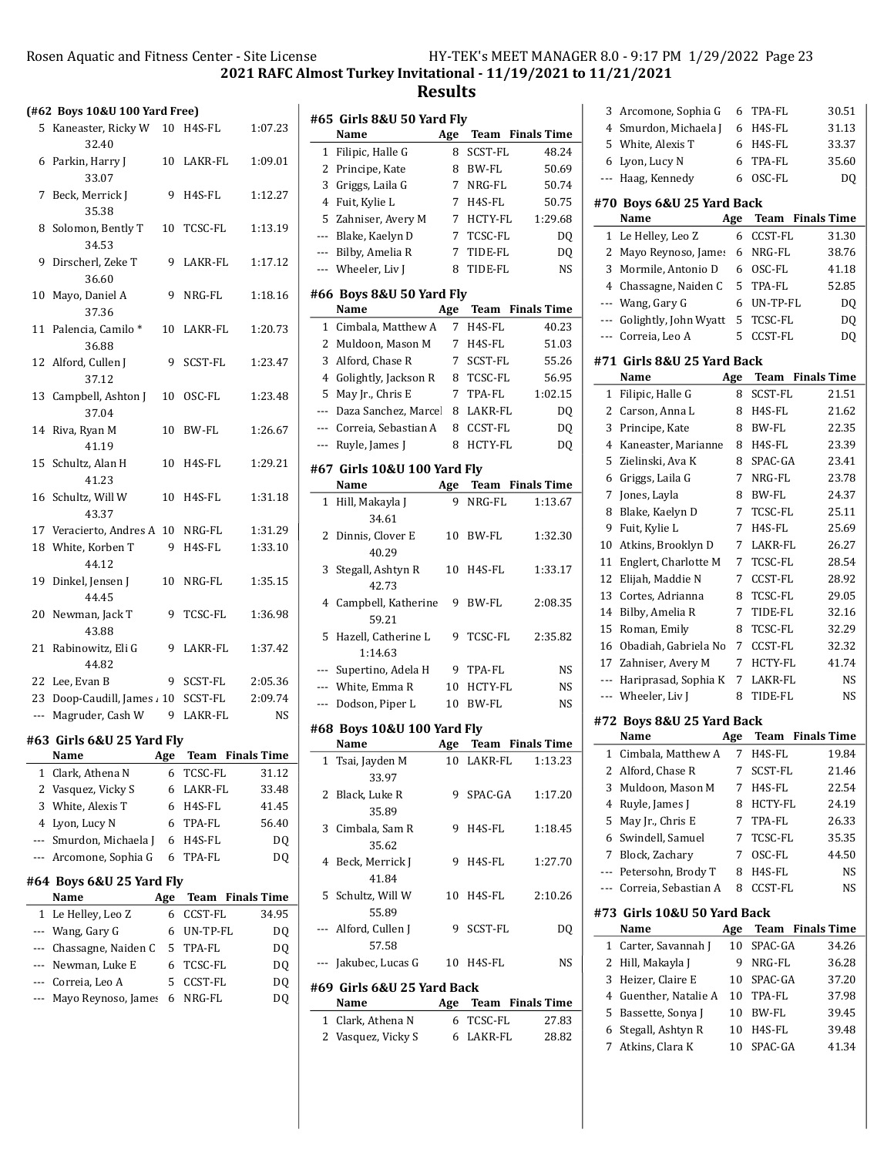Rosen Aquatic and Fitness Center - Site License HY-TEK's MEET MANAGER 8.0 - 9:17 PM 1/29/2022 Page 23 2021 RAFC Almost Turkey Invitational - 11/19/2021 to 11/21/2021

|     | (#62 Boys 10&U 100 Yard Free) |                 |                     |                    |
|-----|-------------------------------|-----------------|---------------------|--------------------|
|     | 5 Kaneaster, Ricky W<br>32.40 | 10 <sup>1</sup> | H4S-FL              | 1:07.23            |
|     | 6 Parkin, Harry J<br>33.07    | 10              | LAKR-FL             | 1:09.01            |
|     | 7 Beck, Merrick J<br>35.38    | 9               | H4S-FL              | 1:12.27            |
| 8   | Solomon, Bently T<br>34.53    | 10              | TCSC-FL             | 1:13.19            |
| 9   | Dirscherl, Zeke T<br>36.60    | 9               | LAKR-FL             | 1:17.12            |
|     | 10 Mayo, Daniel A<br>37.36    | 9               | NRG-FL              | 1:18.16            |
| 11  | Palencia, Camilo*<br>36.88    | 10              | LAKR-FL             | 1:20.73            |
| 12  | Alford, Cullen J<br>37.12     | 9               | SCST-FL             | 1:23.47            |
| 13  | Campbell, Ashton J<br>37.04   | 10              | OSC-FL              | 1:23.48            |
|     | 14 Riva, Ryan M<br>41.19      | 10              | BW-FL               | 1:26.67            |
| 15  | Schultz, Alan H<br>41.23      | 10 <sup>1</sup> | H4S-FL              | 1:29.21            |
| 16  | Schultz, Will W<br>43.37      | 10              | H <sub>4</sub> S-FL | 1:31.18            |
|     | 17 Veracierto, Andres A       | 10              | NRG-FL              | 1:31.29            |
|     | 18 White, Korben T            | 9               | H4S-FL              | 1:33.10            |
|     | 44.12                         |                 |                     |                    |
| 19  | Dinkel, Jensen J<br>44.45     | 10              | NRG-FL              | 1:35.15            |
| 20  | Newman, Jack T<br>43.88       | 9               | TCSC-FL             | 1:36.98            |
| 21  | Rabinowitz, Eli G<br>44.82    | 9               | LAKR-FL             | 1:37.42            |
|     | 22 Lee, Evan B                | 9               | SCST-FL             | 2:05.36            |
|     | 23 Doop-Caudill, James 10     |                 | SCST-FL             | 2:09.74            |
|     | --- Magruder, Cash W          | 9               | LAKR-FL             | NS                 |
|     | #63 Girls 6&U 25 Yard Fly     |                 |                     |                    |
|     | Name                          | <u>Age</u>      | Team                | <b>Finals Time</b> |
| 1   | Clark, Athena N               | 6               | TCSC-FL             | 31.12              |
| 2   | Vasquez, Vicky S              | 6               | LAKR-FL             | 33.48              |
| 3   | White, Alexis T               | 6               | H4S-FL              | 41.45              |
| 4   | Lyon, Lucy N                  | 6               | TPA-FL              | 56.40              |
| --- | Smurdon, Michaela J           | 6               | H4S-FL              | DQ                 |
| --- | Arcomone, Sophia G            | 6               | TPA-FL              | DQ                 |
|     | #64 Boys 6&U 25 Yard Fly      |                 |                     |                    |
|     | Name                          | Age             | Team                | <b>Finals Time</b> |
| 1   | Le Helley, Leo Z              | 6               | CCST-FL             | 34.95              |
| --- | Wang, Gary G                  | 6               | UN-TP-FL            | DQ                 |
| --- | Chassagne, Naiden C           | 5               | TPA-FL              | DQ                 |
| --- | Newman, Luke E                | 6               | <b>TCSC-FL</b>      | DQ                 |
| --- | Correia, Leo A                | 5               | CCST-FL             | DQ                 |
| --- | Mayo Reynoso, James           | 6               | NRG-FL              | DQ                 |
|     |                               |                 |                     |                    |

|     | #65 Girls 8&U 50 Yard Fly        |     |                |                         |
|-----|----------------------------------|-----|----------------|-------------------------|
|     | Name                             | Age |                | <b>Team</b> Finals Time |
| 1   | Filipic, Halle G                 | 8   | <b>SCST-FL</b> | 48.24                   |
| 2   | Principe, Kate                   | 8   | BW-FL          | 50.69                   |
| 3   | Griggs, Laila G                  | 7   | NRG-FL         | 50.74                   |
| 4   | Fuit, Kylie L                    | 7   | H4S-FL         | 50.75                   |
| 5   | Zahniser, Avery M                | 7   | HCTY-FL        | 1:29.68                 |
| --- | Blake, Kaelyn D                  | 7   | TCSC-FL        | DQ                      |
| --- | Bilby, Amelia R                  | 7   | TIDE-FL        | DQ                      |
| --- | Wheeler, Liv J                   | 8   | TIDE-FL        | NS                      |
|     | #66 Boys 8&U 50 Yard Fly<br>Name | Age |                | Team Finals Time        |
| 1   | Cimbala, Matthew A               | 7   | H4S-FL         | 40.23                   |
| 2   | Muldoon, Mason M                 | 7   | H4S-FL         | 51.03                   |
| 3   | Alford, Chase R                  | 7   | SCST-FL        | 55.26                   |
| 4   | Golightly, Jackson R             | 8   | TCSC-FL        | 56.95                   |
| 5   | May Jr., Chris E                 | 7   | TPA-FL         | 1:02.15                 |
| --- | Daza Sanchez, Marcel             | 8   | LAKR-FL        | D <sub>0</sub>          |
| --- | Correia, Sebastian A             | 8   | CCST-FL        | D <sub>0</sub>          |
| --- | Ruyle, James J                   | 8   | HCTY-FL        | DQ                      |
|     |                                  |     |                |                         |
|     | #67 Girls 10&U 100 Yard Fly      |     |                |                         |
|     | Name                             | Age |                | Team Finals Time        |
| 1   | Hill, Makayla J                  | 9   | NRG-FL         | 1:13.67                 |
|     | 34.61                            |     |                |                         |
| 2   | Dinnis, Clover E                 | 10  | BW-FL          | 1:32.30                 |
|     | 40.29                            |     |                |                         |
| 3   | Stegall, Ashtyn R<br>42.73       | 10  | H4S-FL         | 1:33.17                 |
| 4   | Campbell, Katherine<br>59.21     | 9   | BW-FL          | 2:08.35                 |
| 5   | Hazell, Catherine L<br>1:14.63   | 9   | TCSC-FL        | 2:35.82                 |
| --- | Supertino, Adela H               | 9   | TPA-FL         | NS                      |
| --- | White, Emma R                    | 10  | HCTY-FL        | NS                      |
| --- | Dodson, Piper L                  | 10  | <b>BW-FL</b>   | NS                      |
|     |                                  |     |                |                         |
|     | #68 Boys 10&U 100 Yard Fly       |     |                | Age Team Finals Time    |
|     | Name<br>Tsai, Jayden M           |     | 10 LAKR-FL     | 1:13.23                 |
| 1   | 33.97                            |     |                |                         |
| 2   | Black, Luke R<br>35.89           | 9   | SPAC-GA        | 1:17.20                 |
| 3   | Cimbala, Sam R<br>35.62          | 9   | H4S-FL         | 1:18.45                 |
| 4   | Beck, Merrick J<br>41.84         | 9   | H4S-FL         | 1:27.70                 |
|     | 5 Schultz, Will W<br>55.89       | 10  | H4S-FL         | 2:10.26                 |
|     | --- Alford, Cullen J<br>57.58    | 9   | SCST-FL        | DQ                      |
|     | --- Jakubec, Lucas G             |     | 10 H4S-FL      | NS                      |
|     | #69  Girls 6&U 25 Yard Back      |     |                |                         |
|     | Name                             |     |                | Age Team Finals Time    |
|     | 1 Clark, Athena N                | 6   | TCSC-FL        | 27.83                   |
|     | 2 Vasquez, Vicky S               |     | 6 LAKR-FL      | 28.82                   |

| 3   | Arcomone, Sophia G                  | 6   | TPA-FL    | 30.51                   |
|-----|-------------------------------------|-----|-----------|-------------------------|
| 4   | Smurdon, Michaela J                 | 6   | H4S-FL    | 31.13                   |
| 5   | White, Alexis T                     | 6   | $H4S$ -FL | 33.37                   |
| 6   | Lyon, Lucy N                        | 6   | TPA-FL    | 35.60                   |
| --- | Haag, Kennedy                       | 6   | OSC-FL    | DQ                      |
|     |                                     |     |           |                         |
|     | #70 Boys 6&U 25 Yard Back<br>Name   | Age |           | <b>Team</b> Finals Time |
| 1   | Le Helley, Leo Z                    | 6   | CCST-FL   | 31.30                   |
| 2   | Mayo Reynoso, James                 | 6   | NRG-FL    | 38.76                   |
| 3   | Mormile, Antonio D                  | 6   | OSC-FL    | 41.18                   |
| 4   | Chassagne, Naiden C                 | 5   | TPA-FL    | 52.85                   |
| --- | Wang, Gary G                        | 6   | UN-TP-FL  | D <sub>0</sub>          |
| --- | Golightly, John Wyatt               | 5   | TCSC-FL   | DQ                      |
| --- | Correia, Leo A                      | 5   | CCST-FL   | DQ                      |
|     |                                     |     |           |                         |
|     | #71 Girls 8&U 25 Yard Back          |     |           |                         |
|     | Name                                | Age |           | <b>Team</b> Finals Time |
| 1   | Filipic, Halle G                    | 8   | SCST-FL   | 21.51                   |
| 2   | Carson, Anna L                      | 8   | H4S-FL    | 21.62                   |
| 3   | Principe, Kate                      | 8   | BW-FL     | 22.35                   |
| 4   | Kaneaster, Marianne                 | 8   | H4S-FL    | 23.39                   |
| 5   | Zielinski, Ava K                    | 8   | SPAC-GA   | 23.41                   |
| 6   | Griggs, Laila G                     | 7   | NRG-FL    | 23.78                   |
| 7   | Jones, Layla                        | 8   | BW-FL     | 24.37                   |
| 8   | Blake, Kaelyn D                     | 7   | TCSC-FL   | 25.11                   |
| 9   | Fuit, Kylie L                       | 7   | H4S-FL    | 25.69                   |
| 10  | Atkins, Brooklyn D                  | 7   | LAKR-FL   | 26.27                   |
| 11  | Englert, Charlotte M                | 7   | TCSC-FL   | 28.54                   |
| 12  | Elijah, Maddie N                    | 7   | CCST-FL   | 28.92                   |
| 13  | Cortes, Adrianna                    | 8   | TCSC-FL   | 29.05                   |
| 14  | Bilby, Amelia R                     | 7   | TIDE-FL   | 32.16                   |
| 15  | Roman, Emily                        | 8   | TCSC-FL   | 32.29                   |
| 16  | Obadiah, Gabriela No                | 7   | CCST-FL   | 32.32                   |
| 17  | Zahniser, Avery M                   | 7   | HCTY-FL   | 41.74                   |
| --- | Hariprasad, Sophia K                | 7   | LAKR-FL   | NS                      |
| --- | Wheeler, Liv J                      | 8   | TIDE-FL   | <b>NS</b>               |
|     | #72 Boys 8&U 25 Yard Back           |     |           |                         |
|     | Name                                | Age | Team      | <b>Finals Time</b>      |
| 1   | Cimbala, Matthew A                  | 7   | H4S-FL    | 19.84                   |
| 2   | Alford, Chase R                     | 7   | SCST-FL   | 21.46                   |
| 3   | Muldoon, Mason M                    | 7   | H4S-FL    | 22.54                   |
| 4   | Ruyle, James J                      | 8   | HCTY-FL   | 24.19                   |
| 5   | May Jr., Chris E                    | 7   | TPA-FL    | 26.33                   |
| 6   | Swindell, Samuel                    | 7   | TCSC-FL   | 35.35                   |
| 7   | Block, Zachary                      | 7   | OSC-FL    | 44.50                   |
| --- | Petersohn, Brody T                  | 8   | H4S-FL    | NS                      |
| --- | Correia, Sebastian A                | 8   | CCST-FL   | NS                      |
|     |                                     |     |           |                         |
|     | #73 Girls 10&U 50 Yard Back<br>Name | Age | Team      | <b>Finals Time</b>      |
| 1   | Carter, Savannah J                  | 10  | SPAC-GA   | 34.26                   |
| 2   | Hill, Makayla J                     | 9   | NRG-FL    | 36.28                   |
| 3   | Heizer, Claire E                    | 10  | SPAC-GA   | 37.20                   |
| 4   | Guenther, Natalie A                 | 10  | TPA-FL    | 37.98                   |
| 5   | Bassette, Sonya J                   | 10  | BW-FL     | 39.45                   |
| 6   | Stegall, Ashtyn R                   | 10  | H4S-FL    | 39.48                   |
|     |                                     |     |           |                         |
| 7   | Atkins, Clara K                     | 10  | SPAC-GA   | 41.34                   |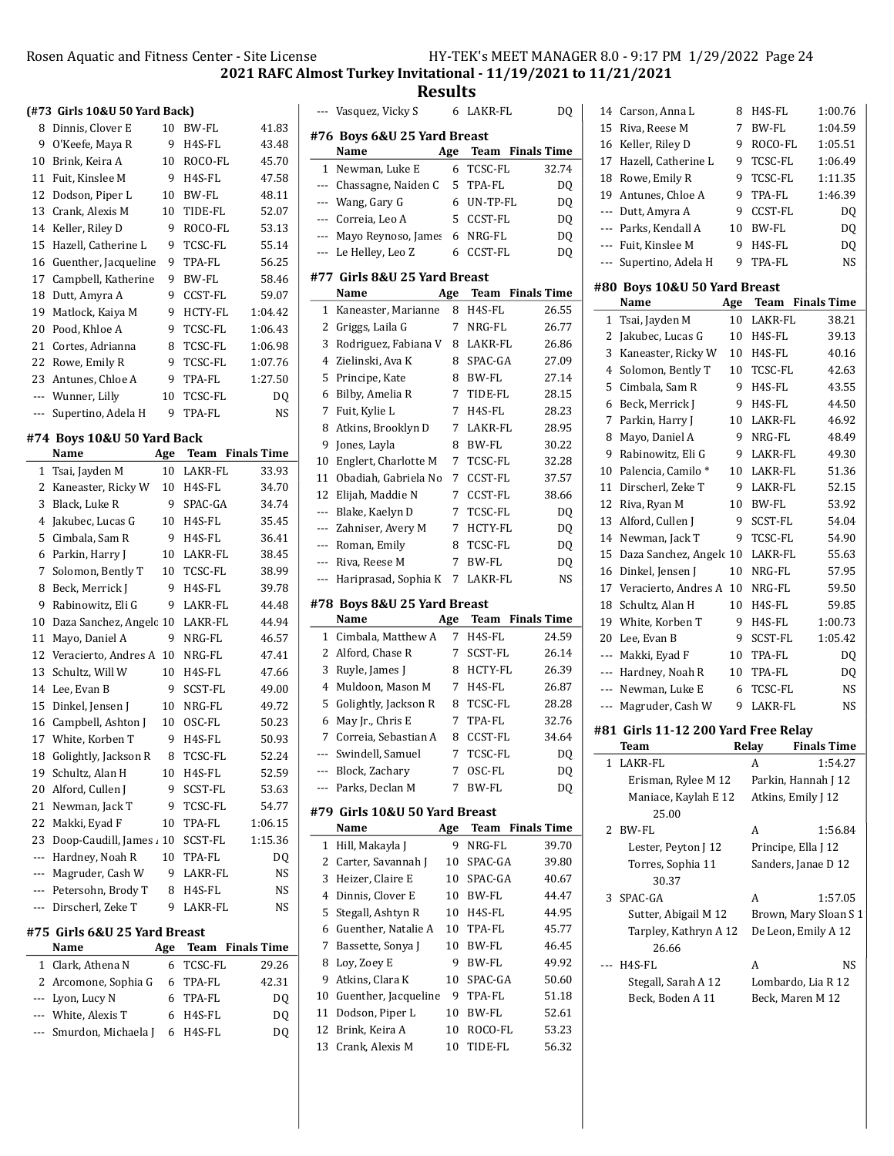Results

|                | (#73 Girls 10&U 50 Yard Back)      |     |              |                    |
|----------------|------------------------------------|-----|--------------|--------------------|
| 8              | Dinnis, Clover E                   | 10  | <b>BW-FL</b> | 41.83              |
| 9              | O'Keefe, Maya R                    | 9   | H4S-FL       | 43.48              |
| 10             | Brink, Keira A                     | 10  | ROCO-FL      | 45.70              |
| 11             | Fuit. Kinslee M                    | 9   | H4S-FL       | 47.58              |
| 12             | Dodson, Piper L                    | 10  | <b>BW-FL</b> | 48.11              |
| 13             | Crank, Alexis M                    | 10  | TIDE-FL      | 52.07              |
| 14             | Keller, Riley D                    | 9   | ROCO-FL      | 53.13              |
| 15             | Hazell, Catherine L                | 9   | TCSC-FL      | 55.14              |
| 16             | Guenther, Jacqueline               | 9   | TPA-FL       | 56.25              |
| 17             | Campbell, Katherine                | 9   | BW-FL        | 58.46              |
| 18             | Dutt, Amyra A                      | 9   | CCST-FL      | 59.07              |
| 19             | Matlock, Kaiya M                   | 9   | HCTY-FL      | 1:04.42            |
| 20             | Pood, Khloe A                      | 9   | TCSC-FL      | 1:06.43            |
| 21             | Cortes, Adrianna                   | 8   | TCSC-FL      | 1:06.98            |
| 22             | Rowe, Emily R                      | 9   | TCSC-FL      | 1:07.76            |
| 23             | Antunes, Chloe A                   | 9   | TPA-FL       | 1:27.50            |
| $\overline{a}$ | Wunner, Lilly                      | 10  | TCSC-FL      | DQ                 |
| ---            | Supertino, Adela H                 | 9   | TPA-FL       | NS                 |
|                |                                    |     |              |                    |
|                | #74 Boys 10&U 50 Yard Back<br>Name | Age | Team         | <b>Finals Time</b> |
| 1              | Tsai, Jayden M                     | 10  | LAKR-FL      | 33.93              |
| 2              | Kaneaster, Ricky W                 | 10  | H4S-FL       | 34.70              |
| 3              | Black, Luke R                      | 9   | SPAC-GA      | 34.74              |
| 4              | Jakubec, Lucas G                   | 10  | H4S-FL       | 35.45              |
| 5              | Cimbala, Sam R                     | 9   | H4S-FL       | 36.41              |
| 6              | Parkin, Harry J                    | 10  | LAKR-FL      | 38.45              |
| 7              | Solomon, Bently T                  | 10  | TCSC-FL      | 38.99              |
| 8              | Beck, Merrick J                    | 9   | H4S-FL       | 39.78              |
| 9              | Rabinowitz, Eli G                  | 9   | LAKR-FL      | 44.48              |
| 10             | Daza Sanchez, Angelc 10            |     | LAKR-FL      | 44.94              |
| 11             | Mayo, Daniel A                     | 9   | NRG-FL       | 46.57              |
| 12             | Veracierto, Andres A               | 10  | NRG-FL       | 47.41              |
| 13             | Schultz, Will W                    | 10  | H4S-FL       | 47.66              |
| 14             | Lee, Evan B                        | 9   | SCST-FL      | 49.00              |
| 15             | Dinkel, Jensen J                   | 10  | NRG-FL       | 49.72              |
| 16             | Campbell, Ashton J                 | 10  | OSC-FL       | 50.23              |
| 17             | White, Korben T                    | 9   | H4S-FL       | 50.93              |
| 18             | Golightly, Jackson R               | 8   | TCSC-FL      | 52.24              |
| 19             | Schultz, Alan H                    | 10  | H4S-FL       | 52.59              |
| 20             | Alford, Cullen J                   | 9   | SCST-FL      | 53.63              |
| 21             | Newman, Jack T                     | 9   | TCSC-FL      | 54.77              |
| 22             | Makki, Eyad F                      | 10  | TPA-FL       | 1:06.15            |
| 23             | Doop-Caudill, James 10             |     | SCST-FL      | 1:15.36            |
| ---            | Hardney, Noah R                    | 10  | TPA-FL       | DQ                 |
| ---            | Magruder, Cash W                   | 9   | LAKR-FL      | NS                 |
| ---            | Petersohn, Brody T                 | 8   | H4S-FL       | NS                 |
| ---            | Dirscherl, Zeke T                  | 9   | LAKR-FL      | NS                 |
|                | #75  Girls 6&U 25 Yard Breast      |     |              |                    |
|                | Name                               | Age | <b>Team</b>  | <b>Finals Time</b> |
| 1              | Clark, Athena N                    | 6   | TCSC-FL      | 29.26              |
| 2              | Arcomone, Sophia G                 | 6   | TPA-FL       | 42.31              |
| ---            | Lyon, Lucy N                       | 6   | TPA-FL       | DQ                 |
| ---            | White, Alexis T                    | 6   | H4S-FL       | DQ                 |
| ---            | Smurdon, Michaela J                | 6   | H4S-FL       | DQ                 |
|                |                                    |     |              |                    |

|            | --- Vasquez, Vicky S           |        | 6 LAKR-FL     | DQ                      |
|------------|--------------------------------|--------|---------------|-------------------------|
|            | #76 Boys 6&U 25 Yard Breast    |        |               |                         |
|            | Name                           | Age    | Team          | <b>Finals Time</b>      |
| 1          | Newman, Luke E                 | 6      | TCSC-FL       | 32.74                   |
|            | --- Chassagne, Naiden C        | 5      | TPA-FL        | DQ                      |
| ---        | Wang, Gary G                   | 6      | UN-TP-FL      | DQ                      |
| ---        | Correia, Leo A                 | 5      | CCST-FL       | DQ                      |
| ---        | Mayo Reynoso, James            | 6      | NRG-FL        | DQ                      |
| ---        | Le Helley, Leo Z               | 6      | CCST-FL       | DQ                      |
|            | #77  Girls 8&U 25 Yard Breast  |        |               |                         |
|            | Name                           | Age    | Team          | <b>Finals Time</b>      |
| 1          | Kaneaster, Marianne            | 8      | H4S-FL        | 26.55                   |
| 2          | Griggs, Laila G                | 7      | NRG-FL        | 26.77                   |
| 3          | Rodriguez, Fabiana V           | 8      | LAKR-FL       | 26.86                   |
| 4          | Zielinski, Ava K               | 8      | SPAC-GA       | 27.09                   |
| 5          | Principe, Kate                 | 8      | BW-FL         | 27.14                   |
| 6          | Bilby, Amelia R                | 7      | TIDE-FL       | 28.15                   |
| 7          | Fuit, Kylie L                  | 7      | H4S-FL        | 28.23                   |
| 8          | Atkins, Brooklyn D             | 7      | LAKR-FL       | 28.95                   |
| 9          | Jones, Layla                   | 8      | BW-FL         | 30.22                   |
| 10         | Englert, Charlotte M           | 7      | TCSC-FL       | 32.28                   |
| 11         | Obadiah, Gabriela No           | 7      | CCST-FL       | 37.57                   |
| 12         | Elijah, Maddie N               | 7      | CCST-FL       | 38.66                   |
| ---        | Blake, Kaelyn D                | 7      | TCSC-FL       | DQ                      |
| ---        | Zahniser, Avery M              | 7      | HCTY-FL       | DQ                      |
| ---        | Roman, Emily                   | 8      | TCSC-FL       | DQ                      |
| $---$      | Riva, Reese M                  | 7      | <b>BW-FL</b>  | DQ                      |
| ---        | Hariprasad, Sophia K           | 7      | LAKR-FL       | NS                      |
|            |                                |        |               |                         |
|            | #78 Boys 8&U 25 Yard Breast    |        |               |                         |
|            |                                |        |               |                         |
|            | Name                           | Age    |               | <b>Team</b> Finals Time |
| 1          | Cimbala, Matthew A             | 7      | H4S-FL        | 24.59                   |
| 2          | Alford, Chase R                | 7      | SCST-FL       | 26.14                   |
| 3          | Ruyle, James J                 | 8      | HCTY-FL       | 26.39                   |
| 4          | Muldoon, Mason M               | 7      | H4S-FL        | 26.87                   |
| 5          | Golightly, Jackson R           | 8      | TCSC-FL       | 28.28                   |
| 6          | May Jr., Chris E               | 7      | <b>TPA-FL</b> | 32.76                   |
| 7          | Correia, Sebastian A           | 8      | CCST-FL       | 34.64                   |
|            | --- Swindell, Samuel           | 7      | TCSC-FL       | DQ                      |
| ---<br>--- | Block, Zachary                 | 7<br>7 | OSC-FL        | DQ                      |
|            | Parks, Declan M                |        | BW-FL         | DQ                      |
|            | #79  Girls 10&U 50 Yard Breast |        |               |                         |
|            | Name                           | Age    | Team          | <b>Finals Time</b>      |
| 1          | Hill, Makayla J                | 9      | NRG-FL        | 39.70                   |
| 2          | Carter, Savannah J             | 10     | SPAC-GA       | 39.80                   |
| 3          | Heizer, Claire E               | 10     | SPAC-GA       | 40.67                   |
| 4          | Dinnis, Clover E               | 10     | BW-FL         | 44.47                   |
| 5          | Stegall, Ashtyn R              | 10     | H4S-FL        | 44.95                   |
| 6          | Guenther, Natalie A            | 10     | TPA-FL        | 45.77                   |
| 7          | Bassette, Sonya J              | 10     | BW-FL         | 46.45                   |
| 8          | Loy, Zoey E                    | 9      | BW-FL         | 49.92                   |
| 9          | Atkins, Clara K                | 10     | SPAC-GA       | 50.60                   |
| 10         | Guenther, Jacqueline           | 9      | TPA-FL        | 51.18                   |
| 11         | Dodson, Piper L                | 10     | BW-FL         | 52.61                   |
| 12         | Brink, Keira A                 | 10     | ROCO-FL       | 53.23                   |
| 13         | Crank, Alexis M                | 10     | TIDE-FL       | 56.32                   |

| 14    | Carson, Anna L                       | 8   | H4S-FL              | 1:00.76                 |
|-------|--------------------------------------|-----|---------------------|-------------------------|
| 15    | Riva, Reese M                        | 7   | BW-FL               | 1:04.59                 |
| 16    | Keller, Riley D                      | 9   | ROCO-FL             | 1:05.51                 |
| 17    | Hazell, Catherine L                  | 9   | TCSC-FL             | 1:06.49                 |
| 18    | Rowe, Emily R                        | 9   | TCSC-FL             | 1:11.35                 |
| 19    | Antunes, Chloe A                     | 9   | TPA-FL              | 1:46.39                 |
| ---   | Dutt, Amyra A                        | 9   | CCST-FL             | DQ                      |
|       | --- Parks, Kendall A                 | 10  | BW-FL               | DQ                      |
|       | --- Fuit, Kinslee M                  | 9   | H4S-FL              | DQ                      |
| ---   | Supertino, Adela H                   | 9   | TPA-FL              | NS                      |
|       |                                      |     |                     |                         |
|       | #80 Boys 10&U 50 Yard Breast<br>Name | Age |                     | <b>Team</b> Finals Time |
| 1     | Tsai, Jayden M                       | 10  | LAKR-FL             | 38.21                   |
| 2     | Jakubec, Lucas G                     | 10  | H4S-FL              | 39.13                   |
| 3     | Kaneaster, Ricky W                   | 10  | $H4S$ -FL           | 40.16                   |
| 4     | Solomon, Bently T                    | 10  | TCSC-FL             | 42.63                   |
| 5     | Cimbala, Sam R                       | 9   | $H4S$ -FL           | 43.55                   |
| 6     | Beck, Merrick J                      | 9   | H4S-FL              | 44.50                   |
| 7     | Parkin, Harry J                      | 10  | LAKR-FL             | 46.92                   |
| 8     | Mayo, Daniel A                       | 9   | NRG-FL              | 48.49                   |
| 9     | Rabinowitz, Eli G                    | 9   | LAKR-FL             | 49.30                   |
| 10    | Palencia, Camilo*                    | 10  | LAKR-FL             | 51.36                   |
| 11    | Dirscherl, Zeke T                    | 9   | LAKR-FL             | 52.15                   |
| 12    | Riva, Ryan M                         | 10  | <b>BW-FL</b>        | 53.92                   |
| 13    | Alford, Cullen J                     | 9   | <b>SCST-FL</b>      | 54.04                   |
| 14    | Newman, Jack T                       | 9   | TCSC-FL             | 54.90                   |
| 15    | Daza Sanchez, Angelc 10              |     | LAKR-FL             | 55.63                   |
| 16    | Dinkel, Jensen J                     | 10  | NRG-FL              | 57.95                   |
| 17    | Veracierto, Andres A                 | 10  | NRG-FL              | 59.50                   |
| 18    | Schultz, Alan H                      | 10  | H4S-FL              | 59.85                   |
| 19    | White, Korben T                      | 9   | H4S-FL              | 1:00.73                 |
| 20    | Lee, Evan B                          | 9   | SCST-FL             | 1:05.42                 |
| $---$ | Makki, Eyad F                        | 10  | TPA-FL              | DQ                      |
| $---$ | Hardney, Noah R                      | 10  | TPA-FL              | DO.                     |
| ---   | Newman, Luke E                       | 6   | TCSC-FL             | NS                      |
| ---   | Magruder, Cash W                     | 9   | LAKR-FL             | NS                      |
|       |                                      |     |                     |                         |
|       | #81 Girls 11-12 200 Yard Free Relay  |     |                     |                         |
|       | Team                                 |     | Relay               | <b>Finals Time</b>      |
| 1     | LAKR-FL                              |     | A                   | 1:54.27                 |
|       | Erisman, Rylee M 12                  |     | Parkin, Hannah J 12 |                         |
|       | Maniace, Kaylah E 12<br>25.00        |     | Atkins, Emily J 12  |                         |
| 2     | BW-FL                                |     | A                   | 1:56.84                 |
|       | Lester, Peyton J 12                  |     | Principe, Ella J 12 |                         |
|       | Torres, Sophia 11<br>30.37           |     | Sanders, Janae D 12 |                         |
| 3     | SPAC-GA                              |     | A                   | 1:57.05                 |
|       | Sutter, Abigail M 12                 |     |                     | Brown, Mary Sloan S 1   |
|       | Tarpley, Kathryn A 12                |     | De Leon, Emily A 12 |                         |
|       | 26.66                                |     |                     |                         |
|       | H4S-FL                               |     | A                   | NS                      |
|       | Stegall, Sarah A 12                  |     | Lombardo, Lia R 12  |                         |
|       | Beck, Boden A 11                     |     | Beck, Maren M 12    |                         |
|       |                                      |     |                     |                         |
|       |                                      |     |                     |                         |
|       |                                      |     |                     |                         |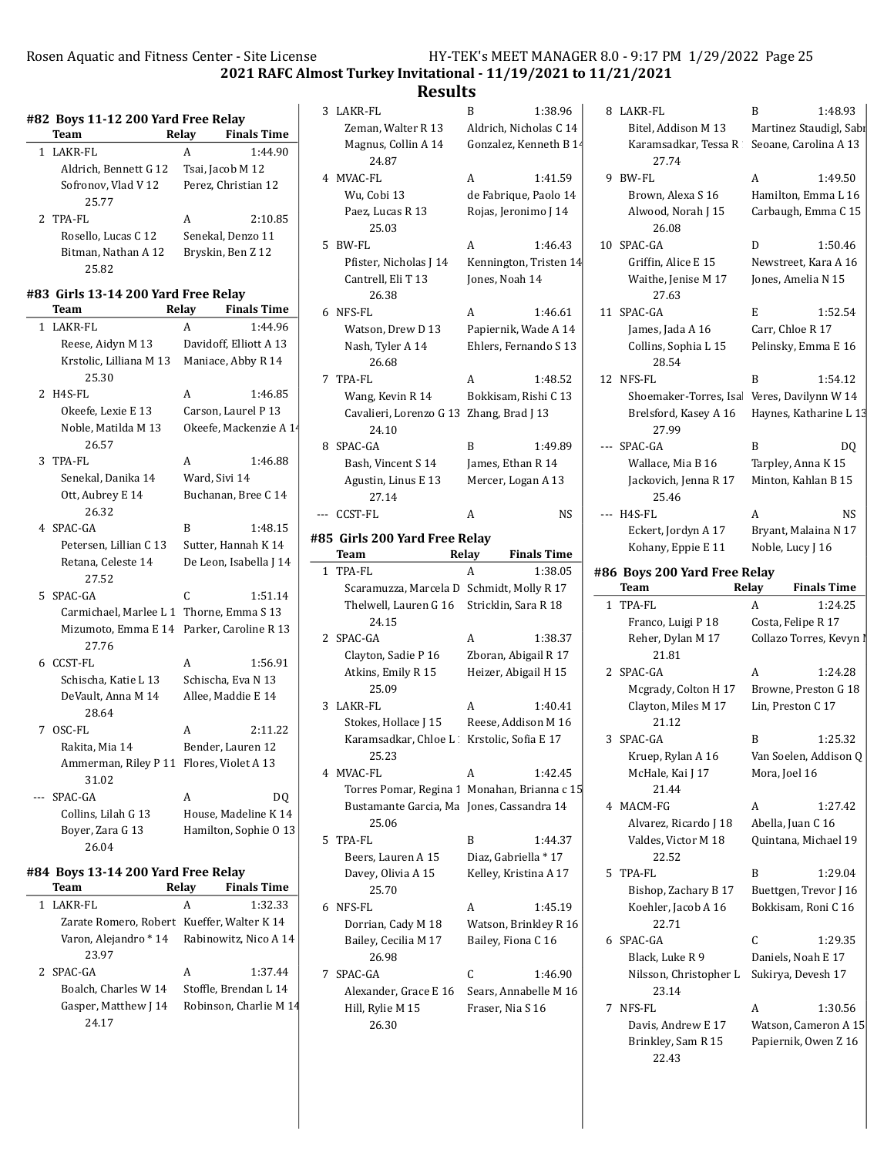$\mathbf{I}$ 

 $\sim$ 

2021 RAFC Almost Turkey Invitational - 11/19/2021 to 11/21/2021

|   | #82 Boys 11-12 200 Yard Free Relay                 |       |                        |
|---|----------------------------------------------------|-------|------------------------|
|   | Team                                               | Relay | <b>Finals Time</b>     |
| 1 | LAKR-FL                                            | A     | 1:44.90                |
|   | Aldrich, Bennett G 12                              |       | Tsai, Jacob M 12       |
|   | Sofronov, Vlad V 12                                |       | Perez, Christian 12    |
|   | 25.77                                              |       |                        |
|   | 2 TPA-FL                                           | A     | 2:10.85                |
|   | Rosello, Lucas C 12                                |       | Senekal, Denzo 11      |
|   | Bitman, Nathan A 12<br>25.82                       |       | Bryskin, Ben Z 12      |
|   | #83 Girls 13-14 200 Yard Free Relay                |       |                        |
|   | Team                                               | Relay | <b>Finals Time</b>     |
| 1 | LAKR-FL                                            | A     | 1:44.96                |
|   | Reese, Aidyn M 13                                  |       | Davidoff, Elliott A 13 |
|   | Krstolic, Lilliana M 13<br>25.30                   |       | Maniace, Abby R 14     |
| 2 | H4S-FL                                             | A     | 1:46.85                |
|   | Okeefe, Lexie E 13                                 |       | Carson, Laurel P 13    |
|   | Noble, Matilda M 13<br>26.57                       |       | Okeefe, Mackenzie A 14 |
| 3 | TPA-FL                                             | A     | 1:46.88                |
|   | Senekal, Danika 14                                 |       | Ward, Sivi 14          |
|   | Ott, Aubrey E 14<br>26.32                          |       | Buchanan, Bree C 14    |
|   | 4 SPAC-GA                                          | B     | 1:48.15                |
|   | Petersen, Lillian C 13                             |       | Sutter, Hannah K 14    |
|   | Retana, Celeste 14<br>27.52                        |       | De Leon, Isabella J 14 |
| 5 | SPAC-GA                                            | C     | 1:51.14                |
|   | Carmichael, Marlee L 1 Thorne, Emma S 13           |       |                        |
|   | Mizumoto, Emma E 14 Parker, Caroline R 13<br>27.76 |       |                        |
| 6 | CCST-FL                                            | A     | 1:56.91                |
|   | Schischa, Katie L 13                               |       | Schischa, Eva N 13     |
|   | DeVault, Anna M 14<br>28.64                        |       | Allee, Maddie E 14     |
|   | 7 OSC-FL                                           | A     | 2:11.22                |
|   | Rakita, Mia 14                                     |       | Bender, Lauren 12      |
|   | Ammerman, Riley P 11 Flores, Violet A 13<br>31.02  |       |                        |
|   | SPAC-GA                                            | A     | DO                     |
|   | Collins, Lilah G 13                                |       | House, Madeline K 14   |
|   | Boyer, Zara G 13                                   |       | Hamilton, Sophie O 13  |
|   | 26.04                                              |       |                        |
|   | #84 Boys 13-14 200 Yard Free Relay                 |       |                        |
|   | Team                                               | Relay | <b>Finals Time</b>     |
| 1 | LAKR-FL                                            | A     | 1:32.33                |

| LAKR-FL                                     | 1:32.33                |  |
|---------------------------------------------|------------------------|--|
| Zarate Romero, Robert Kueffer, Walter K 14  |                        |  |
| Varon, Alejandro * 14 Rabinowitz, Nico A 14 |                        |  |
| 23.97                                       |                        |  |
| 2 SPAC-GA                                   | 1:37.44<br>А           |  |
| Boalch, Charles W 14                        | Stoffle, Brendan L 14  |  |
| Gasper, Matthew J 14                        | Robinson, Charlie M 14 |  |
|                                             |                        |  |

| ncouno                                       |                            |                    |                                            |                  |                                              |
|----------------------------------------------|----------------------------|--------------------|--------------------------------------------|------------------|----------------------------------------------|
| 3 LAKR-FL                                    | B                          | 1:38.96            | 8 LAKR-FL                                  | B                | 1:48.93                                      |
| Zeman, Walter R 13                           | Aldrich, Nicholas C 14     |                    | Bitel, Addison M 13                        |                  | Martinez Staudigl, Sabı                      |
| Magnus, Collin A 14                          | Gonzalez, Kenneth B 14     |                    | Karamsadkar, Tessa R                       |                  | Seoane, Carolina A 13                        |
| 24.87                                        |                            |                    | 27.74                                      |                  |                                              |
| 4 MVAC-FL                                    | A                          | 1:41.59            | 9 BW-FL                                    | A                | 1:49.50                                      |
| Wu, Cobi 13                                  | de Fabrique, Paolo 14      |                    | Brown, Alexa S 16                          |                  | Hamilton, Emma L 16                          |
| Paez, Lucas R 13<br>25.03                    | Rojas, Jeronimo J 14       |                    | Alwood, Norah J 15<br>26.08                |                  | Carbaugh, Emma C 15                          |
| 5 BW-FL                                      | A                          | 1:46.43            | 10 SPAC-GA                                 | D                | 1:50.46                                      |
| Pfister, Nicholas J 14                       | Kennington, Tristen 14     |                    | Griffin, Alice E 15                        |                  | Newstreet, Kara A 16                         |
| Cantrell, Eli T 13<br>26.38                  | Jones, Noah 14             |                    | Waithe, Jenise M 17<br>27.63               |                  | Jones, Amelia N 15                           |
| 6 NFS-FL                                     | A                          | 1:46.61            | 11 SPAC-GA                                 | E                | 1:52.54                                      |
| Watson, Drew D 13                            | Papiernik, Wade A 14       |                    | James, Jada A 16                           | Carr, Chloe R 17 |                                              |
| Nash, Tyler A 14                             | Ehlers, Fernando S 13      |                    | Collins, Sophia L 15                       |                  | Pelinsky, Emma E 16                          |
| 26.68<br>7 TPA-FL                            |                            | 1:48.52            | 28.54<br>12 NFS-FL                         | B                |                                              |
| Wang, Kevin R 14                             | A<br>Bokkisam, Rishi C 13  |                    | Shoemaker-Torres, Isa Veres, Davilynn W 14 |                  | 1:54.12                                      |
| Cavalieri, Lorenzo G 13 Zhang, Brad J 13     |                            |                    | Brelsford, Kasey A 16                      |                  | Haynes, Katharine L 13                       |
| 24.10                                        |                            |                    | 27.99                                      |                  |                                              |
| 8 SPAC-GA                                    | B                          | 1:49.89            | --- SPAC-GA                                | B                | DQ                                           |
| Bash, Vincent S 14                           | James, Ethan R 14          |                    | Wallace, Mia B 16                          |                  | Tarpley, Anna K 15                           |
| Agustin, Linus E 13                          | Mercer, Logan A 13         |                    | Jackovich, Jenna R 17                      |                  | Minton, Kahlan B 15                          |
| 27.14                                        |                            |                    | 25.46                                      |                  |                                              |
| CCST-FL                                      | A                          | NS.                | --- H4S-FL                                 | A                | <b>NS</b>                                    |
| #85 Girls 200 Yard Free Relay                |                            |                    | Eckert, Jordyn A 17                        |                  | Bryant, Malaina N 17                         |
| Team                                         | Relay                      | <b>Finals Time</b> | Kohany, Eppie E 11                         | Noble, Lucy J 16 |                                              |
| 1 TPA-FL                                     | A                          | 1:38.05            | #86 Boys 200 Yard Free Relay               |                  |                                              |
| Scaramuzza, Marcela D Schmidt, Molly R 17    |                            |                    | Team                                       | Relay            | <b>Finals Time</b>                           |
| Thelwell, Lauren G 16                        | Stricklin, Sara R 18       |                    | 1 TPA-FL                                   | A                | 1:24.25                                      |
| 24.15                                        |                            |                    | Franco, Luigi P 18                         |                  | Costa, Felipe R 17                           |
| 2 SPAC-GA                                    | A                          | 1:38.37            | Reher, Dylan M 17                          |                  | Collazo Torres, Kevyn I                      |
| Clayton, Sadie P 16                          | Zboran, Abigail R 17       |                    | 21.81                                      |                  |                                              |
| Atkins, Emily R 15<br>25.09                  | Heizer, Abigail H 15       |                    | 2 SPAC-GA<br>Mcgrady, Colton H 17          | A                | 1:24.28<br>Browne, Preston G 18              |
| 3 LAKR-FL                                    | A                          | 1:40.41            | Clayton, Miles M 17                        |                  | Lin, Preston C 17                            |
| Stokes, Hollace J 15                         | Reese, Addison M 16        |                    | 21.12                                      |                  |                                              |
| Karamsadkar, Chloe L Krstolic, Sofia E 17    |                            |                    | 3 SPAC-GA                                  | B                | 1:25.32                                      |
| 25.23                                        |                            |                    | Kruep, Rylan A 16                          |                  | Van Soelen, Addison Q                        |
| 4 MVAC-FL                                    | A                          | 1:42.45            | McHale, Kai J 17                           | Mora, Joel 16    |                                              |
| Torres Pomar, Regina 1 Monahan, Brianna c 15 |                            |                    | 21.44                                      |                  |                                              |
| Bustamante Garcia, Ma Jones, Cassandra 14    |                            |                    | 4 MACM-FG                                  | А                | 1:27.42                                      |
| 25.06                                        |                            |                    | Alvarez, Ricardo J 18                      |                  | Abella, Juan C 16                            |
| 5 TPA-FL                                     | B                          | 1:44.37            | Valdes, Victor M 18                        |                  | Quintana, Michael 19                         |
| Beers, Lauren A 15                           | Diaz, Gabriella * 17       |                    | 22.52                                      |                  |                                              |
| Davey, Olivia A 15                           | Kelley, Kristina A 17      |                    | 5 TPA-FL                                   | B                | 1:29.04                                      |
| 25.70                                        |                            |                    | Bishop, Zachary B 17                       |                  | Buettgen, Trevor J 16                        |
| 6 NFS-FL                                     | A                          | 1:45.19            | Koehler, Jacob A 16                        |                  | Bokkisam, Roni C 16                          |
| Dorrian, Cady M 18                           | Watson, Brinkley R 16      |                    | 22.71                                      |                  |                                              |
| Bailey, Cecilia M 17                         | Bailey, Fiona C 16         |                    | 6 SPAC-GA                                  | C                | 1:29.35                                      |
| 26.98                                        |                            |                    | Black, Luke R 9                            |                  | Daniels, Noah E 17                           |
| 7 SPAC-GA<br>Alexander, Grace E 16           | C<br>Sears, Annabelle M 16 | 1:46.90            | Nilsson, Christopher L<br>23.14            |                  | Sukirya, Devesh 17                           |
| Hill, Rylie M 15                             | Fraser, Nia S 16           |                    | 7 NFS-FL                                   | A                | 1:30.56                                      |
|                                              |                            |                    |                                            |                  |                                              |
|                                              |                            |                    |                                            |                  |                                              |
| 26.30                                        |                            |                    | Davis, Andrew E 17<br>Brinkley, Sam R 15   |                  | Watson, Cameron A 15<br>Papiernik, Owen Z 16 |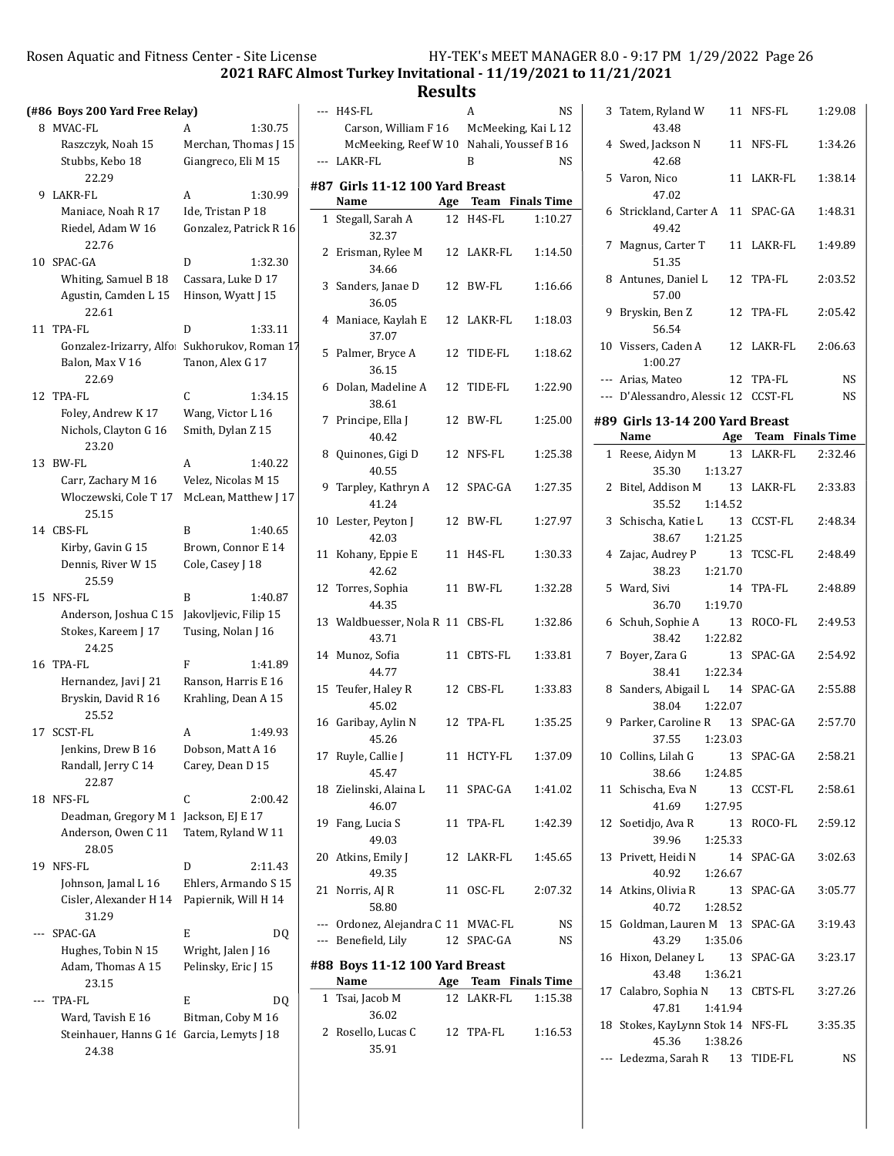2021 RAFC Almost Turkey Invitational - 11/19/2021 to 11/21/2021

Results

 $\overline{a}$ 

 $\overline{\phantom{a}}$ 

# (#86 Boys 200 Yard Free Relay)

|    | (#86-B0ys 200 Yard Free Relay)                       |                        |
|----|------------------------------------------------------|------------------------|
| 8  | MVAC-FL                                              | 1:30.75<br>A           |
|    | Raszczyk, Noah 15                                    | Merchan, Thomas J 15   |
|    | Stubbs, Kebo 18<br>22.29                             | Giangreco, Eli M 15    |
| 9. | LAKR-FL                                              | A<br>1:30.99           |
|    | Maniace, Noah R 17                                   | Ide, Tristan P 18      |
|    | Riedel, Adam W 16<br>22.76                           | Gonzalez, Patrick R 16 |
| 10 | SPAC-GA                                              | D<br>1:32.30           |
|    | Whiting, Samuel B 18                                 | Cassara, Luke D 17     |
|    | Agustin, Camden L 15<br>22.61                        | Hinson, Wyatt J 15     |
| 11 | TPA-FL                                               | D<br>1:33.11           |
|    | Gonzalez-Irizarry, Alfo                              | Sukhorukov, Roman 17   |
|    | Balon, Max V 16<br>22.69                             | Tanon, Alex G 17       |
| 12 | TPA-FL                                               | C<br>1:34.15           |
|    | Foley, Andrew K 17                                   | Wang, Victor L 16      |
|    | Nichols, Clayton G 16<br>23.20                       | Smith, Dylan Z 15      |
|    | 13 BW-FL                                             | 1:40.22<br>A           |
|    | Carr, Zachary M 16                                   | Velez, Nicolas M 15    |
|    | Wloczewski, Cole T 17<br>25.15                       | McLean, Matthew J 17   |
|    | 14 CBS-FL                                            | B<br>1:40.65           |
|    | Kirby, Gavin G 15                                    | Brown, Connor E 14     |
|    | Dennis, River W 15<br>25.59                          | Cole, Casey J 18       |
| 15 | NFS-FL                                               | B<br>1:40.87           |
|    | Anderson, Joshua C 15                                | Jakovljevic, Filip 15  |
|    | Stokes, Kareem J 17<br>24.25                         | Tusing, Nolan J 16     |
| 16 | TPA-FL                                               | F<br>1:41.89           |
|    | Hernandez, Javi J 21                                 | Ranson, Harris E 16    |
|    | Bryskin, David R 16<br>25.52                         | Krahling, Dean A 15    |
| 17 | SCST-FL                                              | 1:49.93<br>A           |
|    | Jenkins, Drew B 16                                   | Dobson, Matt A 16      |
|    | Randall, Jerry C 14<br>22.87                         | Carey, Dean D 15       |
| 18 | NFS-FL                                               | C<br>2:00.42           |
|    | Deadman, Gregory M 1                                 | Jackson, EJ E 17       |
|    | Anderson, Owen C 11<br>28.05                         | Tatem, Ryland W 11     |
| 19 | NFS-FL                                               | D<br>2:11.43           |
|    | Johnson, Jamal L 16                                  | Ehlers, Armando S 15   |
|    | Cisler, Alexander H 14 Papiernik, Will H 14<br>31.29 |                        |
|    | SPAC-GA                                              | E<br>DQ                |
|    | Hughes, Tobin N 15                                   | Wright, Jalen J 16     |
|    | Adam, Thomas A 15<br>23.15                           | Pelinsky, Eric J 15    |
|    | TPA-FL                                               | E<br>DQ                |
|    | Ward, Tavish E 16                                    | Bitman, Coby M 16      |
|    | Steinhauer, Hanns G 16 Garcia, Lemyts J 18           |                        |
|    | 24.38                                                |                        |

|              | --- H4S-FL                                                            | A<br>NS                                   |                      |           |
|--------------|-----------------------------------------------------------------------|-------------------------------------------|----------------------|-----------|
|              | Carson, William F 16                                                  | McMeeking, Kai L 12                       |                      |           |
|              |                                                                       | McMeeking, Reef W 10 Nahali, Youssef B 16 |                      |           |
|              | --- LAKR-FL                                                           |                                           | B                    | <b>NS</b> |
|              | #87 Girls 11-12 100 Yard Breast                                       |                                           |                      |           |
|              | Name                                                                  |                                           | Age Team Finals Time |           |
| $\mathbf{1}$ | Stegall, Sarah A                                                      | 12                                        | H4S-FL               | 1:10.27   |
|              | 32.37                                                                 |                                           |                      |           |
|              | 2 Erisman, Rylee M                                                    |                                           | 12 LAKR-FL           | 1:14.50   |
|              | 34.66                                                                 |                                           |                      |           |
| 3            | Sanders, Janae D                                                      |                                           | 12 BW-FL             | 1:16.66   |
|              | 36.05                                                                 |                                           |                      |           |
| 4            | Maniace, Kaylah E                                                     |                                           | 12 LAKR-FL           | 1:18.03   |
|              | 37.07                                                                 |                                           |                      |           |
| 5            | Palmer, Bryce A                                                       |                                           | 12 TIDE-FL           | 1:18.62   |
|              | 36.15                                                                 |                                           |                      |           |
|              | 6 Dolan, Madeline A                                                   |                                           | 12 TIDE-FL           | 1:22.90   |
|              | 38.61                                                                 |                                           |                      |           |
| 7            | Principe, Ella J                                                      |                                           | 12 BW-FL             | 1:25.00   |
|              | 40.42                                                                 |                                           |                      |           |
| 8            | Quinones, Gigi D                                                      |                                           | 12 NFS-FL            | 1:25.38   |
|              | 40.55                                                                 |                                           |                      |           |
| 9            | Tarpley, Kathryn A                                                    |                                           | 12 SPAC-GA           | 1:27.35   |
|              | 41.24                                                                 |                                           |                      |           |
| 10           | Lester, Peyton J                                                      |                                           | 12 BW-FL             | 1:27.97   |
|              | 42.03                                                                 |                                           |                      |           |
| 11           | Kohany, Eppie E<br>42.62                                              | 11                                        | H4S-FL               | 1:30.33   |
| 12           | Torres, Sophia                                                        | 11                                        | BW-FL                | 1:32.28   |
|              | 44.35                                                                 |                                           |                      |           |
| 13           | Waldbuesser, Nola R 11 CBS-FL                                         |                                           |                      | 1:32.86   |
|              | 43.71                                                                 |                                           |                      |           |
| 14           | Munoz, Sofia                                                          | 11                                        | CBTS-FL              | 1:33.81   |
|              | 44.77                                                                 |                                           |                      |           |
| 15           | Teufer, Haley R                                                       |                                           | 12 CBS-FL            | 1:33.83   |
|              | 45.02                                                                 |                                           |                      |           |
|              | 16 Garibay, Aylin N                                                   |                                           | 12 TPA-FL            | 1:35.25   |
|              | 45.26                                                                 |                                           |                      |           |
|              | 17 Ruyle, Callie J                                                    |                                           | 11 HCTY-FL           | 1:37.09   |
|              | 45.47                                                                 |                                           |                      |           |
|              | 18 Zielinski, Alaina L                                                |                                           | 11 SPAC-GA           | 1:41.02   |
|              | 46.07                                                                 |                                           |                      |           |
|              | 19 Fang, Lucia S                                                      |                                           | 11 TPA-FL            | 1:42.39   |
|              | 49.03                                                                 |                                           |                      |           |
|              | 20 Atkins, Emily J                                                    |                                           | 12 LAKR-FL           | 1:45.65   |
|              | 49.35                                                                 |                                           |                      |           |
|              | 21 Norris, AJ R                                                       |                                           | 11 OSC-FL            | 2:07.32   |
|              | 58.80                                                                 |                                           |                      |           |
|              | --- Ordonez, Alejandra C 11 MVAC-FL<br>--- Benefield, Lily 12 SPAC-GA |                                           |                      | NS<br>NS  |
|              |                                                                       |                                           |                      |           |
|              | #88 Boys 11-12 100 Yard Breast                                        |                                           |                      |           |
|              | Name                                                                  |                                           | Age Team Finals Time |           |
| $\mathbf{1}$ | Tsai, Jacob M<br>36.02                                                |                                           | 12 LAKR-FL           | 1:15.38   |
|              | 2 Rosello, Lucas C                                                    |                                           | 12 TPA-FL            | 1:16.53   |
|              | 35.91                                                                 |                                           |                      |           |

| NS<br>. 12             | 3 Tatem, Ryland W 11 NFS-FL<br>43.48                         |               |            | 1:29.08                |
|------------------------|--------------------------------------------------------------|---------------|------------|------------------------|
| 16<br><b>NS</b>        | 4 Swed, Jackson N 11 NFS-FL<br>42.68                         |               |            | 1:34.26                |
|                        | 5 Varon, Nico<br>47.02                                       |               | 11 LAKR-FL | 1:38.14                |
| ime<br>).27            | 6 Strickland, Carter A 11 SPAC-GA<br>49.42                   |               |            | 1:48.31                |
| 1.50                   | 7 Magnus, Carter T 11 LAKR-FL<br>51.35                       |               |            | 1:49.89                |
| 5.66                   | 8 Antunes, Daniel L 12 TPA-FL<br>57.00                       |               |            | 2:03.52                |
| 3.03                   | 9 Bryskin, Ben Z<br>56.54                                    |               | 12 TPA-FL  | 2:05.42                |
| 3.62                   | 10 Vissers, Caden A 12 LAKR-FL 2:06.63<br>1:00.27            |               |            |                        |
| 2.90                   | --- Arias, Mateo<br>--- D'Alessandro, Alessic 12 CCST-FL     |               | 12 TPA-FL  | <b>NS</b><br><b>NS</b> |
| 5.00                   |                                                              |               |            |                        |
|                        | #89 Girls 13-14 200 Yard Breast<br>Name Age Team Finals Time |               |            |                        |
| 5.38                   | 1 Reese, Aidyn M 13 LAKR-FL 2:32.46                          |               |            |                        |
| 7.35                   | 35.30 1:13.27<br>2 Bitel, Addison M 13 LAKR-FL               |               |            | 2:33.83                |
|                        | 35.52 1:14.52                                                |               |            |                        |
| 7.97                   | 3 Schischa, Katie L 13 CCST-FL<br>38.67 1:21.25              |               |            | 2:48.34                |
| ).33                   | 4 Zajac, Audrey P<br>38.23 1:21.70                           |               | 13 TCSC-FL | 2:48.49                |
| 2.28                   | 5 Ward, Sivi<br>36.70 1:19.70                                | 14            | TPA-FL     | 2:48.89                |
| 2.86                   | 6 Schuh, Sophie A 13<br>38.42 1:22.82                        |               | ROCO-FL    | 2:49.53                |
| 3.81                   | 7 Boyer, Zara G<br>38.41 1:22.34                             | 13            | SPAC-GA    | 2:54.92                |
| 3.83                   | 8 Sanders, Abigail L 14 SPAC-GA<br>38.04                     | 1:22.07       |            | 2:55.88                |
| 5.25                   | 9 Parker, Caroline R 13 SPAC-GA 2:57.70<br>37.55 1:23.03     |               |            |                        |
| 7.09                   | 10 Collins, Lilah G 13 SPAC-GA 2:58.21<br>38.66 1:24.85      |               |            |                        |
| L.02                   | 11 Schischa, Eva N<br>41.69                                  | 1:27.95       | 13 CCST-FL | 2:58.61                |
| 2.39                   | 12 Soetidjo, Ava R<br>39.96                                  | 13<br>1:25.33 | ROCO-FL    | 2:59.12                |
| 5.65                   | 13 Privett, Heidi N<br>40.92                                 | 1:26.67       | 14 SPAC-GA | 3:02.63                |
| 7.32                   | 14 Atkins, Olivia R<br>40.72                                 | 13<br>1:28.52 | SPAC-GA    | 3:05.77                |
| <b>NS</b><br><b>NS</b> | 15 Goldman, Lauren M 13 SPAC-GA<br>43.29                     | 1:35.06       |            | 3:19.43                |
|                        | 16 Hixon, Delaney L 13 SPAC-GA<br>43.48                      | 1:36.21       |            | 3:23.17                |
| ime                    | 17 Calabro, Sophia N 13 CBTS-FL                              |               |            | 3:27.26                |
| 5.38                   | 47.81                                                        | 1:41.94       |            |                        |
| 5.53                   | 18 Stokes, KayLynn Stok 14 NFS-FL<br>45.36 1:38.26           |               |            | 3:35.35                |
|                        | --- Ledezma, Sarah R 13 TIDE-FL                              |               |            | NS                     |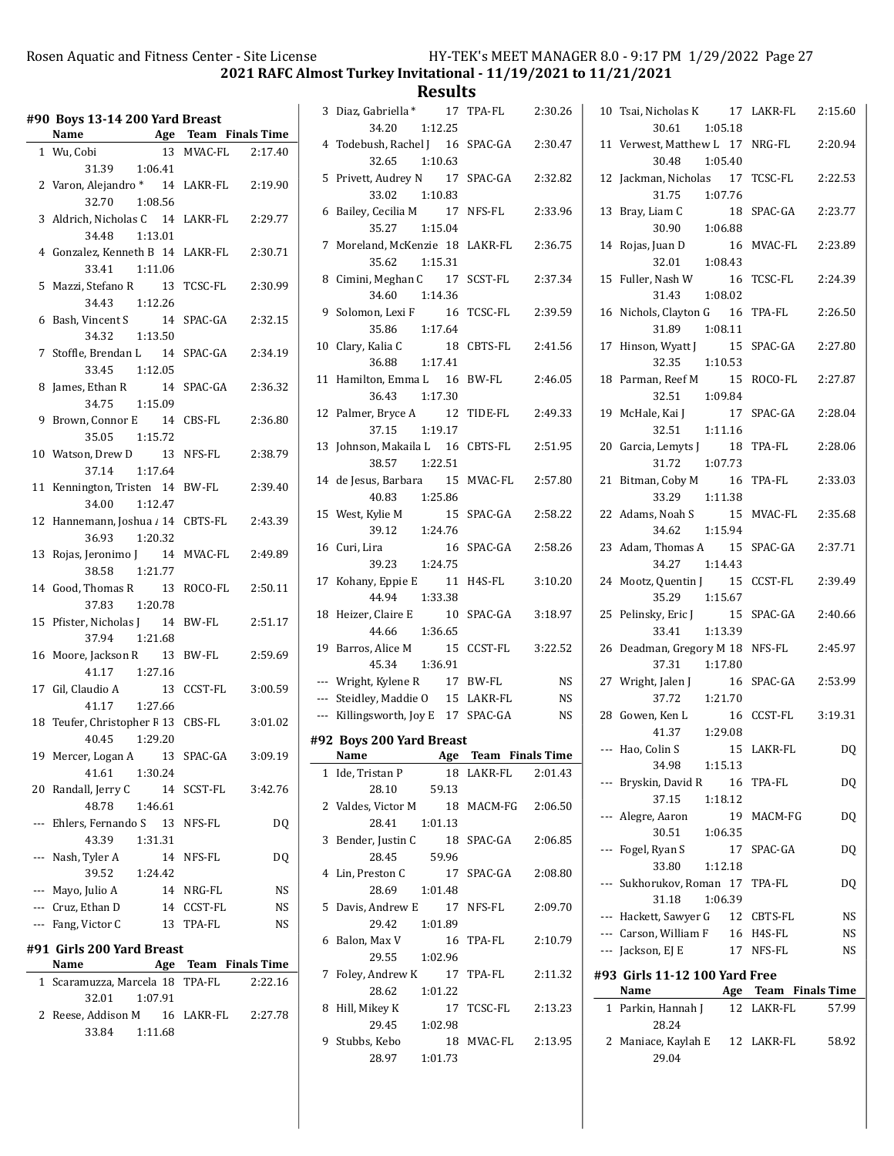2021 RAFC Almost Turkey Invitational - 11/19/2021 to 11/21/2021

**Results**<br>**17 TPA-FL** 

|                 | #90 Boys 13-14 200 Yard Breast<br>Name<br><b>Age Team Finals Time</b> |     |            |                      |
|-----------------|-----------------------------------------------------------------------|-----|------------|----------------------|
|                 |                                                                       |     |            |                      |
|                 | 1 Wu, Cobi                                                            | 13  |            | MVAC-FL 2:17.40      |
|                 | 31.39<br>1:06.41                                                      |     |            |                      |
|                 | 2 Varon, Alejandro * 14 LAKR-FL                                       |     |            | 2:19.90              |
|                 | 32.70 1:08.56                                                         |     |            |                      |
|                 | 3 Aldrich, Nicholas C 14 LAKR-FL                                      |     |            | 2:29.77              |
|                 | 34.48 1:13.01                                                         |     |            |                      |
|                 | 4 Gonzalez, Kenneth B 14 LAKR-FL                                      |     |            | 2:30.71              |
|                 | 33.41 1:11.06                                                         |     |            |                      |
| 5               | Mazzi, Stefano R 13                                                   |     | TCSC-FL    | 2:30.99              |
|                 | 34.43 1:12.26                                                         |     |            |                      |
| 6               | Bash, Vincent S 14                                                    |     | SPAC-GA    | 2:32.15              |
|                 | 34.32   1:13.50                                                       |     |            |                      |
| $7\overline{ }$ | Stoffle, Brendan L <sub>14</sub>                                      |     | SPAC-GA    | 2:34.19              |
|                 | 33.45 1:12.05                                                         |     |            |                      |
| 8               | 14                                                                    |     | SPAC-GA    | 2:36.32              |
|                 | James, Ethan R 14<br>34.75 1:15.09                                    |     |            |                      |
|                 | 9 Brown, Connor E 14 CBS-FL                                           |     |            | 2:36.80              |
|                 | 35.05 1:15.72                                                         |     |            |                      |
|                 | 10 Watson, Drew D 13                                                  |     | NFS-FL     | 2:38.79              |
|                 | 1:17.64<br>37.14                                                      |     |            |                      |
| 11              | Kennington, Tristen 14                                                |     | BW-FL      | 2:39.40              |
|                 | 34.00<br>1:12.47                                                      |     |            |                      |
| 12              | Hannemann, Joshua / 14                                                |     | CBTS-FL    | 2:43.39              |
|                 | 36.93<br>1:20.32                                                      |     |            |                      |
| 13              | Rojas, Jeronimo J 14                                                  |     | MVAC-FL    | 2:49.89              |
|                 | 38.58 1:21.77                                                         |     |            |                      |
|                 | 14 Good, Thomas R 13                                                  |     | ROCO-FL    | 2:50.11              |
|                 | 37.83 1:20.78                                                         |     |            |                      |
| 15              | Pfister, Nicholas J 14                                                |     | BW-FL      | 2:51.17              |
|                 | 37.94 1:21.68                                                         |     |            |                      |
|                 | 16 Moore, Jackson R 13                                                |     | BW-FL      | 2:59.69              |
|                 | 41.17  1:27.16                                                        |     |            |                      |
|                 | 17 Gil, Claudio A 13                                                  |     | CCST-FL    | 3:00.59              |
|                 | 41.17 1:27.66                                                         |     |            |                      |
| 18              | Teufer, Christopher F 13 CBS-FL                                       |     |            | 3:01.02              |
|                 | 40.45<br>1:29.20                                                      |     |            |                      |
| 19              | Mercer, Logan A                                                       | -13 | SPAC-GA    | 3:09.19              |
|                 | 41.61                                                                 |     |            |                      |
|                 | 1:30.24<br>20 Randall, Jerry C                                        |     |            | 3:42.76              |
|                 | 1:46.61                                                               |     | 14 SCST-FL |                      |
|                 | 48.78                                                                 |     |            |                      |
|                 | --- Ehlers, Fernando S 13 NFS-FL                                      |     |            | DQ                   |
|                 | 43.39<br>1:31.31                                                      |     |            |                      |
|                 | --- Nash, Tyler A                                                     |     | 14 NFS-FL  | DQ                   |
|                 | 39.52<br>1:24.42                                                      |     |            |                      |
|                 | --- Mayo, Julio A                                                     |     | 14 NRG-FL  | NS                   |
|                 | --- Cruz, Ethan D                                                     |     | 14 CCST-FL | <b>NS</b>            |
|                 | --- Fang, Victor C                                                    | 13  | TPA-FL     | NS                   |
|                 | #91 Girls 200 Yard Breast                                             |     |            |                      |
|                 | Name                                                                  |     |            | Age Team Finals Time |
| $\mathbf{1}$    | Scaramuzza, Marcela 18 TPA-FL                                         |     |            | 2:22.16              |
|                 | 1:07.91<br>32.01                                                      |     |            |                      |
| $\mathbf{2}$    | Reese, Addison M 16 LAKR-FL                                           |     |            | 2:27.78              |
|                 | 33.84<br>1:11.68                                                      |     |            |                      |
|                 |                                                                       |     |            |                      |

|    | 3 Diaz, Gabriella * 17 TPA-FL                    | 2:30.26               |
|----|--------------------------------------------------|-----------------------|
|    | 34.20<br>1:12.25                                 |                       |
|    | 4 Todebush, Rachel J 16 SPAC-GA<br>32.65 1:10.63 | 2:30.47               |
| 5  | Privett, Audrey N 17 SPAC-GA                     | 2:32.82               |
|    | 33.02 1:10.83                                    |                       |
| 6  | Bailey, Cecilia M 17                             | NFS-FL<br>2:33.96     |
|    | 35.27<br>1:15.04                                 |                       |
|    | 7 Moreland, McKenzie 18 LAKR-FL                  | 2:36.75               |
|    | 35.62 1:15.31                                    |                       |
|    | 8 Cimini, Meghan C 17 SCST-FL                    | 2:37.34               |
|    | 34.60 1:14.36                                    |                       |
| 9  | Solomon, Lexi F 16                               | TCSC-FL<br>2:39.59    |
| 10 | 35.86 1:17.64<br>Clary, Kalia C                  | 18 CBTS-FL<br>2:41.56 |
|    | 1:17.41<br>36.88                                 |                       |
|    | 11 Hamilton, Emma L 16 BW-FL                     | 2:46.05               |
|    | 36.43 1:17.30                                    |                       |
|    | 12 Palmer, Bryce A 12 TIDE-FL                    | 2:49.33               |
|    | 1:19.17<br>37.15                                 |                       |
| 13 | Johnson, Makaila L 16 CBTS-FL                    | 2:51.95               |
|    | 38.57<br>1:22.51                                 |                       |
|    | 14 de Jesus, Barbara 15 MVAC-FL 2:57.80          |                       |
|    | 40.83  1:25.86<br>15 West, Kylie M<br>15         | SPAC-GA<br>2:58.22    |
|    | 39.12  1:24.76                                   |                       |
| 16 | Curi, Lira<br>16                                 | SPAC-GA<br>2:58.26    |
|    | 39.23 1:24.75                                    |                       |
|    | 17 Kohany, Eppie E                               | 11 H4S-FL<br>3:10.20  |
|    | 1:33.38<br>44.94                                 |                       |
| 18 | Heizer, Claire E<br>10                           | SPAC-GA<br>3:18.97    |
|    | 44.66 1:36.65                                    |                       |
|    | 19 Barros, Alice M<br>15<br>45.34 1:36.91        | CCST-FL<br>3:22.52    |
|    | --- Wright, Kylene R 17 BW-FL                    | <b>NS</b>             |
|    | --- Steidley, Maddie 0 15 LAKR-FL                | <b>NS</b>             |
|    | --- Killingsworth, Joy E 17 SPAC-GA              | <b>NS</b>             |
|    | #92 Boys 200 Yard Breast                         |                       |
|    | Name Age Team Finals Time                        |                       |
| 1  | Ide, Tristan P                                   | 18 LAKR-FL 2:01.43    |
|    | 59.13<br>28.10                                   |                       |
| 2  | Valdes, Victor M                                 | 18 MACM-FG 2:06.50    |
|    | 1:01.13<br>28.41                                 |                       |
| 3  | Bender, Justin C                                 | 18 SPAC-GA<br>2:06.85 |
| 4  | 28.45<br>59.96<br>Lin, Preston C                 | 17 SPAC-GA            |
|    | 28.69<br>1:01.48                                 | 2:08.80               |
| 5  | Davis, Andrew E 17 NFS-FL                        | 2:09.70               |
|    | 29.42<br>1:01.89                                 |                       |
| 6  | Balon, Max V                                     | 16 TPA-FL<br>2:10.79  |
|    | 29.55 1:02.96                                    |                       |
| 7  |                                                  |                       |
|    | Foley, Andrew K 17 TPA-FL                        | 2:11.32               |
|    | 28.62<br>1:01.22                                 |                       |
| 8  | Hill, Mikey K<br>17                              | TCSC-FL<br>2:13.23    |
|    | 29.45<br>1:02.98                                 |                       |
| 9  | Stubbs, Kebo<br>28.97<br>1:01.73                 | 18 MVAC-FL<br>2:13.95 |

 $\overline{\phantom{0}}$ 

|     | 10 Tsai, Nicholas K                   |               | 17 LAKR-FL 2:15.60   |           |
|-----|---------------------------------------|---------------|----------------------|-----------|
|     | 30.61                                 | 1:05.18       |                      |           |
|     | 11 Verwest, Matthew L 17              |               | NRG-FL               | 2:20.94   |
|     | 30.48                                 | 1:05.40       |                      |           |
|     | 12 Jackman, Nicholas 17               |               | TCSC-FL              | 2:22.53   |
|     | 31.75<br>13 Bray, Liam C              | 1:07.76<br>18 | SPAC-GA              | 2:23.77   |
|     | 30.90                                 | 1:06.88       |                      |           |
|     | 14 Rojas, Juan D                      | <sup>16</sup> | MVAC-FL              | 2:23.89   |
|     | 32.01                                 | 1:08.43       |                      |           |
|     | 15 Fuller, Nash W                     | 16            | TCSC-FL              | 2:24.39   |
|     | 31.43                                 | 1:08.02       |                      |           |
|     | 16 Nichols, Clayton G 16              |               | TPA-FL               | 2:26.50   |
|     | 31.89 1:08.11                         |               |                      |           |
| 17  | Hinson, Wyatt J                       | 15            | SPAC-GA              | 2:27.80   |
|     | 32.35                                 | 1:10.53       |                      |           |
|     | 18 Parman, Reef M                     | 15            | ROCO-FL              | 2:27.87   |
|     | 32.51                                 | 1:09.84       |                      |           |
|     | 19 McHale, Kai J<br>32.51  1:11.16    |               | 17 SPAC-GA           | 2:28.04   |
|     | 20 Garcia, Lemyts J                   | 18            | TPA-FL               | 2:28.06   |
|     | 31.72                                 | 1:07.73       |                      |           |
|     | 21 Bitman, Coby M                     | 16            | TPA-FL               | 2:33.03   |
|     | 33.29   1:11.38                       |               |                      |           |
|     | 22 Adams, Noah S                      | 15            | MVAC-FL 2:35.68      |           |
|     | 34.62                                 | 1:15.94       |                      |           |
|     | 23 Adam, Thomas A 15                  |               | SPAC-GA              | 2:37.71   |
|     | 34.27                                 | 1:14.43       |                      |           |
|     | 24 Mootz, Quentin J 15                |               | CCST-FL              | 2:39.49   |
|     | 35.29 1:15.67                         |               |                      |           |
|     | 25 Pelinsky, Eric J<br>33.41 1:13.39  | 15            | SPAC-GA              | 2:40.66   |
|     | 26 Deadman, Gregory M 18              |               | NFS-FL               | 2:45.97   |
|     | 37.31                                 | 1:17.80       |                      |           |
|     | 27 Wright, Jalen J 16                 |               | SPAC-GA              | 2:53.99   |
|     | 37.72                                 | 1:21.70       |                      |           |
|     | 28 Gowen, Ken L                       | 16            | CCST-FL              | 3:19.31   |
|     | 41.37                                 | 1:29.08       |                      |           |
| --- | Hao, Colin S                          | 15            | LAKR-FL              | DQ        |
|     | 34.98                                 | 1:15.13       |                      |           |
|     | --- Bryskin, David R                  |               | 16 TPA-FL            | DQ        |
|     | 37.15                                 | 1:18.12       |                      |           |
|     | --- Alegre, Aaron<br>30.51            | 1:06.35       | 19 MACM-FG           | DQ        |
|     | --- Fogel, Ryan S                     |               | 17 SPAC-GA           | DQ        |
|     | 33.80                                 | 1:12.18       |                      |           |
|     | --- Sukhorukov, Roman 17 TPA-FL       |               |                      | DQ        |
|     | 31.18                                 | 1:06.39       |                      |           |
|     | --- Hackett, Sawyer G                 |               | 12 CBTS-FL           | <b>NS</b> |
|     | --- Carson, William F                 |               | 16 H4S-FL            | NS        |
|     | --- Jackson, EJ E                     |               | 17 NFS-FL            | NS        |
|     | #93 Girls 11-12 100 Yard Free         |               |                      |           |
|     | Name                                  |               | Age Team Finals Time |           |
|     | 1 Parkin, Hannah J                    |               | 12 LAKR-FL           | 57.99     |
|     | 28.24                                 |               |                      |           |
| 2   | Maniace, Kaylah E 12 LAKR-FL<br>29.04 |               |                      | 58.92     |
|     |                                       |               |                      |           |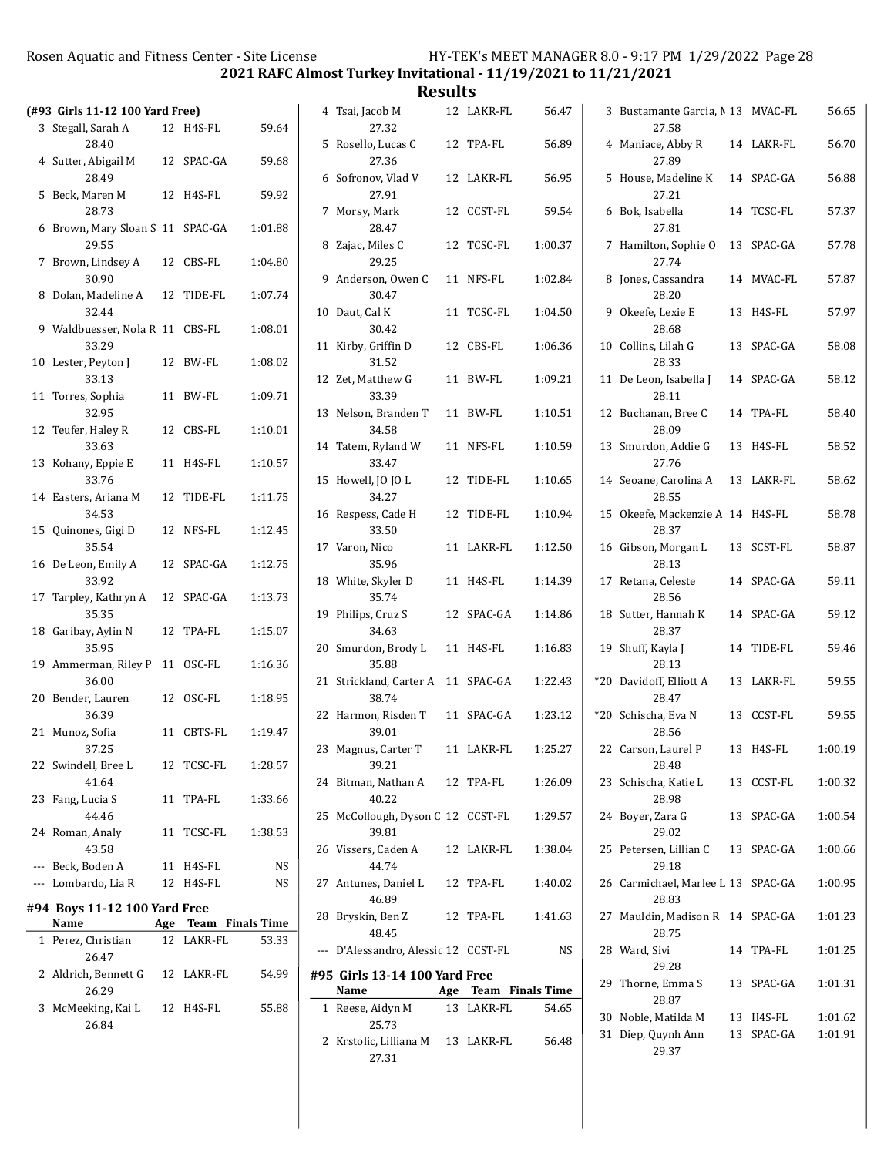2021 RAFC Almost Turkey Invitational - 11/19/2021 to 11/21/2021

|                                                       |            |                               | nesults                                                               |            |                      |                                            |            |         |
|-------------------------------------------------------|------------|-------------------------------|-----------------------------------------------------------------------|------------|----------------------|--------------------------------------------|------------|---------|
| (#93 Girls 11-12 100 Yard Free)<br>3 Stegall, Sarah A | 12 H4S-FL  | 59.64                         | 4 Tsai, Jacob M<br>27.32                                              | 12 LAKR-FL | 56.47                | 3 Bustamante Garcia, M 13 MVAC-FL<br>27.58 |            | 56.65   |
| 28.40                                                 |            |                               | 5 Rosello, Lucas C                                                    | 12 TPA-FL  | 56.89                | 4 Maniace, Abby R                          | 14 LAKR-FL | 56.70   |
| 4 Sutter, Abigail M<br>28.49                          | 12 SPAC-GA | 59.68                         | 27.36<br>6 Sofronov, Vlad V                                           | 12 LAKR-FL | 56.95                | 27.89<br>5 House, Madeline K               | 14 SPAC-GA | 56.88   |
| 5 Beck, Maren M<br>28.73                              | 12 H4S-FL  | 59.92                         | 27.91<br>7 Morsy, Mark                                                | 12 CCST-FL | 59.54                | 27.21<br>6 Bok, Isabella                   | 14 TCSC-FL | 57.37   |
| 6 Brown, Mary Sloan S 11 SPAC-GA<br>29.55             |            | 1:01.88                       | 28.47<br>8 Zajac, Miles C                                             | 12 TCSC-FL | 1:00.37              | 27.81<br>7 Hamilton, Sophie O              | 13 SPAC-GA | 57.78   |
| 7 Brown, Lindsey A<br>30.90                           | 12 CBS-FL  | 1:04.80                       | 29.25<br>9 Anderson, Owen C                                           | 11 NFS-FL  |                      | 27.74<br>8 Jones, Cassandra                |            | 57.87   |
| 8 Dolan, Madeline A                                   | 12 TIDE-FL | 1:07.74                       | 30.47                                                                 |            | 1:02.84              | 28.20                                      | 14 MVAC-FL |         |
| 32.44<br>9 Waldbuesser, Nola R 11 CBS-FL              |            | 1:08.01                       | 10 Daut, Cal K<br>30.42                                               | 11 TCSC-FL | 1:04.50              | 9 Okeefe, Lexie E<br>28.68                 | 13 H4S-FL  | 57.97   |
| 33.29<br>10 Lester, Peyton J                          | 12 BW-FL   | 1:08.02                       | 11 Kirby, Griffin D<br>31.52                                          | 12 CBS-FL  | 1:06.36              | 10 Collins, Lilah G<br>28.33               | 13 SPAC-GA | 58.08   |
| 33.13<br>11 Torres, Sophia                            | 11 BW-FL   | 1:09.71                       | 12 Zet, Matthew G<br>33.39                                            | 11 BW-FL   | 1:09.21              | 11 De Leon, Isabella J<br>28.11            | 14 SPAC-GA | 58.12   |
| 32.95<br>12 Teufer, Haley R                           | 12 CBS-FL  | 1:10.01                       | 13 Nelson, Branden T<br>34.58                                         | 11 BW-FL   | 1:10.51              | 12 Buchanan, Bree C<br>28.09               | 14 TPA-FL  | 58.40   |
| 33.63<br>13 Kohany, Eppie E                           | 11 H4S-FL  | 1:10.57                       | 14 Tatem, Ryland W<br>33.47                                           | 11 NFS-FL  | 1:10.59              | 13 Smurdon, Addie G<br>27.76               | 13 H4S-FL  | 58.52   |
| 33.76                                                 |            |                               | 15 Howell, JO JO L                                                    | 12 TIDE-FL | 1:10.65              | 14 Seoane, Carolina A                      | 13 LAKR-FL | 58.62   |
| 14 Easters, Ariana M<br>34.53                         | 12 TIDE-FL | 1:11.75                       | 34.27<br>16 Respess, Cade H                                           | 12 TIDE-FL | 1:10.94              | 28.55<br>15 Okeefe, Mackenzie A 14 H4S-FL  |            | 58.78   |
| 15 Quinones, Gigi D<br>35.54                          | 12 NFS-FL  | 1:12.45                       | 33.50<br>17 Varon, Nico                                               | 11 LAKR-FL | 1:12.50              | 28.37<br>16 Gibson, Morgan L               | 13 SCST-FL | 58.87   |
| 16 De Leon, Emily A<br>33.92                          | 12 SPAC-GA | 1:12.75                       | 35.96<br>18 White, Skyler D                                           | 11 H4S-FL  | 1:14.39              | 28.13<br>17 Retana, Celeste                | 14 SPAC-GA | 59.11   |
| 17 Tarpley, Kathryn A<br>35.35                        | 12 SPAC-GA | 1:13.73                       | 35.74<br>19 Philips, Cruz S                                           | 12 SPAC-GA | 1:14.86              | 28.56<br>18 Sutter, Hannah K               | 14 SPAC-GA | 59.12   |
| 18 Garibay, Aylin N<br>35.95                          | 12 TPA-FL  | 1:15.07                       | 34.63<br>20 Smurdon, Brody L                                          | 11 H4S-FL  | 1:16.83              | 28.37<br>19 Shuff, Kayla J                 | 14 TIDE-FL | 59.46   |
| 19 Ammerman, Riley P 11 OSC-FL<br>36.00               |            | 1:16.36                       | 35.88<br>21 Strickland, Carter A 11 SPAC-GA                           |            | 1:22.43              | 28.13<br>*20 Davidoff, Elliott A           | 13 LAKR-FL | 59.55   |
| 20 Bender, Lauren                                     | 12 OSC-FL  | 1:18.95                       | 38.74                                                                 |            |                      | 28.47                                      |            |         |
| 36.39<br>21 Munoz, Sofia                              | 11 CBTS-FL | 1:19.47                       | 22 Harmon, Risden T<br>39.01                                          | 11 SPAC-GA | 1:23.12              | *20 Schischa, Eva N<br>28.56               | 13 CCST-FL | 59.55   |
| 37.25<br>22 Swindell, Bree L                          | 12 TCSC-FL | 1:28.57                       | 23 Magnus, Carter T<br>39.21                                          | 11 LAKR-FL | 1:25.27              | 22 Carson, Laurel P<br>28.48               | 13 H4S-FL  | 1:00.19 |
| 41.64<br>23 Fang, Lucia S                             | 11 TPA-FL  | 1:33.66                       | 24 Bitman, Nathan A<br>40.22                                          | 12 TPA-FL  | 1:26.09              | 23 Schischa, Katie L<br>28.98              | 13 CCST-FL | 1:00.32 |
| 44.46<br>24 Roman, Analy                              | 11 TCSC-FL | 1:38.53                       | 25 McCollough, Dyson C 12 CCST-FL<br>39.81                            |            | 1:29.57              | 24 Boyer, Zara G<br>29.02                  | 13 SPAC-GA | 1:00.54 |
| 43.58<br>--- Beck, Boden A                            | 11 H4S-FL  | NS                            | 26 Vissers, Caden A<br>44.74                                          | 12 LAKR-FL | 1:38.04              | 25 Petersen, Lillian C<br>29.18            | 13 SPAC-GA | 1:00.66 |
| --- Lombardo, Lia R                                   | 12 H4S-FL  | NS                            | 27 Antunes, Daniel L                                                  | 12 TPA-FL  | 1:40.02              | 26 Carmichael, Marlee L 13 SPAC-GA         |            | 1:00.95 |
| #94 Boys 11-12 100 Yard Free                          |            |                               | 46.89<br>28 Bryskin, Ben Z                                            | 12 TPA-FL  | 1:41.63              | 28.83<br>27 Mauldin, Madison R 14 SPAC-GA  |            | 1:01.23 |
| Name<br>1 Perez, Christian                            | 12 LAKR-FL | Age Team Finals Time<br>53.33 | 48.45                                                                 |            |                      | 28.75                                      |            |         |
| 26.47<br>2 Aldrich, Bennett G                         | 12 LAKR-FL | 54.99                         | --- D'Alessandro, Alessic 12 CCST-FL<br>#95 Girls 13-14 100 Yard Free |            | NS                   | 28 Ward, Sivi<br>29.28                     | 14 TPA-FL  | 1:01.25 |
| 26.29                                                 |            |                               | Name                                                                  |            | Age Team Finals Time | 29 Thorne, Emma S<br>28.87                 | 13 SPAC-GA | 1:01.31 |
| 3 McMeeking, Kai L                                    | 12 H4S-FL  | 55.88                         | 1 Reese, Aidyn M                                                      | 13 LAKR-FL | 54.65                | 30 Noble, Matilda M                        | 13 H4S-FL  | 1:01.62 |
| 26.84                                                 |            |                               | 25.73<br>2 Krstolic, Lilliana M<br>27.31                              | 13 LAKR-FL | 56.48                | 31 Diep, Quynh Ann<br>29.37                | 13 SPAC-GA | 1:01.91 |
|                                                       |            |                               |                                                                       |            |                      |                                            |            |         |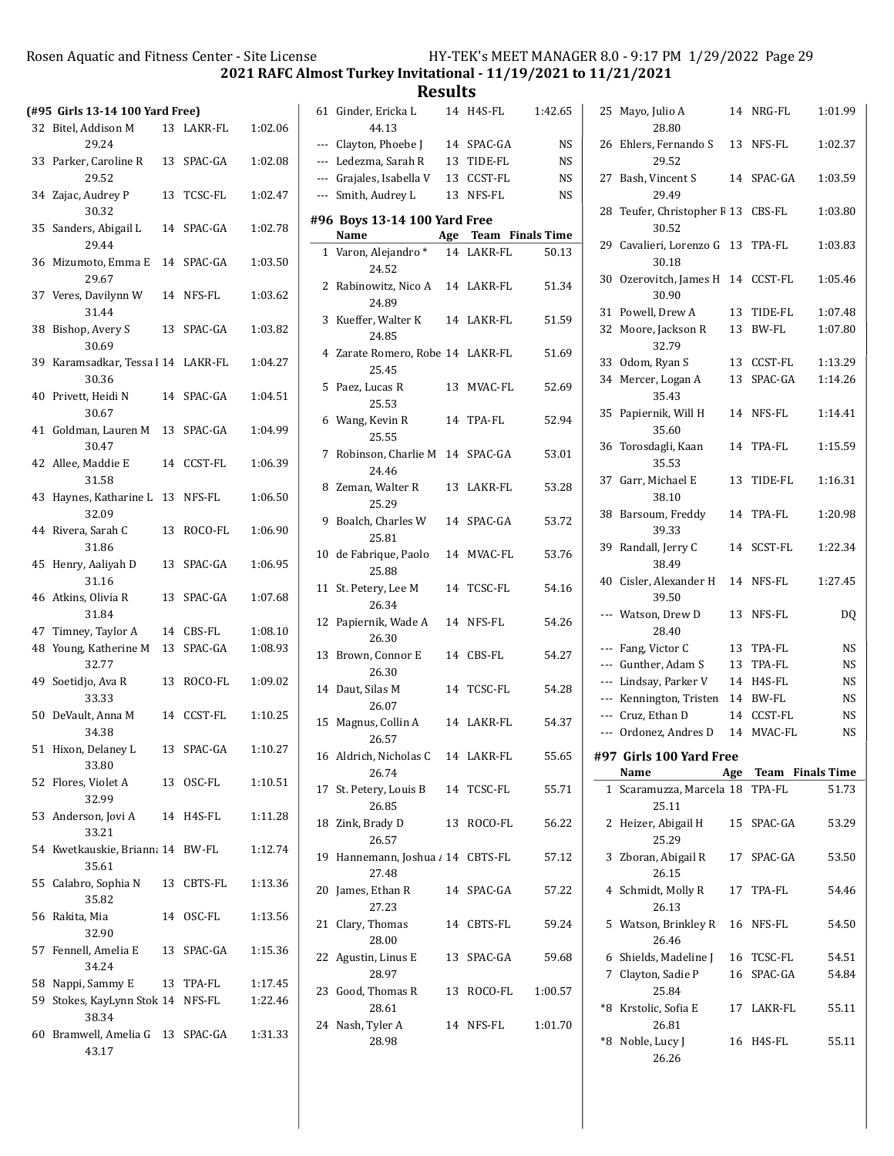2021 RAFC Almost Turkey Invitational - 11/19/2021 to 11/21/2021

**Results**<br>14 H4S-FL 61 Ginder, Ericka L 14 H4S-FL 1:42.65

|    | (#95 Girls 13-14 100 Yard Free)             |    |            |         |
|----|---------------------------------------------|----|------------|---------|
|    | 32 Bitel, Addison M<br>29.24                | 13 | LAKR-FL    | 1:02.06 |
|    | 33 Parker, Caroline R<br>29.52              |    | 13 SPAC-GA | 1:02.08 |
|    | 34 Zajac, Audrey P<br>30.32                 |    | 13 TCSC-FL | 1:02.47 |
|    | 35 Sanders, Abigail L<br>29.44              |    | 14 SPAC-GA | 1:02.78 |
|    | 36 Mizumoto, Emma E 14 SPAC-GA<br>29.67     |    |            | 1:03.50 |
|    | 37 Veres, Davilynn W<br>31.44               |    | 14 NFS-FL  | 1:03.62 |
| 38 | Bishop, Avery S<br>30.69                    |    | 13 SPAC-GA | 1:03.82 |
|    | 39 Karamsadkar, Tessa   14 LAKR-FL<br>30.36 |    |            | 1:04.27 |
| 40 | Privett, Heidi N<br>30.67                   |    | 14 SPAC-GA | 1:04.51 |
| 41 | Goldman, Lauren M 13 SPAC-GA<br>30.47       |    |            | 1:04.99 |
|    | 42 Allee, Maddie E<br>31.58                 |    | 14 CCST-FL | 1:06.39 |
|    | 43 Haynes, Katharine L 13 NFS-FL<br>32.09   |    |            | 1:06.50 |
|    | 44 Rivera, Sarah C<br>31.86                 | 13 | ROCO-FL    | 1:06.90 |
| 45 | Henry, Aaliyah D<br>31.16                   | 13 | SPAC-GA    | 1:06.95 |
|    | 46 Atkins, Olivia R<br>31.84                | 13 | SPAC-GA    | 1:07.68 |
|    | 47 Timney, Taylor A                         |    | 14 CBS-FL  | 1:08.10 |
| 48 | Young, Katherine M 13 SPAC-GA<br>32.77      |    |            | 1:08.93 |
|    | 49 Soetidjo, Ava R<br>33.33                 |    | 13 ROCO-FL | 1:09.02 |
|    | 50 DeVault, Anna M<br>34.38                 |    | 14 CCST-FL | 1:10.25 |
|    | 51 Hixon, Delaney L<br>33.80                |    | 13 SPAC-GA | 1:10.27 |
|    | 52 Flores, Violet A<br>32.99                |    | 13 OSC-FL  | 1:10.51 |
|    | 53 Anderson, Jovi A<br>33.21                |    | 14 H4S-FL  | 1:11.28 |
|    | 54 Kwetkauskie, Briann: 14 BW-FL<br>35.61   |    |            | 1:12.74 |
|    | 55 Calabro, Sophia N<br>35.82               |    | 13 CBTS-FL | 1:13.36 |
|    | 56 Rakita, Mia<br>32.90                     |    | 14 OSC-FL  | 1:13.56 |
|    | 57 Fennell, Amelia E 13 SPAC-GA<br>34.24    |    |            | 1:15.36 |
|    | 58 Nappi, Sammy E                           |    | 13 TPA-FL  | 1:17.45 |
| 59 | Stokes, KayLynn Stok 14 NFS-FL<br>38.34     |    |            | 1:22.46 |
|    | 60 Bramwell, Amelia G 13 SPAC-GA<br>43.17   |    |            | 1:31.33 |

|    | 44.13                                     |    |                      |           |
|----|-------------------------------------------|----|----------------------|-----------|
|    | --- Clayton, Phoebe J                     |    | 14 SPAC-GA           | <b>NS</b> |
|    | --- Ledezma, Sarah R                      |    | 13 TIDE-FL           | NS        |
|    | --- Grajales, Isabella V                  |    | 13 CCST-FL           | <b>NS</b> |
|    | --- Smith, Audrey L                       |    | 13 NFS-FL            | <b>NS</b> |
|    | #96 Boys 13-14 100 Yard Free              |    |                      |           |
|    | Name                                      |    | Age Team Finals Time |           |
| 1  | Varon, Alejandro*<br>24.52                |    | 14 LAKR-FL           | 50.13     |
|    | 2 Rabinowitz, Nico A<br>24.89             |    | 14 LAKR-FL           | 51.34     |
|    | 3 Kueffer, Walter K<br>24.85              |    | 14 LAKR-FL           | 51.59     |
|    | 4 Zarate Romero, Robe 14 LAKR-FL<br>25.45 |    |                      | 51.69     |
|    | 5 Paez, Lucas R<br>25.53                  |    | 13 MVAC-FL           | 52.69     |
|    | 6 Wang, Kevin R<br>25.55                  |    | 14 TPA-FL            | 52.94     |
| 7  | Robinson, Charlie M 14 SPAC-GA<br>24.46   |    |                      | 53.01     |
| 8  | Zeman, Walter R<br>25.29                  |    | 13 LAKR-FL           | 53.28     |
| 9  | Boalch, Charles W<br>25.81                | 14 | SPAC-GA              | 53.72     |
| 10 | de Fabrique, Paolo<br>25.88               |    | 14 MVAC-FL           | 53.76     |
| 11 | St. Petery, Lee M<br>26.34                |    | 14 TCSC-FL           | 54.16     |
| 12 | Papiernik, Wade A<br>26.30                |    | 14 NFS-FL            | 54.26     |
| 13 | Brown, Connor E<br>26.30                  |    | 14 CBS-FL            | 54.27     |
| 14 | Daut, Silas M<br>26.07                    |    | 14 TCSC-FL           | 54.28     |
| 15 | Magnus, Collin A<br>26.57                 |    | 14 LAKR-FL           | 54.37     |
|    | 16 Aldrich, Nicholas C<br>26.74           |    | 14 LAKR-FL           | 55.65     |
|    | 17 St. Petery, Louis B<br>26.85           |    | 14 TCSC-FL           | 55.71     |
| 18 | Zink, Brady D<br>26.57                    |    | 13 ROCO-FL           | 56.22     |
| 19 | Hannemann, Joshua / 14 CBTS-FL<br>27.48   |    |                      | 57.12     |
| 20 | James, Ethan R<br>27.23                   |    | 14 SPAC-GA           | 57.22     |
| 21 | Clary, Thomas<br>28.00                    |    | 14 CBTS-FL           | 59.24     |
|    | 22 Agustin, Linus E<br>28.97              | 13 | SPAC-GA              | 59.68     |
|    | 23 Good, Thomas R<br>28.61                |    | 13 ROCO-FL           | 1:00.57   |
|    | 24 Nash, Tyler A<br>28.98                 |    | 14 NFS-FL            | 1:01.70   |

| 25    | Mayo, Julio A<br>28.80                         | 14 | NRG-FL                  | 1:01.99        |
|-------|------------------------------------------------|----|-------------------------|----------------|
| 26    | Ehlers, Fernando S<br>29.52                    | 13 | NFS-FL                  | 1:02.37        |
| 27    | Bash, Vincent S<br>29.49                       | 14 | SPAC-GA                 | 1:03.59        |
| 28    | Teufer, Christopher F 13 CBS-FL<br>30.52       |    |                         | 1:03.80        |
| 29    | Cavalieri, Lorenzo G<br>30.18                  | 13 | TPA-FL                  | 1:03.83        |
| 30    | Ozerovitch, James H<br>30.90                   | 14 | CCST-FL                 | 1:05.46        |
|       | 31 Powell, Drew A                              | 13 | TIDE-FL                 | 1:07.48        |
| 32    | Moore, Jackson R<br>32.79                      | 13 | BW-FL                   | 1:07.80        |
| 33    | Odom, Ryan S                                   |    | 13 CCST-FL              | 1:13.29        |
| 34    | Mercer, Logan A                                | 13 | SPAC-GA                 | 1:14.26        |
| 35    | 35.43<br>Papiernik, Will H<br>35.60            |    | 14 NFS-FL               | 1:14.41        |
| 36    | Torosdagli, Kaan<br>35.53                      |    | 14 TPA-FL               | 1:15.59        |
| 37    | Garr, Michael E<br>38.10                       |    | 13 TIDE-FL              | 1:16.31        |
| 38    | Barsoum, Freddy<br>39.33                       |    | 14 TPA-FL               | 1:20.98        |
| 39    | Randall, Jerry C<br>38.49                      |    | 14 SCST-FL              | 1:22.34        |
| 40    | Cisler, Alexander H<br>39.50                   | 14 | NFS-FL                  | 1:27.45        |
| $---$ | Watson, Drew D<br>28.40                        | 13 | NFS-FL                  | DQ             |
|       | --- Fang, Victor C                             | 13 | TPA-FL                  | NS             |
|       | --- Gunther, Adam S                            |    | 13 TPA-FL               | <b>NS</b>      |
|       | --- Lindsay, Parker V                          |    | 14 H4S-FL               | <b>NS</b>      |
|       | --- Kennington, Tristen                        |    | 14 BW-FL                | <b>NS</b>      |
|       | --- Cruz, Ethan D                              |    | 14 CCST-FL              | <b>NS</b>      |
|       | --- Ordonez, Andres D                          | 14 | MVAC-FL                 | NS             |
|       | #97 Girls 100 Yard Free                        |    |                         |                |
|       | Name                                           |    | Age Team Finals Time    |                |
| 1     | Scaramuzza, Marcela 18 TPA-FL<br>25.11         |    |                         | 51.73          |
| 2     | Heizer, Abigail H 15 SPAC-GA<br>25.29          |    |                         | 53.29          |
| 3     | Zboran, Abigail R<br>26.15                     |    | 17 SPAC-GA              | 53.50          |
| 4     | Schmidt, Molly R<br>26.13                      |    | 17 TPA-FL               | 54.46          |
| 5     | Watson, Brinkley R 16 NFS-FL<br>26.46          |    |                         | 54.50          |
|       | 6 Shields, Madeline J 16 TCSC-FL               |    |                         | 54.51          |
| 7     | Clayton, Sadie P                               |    | 16 SPAC-GA              | 54.84          |
|       | 25.84                                          |    |                         |                |
| *8    | *8 Krstolic, Sofia E<br>26.81<br>Noble, Lucy J |    | 17 LAKR-FL<br>16 H4S-FL | 55.11<br>55.11 |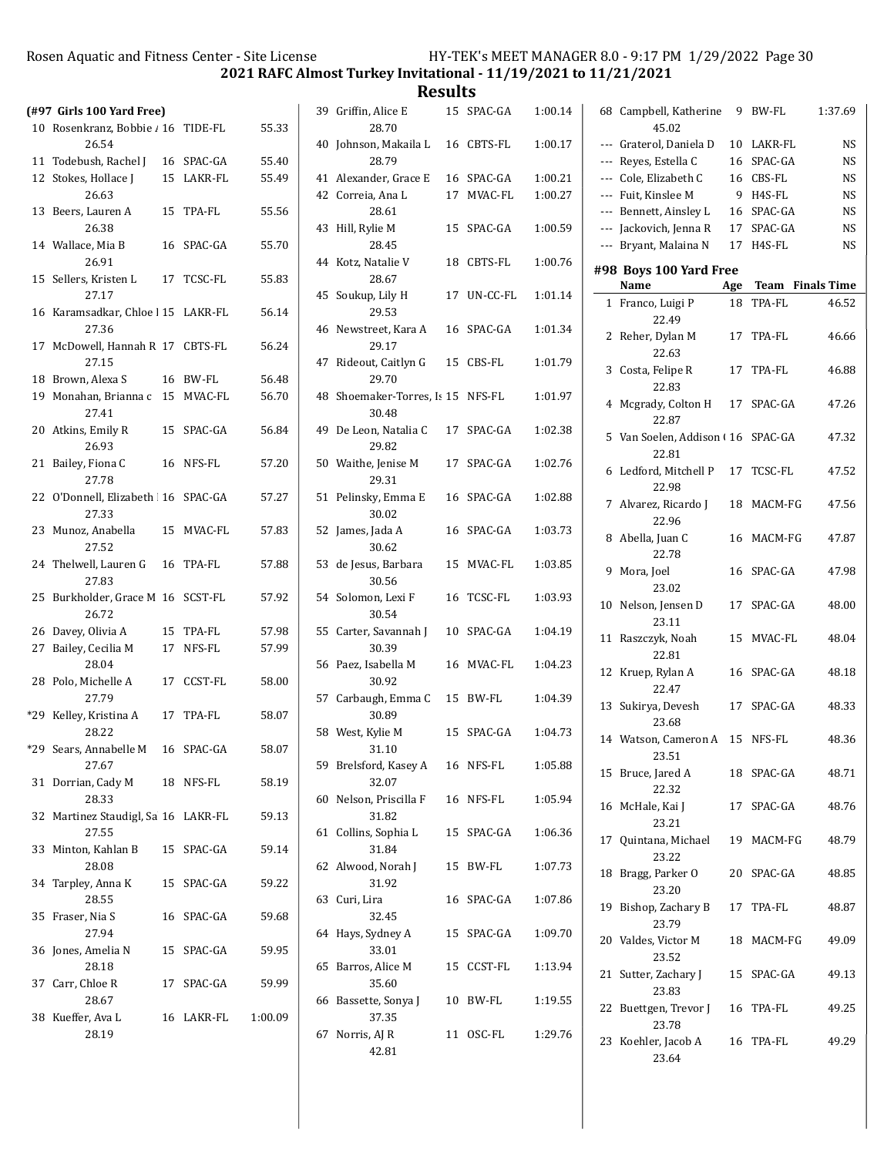2021 RAFC Almost Turkey Invitational - 11/19/2021 to 11/21/2021

|       | (#97 Girls 100 Yard Free)                    |    |            |         |
|-------|----------------------------------------------|----|------------|---------|
|       | 10 Rosenkranz, Bobbie / 16 TIDE-FL<br>26.54  |    |            | 55.33   |
|       | 11 Todebush, Rachel J                        |    | 16 SPAC-GA | 55.40   |
| 12    | Stokes, Hollace I<br>26.63                   |    | 15 LAKR-FL | 55.49   |
| 13    | Beers, Lauren A<br>26.38                     |    | 15 TPA-FL  | 55.56   |
|       | 14 Wallace, Mia B<br>26.91                   | 16 | SPAC-GA    | 55.70   |
| 15    | Sellers, Kristen L<br>27.17                  |    | 17 TCSC-FL | 55.83   |
|       | 16 Karamsadkar, Chloe   15 LAKR-FL<br>27.36  |    |            | 56.14   |
| 17    | McDowell, Hannah R 17 CBTS-FL<br>27.15       |    |            | 56.24   |
|       | 18 Brown, Alexa S                            |    | 16 BW-FL   | 56.48   |
|       | 19 Monahan, Brianna c 15 MVAC-FL<br>27.41    |    |            | 56.70   |
|       | 20 Atkins, Emily R<br>26.93                  | 15 | SPAC-GA    | 56.84   |
| 21    | Bailey, Fiona C<br>27.78                     |    | 16 NFS-FL  | 57.20   |
|       | 22 O'Donnell, Elizabeth 16 SPAC-GA<br>27.33  |    |            | 57.27   |
| 23    | Munoz, Anabella<br>27.52                     |    | 15 MVAC-FL | 57.83   |
|       | 24 Thelwell, Lauren G<br>27.83               |    | 16 TPA-FL  | 57.88   |
| 25    | Burkholder, Grace M 16 SCST-FL<br>26.72      |    |            | 57.92   |
|       | 26 Davey, Olivia A                           |    | 15 TPA-FL  | 57.98   |
| 27    | Bailey, Cecilia M<br>28.04                   |    | 17 NFS-FL  | 57.99   |
|       | 28 Polo, Michelle A<br>27.79                 |    | 17 CCST-FL | 58.00   |
| $*29$ | Kelley, Kristina A<br>28.22                  |    | 17 TPA-FL  | 58.07   |
|       | *29 Sears, Annabelle M<br>27.67              |    | 16 SPAC-GA | 58.07   |
| 31    | Dorrian, Cady M 18 NFS-FL<br>28.33           |    |            | 58.19   |
|       | 32 Martinez Staudigl, Sa 16 LAKR-FL<br>27.55 |    |            | 59.13   |
|       | 33 Minton. Kahlan B<br>28.08                 |    | 15 SPAC-GA | 59.14   |
|       | 34 Tarpley, Anna K<br>28.55                  |    | 15 SPAC-GA | 59.22   |
| 35    | Fraser, Nia S<br>27.94                       |    | 16 SPAC-GA | 59.68   |
|       | 36 Jones, Amelia N<br>28.18                  |    | 15 SPAC-GA | 59.95   |
|       | 37 Carr, Chloe R<br>28.67                    |    | 17 SPAC-GA | 59.99   |
|       | 38 Kueffer, Ava L<br>28.19                   |    | 16 LAKR-FL | 1:00.09 |

|    | 39 Griffin, Alice E<br>28.70            | 15 | SPAC-GA    | 1:00.14 |
|----|-----------------------------------------|----|------------|---------|
|    | 40 Johnson, Makaila L<br>28.79          |    | 16 CBTS-FL | 1:00.17 |
|    | 41 Alexander, Grace E                   |    | 16 SPAC-GA | 1:00.21 |
|    | 42 Correia, Ana L<br>28.61              |    | 17 MVAC-FL | 1:00.27 |
| 43 | Hill, Rylie M<br>28.45                  | 15 | SPAC-GA    | 1:00.59 |
|    | 44 Kotz, Natalie V<br>28.67             | 18 | CBTS-FL    | 1:00.76 |
| 45 | Soukup, Lily H<br>29.53                 | 17 | UN-CC-FL   | 1:01.14 |
| 46 | Newstreet, Kara A<br>29.17              |    | 16 SPAC-GA | 1:01.34 |
| 47 | Rideout, Caitlyn G<br>29.70             |    | 15 CBS-FL  | 1:01.79 |
| 48 | Shoemaker-Torres, Is 15 NFS-FL<br>30.48 |    |            | 1:01.97 |
| 49 | De Leon, Natalia C<br>29.82             |    | 17 SPAC-GA | 1:02.38 |
|    | 50 Waithe, Jenise M<br>29.31            | 17 | SPAC-GA    | 1:02.76 |
| 51 | Pelinsky, Emma E<br>30.02               | 16 | SPAC-GA    | 1:02.88 |
| 52 | James, Jada A<br>30.62                  | 16 | SPAC-GA    | 1:03.73 |
|    | 53 de Jesus, Barbara<br>30.56           | 15 | MVAC-FL    | 1:03.85 |
|    | 54 Solomon, Lexi F<br>30.54             | 16 | TCSC-FL    | 1:03.93 |
|    | 55 Carter, Savannah J<br>30.39          |    | 10 SPAC-GA | 1:04.19 |
|    | 56 Paez, Isabella M<br>30.92            | 16 | MVAC-FL    | 1:04.23 |
| 57 | Carbaugh, Emma C<br>30.89               |    | 15 BW-FL   | 1:04.39 |
|    | 58 West, Kylie M<br>31.10               | 15 | SPAC-GA    | 1:04.73 |
|    | 59 Brelsford, Kasey A<br>32.07          |    | 16 NFS-FL  | 1:05.88 |
|    | 60 Nelson, Priscilla F<br>31.82         |    | 16 NFS-FL  | 1:05.94 |
|    | 61 Collins, Sophia L<br>31.84           |    | 15 SPAC-GA | 1:06.36 |
|    | 62 Alwood, Norah J<br>31.92             |    | 15 BW-FL   | 1:07.73 |
|    | 63 Curi, Lira<br>32.45                  | 16 | SPAC-GA    | 1:07.86 |
|    | 64 Hays, Sydney A<br>33.01              |    | 15 SPAC-GA | 1:09.70 |
|    | 65 Barros, Alice M<br>35.60             |    | 15 CCST-FL | 1:13.94 |
|    | 66 Bassette, Sonya J<br>37.35           |    | 10 BW-FL   | 1:19.55 |
|    | 67 Norris, AJ R<br>42.81                |    | 11 OSC-FL  | 1:29.76 |

|     | 68 Campbell, Katherine 9<br>45.02              |    | BW-FL                  | 1:37.69        |
|-----|------------------------------------------------|----|------------------------|----------------|
| --- | Graterol, Daniela D                            | 10 | LAKR-FL                | NS             |
|     | --- Reyes, Estella C                           | 16 | SPAC-GA                | NS             |
|     | ---   Cole, Elizabeth C                        |    | 16 CBS-FL              | NS             |
|     | --- Fuit, Kinslee M                            | -9 | H4S-FL                 | NS             |
|     | --- Bennett, Ainsley L                         |    | 16 SPAC-GA             | NS             |
|     | --- Jackovich, Jenna R                         |    | 17 SPAC-GA             | NS             |
|     | --- Bryant, Malaina N                          |    | 17 H4S-FL              | NS             |
|     | #98 Boys 100 Yard Free                         |    |                        |                |
|     | Name                                           |    | Age Team Finals Time   |                |
|     | 1 Franco, Luigi P<br>22.49<br>2 Reher, Dylan M |    | 18 TPA-FL<br>17 TPA-FL | 46.52<br>46.66 |
|     | 22.63                                          |    |                        |                |
|     | 3 Costa, Felipe R<br>22.83                     |    | 17 TPA-FL              | 46.88          |
|     | 4 Mcgrady, Colton H<br>22.87                   |    | 17 SPAC-GA             | 47.26          |
|     | 5 Van Soelen, Addison (16 SPAC-GA<br>22.81     |    |                        | 47.32          |
|     | 6 Ledford, Mitchell P<br>22.98                 |    | 17 TCSC-FL             | 47.52          |
|     | 7 Alvarez, Ricardo J<br>22.96                  | 18 | MACM-FG                | 47.56          |
|     | 8 Abella, Juan C<br>22.78                      |    | 16 MACM-FG             | 47.87          |
|     | 9 Mora, Joel<br>23.02                          |    | 16 SPAC-GA             | 47.98          |
|     | 10 Nelson, Jensen D<br>23.11                   |    | 17 SPAC-GA             | 48.00          |
| 11  | Raszczyk, Noah<br>22.81                        |    | 15 MVAC-FL             | 48.04          |
|     | 12 Kruep, Rylan A<br>22.47                     |    | 16 SPAC-GA             | 48.18          |
| 13  | Sukirya, Devesh<br>23.68                       |    | 17 SPAC-GA             | 48.33          |
|     | 14 Watson, Cameron A 15 NFS-FL<br>23.51        |    |                        | 48.36          |
|     | 15 Bruce, Jared A<br>22.32                     |    | 18 SPAC-GA             | 48.71          |
|     | 16 McHale, Kai J<br>23.21                      |    | 17 SPAC-GA             | 48.76          |
|     | 17 Quintana, Michael<br>23.22                  |    | 19 MACM-FG             | 48.79          |
|     | 18 Bragg, Parker 0<br>23.20                    |    | 20 SPAC-GA             | 48.85          |
|     | 19 Bishop, Zachary B<br>23.79                  |    | 17 TPA-FL              | 48.87          |
|     | 20 Valdes, Victor M<br>23.52                   |    | 18 MACM-FG             | 49.09          |
|     | 21 Sutter, Zachary J<br>23.83                  |    | 15 SPAC-GA             | 49.13          |
|     | 22 Buettgen, Trevor J 16 TPA-FL<br>23.78       |    |                        | 49.25          |
|     | 23 Koehler, Jacob A<br>23.64                   |    | 16 TPA-FL              | 49.29          |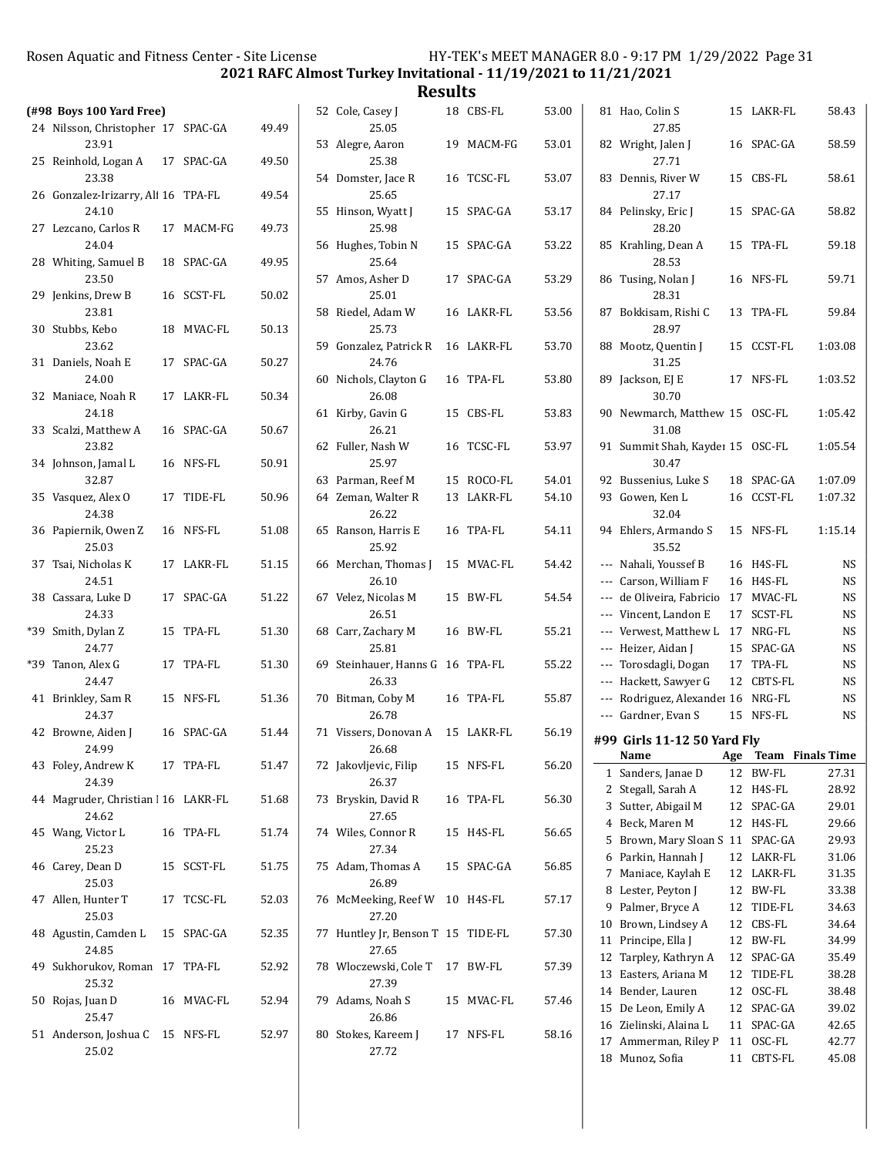2021 RAFC Almost Turkey Invitational - 11/19/2021 to 11/21/2021

|                                              |            |       | nesults                                   |            |       |                                              |     |                         |                        |
|----------------------------------------------|------------|-------|-------------------------------------------|------------|-------|----------------------------------------------|-----|-------------------------|------------------------|
| $(498$ Boys 100 Yard Free)                   |            |       | 52 Cole, Casey J                          | 18 CBS-FL  | 53.00 | 81 Hao, Colin S                              |     | 15 LAKR-FL              | 58.43                  |
| 24 Nilsson, Christopher 17 SPAC-GA<br>23.91  |            | 49.49 | 25.05<br>53 Alegre, Aaron                 | 19 MACM-FG | 53.01 | 27.85<br>82 Wright, Jalen J                  |     | 16 SPAC-GA              | 58.59                  |
| 25 Reinhold, Logan A                         | 17 SPAC-GA | 49.50 | 25.38                                     |            |       | 27.71                                        |     |                         |                        |
| 23.38<br>26 Gonzalez-Irizarry, Ali 16 TPA-FL |            | 49.54 | 54 Domster, Jace R<br>25.65               | 16 TCSC-FL | 53.07 | 83 Dennis, River W<br>27.17                  |     | 15 CBS-FL               | 58.61                  |
| 24.10<br>27 Lezcano, Carlos R                | 17 MACM-FG | 49.73 | 55 Hinson, Wyatt J<br>25.98               | 15 SPAC-GA | 53.17 | 84 Pelinsky, Eric J<br>28.20                 |     | 15 SPAC-GA              | 58.82                  |
| 24.04                                        |            |       | 56 Hughes, Tobin N                        | 15 SPAC-GA | 53.22 | 85 Krahling, Dean A                          |     | 15 TPA-FL               | 59.18                  |
| 28 Whiting, Samuel B<br>23.50                | 18 SPAC-GA | 49.95 | 25.64<br>57 Amos, Asher D                 | 17 SPAC-GA | 53.29 | 28.53<br>86 Tusing, Nolan J                  |     | 16 NFS-FL               | 59.71                  |
| 29 Jenkins, Drew B<br>23.81                  | 16 SCST-FL | 50.02 | 25.01<br>58 Riedel, Adam W                | 16 LAKR-FL | 53.56 | 28.31<br>87 Bokkisam, Rishi C                |     | 13 TPA-FL               | 59.84                  |
| 30 Stubbs, Kebo                              | 18 MVAC-FL | 50.13 | 25.73                                     |            |       | 28.97                                        |     |                         |                        |
| 23.62                                        |            |       | 59 Gonzalez, Patrick R                    | 16 LAKR-FL | 53.70 | 88 Mootz, Quentin J                          |     | 15 CCST-FL              | 1:03.08                |
| 31 Daniels, Noah E<br>24.00                  | 17 SPAC-GA | 50.27 | 24.76<br>60 Nichols, Clayton G            | 16 TPA-FL  | 53.80 | 31.25<br>89 Jackson, EJ E                    |     | 17 NFS-FL               | 1:03.52                |
| 32 Maniace, Noah R                           | 17 LAKR-FL | 50.34 | 26.08                                     |            |       | 30.70                                        |     |                         |                        |
| 24.18<br>33 Scalzi, Matthew A                | 16 SPAC-GA | 50.67 | 61 Kirby, Gavin G<br>26.21                | 15 CBS-FL  | 53.83 | 90 Newmarch, Matthew 15 OSC-FL<br>31.08      |     |                         | 1:05.42                |
| 23.82                                        |            |       | 62 Fuller, Nash W                         | 16 TCSC-FL | 53.97 | 91 Summit Shah, Kayder 15 OSC-FL             |     |                         | 1:05.54                |
| 34 Johnson, Jamal L                          | 16 NFS-FL  | 50.91 | 25.97                                     |            |       | 30.47                                        |     |                         |                        |
| 32.87                                        |            |       | 63 Parman, Reef M                         | 15 ROCO-FL | 54.01 | 92 Bussenius, Luke S                         |     | 18 SPAC-GA              | 1:07.09                |
| 35 Vasquez, Alex O<br>24.38                  | 17 TIDE-FL | 50.96 | 64 Zeman, Walter R<br>26.22               | 13 LAKR-FL | 54.10 | 93 Gowen, Ken L<br>32.04                     |     | 16 CCST-FL              | 1:07.32                |
| 36 Papiernik, Owen Z<br>25.03                | 16 NFS-FL  | 51.08 | 65 Ranson, Harris E<br>25.92              | 16 TPA-FL  | 54.11 | 94 Ehlers, Armando S<br>35.52                |     | 15 NFS-FL               | 1:15.14                |
| 37 Tsai, Nicholas K                          | 17 LAKR-FL | 51.15 | 66 Merchan, Thomas J                      | 15 MVAC-FL | 54.42 | --- Nahali, Youssef B                        |     | 16 H4S-FL               | <b>NS</b>              |
| 24.51                                        |            |       | 26.10                                     |            |       | --- Carson, William F                        |     | 16 H4S-FL               | <b>NS</b>              |
| 38 Cassara, Luke D                           | 17 SPAC-GA | 51.22 | 67 Velez, Nicolas M                       | 15 BW-FL   | 54.54 | --- de Oliveira, Fabricio 17 MVAC-FL         |     |                         | <b>NS</b>              |
| 24.33                                        |            |       | 26.51                                     |            |       | --- Vincent, Landon E                        |     | 17 SCST-FL              | <b>NS</b>              |
| *39 Smith, Dylan Z                           | 15 TPA-FL  | 51.30 | 68 Carr, Zachary M                        | 16 BW-FL   | 55.21 | --- Verwest, Matthew L 17 NRG-FL             |     |                         | <b>NS</b>              |
| 24.77<br>*39 Tanon, Alex G                   | 17 TPA-FL  | 51.30 | 25.81<br>69 Steinhauer, Hanns G 16 TPA-FL |            | 55.22 | --- Heizer, Aidan J<br>--- Torosdagli, Dogan |     | 15 SPAC-GA<br>17 TPA-FL | <b>NS</b><br><b>NS</b> |
| 24.47                                        |            |       | 26.33                                     |            |       | --- Hackett, Sawyer G                        |     | 12 CBTS-FL              | <b>NS</b>              |
| 41 Brinkley, Sam R                           | 15 NFS-FL  | 51.36 | 70 Bitman, Coby M                         | 16 TPA-FL  | 55.87 | --- Rodriguez, Alexander 16 NRG-FL           |     |                         | <b>NS</b>              |
| 24.37                                        |            |       | 26.78                                     |            |       | --- Gardner, Evan S                          |     | 15 NFS-FL               | <b>NS</b>              |
| 42 Browne, Aiden J                           | 16 SPAC-GA | 51.44 | 71 Vissers, Donovan A 15 LAKR-FL          |            | 56.19 | #99 Girls 11-12 50 Yard Fly                  |     |                         |                        |
| 24.99                                        |            |       | 26.68                                     |            |       | Name                                         | Age |                         | Team Finals Time       |
| 43 Foley, Andrew K                           | 17 TPA-FL  | 51.47 | 72 Jakovljevic, Filip                     | 15 NFS-FL  | 56.20 | 1 Sanders, Janae D                           |     | 12 BW-FL                | 27.31                  |
| 24.39                                        |            |       | 26.37                                     |            |       | 2 Stegall, Sarah A                           |     | 12 H4S-FL               | 28.92                  |
| 44 Magruder, Christian   16 LAKR-FL<br>24.62 |            | 51.68 | 73 Bryskin, David R<br>27.65              | 16 TPA-FL  | 56.30 | 3 Sutter, Abigail M                          |     | 12 SPAC-GA              | 29.01                  |
| 45 Wang, Victor L                            | 16 TPA-FL  | 51.74 | 74 Wiles, Connor R                        | 15 H4S-FL  | 56.65 | 4 Beck, Maren M                              |     | 12 H4S-FL               | 29.66                  |
| 25.23                                        |            |       | 27.34                                     |            |       | 5 Brown, Mary Sloan S 11 SPAC-GA             |     |                         | 29.93                  |
| 46 Carey, Dean D                             | 15 SCST-FL | 51.75 | 75 Adam, Thomas A                         | 15 SPAC-GA | 56.85 | 6 Parkin, Hannah J                           |     | 12 LAKR-FL              | 31.06                  |
| 25.03                                        |            |       | 26.89                                     |            |       | 7 Maniace, Kaylah E<br>8 Lester, Peyton J    |     | 12 LAKR-FL<br>12 BW-FL  | 31.35<br>33.38         |
| 47 Allen, Hunter T                           | 17 TCSC-FL | 52.03 | 76 McMeeking, Reef W 10 H4S-FL            |            | 57.17 | 9 Palmer, Bryce A                            |     | 12 TIDE-FL              | 34.63                  |
| 25.03                                        |            |       | 27.20                                     |            |       | 10 Brown, Lindsey A                          |     | 12 CBS-FL               | 34.64                  |
| 48 Agustin, Camden L                         | 15 SPAC-GA | 52.35 | 77 Huntley Jr, Benson T 15 TIDE-FL        |            | 57.30 | 11 Principe, Ella J                          |     | 12 BW-FL                | 34.99                  |
| 24.85                                        |            |       | 27.65                                     |            |       | 12 Tarpley, Kathryn A                        |     | 12 SPAC-GA              | 35.49                  |
| 49 Sukhorukov, Roman 17 TPA-FL               |            | 52.92 | 78 Wloczewski, Cole T 17 BW-FL            |            | 57.39 | 13 Easters, Ariana M                         |     | 12 TIDE-FL              | 38.28                  |
| 25.32                                        |            |       | 27.39                                     |            |       | 14 Bender, Lauren                            |     | 12 OSC-FL               | 38.48                  |
| 50 Rojas, Juan D<br>25.47                    | 16 MVAC-FL | 52.94 | 79 Adams, Noah S<br>26.86                 | 15 MVAC-FL | 57.46 | 15 De Leon, Emily A                          |     | 12 SPAC-GA              | 39.02                  |
| 51 Anderson, Joshua C 15 NFS-FL              |            | 52.97 | 80 Stokes, Kareem J                       | 17 NFS-FL  | 58.16 | 16 Zielinski, Alaina L                       |     | 11 SPAC-GA              | 42.65                  |
| 25.02                                        |            |       | 27.72                                     |            |       | 17 Ammerman, Riley P                         |     | 11 OSC-FL               | 42.77                  |
|                                              |            |       |                                           |            |       | 18 Munoz, Sofia                              |     | 11 CBTS-FL              | 45.08                  |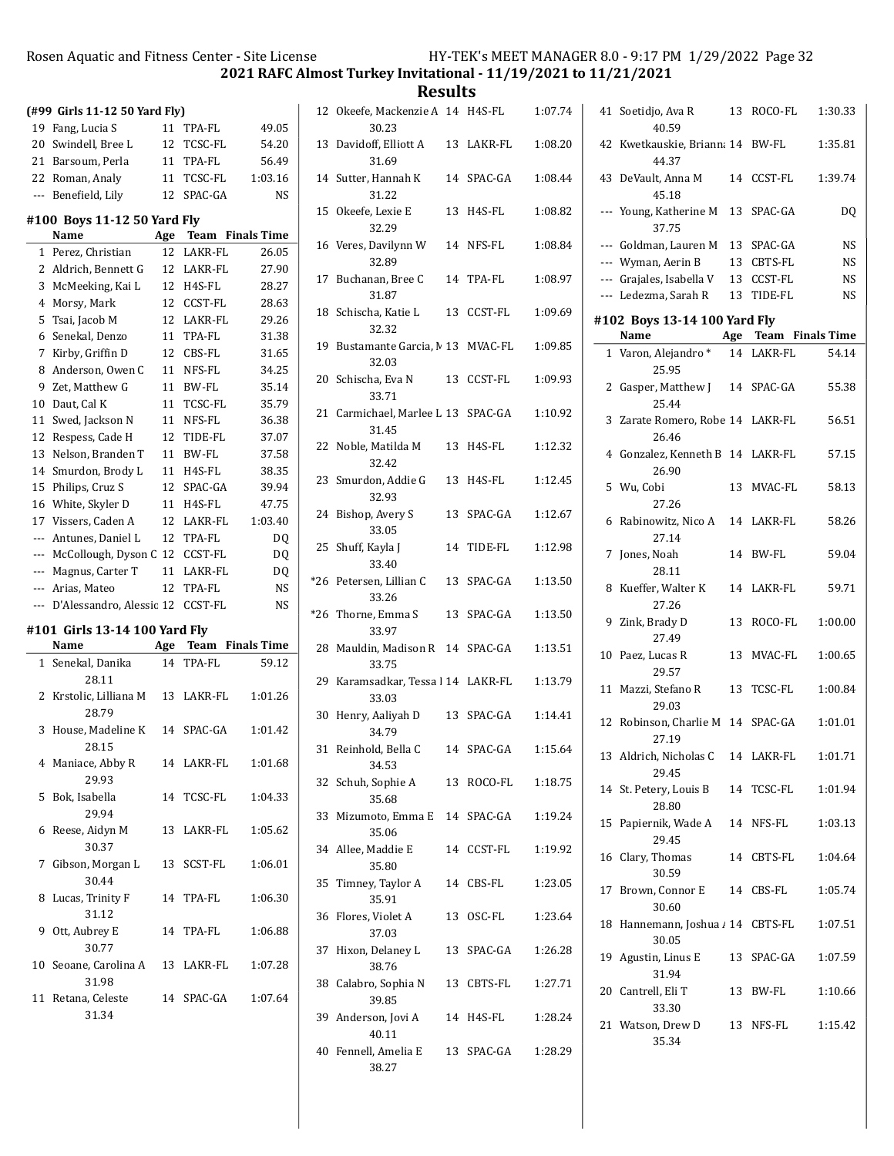2021 RAFC Almost Turkey Invitational - 11/19/2021 to 11/21/2021

|     | (#99 Girls 11-12 50 Yard Fly) |     |                |                    |
|-----|-------------------------------|-----|----------------|--------------------|
| 19  | Fang, Lucia S                 | 11  | TPA-FL         | 49.05              |
| 20  | Swindell, Bree L              | 12  | <b>TCSC-FL</b> | 54.20              |
| 21  | Barsoum, Perla                | 11  | TPA-FL         | 56.49              |
| 22  | Roman, Analy                  | 11  | TCSC-FL        | 1:03.16            |
| --- | Benefield, Lily               | 12  | SPAC-GA        | <b>NS</b>          |
|     | #100 Boys 11-12 50 Yard Fly   |     |                |                    |
|     | Name                          | Age | Team           | <b>Finals Time</b> |
| 1   | Perez, Christian              | 12  | LAKR-FL        | 26.05              |
| 2   | Aldrich, Bennett G            |     | 12 LAKR-FL     | 27.90              |
| 3   | McMeeking, Kai L              | 12  | H4S-FL         | 28.27              |
|     |                               |     |                |                    |
| 4   | Morsy, Mark                   | 12  | CCST-FL        | 28.63              |
| 5   | Tsai, Jacob M                 | 12  | LAKR-FL        | 29.26              |
| 6   | Senekal, Denzo                | 11  | TPA-FL         | 31.38              |
| 7   | Kirby, Griffin D              | 12  | CBS-FL         | 31.65              |
| 8   | Anderson, Owen C              | 11  | NFS-FL         | 34.25              |
| 9   | Zet, Matthew G                | 11  | BW-FL          | 35.14              |
| 10  | Daut, Cal K                   | 11  | TCSC-FL        | 35.79              |
| 11  | Swed, Jackson N               | 11  | NFS-FL         | 36.38              |
| 12  | Respess, Cade H               | 12  | TIDE-FL        | 37.07              |
| 13  | Nelson, Branden T             | 11  | BW-FL          | 37.58              |
| 14  | Smurdon, Brody L              | 11  | H4S-FL         | 38.35              |
| 15  | Philips, Cruz S               | 12  | SPAC-GA        | 39.94              |
| 16  | White, Skyler D               | 11  | H4S-FL         | 47.75              |
| 17  | Vissers, Caden A              | 12  | LAKR-FL        | 1:03.40            |
| --- | Antunes, Daniel L             | 12  | TPA-FL         | DQ                 |
| --- | McCollough, Dyson C           | 12  | CCST-FL        | DQ                 |
| --- | Magnus, Carter T              | 11  | LAKR-FL        | DQ                 |
| --- | Arias, Mateo                  | 12  | TPA-FL         | NS                 |
| --- | D'Alessandro, Alessic 12      |     | CCST-FL        | <b>NS</b>          |
|     | #101 Girls 13-14 100 Yard Flv |     |                |                    |
|     | Name                          | Age | Team           | <b>Finals Time</b> |
| 1   | Senekal, Danika<br>28.11      | 14  | TPA-FL         | 59.12              |
| 2   | Krstolic, Lilliana M<br>28.79 | 13  | LAKR-FL        | 1:01.26            |
| 3   | House, Madeline K<br>28.15    | 14  | SPAC-GA        | 1:01.42            |
|     | 4 Maniace, Abby R<br>29.93    |     | 14 LAKR-FL     | 1:01.68            |
| 5   | Bok, Isabella<br>29.94        |     | 14 TCSC-FL     | 1:04.33            |
| 6   | Reese, Aidyn M<br>30.37       |     | 13 LAKR-FL     | 1:05.62            |
| 7   | Gibson, Morgan L<br>30.44     |     | 13 SCST-FL     | 1:06.01            |
| 8   | Lucas, Trinity F<br>31.12     | 14  | TPA-FL         | 1:06.30            |
| 9   | Ott, Aubrey E<br>30.77        | 14  | TPA-FL         | 1:06.88            |
| 10  | Seoane, Carolina A<br>31.98   |     | 13 LAKR-FL     | 1:07.28            |
| 11  | Retana, Celeste<br>31.34      |     | 14 SPAC-GA     | 1:07.64            |

|       | 12 Okeefe, Mackenzie A 14 H4S-FL<br>30.23   |    |            | 1:07.74 |
|-------|---------------------------------------------|----|------------|---------|
| 13    | Davidoff, Elliott A<br>31.69                |    | 13 LAKR-FL | 1:08.20 |
|       | 14 Sutter, Hannah K<br>31.22                |    | 14 SPAC-GA | 1:08.44 |
| 15    | Okeefe, Lexie E<br>32.29                    | 13 | H4S-FL     | 1:08.82 |
|       | 16 Veres, Davilynn W<br>32.89               |    | 14 NFS-FL  | 1:08.84 |
|       | 17 Buchanan, Bree C<br>31.87                |    | 14 TPA-FL  | 1:08.97 |
|       | 18 Schischa, Katie L<br>32.32               |    | 13 CCST-FL | 1:09.69 |
|       | 19 Bustamante Garcia, M 13 MVAC-FL<br>32.03 |    |            | 1:09.85 |
|       | 20 Schischa, Eva N<br>33.71                 |    | 13 CCST-FL | 1:09.93 |
|       | 21 Carmichael, Marlee L 13 SPAC-GA<br>31.45 |    |            | 1:10.92 |
| 22    | Noble, Matilda M<br>32.42                   | 13 | H4S-FL     | 1:12.32 |
| 23    | Smurdon, Addie G<br>32.93                   | 13 | H4S-FL     | 1:12.45 |
| 24    | Bishop, Avery S<br>33.05                    |    | 13 SPAC-GA | 1:12.67 |
| 25    | Shuff, Kayla J<br>33.40                     | 14 | TIDE-FL    | 1:12.98 |
| *26   | Petersen, Lillian C<br>33.26                | 13 | SPAC-GA    | 1:13.50 |
| $*26$ | Thorne, Emma S<br>33.97                     |    | 13 SPAC-GA | 1:13.50 |
| 28    | Mauldin, Madison R 14 SPAC-GA<br>33.75      |    |            | 1:13.51 |
| 29    | Karamsadkar, Tessa l 14 LAKR-FL<br>33.03    |    |            | 1:13.79 |
| 30    | Henry, Aaliyah D<br>34.79                   | 13 | SPAC-GA    | 1:14.41 |
|       | 31 Reinhold, Bella C<br>34.53               |    | 14 SPAC-GA | 1:15.64 |
|       | 32 Schuh, Sophie A<br>35.68                 |    | 13 ROCO-FL | 1:18.75 |
|       | 33 Mizumoto, Emma E<br>35.06                |    | 14 SPAC-GA | 1:19.24 |
|       | 34 Allee, Maddie E<br>35.80                 |    | 14 CCST-FL | 1:19.92 |
| 35    | Timney, Taylor A<br>35.91                   |    | 14 CBS-FL  | 1:23.05 |
| 36    | Flores, Violet A<br>37.03                   |    | 13 OSC-FL  | 1:23.64 |
|       | 37 Hixon, Delaney L<br>38.76                |    | 13 SPAC-GA | 1:26.28 |
|       | 38 Calabro, Sophia N 13 CBTS-FL<br>39.85    |    |            | 1:27.71 |
|       | 39 Anderson, Jovi A<br>40.11                |    | 14 H4S-FL  | 1:28.24 |
|       | 40 Fennell, Amelia E<br>38.27               |    | 13 SPAC-GA | 1:28.29 |

|    | 41 Soetidjo, Ava R<br>40.59                | 13 ROCO-FL           | 1:30.33 |
|----|--------------------------------------------|----------------------|---------|
|    | 42 Kwetkauskie, Brianna 14 BW-FL<br>44.37  |                      | 1:35.81 |
|    | 43 DeVault, Anna M<br>45.18                | 14 CCST-FL           | 1:39.74 |
|    | --- Young, Katherine M 13 SPAC-GA<br>37.75 |                      | DQ      |
|    | --- Goldman, Lauren M 13 SPAC-GA           |                      | NS      |
|    | --- Wyman, Aerin B                         | 13 CBTS-FL           | NS      |
|    | --- Grajales, Isabella V                   | 13 CCST-FL           | NS      |
|    | --- Ledezma, Sarah R                       | 13 TIDE-FL           | NS      |
|    |                                            |                      |         |
|    | #102 Boys 13-14 100 Yard Fly               |                      |         |
|    | Name                                       | Age Team Finals Time |         |
|    | 1 Varon, Alejandro *<br>25.95              | 14 LAKR-FL           | 54.14   |
|    | 2 Gasper, Matthew J 14 SPAC-GA<br>25.44    |                      | 55.38   |
|    | 3 Zarate Romero, Robe 14 LAKR-FL<br>26.46  |                      | 56.51   |
|    | 4 Gonzalez, Kenneth B 14 LAKR-FL<br>26.90  |                      | 57.15   |
| 5  | Wu, Cobi<br>27.26                          | 13 MVAC-FL           | 58.13   |
| 6  | Rabinowitz, Nico A<br>27.14                | 14 LAKR-FL           | 58.26   |
| 7  | Jones, Noah<br>28.11                       | 14 BW-FL             | 59.04   |
| 8  | Kueffer, Walter K<br>27.26                 | 14 LAKR-FL           | 59.71   |
|    | 9 Zink, Brady D<br>27.49                   | 13 ROCO-FL           | 1:00.00 |
| 10 | Paez, Lucas R<br>29.57                     | 13 MVAC-FL           | 1:00.65 |
|    | 11 Mazzi, Stefano R<br>29.03               | 13 TCSC-FL           | 1:00.84 |
|    | 12 Robinson, Charlie M 14 SPAC-GA<br>27.19 |                      | 1:01.01 |
|    | 13 Aldrich, Nicholas C 14 LAKR-FL<br>29.45 |                      | 1:01.71 |
|    | 14 St. Petery, Louis B 14 TCSC-FL<br>28.80 |                      | 1:01.94 |
|    | 15 Papiernik, Wade A 14 NFS-FL<br>29.45    |                      | 1:03.13 |
|    | 16 Clary, Thomas<br>30.59                  | 14 CBTS-FL           | 1:04.64 |
|    | 17 Brown, Connor E 14 CBS-FL<br>30.60      |                      | 1:05.74 |
| 18 | Hannemann, Joshua / 14 CBTS-FL<br>30.05    |                      | 1:07.51 |
|    | 19 Agustin, Linus E<br>31.94               | 13 SPAC-GA           | 1:07.59 |
|    | 20 Cantrell, Eli T<br>33.30                | 13 BW-FL             | 1:10.66 |
|    | 21 Watson, Drew D<br>35.34                 | 13 NFS-FL            | 1:15.42 |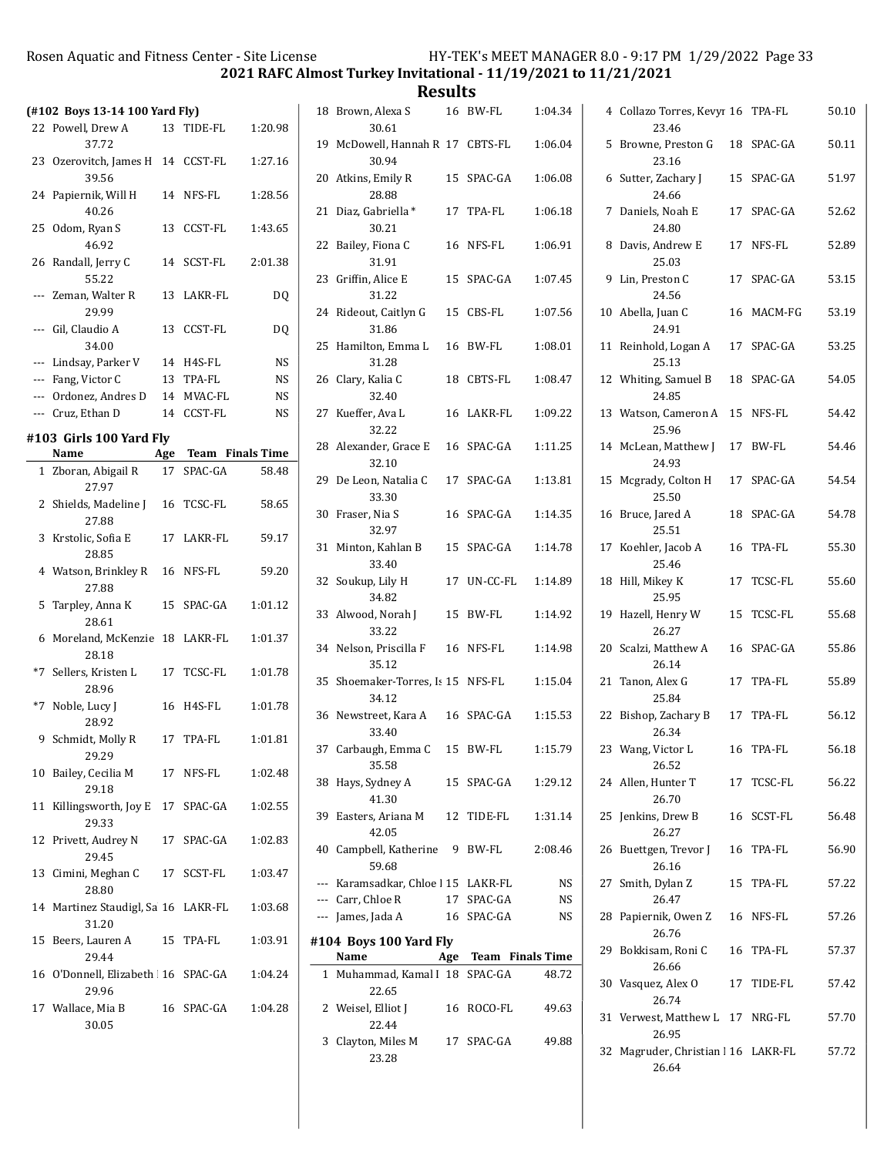2021 RAFC Almost Turkey Invitational - 11/19/2021 to 11/21/2021

Results

|                                                     |     |                                |           | results                                    |                          |                        |                                            |            |       |
|-----------------------------------------------------|-----|--------------------------------|-----------|--------------------------------------------|--------------------------|------------------------|--------------------------------------------|------------|-------|
| (#102 Boys 13-14 100 Yard Fly)<br>22 Powell, Drew A |     | 13 TIDE-FL                     | 1:20.98   | 18 Brown, Alexa S<br>30.61                 | 16 BW-FL                 | 1:04.34                | 4 Collazo Torres, Kevyr 16 TPA-FL<br>23.46 |            | 50.10 |
| 37.72                                               |     |                                |           | 19 McDowell, Hannah R 17 CBTS-FL           |                          | 1:06.04                | 5 Browne, Preston G                        | 18 SPAC-GA | 50.11 |
| 23 Ozerovitch, James H 14 CCST-FL                   |     |                                | 1:27.16   | 30.94                                      |                          |                        | 23.16                                      |            |       |
| 39.56<br>24 Papiernik, Will H                       |     | 14 NFS-FL                      | 1:28.56   | 20 Atkins, Emily R<br>28.88                | 15 SPAC-GA               | 1:06.08                | 6 Sutter, Zachary J<br>24.66               | 15 SPAC-GA | 51.97 |
| 40.26                                               |     |                                |           | 21 Diaz, Gabriella *                       | 17 TPA-FL                | 1:06.18                | 7 Daniels, Noah E                          | 17 SPAC-GA | 52.62 |
| 25 Odom, Ryan S<br>46.92                            |     | 13 CCST-FL                     | 1:43.65   | 30.21<br>22 Bailey, Fiona C                | 16 NFS-FL                | 1:06.91                | 24.80<br>8 Davis, Andrew E                 | 17 NFS-FL  | 52.89 |
| 26 Randall, Jerry C                                 |     | 14 SCST-FL                     | 2:01.38   | 31.91                                      |                          |                        | 25.03                                      |            |       |
| 55.22                                               |     |                                |           | 23 Griffin, Alice E                        | 15 SPAC-GA               | 1:07.45                | 9 Lin, Preston C                           | 17 SPAC-GA | 53.15 |
| --- Zeman, Walter R<br>29.99                        |     | 13 LAKR-FL                     | DQ        | 31.22<br>24 Rideout, Caitlyn G             | 15 CBS-FL                | 1:07.56                | 24.56<br>10 Abella, Juan C                 | 16 MACM-FG | 53.19 |
| --- Gil, Claudio A                                  |     | 13 CCST-FL                     | DQ        | 31.86                                      |                          |                        | 24.91                                      |            |       |
| 34.00                                               |     |                                |           | 25 Hamilton, Emma L                        | 16 BW-FL                 | 1:08.01                | 11 Reinhold, Logan A                       | 17 SPAC-GA | 53.25 |
| --- Lindsay, Parker V                               |     | 14 H4S-FL                      | <b>NS</b> | 31.28                                      |                          |                        | 25.13                                      |            |       |
| --- Fang, Victor C                                  |     | 13 TPA-FL                      | <b>NS</b> | 26 Clary, Kalia C                          | 18 CBTS-FL               | 1:08.47                | 12 Whiting, Samuel B                       | 18 SPAC-GA | 54.05 |
| --- Ordonez, Andres D                               |     | 14 MVAC-FL                     | <b>NS</b> | 32.40                                      |                          |                        | 24.85                                      |            |       |
| --- Cruz, Ethan D                                   |     | 14 CCST-FL                     | <b>NS</b> | 27 Kueffer, Ava L<br>32.22                 | 16 LAKR-FL               | 1:09.22                | 13 Watson, Cameron A 15 NFS-FL<br>25.96    |            | 54.42 |
| #103 Girls 100 Yard Fly                             |     |                                |           | 28 Alexander, Grace E                      | 16 SPAC-GA               | 1:11.25                | 14 McLean, Matthew J                       | 17 BW-FL   | 54.46 |
| Name                                                | Age | Team Finals Time<br>17 SPAC-GA |           | 32.10                                      |                          |                        | 24.93                                      |            |       |
| 1 Zboran, Abigail R<br>27.97                        |     |                                | 58.48     | 29 De Leon, Natalia C<br>33.30             | 17 SPAC-GA               | 1:13.81                | 15 Mcgrady, Colton H<br>25.50              | 17 SPAC-GA | 54.54 |
| 2 Shields, Madeline J<br>27.88                      |     | 16 TCSC-FL                     | 58.65     | 30 Fraser, Nia S                           | 16 SPAC-GA               | 1:14.35                | 16 Bruce, Jared A                          | 18 SPAC-GA | 54.78 |
| 3 Krstolic, Sofia E<br>28.85                        |     | 17 LAKR-FL                     | 59.17     | 32.97<br>31 Minton, Kahlan B               | 15 SPAC-GA               | 1:14.78                | 25.51<br>17 Koehler, Jacob A               | 16 TPA-FL  | 55.30 |
| 4 Watson, Brinkley R 16 NFS-FL                      |     |                                | 59.20     | 33.40                                      |                          |                        | 25.46                                      |            |       |
| 27.88                                               |     |                                |           | 32 Soukup, Lily H<br>34.82                 | 17 UN-CC-FL              | 1:14.89                | 18 Hill, Mikey K<br>25.95                  | 17 TCSC-FL | 55.60 |
| 5 Tarpley, Anna K<br>28.61                          |     | 15 SPAC-GA                     | 1:01.12   | 33 Alwood, Norah J<br>33.22                | 15 BW-FL                 | 1:14.92                | 19 Hazell, Henry W<br>26.27                | 15 TCSC-FL | 55.68 |
| 6 Moreland, McKenzie 18 LAKR-FL<br>28.18            |     |                                | 1:01.37   | 34 Nelson, Priscilla F                     | 16 NFS-FL                | 1:14.98                | 20 Scalzi, Matthew A                       | 16 SPAC-GA | 55.86 |
| *7 Sellers, Kristen L                               |     | 17 TCSC-FL                     | 1:01.78   | 35.12<br>35 Shoemaker-Torres, Is 15 NFS-FL |                          | 1:15.04                | 26.14<br>21 Tanon, Alex G                  | 17 TPA-FL  | 55.89 |
| 28.96<br>*7 Noble, Lucy J                           |     | 16 H4S-FL                      | 1:01.78   | 34.12                                      |                          |                        | 25.84                                      |            |       |
| 28.92                                               |     |                                |           | 36 Newstreet, Kara A<br>33.40              | 16 SPAC-GA               | 1:15.53                | 22 Bishop, Zachary B<br>26.34              | 17 TPA-FL  | 56.12 |
| 9 Schmidt, Molly R<br>29.29                         |     | 17 TPA-FL                      | 1:01.81   | 37 Carbaugh, Emma C 15 BW-FL               |                          | 1:15.79                | 23 Wang, Victor L                          | 16 TPA-FL  | 56.18 |
| 10 Bailey, Cecilia M                                |     | 17 NFS-FL                      | 1:02.48   | 35.58                                      |                          |                        | 26.52                                      |            |       |
| 29.18                                               |     |                                |           | 38 Hays, Sydney A                          | 15 SPAC-GA               | 1:29.12                | 24 Allen, Hunter T                         | 17 TCSC-FL | 56.22 |
| 11 Killingsworth, Joy E 17 SPAC-GA<br>29.33         |     |                                | 1:02.55   | 41.30<br>39 Easters, Ariana M              | 12 TIDE-FL               | 1:31.14                | 26.70<br>25 Jenkins, Drew B                | 16 SCST-FL | 56.48 |
| 12 Privett, Audrey N                                |     | 17 SPAC-GA                     | 1:02.83   | 42.05<br>40 Campbell, Katherine            | 9 BW-FL                  | 2:08.46                | 26.27<br>26 Buettgen, Trevor J             | 16 TPA-FL  | 56.90 |
| 29.45                                               |     |                                |           | 59.68                                      |                          |                        | 26.16                                      |            |       |
| 13 Cimini, Meghan C<br>28.80                        |     | 17 SCST-FL                     | 1:03.47   | --- Karamsadkar, Chloe   15 LAKR-FL        |                          | NS                     | 27 Smith, Dylan Z                          | 15 TPA-FL  | 57.22 |
| 14 Martinez Staudigl, Sa 16 LAKR-FL                 |     |                                | 1:03.68   | --- Carr, Chloe R<br>--- James, Jada A     | 17 SPAC-GA<br>16 SPAC-GA | <b>NS</b><br><b>NS</b> | 26.47<br>28 Papiernik, Owen Z              | 16 NFS-FL  | 57.26 |
| 31.20<br>15 Beers, Lauren A                         |     | 15 TPA-FL                      | 1:03.91   | #104 Boys 100 Yard Fly                     |                          |                        | 26.76                                      |            |       |
| 29.44                                               |     |                                |           | Name                                       | Age Team Finals Time     |                        | 29 Bokkisam, Roni C                        | 16 TPA-FL  | 57.37 |
| 16 O'Donnell, Elizabeth 16 SPAC-GA<br>29.96         |     |                                | 1:04.24   | 1 Muhammad, Kamal I 18 SPAC-GA<br>22.65    |                          | 48.72                  | 26.66<br>30 Vasquez, Alex O                | 17 TIDE-FL | 57.42 |
| 17 Wallace, Mia B                                   |     | 16 SPAC-GA                     | 1:04.28   | 2 Weisel, Elliot J                         | 16 ROCO-FL               | 49.63                  | 26.74                                      |            |       |
| 30.05                                               |     |                                |           | 22.44                                      |                          |                        | 31 Verwest, Matthew L 17 NRG-FL<br>26.95   |            | 57.70 |
|                                                     |     |                                |           | 3 Clayton, Miles M                         | 17 SPAC-GA               | 49.88                  |                                            |            |       |

23.28

|    | 5 Browne, Preston G<br>23.16                 |    | 18 SPAC-GA | 50.11 |
|----|----------------------------------------------|----|------------|-------|
| 6  | Sutter, Zachary J<br>24.66                   |    | 15 SPAC-GA | 51.97 |
| 7  | Daniels, Noah E<br>24.80                     |    | 17 SPAC-GA | 52.62 |
| 8  | Davis, Andrew E<br>25.03                     |    | 17 NFS-FL  | 52.89 |
| 9  | Lin, Preston C<br>24.56                      | 17 | SPAC-GA    | 53.15 |
|    | 10 Abella, Juan C<br>24.91                   |    | 16 MACM-FG | 53.19 |
|    | 11 Reinhold, Logan A<br>25.13                | 17 | SPAC-GA    | 53.25 |
|    | 12 Whiting, Samuel B<br>24.85                | 18 | SPAC-GA    | 54.05 |
|    | 13 Watson, Cameron A<br>25.96                |    | 15 NFS-FL  | 54.42 |
|    | 14 McLean, Matthew J<br>24.93                |    | 17 BW-FL   | 54.46 |
|    | 15 Mcgrady, Colton H<br>25.50                |    | 17 SPAC-GA | 54.54 |
|    | 16 Bruce, Jared A<br>25.51                   | 18 | SPAC-GA    | 54.78 |
|    | 17 Koehler, Jacob A<br>25.46                 |    | 16 TPA-FL  | 55.30 |
| 18 | Hill, Mikey K<br>25.95                       |    | 17 TCSC-FL | 55.60 |
| 19 | Hazell, Henry W<br>26.27                     | 15 | TCSC-FL    | 55.68 |
|    | 20 Scalzi, Matthew A<br>26.14                | 16 | SPAC-GA    | 55.86 |
|    | 21 Tanon, Alex G<br>25.84                    | 17 | TPA-FL     | 55.89 |
| 22 | Bishop, Zachary B<br>26.34                   | 17 | TPA-FL     | 56.12 |
|    | 23 Wang, Victor L<br>26.52                   | 16 | TPA-FL     | 56.18 |
|    | 24 Allen, Hunter T<br>26.70                  |    | 17 TCSC-FL | 56.22 |
|    | 25 Jenkins, Drew B<br>26.27                  |    | 16 SCST-FL | 56.48 |
|    | 26 Buettgen, Trevor J<br>26.16               |    | 16 TPA-FL  | 56.90 |
|    | 27 Smith, Dylan Z<br>26.47                   |    | 15 TPA-FL  | 57.22 |
|    | 28 Papiernik, Owen Z<br>26.76                |    | 16 NFS-FL  | 57.26 |
|    | 29 Bokkisam, Roni C<br>26.66                 |    | 16 TPA-FL  | 57.37 |
|    | 30 Vasquez, Alex O<br>26.74                  |    | 17 TIDE-FL | 57.42 |
|    | 31 Verwest, Matthew L 17 NRG-FL<br>26.95     |    |            | 57.70 |
|    | 32 Magruder, Christian   16 LAKR-FL<br>26.64 |    |            | 57.72 |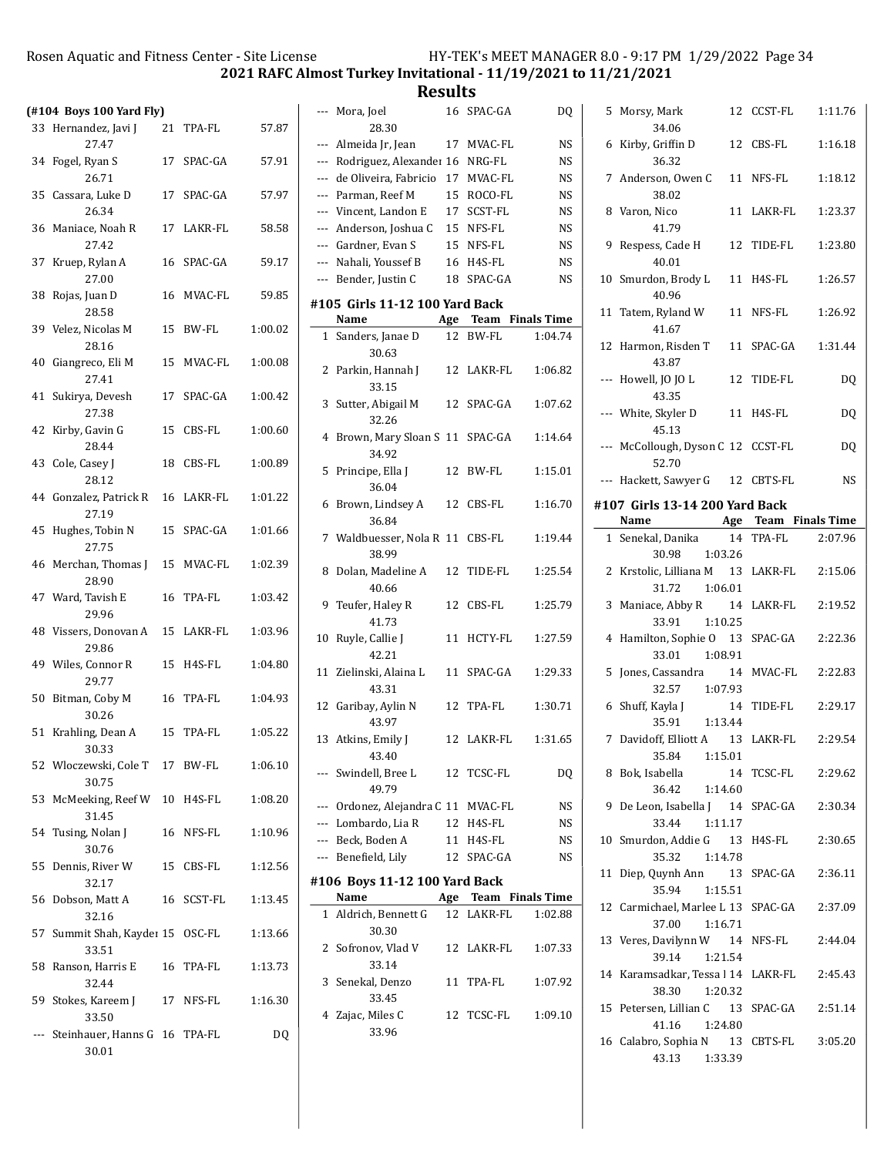|     | $($ #104 Boys 100 Yard Fly $)$             |    |            |         |    |
|-----|--------------------------------------------|----|------------|---------|----|
| 33  | Hernandez, Javi J<br>27.47                 |    | 21 TPA-FL  | 57.87   |    |
|     | 34 Fogel, Ryan S<br>26.71                  |    | 17 SPAC-GA | 57.91   |    |
|     | 35 Cassara, Luke D<br>26.34                |    | 17 SPAC-GA | 57.97   |    |
|     | 36 Maniace, Noah R<br>27.42                |    | 17 LAKR-FL | 58.58   |    |
|     | 37 Kruep, Rylan A<br>27.00                 |    | 16 SPAC-GA | 59.17   |    |
| 38  | Rojas, Juan D<br>28.58                     |    | 16 MVAC-FL | 59.85   | #1 |
|     | 39 Velez, Nicolas M<br>28.16               | 15 | BW-FL      | 1:00.02 |    |
| 40  | Giangreco, Eli M<br>27.41                  |    | 15 MVAC-FL | 1:00.08 |    |
| 41  | Sukirya, Devesh<br>27.38                   |    | 17 SPAC-GA | 1:00.42 |    |
| 42  | Kirby, Gavin G<br>28.44                    |    | 15 CBS-FL  | 1:00.60 |    |
|     | 43 Cole, Casey J<br>28.12                  |    | 18 CBS-FL  | 1:00.89 |    |
|     | 44 Gonzalez, Patrick R 16 LAKR-FL<br>27.19 |    |            | 1:01.22 |    |
| 45  | Hughes, Tobin N<br>27.75                   | 15 | SPAC-GA    | 1:01.66 |    |
|     | 46 Merchan, Thomas J 15 MVAC-FL<br>28.90   |    |            | 1:02.39 |    |
|     | 47 Ward, Tavish E<br>29.96                 |    | 16 TPA-FL  | 1:03.42 |    |
|     | 48 Vissers, Donovan A 15 LAKR-FL<br>29.86  |    |            | 1:03.96 | 1  |
|     | 49 Wiles, Connor R<br>29.77                |    | 15 H4S-FL  | 1:04.80 | 1  |
|     | 50 Bitman, Coby M<br>30.26                 |    | 16 TPA-FL  | 1:04.93 | 1  |
|     | 51 Krahling, Dean A<br>30.33               |    | 15 TPA-FL  | 1:05.22 | 1  |
|     | 52 Wloczewski, Cole T 17 BW-FL<br>30.75    |    |            | 1:06.10 |    |
|     | 53 McMeeking, Reef W 10 H4S-FL<br>31.45    |    |            | 1:08.20 |    |
| 54  | Tusing, Nolan J<br>30.76                   | 16 | NFS-FL     | 1:10.96 |    |
| 55  | Dennis, River W<br>32.17                   |    | 15 CBS-FL  | 1:12.56 | #: |
| 56  | Dobson, Matt A<br>32.16                    |    | 16 SCST-FL | 1:13.45 |    |
| 57  | Summit Shah, Kaydeı 15 OSC-FL<br>33.51     |    |            | 1:13.66 |    |
| 58  | Ranson, Harris E<br>32.44                  | 16 | TPA-FL     | 1:13.73 |    |
| 59  | Stokes, Kareem J<br>33.50                  |    | 17 NFS-FL  | 1:16.30 |    |
| --- | Steinhauer, Hanns G 16 TPA-FL<br>30.01     |    |            | DQ      |    |

|    | --- Mora, Joel<br>28.30                 | 16 | SPAC-GA              | D <sub>0</sub> |
|----|-----------------------------------------|----|----------------------|----------------|
|    | --- Almeida Jr, Jean                    | 17 | MVAC-FL              | <b>NS</b>      |
|    | --- Rodriguez, Alexander 16             |    | NRG-FL               | NS             |
|    | --- de Oliveira, Fabricio               | 17 | MVAC-FL              | <b>NS</b>      |
|    | --- Parman, Reef M                      | 15 | ROCO-FL              | NS             |
|    | --- Vincent, Landon E                   | 17 | SCST-FL              | NS             |
|    | --- Anderson, Joshua C                  | 15 | NFS-FL               | NS             |
|    | --- Gardner, Evan S                     |    | 15 NFS-FL            | <b>NS</b>      |
|    | --- Nahali, Youssef B                   |    | 16 H4S-FL            | <b>NS</b>      |
|    | --- Bender, Justin C                    | 18 | SPAC-GA              | NS             |
|    | #105 Girls 11-12 100 Yard Back<br>Name  |    | Age Team Finals Time |                |
| 1  | Sanders, Janae D                        |    | 12 BW-FL             | 1:04.74        |
|    | 30.63                                   |    |                      |                |
| 2  | Parkin, Hannah J<br>33.15               |    | 12 LAKR-FL           | 1:06.82        |
| 3  | Sutter, Abigail M<br>32.26              |    | 12 SPAC-GA           | 1:07.62        |
| 4  | Brown, Mary Sloan S 11 SPAC-GA<br>34.92 |    |                      | 1:14.64        |
| 5  | Principe, Ella J<br>36.04               | 12 | BW-FL                | 1:15.01        |
| 6  | Brown, Lindsey A                        | 12 | CBS-FL               | 1:16.70        |
| 7  | 36.84<br>Waldbuesser, Nola R 11         |    | CBS-FL               | 1:19.44        |
| 8  | 38.99<br>Dolan, Madeline A<br>40.66     | 12 | TIDE-FL              | 1:25.54        |
| 9  | Teufer, Haley R<br>41.73                | 12 | CBS-FL               | 1:25.79        |
| 10 | Ruyle, Callie J<br>42.21                | 11 | HCTY-FL              | 1:27.59        |
| 11 | Zielinski, Alaina L<br>43.31            | 11 | SPAC-GA              | 1:29.33        |
| 12 | Garibay, Aylin N<br>43.97               | 12 | TPA-FL               | 1:30.71        |
|    | 13 Atkins, Emily J<br>43.40             |    | 12 LAKR-FL           | 1:31.65        |
|    | ---   Swindell, Bree L<br>49.79         |    | 12 TCSC-FL           | DQ             |
|    | --- Ordonez, Alejandra C 11 MVAC-FL     |    |                      | NS             |
|    | --- Lombardo, Lia R                     |    | 12 H4S-FL            | NS             |
|    | --- Beck, Boden A                       |    | 11 H4S-FL            | NS             |
|    | --- Benefield, Lily                     |    | 12 SPAC-GA           | NS             |
|    |                                         |    |                      |                |
|    | #106 Boys 11-12 100 Yard Back<br>Name   |    | Age Team Finals Time |                |
| 1  | Aldrich, Bennett G                      |    | 12 LAKR-FL           | 1:02.88        |
|    | 30.30                                   |    |                      |                |
|    | 2 Sofronov, Vlad V<br>33.14             |    | 12 LAKR-FL           | 1:07.33        |
|    | 3 Senekal, Denzo<br>33.45               | 11 | TPA-FL               | 1:07.92        |
|    | 4 Zajac, Miles C<br>33.96               | 12 | TCSC-FL              | 1:09.10        |

| 5. | Morsy, Mark<br>34.06                                                             | 12 CCST-FL | 1:11.76 |
|----|----------------------------------------------------------------------------------|------------|---------|
|    | 6 Kirby, Griffin D<br>36.32                                                      | 12 CBS-FL  | 1:16.18 |
|    | 7 Anderson, Owen C<br>38.02                                                      | 11 NFS-FL  | 1:18.12 |
| 8  | Varon, Nico<br>41.79                                                             | 11 LAKR-FL | 1:23.37 |
|    | 9 Respess, Cade H<br>40.01                                                       | 12 TIDE-FL | 1:23.80 |
|    | 10 Smurdon, Brody L 11 H4S-FL<br>40.96                                           |            | 1:26.57 |
|    | 11 Tatem, Ryland W<br>41.67                                                      | 11 NFS-FL  | 1:26.92 |
|    | 12 Harmon, Risden T<br>43.87                                                     | 11 SPAC-GA | 1:31.44 |
|    | --- Howell, JO JO L<br>43.35                                                     | 12 TIDE-FL | DQ      |
|    | --- White, Skyler D<br>45.13                                                     | 11 H4S-FL  | DQ      |
|    | --- McCollough, Dyson C 12 CCST-FL<br>52.70                                      |            | DO      |
|    | --- Hackett, Sawyer G 12 CBTS-FL                                                 |            | NS      |
|    | #107 Girls 13-14 200 Yard Back<br><b>Example 18 Age Team Finals Time</b><br>Name |            |         |
|    |                                                                                  | 14 TPA-FL  | 2:07.96 |
|    | 1 Senekal, Danika                                                                |            |         |
|    | 30.98 1:03.26<br>2 Krstolic, Lilliana M 13 LAKR-FL 2:15.06<br>31.72 1:06.01      |            |         |
|    | 3 Maniace, Abby R 14 LAKR-FL<br>33.91 1:10.25                                    |            | 2:19.52 |
|    | 4 Hamilton, Sophie O 13 SPAC-GA<br>33.01 1:08.91                                 |            | 2:22.36 |
| 5  | Jones, Cassandra 14 MVAC-FL 2:22.83<br>32.57 1:07.93                             |            |         |
|    | 6 Shuff, Kayla J<br>35.91<br>1:13.44                                             | 14 TIDE-FL | 2:29.17 |
|    | 7 Davidoff, Elliott A 13 LAKR-FL 2:29.54<br>35.84 1:15.01                        |            |         |
|    | 8 Bok, Isabella<br>1:14.60<br>36.42                                              | 14 TCSC-FL | 2:29.62 |
|    | 9 De Leon, Isabella J 14 SPAC-GA<br>1:11.17<br>33.44                             |            | 2:30.34 |
|    | 10 Smurdon, Addie G 13 H4S-FL<br>35.32<br>1:14.78                                |            | 2:30.65 |
|    | 11 Diep, Quynh Ann 13 SPAC-GA 2:36.11<br>35.94<br>1:15.51                        |            |         |
|    | 12 Carmichael, Marlee L 13 SPAC-GA 2:37.09<br>37.00<br>1:16.71                   |            |         |
|    | 13 Veres, Davilynn W 14 NFS-FL<br>39.14<br>1:21.54                               |            | 2:44.04 |
|    | 14 Karamsadkar, Tessa l 14 LAKR-FL<br>38.30 1:20.32                              |            | 2:45.43 |
|    | 15 Petersen, Lillian C 13 SPAC-GA<br>41.16 1:24.80                               |            | 2:51.14 |
|    | 16 Calabro, Sophia N 13 CBTS-FL<br>1:33.39<br>43.13                              |            | 3:05.20 |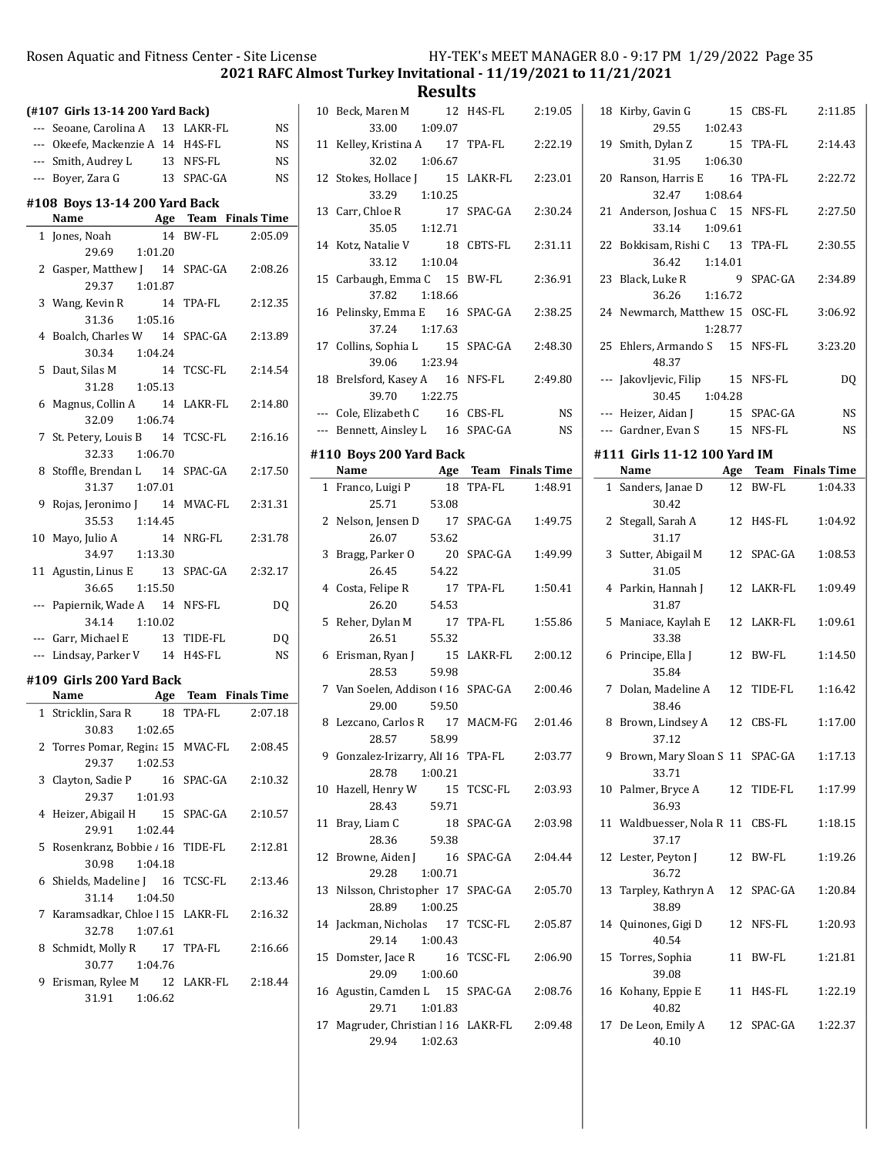2021 RAFC Almost Turkey Invitational - 11/19/2021 to 11/21/2021

| (#107 Girls 13-14 200 Yard Back) |                                                     |    |            |           |  |  |  |  |  |
|----------------------------------|-----------------------------------------------------|----|------------|-----------|--|--|--|--|--|
|                                  | --- Seoane, Carolina A 13 LAKR-FL                   |    |            | <b>NS</b> |  |  |  |  |  |
|                                  | --- Okeefe, Mackenzie A 14 H4S-FL                   |    |            | <b>NS</b> |  |  |  |  |  |
|                                  | --- Smith, Audrey L                                 |    | 13 NFS-FL  | <b>NS</b> |  |  |  |  |  |
|                                  | --- Boyer, Zara G                                   |    | 13 SPAC-GA | <b>NS</b> |  |  |  |  |  |
|                                  | #108 Boys 13-14 200 Yard Back                       |    |            |           |  |  |  |  |  |
|                                  | Name Age Team Finals Time                           |    |            |           |  |  |  |  |  |
|                                  | 1 Jones, Noah                                       |    | 14 BW-FL   | 2:05.09   |  |  |  |  |  |
|                                  | 29.69 1:01.20                                       |    |            |           |  |  |  |  |  |
|                                  | 2 Gasper, Matthew J 14 SPAC-GA                      |    |            | 2:08.26   |  |  |  |  |  |
|                                  | 29.37 1:01.87                                       |    |            |           |  |  |  |  |  |
|                                  | 3 Wang, Kevin R 14                                  |    | TPA-FL     | 2:12.35   |  |  |  |  |  |
|                                  | 31.36<br>1:05.16                                    |    |            |           |  |  |  |  |  |
|                                  | 4 Boalch, Charles W 14                              |    | SPAC-GA    | 2:13.89   |  |  |  |  |  |
|                                  | 30.34<br>1:04.24                                    |    |            |           |  |  |  |  |  |
|                                  | 5 Daut, Silas M<br>14                               |    | TCSC-FL    | 2:14.54   |  |  |  |  |  |
|                                  | 31.28<br>1:05.13                                    |    |            |           |  |  |  |  |  |
|                                  | 6 Magnus, Collin A 14 LAKR-FL                       |    |            | 2:14.80   |  |  |  |  |  |
|                                  | 32.09 1:06.74                                       |    |            |           |  |  |  |  |  |
|                                  | 7 St. Petery, Louis B 14                            |    | TCSC-FL    | 2:16.16   |  |  |  |  |  |
|                                  | 32.33 1:06.70                                       |    |            |           |  |  |  |  |  |
| 8                                | Stoffle, Brendan L 14                               |    | SPAC-GA    | 2:17.50   |  |  |  |  |  |
| 9                                | 31.37 1:07.01                                       |    | MVAC-FL    |           |  |  |  |  |  |
|                                  | Rojas, Jeronimo J 14<br>35.53 1:14.45               |    |            | 2:31.31   |  |  |  |  |  |
|                                  | 10 Mayo, Julio A 14                                 |    | NRG-FL     | 2:31.78   |  |  |  |  |  |
|                                  | 34.97 1:13.30                                       |    |            |           |  |  |  |  |  |
|                                  | 11 Agustin, Linus E 13                              |    | SPAC-GA    | 2:32.17   |  |  |  |  |  |
|                                  | 36.65 1:15.50                                       |    |            |           |  |  |  |  |  |
|                                  | --- Papiernik, Wade A 14 NFS-FL                     |    |            | DQ        |  |  |  |  |  |
|                                  | 34.14 1:10.02                                       |    |            |           |  |  |  |  |  |
|                                  | --- Garr, Michael E                                 |    | 13 TIDE-FL | DQ        |  |  |  |  |  |
|                                  | --- Lindsay, Parker V 14 H4S-FL                     |    |            | <b>NS</b> |  |  |  |  |  |
|                                  | #109 Girls 200 Yard Back                            |    |            |           |  |  |  |  |  |
|                                  | Name Age Team Finals Time                           |    |            |           |  |  |  |  |  |
|                                  | 1 Stricklin, Sara R                                 | 18 | TPA-FL     | 2:07.18   |  |  |  |  |  |
|                                  | 30.83 1:02.65                                       |    |            |           |  |  |  |  |  |
| 2                                | Torres Pomar, Regina 15                             |    | MVAC-FL    | 2:08.45   |  |  |  |  |  |
|                                  | 1:02.53<br>29.37                                    |    |            |           |  |  |  |  |  |
| 3                                | Clayton, Sadie P                                    |    | 16 SPAC-GA | 2:10.32   |  |  |  |  |  |
|                                  | 29.37<br>1:01.93                                    |    |            |           |  |  |  |  |  |
| 4                                | Heizer, Abigail H 15 SPAC-GA                        |    |            | 2:10.57   |  |  |  |  |  |
|                                  | 29.91<br>1:02.44                                    |    |            |           |  |  |  |  |  |
| 5                                | Rosenkranz, Bobbie / 16 TIDE-FL                     |    |            | 2:12.81   |  |  |  |  |  |
|                                  | 1:04.18<br>30.98                                    |    |            |           |  |  |  |  |  |
|                                  | 6 Shields, Madeline J 16                            |    | TCSC-FL    | 2:13.46   |  |  |  |  |  |
|                                  | 31.14<br>1:04.50                                    |    |            |           |  |  |  |  |  |
| 7                                | Karamsadkar, Chloe   15 LAKR-FL<br>32.78<br>1:07.61 |    |            | 2:16.32   |  |  |  |  |  |
|                                  | 8 Schmidt, Molly R 17                               |    | TPA-FL     | 2:16.66   |  |  |  |  |  |
|                                  | 30.77<br>1:04.76                                    |    |            |           |  |  |  |  |  |
| 9                                | Erisman, Rylee M 12 LAKR-FL                         |    |            | 2:18.44   |  |  |  |  |  |
|                                  | 31.91 1:06.62                                       |    |            |           |  |  |  |  |  |
|                                  |                                                     |    |            |           |  |  |  |  |  |

| 10                                  | Beck, Maren M<br>33.00<br>1:09.07                   | 12 H4S-FL  | 2:19.05   |
|-------------------------------------|-----------------------------------------------------|------------|-----------|
| 11                                  | 17<br>Kelley, Kristina A<br>32.02<br>1:06.67        | TPA-FL     | 2:22.19   |
|                                     | 12 Stokes, Hollace J 15 LAKR-FL<br>33.29<br>1:10.25 |            | 2:23.01   |
|                                     | 17<br>13 Carr, Chloe R<br>35.05<br>1:12.71          | SPAC-GA    | 2:30.24   |
|                                     | 14 Kotz, Natalie V<br>1:10.04<br>33.12              | 18 CBTS-FL | 2:31.11   |
|                                     | 15 Carbaugh, Emma C 15 BW-FL<br>37.82<br>1:18.66    |            | 2:36.91   |
|                                     | 16 Pelinsky, Emma E 16 SPAC-GA<br>37.24 1:17.63     |            | 2:38.25   |
|                                     | 17 Collins, Sophia L 15 SPAC-GA<br>39.06<br>1:23.94 |            | 2:48.30   |
|                                     | 18 Brelsford, Kasey A 16 NFS-FL<br>39.70 1:22.75    |            | 2:49.80   |
|                                     | --- Cole, Elizabeth C 16 CBS-FL                     |            | NS        |
|                                     | --- Bennett, Ainsley L 16 SPAC-GA                   |            | <b>NS</b> |
|                                     | #110 Boys 200 Yard Back                             |            |           |
|                                     | Name<br>Age Team Finals Time                        |            |           |
|                                     | 1 Franco, Luigi P<br>18                             | TPA-FL     | 1:48.91   |
|                                     | 25.71<br>53.08                                      |            |           |
|                                     | 2 Nelson, Jensen D 17 SPAC-GA<br>26.07<br>53.62     |            | 1:49.75   |
| 3                                   | Bragg, Parker O<br>26.45<br>54.22                   | 20 SPAC-GA | 1:49.99   |
| 4                                   | Costa, Felipe R<br>17<br>26.20<br>54.53             | TPA-FL     | 1:50.41   |
| 5                                   | Reher, Dylan M<br>17<br>26.51<br>55.32              | TPA-FL     | 1:55.86   |
| 6                                   | Erisman, Ryan J<br>28.53<br>59.98                   | 15 LAKR-FL | 2:00.12   |
| 7                                   | Van Soelen, Addison (16 SPAC-GA<br>29.00<br>59.50   |            | 2:00.46   |
| 8                                   | Lezcano, Carlos R 17<br>28.57<br>58.99              | MACM-FG    | 2:01.46   |
| 9                                   | Gonzalez-Irizarry, Ali 16<br>1:00.21<br>28.78       | TPA-FL     | 2:03.77   |
| 10                                  | Hazell, Henry W<br>15<br>28.43<br>59.71             | TCSC-FL    | 2:03.93   |
| 11                                  | Bray, Liam C<br>18<br>59.38<br>28.36                | SPAC-GA    | 2:03.98   |
| 12                                  | Browne, Aiden J<br>16<br>1:00.71<br>29.28           | SPAC-GA    | 2:04.44   |
| 13                                  | Nilsson, Christopher 17<br>28.89<br>1:00.25         | SPAC-GA    | 2:05.70   |
|                                     | 14 Jackman, Nicholas 17<br>29.14<br>1:00.43         | TCSC-FL    | 2:05.87   |
| 15                                  | Domster, Jace R<br>16<br>29.09<br>1:00.60           | TCSC-FL    | 2:06.90   |
|                                     | 16 Agustin, Camden L 15 SPAC-GA<br>29.71<br>1:01.83 |            | 2:08.76   |
| 17 Magruder, Christian   16 LAKR-FL |                                                     |            |           |

|    | 18 Kirby, Gavin G                                                                               | 15 | CBS-FL               | 2:11.85   |
|----|-------------------------------------------------------------------------------------------------|----|----------------------|-----------|
|    | 29.55<br>1:02.43                                                                                |    |                      |           |
| 19 | Smith, Dylan Z                                                                                  | 15 | TPA-FL               | 2:14.43   |
|    | 1:06.30<br>31.95                                                                                |    |                      |           |
|    | 20 Ranson, Harris E 16                                                                          |    | TPA-FL               | 2:22.72   |
|    | 1:08.64<br>32.47                                                                                |    |                      |           |
|    | 21 Anderson, Joshua C 15 NFS-FL                                                                 |    |                      | 2:27.50   |
|    | 33.14 1:09.61                                                                                   |    |                      |           |
|    | 22 Bokkisam, Rishi C 13                                                                         |    | TPA-FL               | 2:30.55   |
|    | 36.42 1:14.01                                                                                   |    | SPAC-GA              |           |
|    | 23 Black, Luke R<br>36.26 1:16.72                                                               | 9  |                      | 2:34.89   |
|    | 24 Newmarch, Matthew 15 OSC-FL                                                                  |    |                      | 3:06.92   |
|    | 1:28.77                                                                                         |    |                      |           |
|    | 25 Ehlers, Armando S 15 NFS-FL                                                                  |    |                      | 3:23.20   |
|    | 48.37                                                                                           |    |                      |           |
|    | --- Jakovljevic, Filip 15                                                                       |    | NFS-FL               | DQ        |
|    | 30.45 1:04.28                                                                                   |    |                      |           |
|    | --- Heizer, Aidan J 15 SPAC-GA                                                                  |    |                      | <b>NS</b> |
|    | --- Gardner, Evan S 15 NFS-FL                                                                   |    |                      | NS        |
|    | #111 Girls 11-12 100 Yard IM                                                                    |    |                      |           |
|    | Name<br>$\mathcal{L}^{\text{max}}_{\text{max}}$ , where $\mathcal{L}^{\text{max}}_{\text{max}}$ |    | Age Team Finals Time |           |
|    | 1 Sanders, Janae D                                                                              |    | 12 BW-FL             | 1:04.33   |
|    | 30.42                                                                                           |    |                      |           |
|    | 2 Stegall, Sarah A                                                                              |    | 12 H4S-FL            | 1:04.92   |
|    | 31.17                                                                                           |    |                      |           |
|    | 3 Sutter, Abigail M                                                                             |    | 12 SPAC-GA           | 1:08.53   |
|    | 31.05                                                                                           |    |                      |           |
|    | 4 Parkin, Hannah J                                                                              |    | 12 LAKR-FL           | 1:09.49   |
|    | 31.87                                                                                           |    |                      |           |
|    | 5 Maniace, Kaylah E<br>33.38                                                                    |    | 12 LAKR-FL           | 1:09.61   |
|    | 6 Principe, Ella J                                                                              |    | 12 BW-FL             | 1:14.50   |
|    | 35.84                                                                                           |    |                      |           |
|    | 7 Dolan, Madeline A                                                                             |    | 12 TIDE-FL           | 1:16.42   |
|    | 38.46                                                                                           |    |                      |           |
|    | 8 Brown, Lindsey A                                                                              |    | 12 CBS-FL            | 1:17.00   |
|    | 37.12                                                                                           |    |                      |           |
|    | 9 Brown, Mary Sloan S 11 SPAC-GA                                                                |    |                      | 1:17.13   |
|    | 33.71                                                                                           |    |                      |           |
|    | 10 Palmer, Bryce A                                                                              |    | 12 TIDE-FL           | 1:17.99   |
|    | 36.93                                                                                           |    |                      |           |
|    | 11 Waldbuesser, Nola R 11 CBS-FL                                                                |    |                      | 1:18.15   |
|    | 37.17                                                                                           |    |                      |           |
| 12 | Lester, Peyton J                                                                                |    | 12 BW-FL             | 1:19.26   |
|    | 36.72                                                                                           |    |                      |           |
| 13 | Tarpley, Kathryn A<br>38.89                                                                     |    | 12 SPAC-GA           | 1:20.84   |
|    | 14 Quinones, Gigi D                                                                             |    | 12 NFS-FL            | 1:20.93   |
|    | 40.54                                                                                           |    |                      |           |
| 15 | Torres, Sophia                                                                                  | 11 | BW-FL                | 1:21.81   |
|    |                                                                                                 |    |                      |           |
|    | 39.08                                                                                           |    |                      |           |
|    | 16 Kohany, Eppie E                                                                              |    | 11 H4S-FL            | 1:22.19   |
|    | 40.82                                                                                           |    |                      |           |
|    | 17 De Leon, Emily A<br>40.10                                                                    |    | 12 SPAC-GA           | 1:22.37   |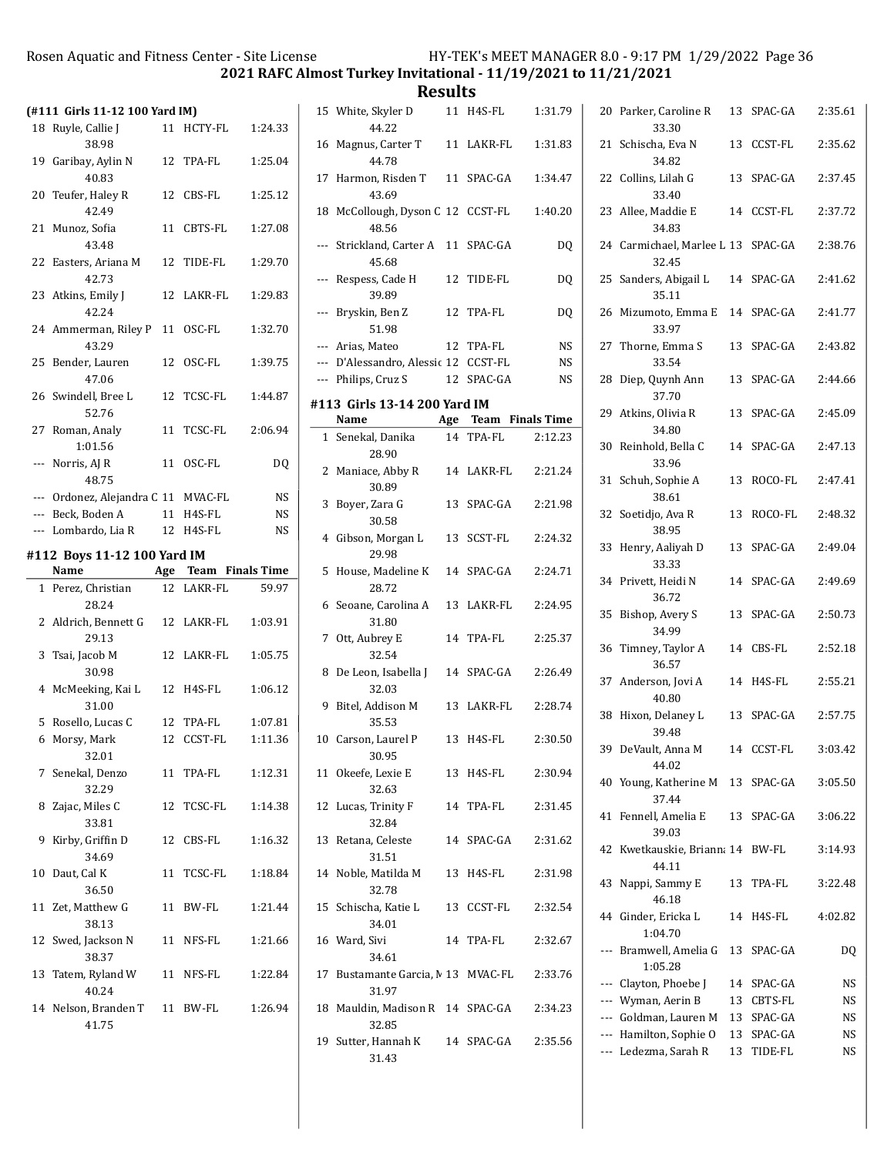2021 RAFC Almost Turkey Invitational - 11/19/2021 to 11/21/2021

|    | (#111 Girls 11-12 100 Yard IM)      |    |                      |           |
|----|-------------------------------------|----|----------------------|-----------|
| 18 | Ruyle, Callie J<br>38.98            |    | 11 HCTY-FL           | 1:24.33   |
|    | 19 Garibay, Aylin N<br>40.83        |    | 12 TPA-FL            | 1:25.04   |
| 20 | Teufer, Haley R<br>42.49            |    | 12 CBS-FL            | 1:25.12   |
| 21 | Munoz, Sofia                        |    | 11 CBTS-FL           | 1:27.08   |
| 22 | 43.48<br>Easters, Ariana M<br>42.73 |    | 12 TIDE-FL           | 1:29.70   |
| 23 | Atkins, Emily J<br>42.24            |    | 12 LAKR-FL           | 1:29.83   |
| 24 | Ammerman, Riley P<br>43.29          |    | 11 OSC-FL            | 1:32.70   |
| 25 | Bender, Lauren<br>47.06             |    | 12 OSC-FL            | 1:39.75   |
| 26 | Swindell. Bree L<br>52.76           | 12 | TCSC-FL              | 1:44.87   |
|    | 27 Roman, Analy<br>1:01.56          |    | 11 TCSC-FL           | 2:06.94   |
|    | --- Norris, AJ R<br>48.75           | 11 | OSC-FL               | DQ        |
|    | --- Ordonez, Alejandra C 11 MVAC-FL |    |                      | NS        |
|    |                                     |    |                      |           |
|    | --- Beck, Boden A                   |    | 11 H4S-FL            | NS        |
|    | --- Lombardo, Lia R                 |    | 12 H4S-FL            | <b>NS</b> |
|    | #112 Boys 11-12 100 Yard IM         |    |                      |           |
|    | Name                                |    | Age Team Finals Time |           |
|    | 1 Perez, Christian<br>28.24         |    | 12 LAKR-FL           | 59.97     |
| 2  | Aldrich, Bennett G<br>29.13         |    | 12 LAKR-FL           | 1:03.91   |
| 3  | Tsai, Jacob M<br>30.98              |    | 12 LAKR-FL           | 1:05.75   |
| 4  | McMeeking, Kai L<br>31.00           |    | 12 H4S-FL            | 1:06.12   |
| 5  | Rosello, Lucas C                    |    | 12 TPA-FL            | 1:07.81   |
| 6  | Morsy, Mark                         | 12 | CCST-FL              | 1:11.36   |
|    | 32.01                               |    |                      |           |
|    | 7 Senekal, Denzo<br>32.29           |    | 11 TPA-FL            | 1:12.31   |
| 8  |                                     |    |                      |           |
|    | Zajac, Miles C                      |    | 12 TCSC-FL           | 1:14.38   |
| 9  | 33.81<br>Kirby, Griffin D           | 12 | CBS-FL               | 1:16.32   |
| 10 | 34.69<br>Daut, Cal K                | 11 | TCSC-FL              | 1:18.84   |
|    | 36.50<br>11 Zet, Matthew G          | 11 | BW-FL                | 1:21.44   |
|    | 38.13<br>12 Swed, Jackson N         |    | 11 NFS-FL            | 1:21.66   |
| 13 | 38.37<br>Tatem, Ryland W<br>40.24   |    | 11 NFS-FL            | 1:22.84   |

|    | 15 White, Skyler D<br>44.22                  | 11 H4S-FL            | 1:31.79 |
|----|----------------------------------------------|----------------------|---------|
|    | 16 Magnus, Carter T<br>44.78                 | 11 LAKR-FL           | 1:31.83 |
| 17 | Harmon, Risden T<br>43.69                    | 11 SPAC-GA           | 1:34.47 |
|    | 18 McCollough, Dyson C 12 CCST-FL<br>48.56   |                      | 1:40.20 |
|    | --- Strickland, Carter A 11 SPAC-GA<br>45.68 |                      | DQ      |
|    | --- Respess, Cade H<br>39.89                 | 12 TIDE-FL           | DQ      |
|    | --- Bryskin, Ben Z<br>51.98                  | 12 TPA-FL            | DQ      |
|    | --- Arias, Mateo                             | 12 TPA-FL            | NS      |
|    | --- D'Alessandro, Alessic 12 CCST-FL         |                      | NS      |
|    | --- Philips, Cruz S                          | 12 SPAC-GA           | NS      |
|    |                                              |                      |         |
|    | #113 Girls 13-14 200 Yard IM                 |                      |         |
|    | Name                                         | Age Team Finals Time |         |
|    | 1 Senekal, Danika<br>28.90                   | 14 TPA-FL            | 2:12.23 |
|    | 2 Maniace, Abby R<br>30.89                   | 14 LAKR-FL           | 2:21.24 |
| 3  | Boyer, Zara G<br>30.58                       | 13 SPAC-GA           | 2:21.98 |
|    | 4 Gibson, Morgan L<br>29.98                  | 13 SCST-FL           | 2:24.32 |
| 5  | House, Madeline K<br>28.72                   | 14 SPAC-GA           | 2:24.71 |
| 6  | Seoane, Carolina A<br>31.80                  | 13 LAKR-FL           | 2:24.95 |
| 7  | Ott, Aubrey E<br>32.54                       | 14 TPA-FL            | 2:25.37 |
|    | 8 De Leon, Isabella J 14 SPAC-GA<br>32.03    |                      | 2:26.49 |
| 9. | Bitel, Addison M<br>35.53                    | 13 LAKR-FL           | 2:28.74 |
|    | 10 Carson, Laurel P<br>30.95                 | 13 H4S-FL            | 2:30.50 |
|    | 11 Okeefe, Lexie E<br>32.63                  | 13 H4S-FL            | 2:30.94 |
|    | 12 Lucas, Trinity F<br>32.84                 | 14 TPA-FL            | 2:31.45 |
|    | 13 Retana, Celeste<br>31.51                  | 14 SPAC-GA           | 2:31.62 |
|    | 14 Noble, Matilda M 13 H4S-FL<br>32.78       |                      | 2:31.98 |
|    | 15 Schischa, Katie L<br>34.01                | 13 CCST-FL           | 2:32.54 |
|    | 16 Ward, Sivi<br>34.61                       | 14 TPA-FL            | 2:32.67 |
|    | 17 Bustamante Garcia, M 13 MVAC-FL<br>31.97  |                      | 2:33.76 |
|    | 18 Mauldin, Madison R 14 SPAC-GA<br>32.85    |                      | 2:34.23 |
|    | 19 Sutter, Hannah K 14 SPAC-GA<br>31.43      |                      | 2:35.56 |

|     | 20 Parker, Caroline R<br>33.30              |    | 13 SPAC-GA     | 2:35.61 |
|-----|---------------------------------------------|----|----------------|---------|
| 21  | Schischa, Eva N<br>34.82                    | 13 | CCST-FL        | 2:35.62 |
|     | 22 Collins, Lilah G<br>33.40                | 13 | SPAC-GA        | 2:37.45 |
|     | 23 Allee, Maddie E<br>34.83                 | 14 | <b>CCST-FL</b> | 2:37.72 |
|     | 24 Carmichael, Marlee L 13 SPAC-GA<br>32.45 |    |                | 2:38.76 |
|     | 25 Sanders, Abigail L<br>35.11              |    | 14 SPAC-GA     | 2:41.62 |
|     | 26 Mizumoto, Emma E<br>33.97                |    | 14 SPAC-GA     | 2:41.77 |
| 27  | Thorne, Emma S<br>33.54                     | 13 | SPAC-GA        | 2:43.82 |
| 28  | Diep, Quynh Ann<br>37.70                    | 13 | SPAC-GA        | 2:44.66 |
|     | 29 Atkins, Olivia R<br>34.80                | 13 | SPAC-GA        | 2:45.09 |
| 30  | Reinhold, Bella C<br>33.96                  | 14 | SPAC-GA        | 2:47.13 |
| 31  | Schuh, Sophie A<br>38.61                    | 13 | ROCO-FL        | 2:47.41 |
| 32  | Soetidjo, Ava R<br>38.95                    | 13 | ROCO-FL        | 2:48.32 |
| 33  | Henry, Aaliyah D<br>33.33                   | 13 | SPAC-GA        | 2:49.04 |
|     | 34 Privett, Heidi N<br>36.72                |    | 14 SPAC-GA     | 2:49.69 |
| 35  | Bishop, Avery S<br>34.99                    | 13 | SPAC-GA        | 2:50.73 |
| 36  | Timney, Taylor A<br>36.57                   | 14 | CBS-FL         | 2:52.18 |
|     | 37 Anderson, Jovi A<br>40.80                |    | 14 H4S-FL      | 2:55.21 |
| 38  | Hixon, Delaney L<br>39.48                   | 13 | SPAC-GA        | 2:57.75 |
| 39  | DeVault, Anna M<br>44.02                    | 14 | CCST-FL        | 3:03.42 |
|     | 40 Young, Katherine M<br>37.44              |    | 13 SPAC-GA     | 3:05.50 |
| 41  | Fennell, Amelia E<br>39.03                  | 13 | SPAC-GA        | 3:06.22 |
| 42  | Kwetkauskie, Briann: 14 BW-FL<br>44.11      |    |                | 3:14.93 |
| 43  | Nappi, Sammy E<br>46.18                     | 13 | TPA-FL         | 3:22.48 |
|     | 44 Ginder, Ericka L<br>1:04.70              | 14 | H4S-FL         | 4:02.82 |
| --- | Bramwell, Amelia G<br>1:05.28               | 13 | SPAC-GA        | DQ      |
|     | --- Clayton, Phoebe J                       | 14 | SPAC-GA        | NS      |
|     | --- Wyman, Aerin B                          | 13 | CBTS-FL        | NS      |
|     | --- Goldman, Lauren M                       | 13 | SPAC-GA        | NS      |
|     | --- Hamilton, Sophie O                      | 13 | SPAC-GA        | NS      |
|     | --- Ledezma, Sarah R                        | 13 | TIDE-FL        | NS      |
|     |                                             |    |                |         |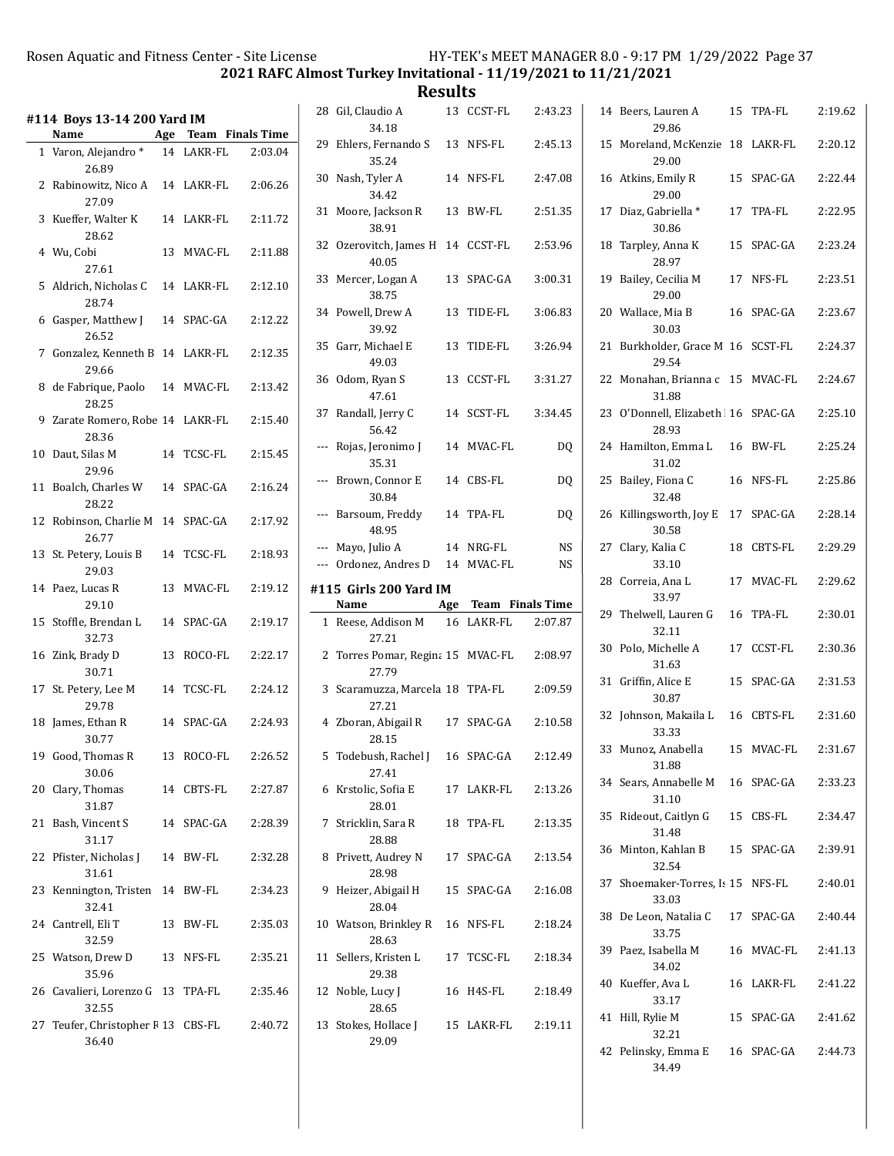2021 RAFC Almost Turkey Invitational - 11/19/2021 to 11/21/2021

Results  $13$  CCST-EI

| #114 Boys 13-14 200 Yard IM<br>Age Team Finals Time<br>Name |                                            |  |            |         |   |  |
|-------------------------------------------------------------|--------------------------------------------|--|------------|---------|---|--|
|                                                             |                                            |  |            |         |   |  |
|                                                             | 1 Varon, Alejandro *<br>26.89              |  | 14 LAKR-FL | 2:03.04 |   |  |
|                                                             | 2 Rabinowitz, Nico A 14 LAKR-FL<br>27.09   |  |            | 2:06.26 |   |  |
|                                                             | 3 Kueffer, Walter K 14 LAKR-FL<br>28.62    |  |            | 2:11.72 |   |  |
|                                                             | 4 Wu, Cobi<br>27.61                        |  | 13 MVAC-FL | 2:11.88 |   |  |
|                                                             | 5 Aldrich, Nicholas C 14 LAKR-FL<br>28.74  |  |            | 2:12.10 |   |  |
|                                                             | 6 Gasper, Matthew J 14 SPAC-GA<br>26.52    |  |            | 2:12.22 |   |  |
|                                                             | 7 Gonzalez, Kenneth B 14 LAKR-FL<br>29.66  |  |            | 2:12.35 |   |  |
| 8                                                           | de Fabrique, Paolo 14 MVAC-FL<br>28.25     |  |            | 2:13.42 |   |  |
|                                                             | 9 Zarate Romero, Robe 14 LAKR-FL<br>28.36  |  |            | 2:15.40 |   |  |
|                                                             | 10 Daut, Silas M 14 TCSC-FL<br>29.96       |  |            | 2:15.45 |   |  |
|                                                             | 11 Boalch, Charles W 14 SPAC-GA<br>28.22   |  |            | 2:16.24 |   |  |
|                                                             | 12 Robinson, Charlie M 14 SPAC-GA<br>26.77 |  |            | 2:17.92 |   |  |
|                                                             | 13 St. Petery, Louis B 14 TCSC-FL<br>29.03 |  |            | 2:18.93 |   |  |
|                                                             | 14 Paez, Lucas R<br>29.10                  |  | 13 MVAC-FL | 2:19.12 | ŧ |  |
|                                                             | 15 Stoffle, Brendan L 14 SPAC-GA<br>32.73  |  |            | 2:19.17 |   |  |
|                                                             | 16 Zink, Brady D<br>30.71                  |  | 13 ROCO-FL | 2:22.17 |   |  |
|                                                             | 17 St. Petery, Lee M 14 TCSC-FL<br>29.78   |  |            | 2:24.12 |   |  |
|                                                             | 18 James, Ethan R<br>30.77                 |  | 14 SPAC-GA | 2:24.93 |   |  |
|                                                             | 19 Good, Thomas R 13 ROCO-FL<br>30.06      |  |            | 2:26.52 |   |  |
|                                                             | 20 Clary, Thomas<br>31.87                  |  | 14 CBTS-FL | 2:27.87 |   |  |
| 21                                                          | Bash, Vincent S<br>31.17                   |  | 14 SPAC-GA | 2:28.39 |   |  |
|                                                             | 22 Pfister, Nicholas J 14 BW-FL<br>31.61   |  |            | 2:32.28 |   |  |
|                                                             | 23 Kennington, Tristen 14 BW-FL<br>32.41   |  |            | 2:34.23 |   |  |
|                                                             | 24 Cantrell, Eli T<br>32.59                |  | 13 BW-FL   | 2:35.03 |   |  |
|                                                             | 25 Watson, Drew D 13 NFS-FL                |  |            | 2:35.21 |   |  |
|                                                             | 26 Cavalieri, Lorenzo G 13 TPA-FL          |  |            | 2:35.46 |   |  |
|                                                             | 27 Teufer, Christopher F 13 CBS-FL         |  |            | 2:40.72 |   |  |
|                                                             | 35.96<br>32.55<br>36.40                    |  |            |         |   |  |

|    | 28 Gil, Claudio A<br>34.18                            |    | 13 CCST-FL           | 2:43.23  |
|----|-------------------------------------------------------|----|----------------------|----------|
|    | 29 Ehlers, Fernando S<br>35.24                        |    | 13 NFS-FL            | 2:45.13  |
| 30 | Nash, Tyler A<br>34.42                                |    | 14 NFS-FL            | 2:47.08  |
| 31 | Moore, Jackson R<br>38.91                             |    | 13 BW-FL             | 2:51.35  |
| 32 | Ozerovitch, James H<br>40.05                          |    | 14 CCST-FL           | 2:53.96  |
| 33 | Mercer, Logan A<br>38.75                              |    | 13 SPAC-GA           | 3:00.31  |
| 34 | Powell, Drew A<br>39.92                               |    | 13 TIDE-FL           | 3:06.83  |
|    | 35 Garr, Michael E<br>49.03                           | 13 | TIDE-FL              | 3:26.94  |
| 36 | Odom, Ryan S<br>47.61                                 |    | 13 CCST-FL           | 3:31.27  |
|    | 37 Randall, Jerry C<br>56.42                          |    | 14 SCST-FL           | 3:34.45  |
|    | --- Rojas, Jeronimo J<br>35.31                        |    | 14 MVAC-FL           | DQ       |
|    | --- Brown, Connor E<br>30.84                          |    | 14 CBS-FL            | DQ       |
|    | --- Barsoum, Freddy<br>48.95                          |    | 14 TPA-FL            | DQ       |
|    | --- Mayo, Julio A<br>--- Ordonez, Andres D 14 MVAC-FL |    | 14 NRG-FL            | NS<br>NS |
|    |                                                       |    |                      |          |
|    | #115 Girls 200 Yard IM                                |    |                      |          |
|    | Name                                                  |    | Age Team Finals Time |          |
|    | 1 Reese, Addison M<br>27.21                           |    | 16 LAKR-FL           | 2:07.87  |
| 2  | Torres Pomar, Regina 15 MVAC-FL<br>27.79              |    |                      | 2:08.97  |
|    | 3 Scaramuzza, Marcela 18 TPA-FL<br>27.21              |    |                      | 2:09.59  |
|    | 4 Zboran, Abigail R<br>28.15                          |    | 17 SPAC-GA           | 2:10.58  |
| 5  | Todebush, Rachel J<br>27.41                           |    | 16 SPAC-GA           | 2:12.49  |
| 6  | Krstolic, Sofia E<br>28.01                            |    | 17 LAKR-FL           | 2:13.26  |
| 7  | Stricklin, Sara R<br>28.88                            |    | 18 TPA-FL            | 2:13.35  |
| 8  | Privett, Audrey N<br>28.98                            |    | 17 SPAC-GA           | 2:13.54  |
| 9  | Heizer, Abigail H<br>28.04                            |    | 15 SPAC-GA           | 2:16.08  |
|    | 10 Watson, Brinkley R<br>28.63                        |    | 16 NFS-FL            | 2:18.24  |
|    | 11 Sellers, Kristen L<br>29.38                        |    | 17 TCSC-FL           | 2:18.34  |
| 12 | Noble, Lucy J<br>28.65                                |    | 16 H4S-FL            | 2:18.49  |

|    | 14 Beers, Lauren A<br>29.86                | 15 | TPA-FL              | 2:19.62 |
|----|--------------------------------------------|----|---------------------|---------|
| 15 | Moreland, McKenzie<br>29.00                |    | 18 LAKR-FL          | 2:20.12 |
|    | 16 Atkins, Emily R<br>29.00                |    | 15 SPAC-GA          | 2:22.44 |
| 17 | Diaz, Gabriella *<br>30.86                 | 17 | TPA-FL              | 2:22.95 |
| 18 | Tarpley, Anna K<br>28.97                   | 15 | SPAC-GA             | 2:23.24 |
| 19 | Bailey, Cecilia M<br>29.00                 |    | 17 NFS-FL           | 2:23.51 |
|    | 20 Wallace, Mia B<br>30.03                 | 16 | SPAC-GA             | 2:23.67 |
| 21 | Burkholder, Grace M 16 SCST-FL<br>29.54    |    |                     | 2:24.37 |
|    | 22 Monahan, Brianna c<br>31.88             |    | 15 MVAC-FL          | 2:24.67 |
| 23 | O'Donnell, Elizabeth 16 SPAC-GA<br>28.93   |    |                     | 2:25.10 |
| 24 | Hamilton, Emma L<br>31.02                  |    | 16 BW-FL            | 2:25.24 |
| 25 | Bailey, Fiona C<br>32.48                   |    | 16 NFS-FL           | 2:25.86 |
| 26 | Killingsworth, Joy E<br>30.58              |    | 17 SPAC-GA          | 2:28.14 |
|    | 27 Clary, Kalia C<br>33.10                 | 18 | CBTS-FL             | 2:29.29 |
|    | 28 Correia, Ana L<br>33.97                 | 17 | MVAC-FL             | 2:29.62 |
| 29 | Thelwell, Lauren G<br>32.11                | 16 | TPA-FL              | 2:30.01 |
| 30 | Polo, Michelle A<br>31.63                  | 17 | CCST-FL             | 2:30.36 |
| 31 | Griffin, Alice E<br>30.87                  |    | 15 SPAC-GA          | 2:31.53 |
| 32 | Johnson, Makaila L<br>33.33                | 16 | <b>CBTS-FL</b>      | 2:31.60 |
|    | 33 Munoz, Anabella<br>31.88                |    | 15 MVAC-FL          | 2:31.67 |
|    | 34 Sears, Annabelle M 16 SPAC-GA<br>31.10  |    |                     | 2:33.23 |
| 35 | Rideout, Caitlyn G<br>31.48                |    | 15 CBS-FL           | 2:34.47 |
|    | 36 Minton, Kahlan B 15 SPAC-GA<br>32.54    |    |                     | 2:39.91 |
|    | 37 Shoemaker-Torres, Is 15 NFS-FL<br>33.03 |    |                     | 2:40.01 |
|    | 38 De Leon, Natalia C<br>33.75             |    | 17 SPAC-GA          | 2:40.44 |
|    | 39 Paez, Isabella M<br>34.02               |    | 16 MVAC-FL          | 2:41.13 |
|    | 40 Kueffer, Ava L<br>33.17                 |    | 16 LAKR-FL 2:41.22  |         |
|    | 41 Hill, Rylie M<br>32.21                  |    | 15 SPAC-GA  2:41.62 |         |
|    | 42 Pelinsky, Emma E<br>34.49               |    | 16 SPAC-GA          | 2:44.73 |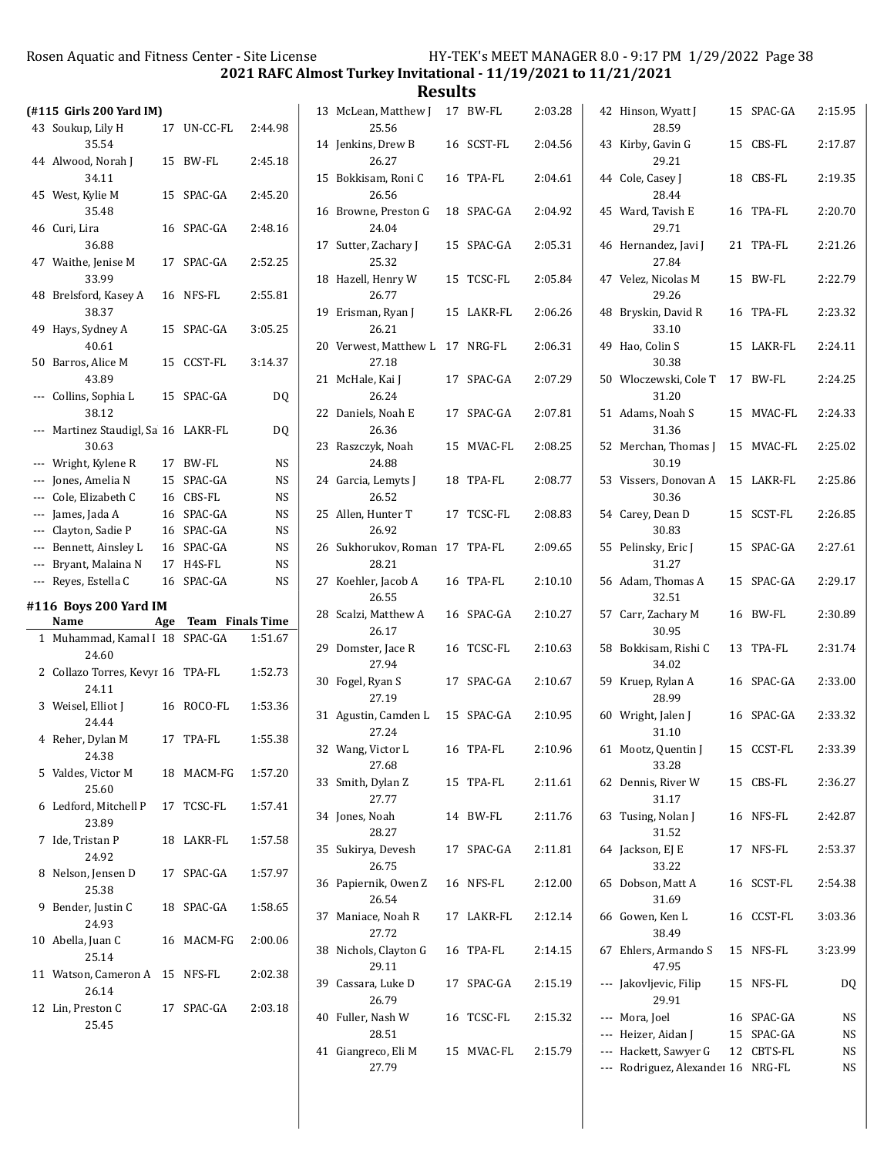2021 RAFC Almost Turkey Invitational - 11/19/2021 to 11/21/2021

| (#115 Girls 200 Yard IM) |                                          |    |                      |                |  |  |
|--------------------------|------------------------------------------|----|----------------------|----------------|--|--|
| 43                       | Soukup, Lily H                           | 17 | UN-CC-FL             | 2:44.98        |  |  |
|                          | 35.54                                    |    |                      |                |  |  |
|                          | 44 Alwood, Norah J<br>34.11              | 15 | BW-FL                | 2:45.18        |  |  |
|                          | 45 West, Kylie M<br>35.48                | 15 | SPAC-GA              | 2:45.20        |  |  |
| 46                       | Curi, Lira                               | 16 | SPAC-GA              | 2:48.16        |  |  |
|                          | 36.88<br>47 Waithe, Jenise M<br>33.99    | 17 | SPAC-GA              | 2:52.25        |  |  |
| 48                       | Brelsford, Kasey A<br>38.37              | 16 | NFS-FL               | 2:55.81        |  |  |
| 49                       | Hays, Sydney A<br>40.61                  |    | 15 SPAC-GA           | 3:05.25        |  |  |
| 50                       | Barros, Alice M<br>43.89                 | 15 | CCST-FL              | 3:14.37        |  |  |
| ---                      | Collins, Sophia L<br>38.12               | 15 | SPAC-GA              | DO             |  |  |
| ---                      | Martinez Staudigl, Sa 16<br>30.63        |    | LAKR-FL              | D <sub>0</sub> |  |  |
|                          | --- Wright, Kylene R                     | 17 | BW-FL                | NS             |  |  |
|                          | --- Jones, Amelia N                      |    | 15 SPAC-GA           | NS             |  |  |
|                          | --- Cole, Elizabeth C                    |    | 16 CBS-FL            | NS             |  |  |
|                          | --- James, Jada A                        |    | 16 SPAC-GA           | <b>NS</b>      |  |  |
|                          | --- Clayton, Sadie P                     |    | 16 SPAC-GA           | NS             |  |  |
|                          | --- Bennett, Ainsley L                   |    | 16 SPAC-GA           | NS             |  |  |
|                          | --- Bryant, Malaina N                    |    | 17 H4S-FL            | NS             |  |  |
| ---                      | Reyes, Estella C                         | 16 | SPAC-GA              | NS             |  |  |
|                          | #116 Boys 200 Yard IM                    |    |                      |                |  |  |
|                          | Name                                     |    | Age Team Finals Time |                |  |  |
| $\mathbf{1}$             | Muhammad, Kamal I 18 SPAC-GA<br>24.60    |    |                      | 1:51.67        |  |  |
| 2                        | Collazo Torres, Kevyr 16 TPA-FL<br>24.11 |    |                      | 1:52.73        |  |  |
| 3                        | Weisel, Elliot J<br>24.44                | 16 | ROCO-FL              | 1:53.36        |  |  |
| 4                        | Reher, Dylan M<br>24.38                  | 17 | TPA-FL               | 1:55.38        |  |  |
| 5                        | Valdes, Victor M<br>25.60                |    | 18 MACM-FG           | 1:57.20        |  |  |
| 6                        | Ledford, Mitchell P<br>23.89             |    | 17 TCSC-FL           | 1:57.41        |  |  |
| 7                        | Ide, Tristan P<br>24.92                  | 18 | LAKR-FL              | 1:57.58        |  |  |
| 8                        | Nelson, Jensen D<br>25.38                | 17 | SPAC-GA              | 1:57.97        |  |  |
| 9                        | Bender, Justin C<br>24.93                | 18 | SPAC-GA              | 1:58.65        |  |  |
|                          | 10 Abella, Juan C<br>25.14               |    | 16 MACM-FG           | 2:00.06        |  |  |
|                          | 11 Watson, Cameron A 15 NFS-FL<br>26.14  |    |                      | 2:02.38        |  |  |
|                          | 12 Lin, Preston C<br>25.45               |    | 17 SPAC-GA           | 2:03.18        |  |  |

| <b>Results</b>                           |            |         |                                    |            |         |
|------------------------------------------|------------|---------|------------------------------------|------------|---------|
| 13 McLean, Matthew J<br>25.56            | 17 BW-FL   | 2:03.28 | 42 Hinson, Wyatt J<br>28.59        | 15 SPAC-GA | 2:15.95 |
| 14 Jenkins, Drew B<br>26.27              | 16 SCST-FL | 2:04.56 | 43 Kirby, Gavin G<br>29.21         | 15 CBS-FL  | 2:17.87 |
| 15 Bokkisam, Roni C<br>26.56             | 16 TPA-FL  | 2:04.61 | 44 Cole, Casey J<br>28.44          | 18 CBS-FL  | 2:19.35 |
| 16 Browne, Preston G<br>24.04            | 18 SPAC-GA | 2:04.92 | 45 Ward, Tavish E<br>29.71         | 16 TPA-FL  | 2:20.70 |
| 17 Sutter, Zachary J<br>25.32            | 15 SPAC-GA | 2:05.31 | 46 Hernandez, Javi J<br>27.84      | 21 TPA-FL  | 2:21.26 |
| 18 Hazell, Henry W<br>26.77              | 15 TCSC-FL | 2:05.84 | 47 Velez, Nicolas M<br>29.26       | 15 BW-FL   | 2:22.79 |
| 19 Erisman, Ryan J<br>26.21              | 15 LAKR-FL | 2:06.26 | 48 Bryskin, David R<br>33.10       | 16 TPA-FL  | 2:23.32 |
| 20 Verwest, Matthew L 17 NRG-FL<br>27.18 |            | 2:06.31 | 49 Hao, Colin S<br>30.38           | 15 LAKR-FL | 2:24.11 |
| 21 McHale, Kai J<br>26.24                | 17 SPAC-GA | 2:07.29 | 50 Wloczewski, Cole T<br>31.20     | 17 BW-FL   | 2:24.25 |
| 22 Daniels, Noah E<br>26.36              | 17 SPAC-GA | 2:07.81 | 51 Adams, Noah S<br>31.36          | 15 MVAC-FL | 2:24.33 |
| 23 Raszczyk, Noah<br>24.88               | 15 MVAC-FL | 2:08.25 | 52 Merchan, Thomas J<br>30.19      | 15 MVAC-FL | 2:25.02 |
| 24 Garcia, Lemyts J<br>26.52             | 18 TPA-FL  | 2:08.77 | 53 Vissers, Donovan A<br>30.36     | 15 LAKR-FL | 2:25.86 |
| 25 Allen, Hunter T<br>26.92              | 17 TCSC-FL | 2:08.83 | 54 Carey, Dean D<br>30.83          | 15 SCST-FL | 2:26.85 |
| 26 Sukhorukov, Roman 17 TPA-FL<br>28.21  |            | 2:09.65 | 55 Pelinsky, Eric J<br>31.27       | 15 SPAC-GA | 2:27.61 |
| 27 Koehler, Jacob A<br>26.55             | 16 TPA-FL  | 2:10.10 | 56 Adam, Thomas A<br>32.51         | 15 SPAC-GA | 2:29.17 |
| 28 Scalzi, Matthew A<br>26.17            | 16 SPAC-GA | 2:10.27 | 57 Carr, Zachary M<br>30.95        | 16 BW-FL   | 2:30.89 |
| 29 Domster, Jace R<br>27.94              | 16 TCSC-FL | 2:10.63 | 58 Bokkisam, Rishi C<br>34.02      | 13 TPA-FL  | 2:31.74 |
| 30 Fogel, Ryan S<br>27.19                | 17 SPAC-GA | 2:10.67 | 59 Kruep, Rylan A<br>28.99         | 16 SPAC-GA | 2:33.00 |
| 31 Agustin, Camden L<br>27.24            | 15 SPAC-GA | 2:10.95 | 60 Wright, Jalen J<br>31.10        | 16 SPAC-GA | 2:33.32 |
| 32 Wang, Victor L<br>27.68               | 16 TPA-FL  | 2:10.96 | 61 Mootz, Quentin J<br>33.28       | 15 CCST-FL | 2:33.39 |
| 33 Smith, Dylan Z<br>27.77               | 15 TPA-FL  | 2:11.61 | 62 Dennis, River W<br>31.17        | 15 CBS-FL  | 2:36.27 |
| 34 Jones, Noah<br>28.27                  | 14 BW-FL   | 2:11.76 | 63 Tusing, Nolan J<br>31.52        | 16 NFS-FL  | 2:42.87 |
| 35 Sukirya, Devesh<br>26.75              | 17 SPAC-GA | 2:11.81 | 64 Jackson, EJ E<br>33.22          | 17 NFS-FL  | 2:53.37 |
| 36 Papiernik, Owen Z<br>26.54            | 16 NFS-FL  | 2:12.00 | 65 Dobson, Matt A<br>31.69         | 16 SCST-FL | 2:54.38 |
| 37 Maniace, Noah R<br>27.72              | 17 LAKR-FL | 2:12.14 | 66 Gowen, Ken L<br>38.49           | 16 CCST-FL | 3:03.36 |
| 38 Nichols, Clayton G<br>29.11           | 16 TPA-FL  | 2:14.15 | 67 Ehlers, Armando S<br>47.95      | 15 NFS-FL  | 3:23.99 |
| 39 Cassara, Luke D<br>26.79              | 17 SPAC-GA | 2:15.19 | --- Jakovljevic, Filip<br>29.91    | 15 NFS-FL  | DQ      |
| 40 Fuller, Nash W                        | 16 TCSC-FL | 2:15.32 | --- Mora, Joel                     | 16 SPAC-GA | NS      |
| 28.51                                    |            |         | --- Heizer, Aidan J                | 15 SPAC-GA | NS      |
| 41 Giangreco, Eli M                      | 15 MVAC-FL | 2:15.79 | --- Hackett, Sawyer G              | 12 CBTS-FL | NS      |
| 27.79                                    |            |         | --- Rodriguez, Alexander 16 NRG-FL |            | NS      |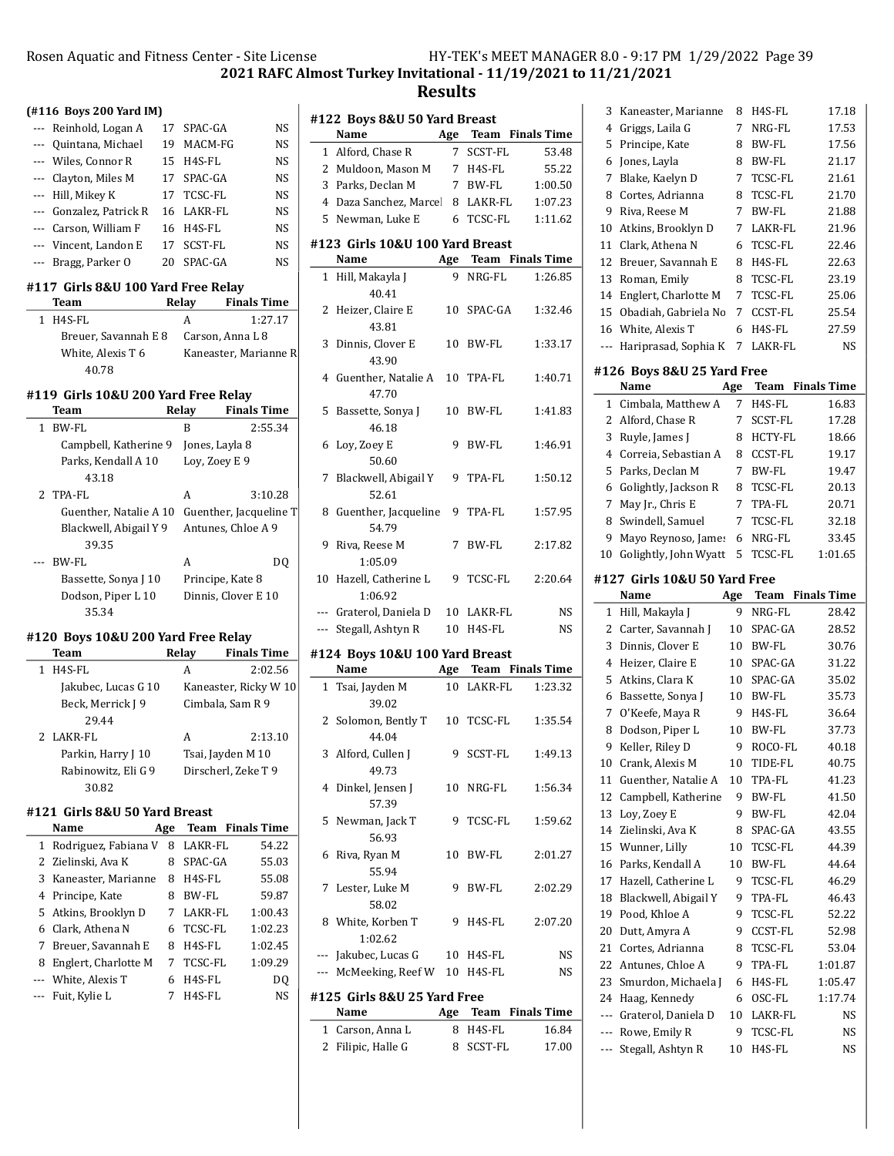$\overline{\phantom{0}}$ 

2021 RAFC Almost Turkey Invitational - 11/19/2021 to 11/21/2021

|                | (#116 Boys 200 Yard IM)            |    |                                     |                        |  |  |  |  |  |
|----------------|------------------------------------|----|-------------------------------------|------------------------|--|--|--|--|--|
|                | --- Reinhold, Logan A              | 17 | SPAC-GA                             | NS                     |  |  |  |  |  |
| ---            | Quintana, Michael                  | 19 | MACM-FG                             | NS.                    |  |  |  |  |  |
|                | --- Wiles, Connor R                | 15 | H4S-FL                              | NS                     |  |  |  |  |  |
| $---$          | Clayton, Miles M                   | 17 | SPAC-GA                             | NS.                    |  |  |  |  |  |
| $---$          | Hill, Mikey K                      | 17 | TCSC-FL                             | <b>NS</b>              |  |  |  |  |  |
|                | --- Gonzalez, Patrick R            | 16 | LAKR-FL                             | <b>NS</b>              |  |  |  |  |  |
|                | --- Carson, William F              | 16 | H <sub>4</sub> S-FL                 | NS                     |  |  |  |  |  |
|                | --- Vincent, Landon E              | 17 | <b>SCST-FL</b>                      | <b>NS</b>              |  |  |  |  |  |
| ---            | Bragg, Parker O                    | 20 | SPAC-GA                             | NS                     |  |  |  |  |  |
|                | #117 Girls 8&U 100 Yard Free Relay |    |                                     |                        |  |  |  |  |  |
|                | Team                               |    | Relay                               | <b>Finals Time</b>     |  |  |  |  |  |
| $\mathbf{1}$   | H <sub>4</sub> S-FL                |    | A                                   | 1:27.17                |  |  |  |  |  |
|                | Breuer, Savannah E 8               |    |                                     | Carson, Anna L 8       |  |  |  |  |  |
|                | White, Alexis T 6                  |    |                                     | Kaneaster, Marianne R  |  |  |  |  |  |
|                | 40.78                              |    |                                     |                        |  |  |  |  |  |
|                |                                    |    | #119 Girls 10&U 200 Yard Free Relay |                        |  |  |  |  |  |
|                |                                    |    |                                     |                        |  |  |  |  |  |
|                | Team                               |    | Relay                               | <b>Finals Time</b>     |  |  |  |  |  |
| 1              | BW-FL                              |    | B                                   | 2:55.34                |  |  |  |  |  |
|                | Campbell, Katherine 9              |    | Jones, Layla 8                      |                        |  |  |  |  |  |
|                | Parks, Kendall A 10                |    | Loy, Zoey E 9                       |                        |  |  |  |  |  |
|                | 43.18                              |    |                                     |                        |  |  |  |  |  |
| $\overline{2}$ | TPA-FL                             |    | A                                   | 3:10.28                |  |  |  |  |  |
|                | Guenther, Natalie A 10             |    |                                     | Guenther, Jacqueline T |  |  |  |  |  |
|                | Blackwell, Abigail Y 9             |    |                                     | Antunes, Chloe A 9     |  |  |  |  |  |
|                | 39.35                              |    |                                     |                        |  |  |  |  |  |
|                | <b>BW-FL</b>                       |    | A                                   | DO                     |  |  |  |  |  |
|                | Bassette, Sonya J 10               |    |                                     | Principe, Kate 8       |  |  |  |  |  |
|                | Dodson, Piper L 10                 |    |                                     | Dinnis, Clover E 10    |  |  |  |  |  |
|                | 35.34                              |    |                                     |                        |  |  |  |  |  |
|                | #120 Boys 10&U 200 Yard Free Relay |    |                                     |                        |  |  |  |  |  |
|                | Team                               |    | Relay                               | <b>Finals Time</b>     |  |  |  |  |  |
| 1              | H4S-FL                             |    | A                                   | 2:02.56                |  |  |  |  |  |
|                | Jakubec, Lucas G 10                |    |                                     | Kaneaster, Ricky W 10  |  |  |  |  |  |
|                | Beck, Merrick J 9                  |    |                                     | Cimbala, Sam R 9       |  |  |  |  |  |

| А | 2:13.10                                  |
|---|------------------------------------------|
|   |                                          |
|   |                                          |
|   |                                          |
|   | Tsai, Jayden M 10<br>Dirscherl, Zeke T 9 |

### #121 Girls 8&U 50 Yard Breast

|   | Name                   |    | <b>Team</b> Finals Time |         |
|---|------------------------|----|-------------------------|---------|
|   | 1 Rodriguez, Fabiana V | 8  | LAKR-FL                 | 54.22   |
|   | 2 Zielinski, Ava K     | 8  | SPAC-GA                 | 55.03   |
|   | 3 Kaneaster, Marianne  | 8  | H <sub>4</sub> S-FL     | 55.08   |
|   | 4 Principe, Kate       | 8  | BW-FL                   | 59.87   |
|   | 5 Atkins, Brooklyn D   |    | LAKR-FL                 | 1:00.43 |
|   | 6 Clark, Athena N      | 6. | TCSC-FL                 | 1:02.23 |
|   | 7 Breuer, Savannah E   | 8  | H4S-FL                  | 1:02.45 |
| 8 | Englert, Charlotte M   |    | TCSC-FL                 | 1:09.29 |
|   | --- White, Alexis T    | 6  | H4S-FL                  | DO      |
|   | --- Fuit, Kylie L      |    | H4S-FL                  | NS      |

| #122 Boys 8&U 50 Yard Breast |                                 |     |              |                         |  |
|------------------------------|---------------------------------|-----|--------------|-------------------------|--|
|                              | Name                            | Age |              | Team Finals Time        |  |
| 1                            | Alford, Chase R                 | 7   | SCST-FL      | 53.48                   |  |
|                              | 2 Muldoon, Mason M              |     | 7 H4S-FL     | 55.22                   |  |
|                              | 3 Parks, Declan M               |     | 7 BW-FL      | 1:00.50                 |  |
|                              | 4 Daza Sanchez, Marcel          |     | 8 LAKR-FL    | 1:07.23                 |  |
|                              | 5 Newman, Luke E                |     | 6 TCSC-FL    | 1:11.62                 |  |
|                              | #123 Girls 10&U 100 Yard Breast |     |              |                         |  |
|                              | Name                            | Age |              | <b>Team</b> Finals Time |  |
| 1                            | Hill, Makayla J                 | 9   | NRG-FL       | 1:26.85                 |  |
|                              | 40.41                           |     |              |                         |  |
| 2                            | Heizer, Claire E                | 10  | SPAC-GA      | 1:32.46                 |  |
|                              | 43.81                           |     |              |                         |  |
| 3                            | Dinnis, Clover E                | 10  | BW-FL        | 1:33.17                 |  |
|                              | 43.90                           |     |              |                         |  |
| 4                            | Guenther, Natalie A             | 10  | TPA-FL       | 1:40.71                 |  |
|                              | 47.70                           |     |              |                         |  |
| 5                            | Bassette, Sonya J               | 10  | BW-FL        | 1:41.83                 |  |
|                              | 46.18                           |     |              |                         |  |
| 6                            | Loy, Zoey E                     | 9   | BW-FL        | 1:46.91                 |  |
|                              | 50.60                           |     |              |                         |  |
| 7                            | Blackwell, Abigail Y            | 9   | TPA-FL       | 1:50.12                 |  |
|                              | 52.61                           |     |              |                         |  |
| 8                            | Guenther, Jacqueline            | 9   | TPA-FL       | 1:57.95                 |  |
|                              | 54.79                           |     |              |                         |  |
| 9                            | Riva, Reese M                   | 7   | BW-FL        | 2:17.82                 |  |
|                              | 1:05.09                         |     |              |                         |  |
| 10                           | Hazell, Catherine L             | 9   | TCSC-FL      | 2:20.64                 |  |
|                              | 1:06.92                         |     |              |                         |  |
|                              | --- Graterol, Daniela D         |     | 10 LAKR-FL   | <b>NS</b>               |  |
|                              | --- Stegall, Ashtyn R           |     | 10 H4S-FL    | <b>NS</b>               |  |
|                              | #124 Boys 10&U 100 Yard Breast  |     |              |                         |  |
|                              | Name                            |     |              | Age Team Finals Time    |  |
| $\mathbf{1}$                 | Tsai, Jayden M                  | 10  | LAKR-FL      | 1:23.32                 |  |
|                              | 39.02                           |     |              |                         |  |
| $\mathbf{2}$                 | Solomon, Bently T               | 10  | TCSC-FL      | 1:35.54                 |  |
|                              | 44.04                           |     |              |                         |  |
|                              | 3 Alford, Cullen J              | 9   | SCST-FL      | 1:49.13                 |  |
|                              | 49.73                           |     |              |                         |  |
| 4                            | Dinkel, Jensen J                | 10  | NRG-FL       | 1:56.34                 |  |
|                              | 57.39                           |     |              |                         |  |
| 5                            | Newman, Jack T                  | 9   | TCSC-FL      | 1:59.62                 |  |
|                              | 56.93                           |     |              |                         |  |
| 6                            | Riva, Ryan M                    | 10  | <b>BW-FL</b> | 2:01.27                 |  |
|                              | 55.94                           |     |              |                         |  |
| 7                            | Lester, Luke M                  | 9   | BW-FL        | 2:02.29                 |  |
|                              | 58.02                           |     |              |                         |  |

8 White, Korben T 9 H4S-FL 2:07.20

--- Jakubec, Lucas G 10 H4S-FL NS --- McMeeking, Reef W 10 H4S-FL NS

Name Age Team Finals Time 1 Carson, Anna L 8 H4S-FL 16.84 2 Filipic, Halle G 8 SCST-FL 17.00

1:02.62

#125 Girls 8&U 25 Yard Free

| 9   | Riva, Reese M                | 7   | BW-FL          | 21.88              |
|-----|------------------------------|-----|----------------|--------------------|
| 10  | Atkins, Brooklyn D           | 7   | LAKR-FL        | 21.96              |
| 11  | Clark, Athena N              | 6   | TCSC-FL        | 22.46              |
| 12  | Breuer, Savannah E           | 8   | H4S-FL         | 22.63              |
| 13  | Roman, Emily                 | 8   | <b>TCSC-FL</b> | 23.19              |
| 14  | Englert, Charlotte M         | 7   | TCSC-FL        | 25.06              |
| 15  | Obadiah, Gabriela No         | 7   | CCST-FL        | 25.54              |
| 16  | White, Alexis T              | 6   | H4S-FL         | 27.59              |
| --- | Hariprasad, Sophia K         | 7   | LAKR-FL        | NS                 |
|     | #126 Boys 8&U 25 Yard Free   |     |                |                    |
|     | Name                         | Age | Team           | <b>Finals Time</b> |
| 1   | Cimbala, Matthew A           | 7   | H4S-FL         | 16.83              |
| 2   | Alford, Chase R              | 7   | SCST-FL        | 17.28              |
| 3   | Ruyle, James J               | 8   | HCTY-FL        | 18.66              |
| 4   | Correia, Sebastian A         | 8   | CCST-FL        | 19.17              |
| 5   | Parks, Declan M              | 7   | <b>BW-FL</b>   | 19.47              |
| 6   | Golightly, Jackson R         | 8   | TCSC-FL        | 20.13              |
| 7   | May Jr., Chris E             | 7   | TPA-FL         | 20.71              |
| 8   | Swindell, Samuel             | 7   | TCSC-FL        | 32.18              |
| 9   | Mayo Reynoso, James          | 6   | NRG-FL         | 33.45              |
| 10  | Golightly, John Wyatt        | 5   | TCSC-FL        | 1:01.65            |
|     | #127 Girls 10&U 50 Yard Free |     |                |                    |
|     | Name                         | Age | Team           | <b>Finals Time</b> |
| 1   | Hill, Makayla J              | 9   | NRG-FL         | 28.42              |
| 2   | Carter, Savannah J           | 10  | SPAC-GA        | 28.52              |
| 3   | Dinnis, Clover E             | 10  | <b>BW-FL</b>   | 30.76              |
| 4   | Heizer, Claire E             | 10  | SPAC-GA        | 31.22              |
| 5   | Atkins, Clara K              | 10  | SPAC-GA        | 35.02              |
| 6   | Bassette, Sonya J            | 10  | <b>BW-FL</b>   | 35.73              |
| 7   | O'Keefe, Maya R              | 9   | H4S-FL         | 36.64              |
| 8   | Dodson, Piper L              | 10  | BW-FL          | 37.73              |
| 9   | Keller, Riley D              | 9   | ROCO-FL        | 40.18              |
| 10  | Crank, Alexis M              | 10  | TIDE-FL        | 40.75              |
| 11  | Guenther, Natalie A          | 10  | TPA-FL         | 41.23              |
| 12  | Campbell, Katherine          | 9   | BW-FL          | 41.50              |
| 13  | Loy, Zoey E                  | 9   | BW-FL          | 42.04              |
| 14  | Zielinski, Ava K             | 8   | SPAC-GA        | 43.55              |
| 15  | Wunner, Lilly                | 10  | TCSC-FL        | 44.39              |
| 16  | Parks, Kendall A             | 10  | BW-FL          | 44.64              |
| 17  | Hazell, Catherine L          | 9   | TCSC-FL        | 46.29              |
| 18  | Blackwell, Abigail Y         | 9   | TPA-FL         | 46.43              |
| 19  | Pood, Khloe A                | 9   | <b>TCSC-FL</b> | 52.22              |
| 20  | Dutt, Amyra A                | 9   | CCST-FL        | 52.98              |
| 21  | Cortes, Adrianna             | 8   | TCSC-FL        | 53.04              |
| 22  | Antunes, Chloe A             | 9   | TPA-FL         | 1:01.87            |
| 23  | Smurdon, Michaela J          | 6   | H4S-FL         | 1:05.47            |
| 24  | Haag, Kennedy                | 6   | OSC-FL         | 1:17.74            |
| --- | Graterol, Daniela D          | 10  | LAKR-FL        | NS                 |
| --- | Rowe, Emily R                | 9   | TCSC-FL        | NS                 |
| --- | Stegall, Ashtyn R            | 10  | H4S-FL         | NS                 |
|     |                              |     |                |                    |

3 Kaneaster, Marianne 8 H4S-FL 17.18 4 Griggs, Laila G 7 NRG-FL 17.53 5 Principe, Kate 8 BW-FL 17.56 6 Jones, Layla 8 BW-FL 21.17 7 Blake, Kaelyn D 7 TCSC-FL 21.61 8 Cortes, Adrianna 8 TCSC-FL 21.70

### Results

 $\overline{a}$ 

L,

Ĭ.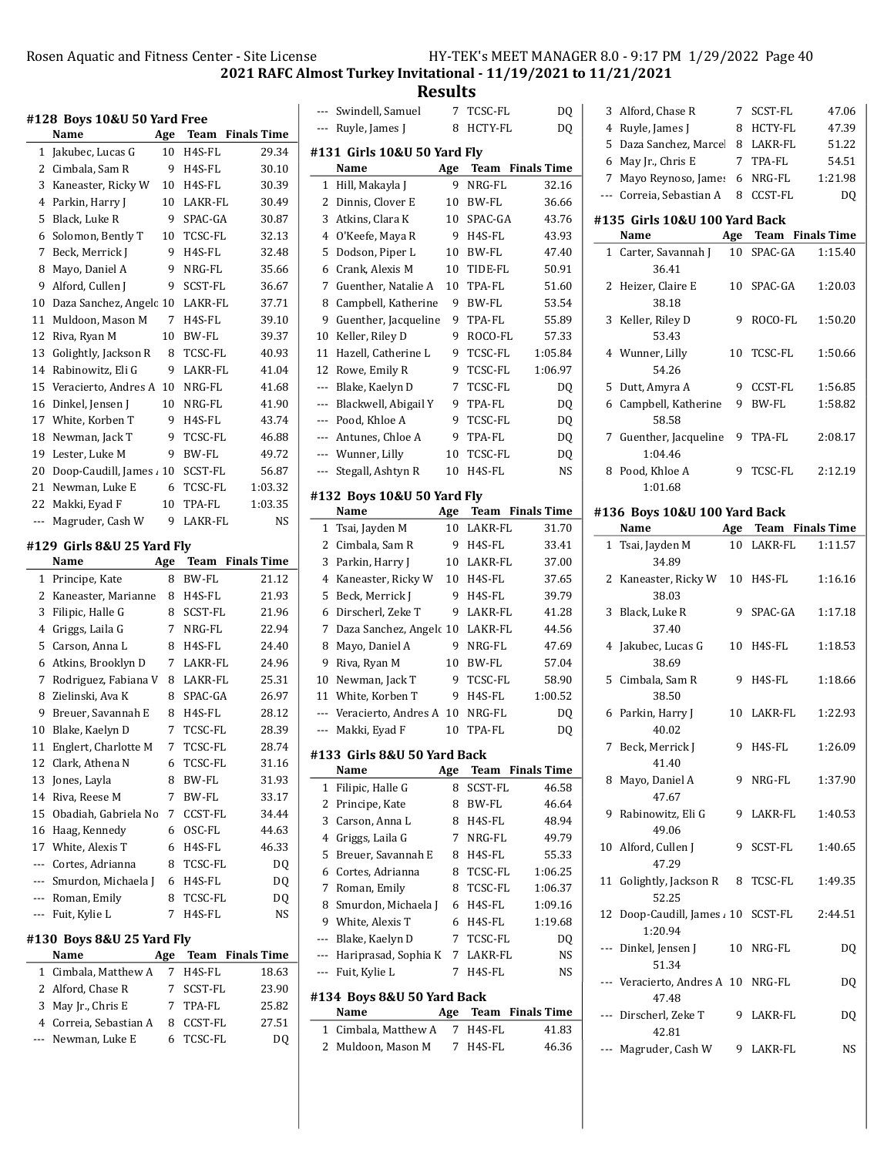Results

| #128 Boys 10&U 50 Yard Free |                                    |     |         |                         |
|-----------------------------|------------------------------------|-----|---------|-------------------------|
|                             | Name                               | Age |         | <b>Team</b> Finals Time |
| 1                           | Jakubec, Lucas G                   | 10  | H4S-FL  | 29.34                   |
| $\overline{2}$              | Cimbala, Sam R                     | 9   | H4S-FL  | 30.10                   |
| 3                           | Kaneaster, Ricky W                 | 10  | H4S-FL  | 30.39                   |
| 4                           | Parkin, Harry J                    | 10  | LAKR-FL | 30.49                   |
| 5                           |                                    | 9   |         |                         |
|                             | Black, Luke R                      |     | SPAC-GA | 30.87                   |
| 6                           | Solomon, Bently T                  | 10  | TCSC-FL | 32.13                   |
| 7                           | Beck, Merrick J                    | 9   | H4S-FL  | 32.48                   |
| 8                           | Mayo, Daniel A                     | 9   | NRG-FL  | 35.66                   |
| 9                           | Alford, Cullen J                   | 9   | SCST-FL | 36.67                   |
| 10                          | Daza Sanchez, Angelc 10            |     | LAKR-FL | 37.71                   |
| 11                          | Muldoon, Mason M                   | 7   | H4S-FL  | 39.10                   |
| 12                          | Riva, Ryan M                       | 10  | BW-FL   | 39.37                   |
| 13                          | Golightly, Jackson R               | 8   | TCSC-FL | 40.93                   |
| 14                          | Rabinowitz, Eli G                  | 9   | LAKR-FL | 41.04                   |
| 15                          | Veracierto, Andres A               | 10  | NRG-FL  | 41.68                   |
| 16                          | Dinkel, Jensen J                   | 10  | NRG-FL  | 41.90                   |
| 17                          | White, Korben T                    | 9   | H4S-FL  | 43.74                   |
| 18                          | Newman, Jack T                     | 9   | TCSC-FL | 46.88                   |
| 19                          | Lester, Luke M                     | 9   | BW-FL   | 49.72                   |
| 20                          | Doop-Caudill, James 10             |     | SCST-FL | 56.87                   |
| 21                          | Newman, Luke E                     | 6   | TCSC-FL | 1:03.32                 |
| 22                          | Makki, Eyad F                      | 10  | TPA-FL  | 1:03.35                 |
| ---                         | Magruder, Cash W                   | 9   | LAKR-FL | NS                      |
|                             |                                    |     |         |                         |
|                             | #129 Girls 8&U 25 Yard Fly<br>Name |     |         | Team Finals Time        |
|                             |                                    | Age |         |                         |
| 1                           | Principe, Kate                     | 8   | BW-FL   | 21.12                   |
| 2                           | Kaneaster, Marianne                | 8   | H4S-FL  | 21.93                   |
| 3                           | Filipic, Halle G                   | 8   | SCST-FL | 21.96                   |
| 4                           | Griggs, Laila G                    | 7   | NRG-FL  | 22.94                   |
| 5                           | Carson, Anna L                     | 8   | H4S-FL  | 24.40                   |
| 6                           | Atkins, Brooklyn D                 | 7   | LAKR-FL | 24.96                   |
| 7                           | Rodriguez, Fabiana V               | 8   | LAKR-FL | 25.31                   |
| 8                           | Zielinski, Ava K                   | 8   | SPAC-GA | 26.97                   |
| 9                           | Breuer, Savannah E                 | 8   | H4S-FL  | 28.12                   |
| 10                          | Blake, Kaelyn D                    | 7   | TCSC-FL | 28.39                   |
| 11                          | Englert, Charlotte M               | 7   | TCSC-FL | 28.74                   |
| 12                          | Clark, Athena N                    | 6   | TCSC-FL | 31.16                   |
| 13                          | Jones, Layla                       | 8   | BW-FL   | 31.93                   |
| 14                          | Riva, Reese M                      | 7   | BW-FL   | 33.17                   |
| 15                          | Obadiah, Gabriela No               | 7   | CCST-FL | 34.44                   |
|                             | 16 Haag, Kennedy                   | 6   | OSC-FL  | 44.63                   |
|                             | 17 White, Alexis T                 | 6   | H4S-FL  | 46.33                   |
|                             | --- Cortes, Adrianna               | 8   | TCSC-FL | DQ                      |
|                             |                                    | 6   |         |                         |
|                             | --- Smurdon, Michaela J            |     | H4S-FL  | DQ                      |
|                             | --- Roman, Emily                   | 8   | TCSC-FL | DQ                      |
| ---                         | Fuit, Kylie L                      | 7   | H4S-FL  | NS                      |
|                             | #130 Boys 8&U 25 Yard Fly          |     |         | Age Team Finals Time    |
|                             | Name                               |     |         |                         |
| $\mathbf{1}$                | Cimbala, Matthew A                 | 7   | H4S-FL  | 18.63                   |
| 2                           | Alford, Chase R                    | 7   | SCST-FL | 23.90                   |
|                             |                                    | 7   | TPA-FL  | 25.82                   |
| 3                           | May Jr., Chris E                   |     |         |                         |
|                             | 4 Correia, Sebastian A             | 8   | CCST-FL | 27.51                   |
| ---                         | Newman, Luke E                     | 6   | TCSC-FL | DQ                      |

|                             | Swindell, Samuel                   | 7   | TCSC-FL       | DQ                      |  |  |
|-----------------------------|------------------------------------|-----|---------------|-------------------------|--|--|
| ---                         | Ruyle, James J                     | 8   | HCTY-FL       | DQ                      |  |  |
| #131 Girls 10&U 50 Yard Fly |                                    |     |               |                         |  |  |
|                             | Name                               | Age | Team          | <b>Finals Time</b>      |  |  |
| 1                           | Hill, Makayla J                    | 9   | NRG-FL        | 32.16                   |  |  |
| 2                           | Dinnis, Clover E                   | 10  | BW-FL         | 36.66                   |  |  |
| 3                           | Atkins, Clara K                    | 10  | SPAC-GA       | 43.76                   |  |  |
| 4                           | O'Keefe, Maya R                    | 9   | H4S-FL        | 43.93                   |  |  |
| 5                           | Dodson, Piper L                    | 10  | BW-FL         | 47.40                   |  |  |
| 6                           | Crank, Alexis M                    | 10  | TIDE-FL       | 50.91                   |  |  |
| 7                           | Guenther, Natalie A                | 10  | TPA-FL        | 51.60                   |  |  |
| 8                           | Campbell, Katherine                | 9   | BW-FL         | 53.54                   |  |  |
| 9                           | Guenther, Jacqueline               | 9   | TPA-FL        | 55.89                   |  |  |
| 10                          | Keller, Riley D                    | 9   | ROCO-FL       | 57.33                   |  |  |
| 11                          | Hazell, Catherine L                | 9   | TCSC-FL       | 1:05.84                 |  |  |
| 12                          | Rowe, Emily R                      | 9   | TCSC-FL       | 1:06.97                 |  |  |
| ---                         | Blake, Kaelyn D                    | 7   | TCSC-FL       | DQ                      |  |  |
| ---                         | Blackwell, Abigail Y               | 9   | <b>TPA-FL</b> | DQ                      |  |  |
| $---$                       | Pood, Khloe A                      | 9   | TCSC-FL       | DQ                      |  |  |
| ---                         | Antunes, Chloe A                   | 9   | TPA-FL        | DQ                      |  |  |
| ---                         | Wunner, Lilly                      | 10  | TCSC-FL       | DQ                      |  |  |
| ---                         | Stegall, Ashtyn R                  | 10  | H4S-FL        | NS                      |  |  |
|                             |                                    |     |               |                         |  |  |
|                             | #132 Bovs 10&U 50 Yard Flv<br>Name | Age | Team          | <b>Finals Time</b>      |  |  |
| 1                           | Tsai, Jayden M                     | 10  | LAKR-FL       | 31.70                   |  |  |
| 2                           | Cimbala, Sam R                     | 9   | H4S-FL        | 33.41                   |  |  |
| 3                           | Parkin, Harry J                    | 10  | LAKR-FL       | 37.00                   |  |  |
| 4                           | Kaneaster, Ricky W                 | 10  | H4S-FL        | 37.65                   |  |  |
| 5                           | Beck, Merrick J                    | 9   | H4S-FL        | 39.79                   |  |  |
| 6                           | Dirscherl, Zeke T                  | 9   | LAKR-FL       | 41.28                   |  |  |
| 7                           | Daza Sanchez, Angelc 10            |     | LAKR-FL       | 44.56                   |  |  |
| 8                           | Mayo, Daniel A                     | 9   | NRG-FL        | 47.69                   |  |  |
| 9                           | Riva, Ryan M                       | 10  | BW-FL         | 57.04                   |  |  |
| 10                          | Newman, Jack T                     | 9   | TCSC-FL       | 58.90                   |  |  |
| 11                          | White, Korben T                    | 9   | H4S-FL        | 1:00.52                 |  |  |
| $---$                       | Veracierto, Andres A               | 10  | NRG-FL        | DQ                      |  |  |
| ---                         | Makki, Eyad F                      | 10  | TPA-FL        | DQ                      |  |  |
|                             | #133 Girls 8&U 50 Yard Back        |     |               |                         |  |  |
|                             | Name                               | Age |               | <b>Team</b> Finals Time |  |  |
| 1                           | Filipic, Halle G                   | 8   | SCST-FL       | 46.58                   |  |  |
| 2                           | Principe, Kate                     | 8   | BW-FL         | 46.64                   |  |  |
| 3                           | Carson, Anna L                     | 8   | H4S-FL        | 48.94                   |  |  |
| 4                           | Griggs, Laila G                    | 7   | NRG-FL        | 49.79                   |  |  |
| 5                           | Breuer, Savannah E                 | 8   | H4S-FL        | 55.33                   |  |  |
| 6                           | Cortes, Adrianna                   | 8   | TCSC-FL       | 1:06.25                 |  |  |
| 7                           | Roman, Emily                       | 8   | TCSC-FL       | 1:06.37                 |  |  |
| 8                           | Smurdon, Michaela J                | 6   | H4S-FL        | 1:09.16                 |  |  |
| 9                           | White, Alexis T                    | 6   | H4S-FL        | 1:19.68                 |  |  |
| ---                         | Blake, Kaelyn D                    | 7   | TCSC-FL       | DQ                      |  |  |
| ---                         | Hariprasad, Sophia K               | 7   | LAKR-FL       | NS                      |  |  |
| ---                         | Fuit, Kylie L                      | 7   | H4S-FL        | NS                      |  |  |
|                             | #134 Boys 8&U 50 Yard Back         |     |               |                         |  |  |
|                             | Name                               | Age | Team          | <b>Finals Time</b>      |  |  |
| 1                           | Cimbala, Matthew A                 | 7   | H4S-FL        | 41.83                   |  |  |
| 2                           | Muldoon, Mason M                   | 7   | H4S-FL        | 46.36                   |  |  |
|                             |                                    |     |               |                         |  |  |
|                             |                                    |     |               |                         |  |  |

| 3              | Alford, Chase R                             | 7           | <b>SCST-FL</b>       | 47.06          |
|----------------|---------------------------------------------|-------------|----------------------|----------------|
| $\overline{4}$ | Ruyle, James J                              | 8           | HCTY-FL              | 47.39          |
| 5              | Daza Sanchez, Marcel                        |             | 8 LAKR-FL            | 51.22          |
| 6              | May Jr., Chris E                            | $7^{\circ}$ | TPA-FL               | 54.51          |
| 7              | Mayo Reynoso, James                         |             | 6 NRG-FL             | 1:21.98        |
|                | --- Correia, Sebastian A                    |             | 8 CCST-FL            | D <sub>0</sub> |
|                | #135 Girls 10&U 100 Yard Back               |             |                      |                |
|                | Name                                        |             | Age Team Finals Time |                |
| $\mathbf{1}$   | Carter, Savannah J<br>36.41                 |             | 10 SPAC-GA           | 1:15.40        |
| 2              | Heizer, Claire E<br>38.18                   | 10          | SPAC-GA              | 1:20.03        |
| 3              | Keller, Riley D<br>53.43                    | 9           | ROCO-FL              | 1:50.20        |
|                | 4 Wunner, Lilly<br>54.26                    | 10          | TCSC-FL              | 1:50.66        |
| 5.             | Dutt, Amyra A                               | 9           | CCST-FL              | 1:56.85        |
|                | 6 Campbell, Katherine                       | 9           | BW-FL                | 1:58.82        |
|                | 58.58                                       |             |                      |                |
|                | 7 Guenther, Jacqueline<br>1:04.46           | 9           | TPA-FL               | 2:08.17        |
|                | 8 Pood, Khloe A<br>1:01.68                  | 9           | TCSC-FL              | 2:12.19        |
|                | #136 Boys 10&U 100 Yard Back                |             |                      |                |
|                | Name                                        |             | Age Team Finals Time |                |
|                | 1 Tsai, Jayden M<br>34.89                   |             | 10 LAKR-FL           | 1:11.57        |
| 2              | Kaneaster, Ricky W<br>38.03                 | 10          | H4S-FL               | 1:16.16        |
| 3              | Black, Luke R<br>37.40                      | 9.          | SPAC-GA              | 1:17.18        |
| 4              | Jakubec, Lucas G<br>38.69                   | 10          | H4S-FL               | 1:18.53        |
| 5              | Cimbala, Sam R<br>38.50                     | 9           | H4S-FL               | 1:18.66        |
| 6              | Parkin, Harry J<br>40.02                    |             | 10 LAKR-FL           | 1:22.93        |
| 7              | Beck, Merrick J<br>41.40                    | 9           | H4S-FL               | 1:26.09        |
|                | 8 Mayo, Daniel A<br>47.67                   |             | 9 NRG-FL             | 1:37.90        |
|                | 9 Rabinowitz, Eli G<br>49.06                |             | 9 LAKR-FL            | 1:40.53        |
|                | 10 Alford, Cullen J<br>47.29                | 9           | SCST-FL              | 1:40.65        |
|                | 11 Golightly, Jackson R<br>52.25            | 8           | TCSC-FL              | 1:49.35        |
|                | 12 Doop-Caudill, James , 10 SCST-FL         |             |                      |                |
| ---            | 1:20.94                                     |             |                      | 2:44.51        |
|                | Dinkel, Jensen J<br>51.34                   |             | 10 NRG-FL            | DQ             |
|                | --- Veracierto, Andres A 10 NRG-FL<br>47.48 |             |                      | DQ             |
|                | --- Dirscherl, Zeke T<br>42.81              |             | 9 LAKR-FL            | DQ             |